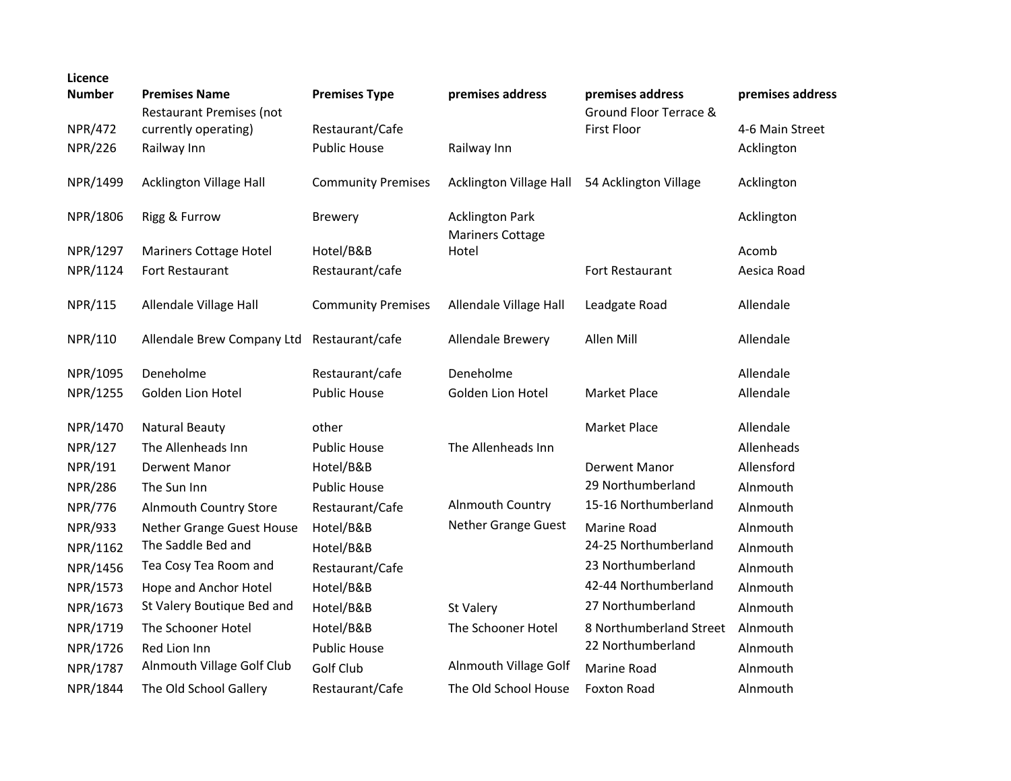| Licence        |                                                         |                           |                                  |                                            |                  |
|----------------|---------------------------------------------------------|---------------------------|----------------------------------|--------------------------------------------|------------------|
| <b>Number</b>  | <b>Premises Name</b><br><b>Restaurant Premises (not</b> | <b>Premises Type</b>      | premises address                 | premises address<br>Ground Floor Terrace & | premises address |
| <b>NPR/472</b> | currently operating)                                    | Restaurant/Cafe           |                                  | <b>First Floor</b>                         | 4-6 Main Street  |
| <b>NPR/226</b> | Railway Inn                                             | <b>Public House</b>       | Railway Inn                      |                                            | Acklington       |
| NPR/1499       | <b>Acklington Village Hall</b>                          | <b>Community Premises</b> | Acklington Village Hall          | 54 Acklington Village                      | Acklington       |
| NPR/1806       | Rigg & Furrow                                           | <b>Brewery</b>            | <b>Acklington Park</b>           |                                            | Acklington       |
| NPR/1297       | Mariners Cottage Hotel                                  | Hotel/B&B                 | <b>Mariners Cottage</b><br>Hotel |                                            | Acomb            |
| NPR/1124       | Fort Restaurant                                         | Restaurant/cafe           |                                  | Fort Restaurant                            | Aesica Road      |
|                |                                                         |                           |                                  |                                            |                  |
| NPR/115        | Allendale Village Hall                                  | <b>Community Premises</b> | Allendale Village Hall           | Leadgate Road                              | Allendale        |
|                |                                                         |                           |                                  |                                            |                  |
| NPR/110        | Allendale Brew Company Ltd                              | Restaurant/cafe           | Allendale Brewery                | Allen Mill                                 | Allendale        |
| NPR/1095       | Deneholme                                               | Restaurant/cafe           | Deneholme                        |                                            | Allendale        |
| NPR/1255       | Golden Lion Hotel                                       | <b>Public House</b>       | Golden Lion Hotel                | <b>Market Place</b>                        | Allendale        |
|                |                                                         |                           |                                  |                                            |                  |
| NPR/1470       | <b>Natural Beauty</b>                                   | other                     |                                  | <b>Market Place</b>                        | Allendale        |
| NPR/127        | The Allenheads Inn                                      | <b>Public House</b>       | The Allenheads Inn               |                                            | Allenheads       |
| NPR/191        | <b>Derwent Manor</b>                                    | Hotel/B&B                 |                                  | <b>Derwent Manor</b>                       | Allensford       |
| <b>NPR/286</b> | The Sun Inn                                             | <b>Public House</b>       |                                  | 29 Northumberland                          | Alnmouth         |
| <b>NPR/776</b> | <b>Alnmouth Country Store</b>                           | Restaurant/Cafe           | Alnmouth Country                 | 15-16 Northumberland                       | Alnmouth         |
| <b>NPR/933</b> | Nether Grange Guest House                               | Hotel/B&B                 | Nether Grange Guest              | <b>Marine Road</b>                         | Alnmouth         |
| NPR/1162       | The Saddle Bed and                                      | Hotel/B&B                 |                                  | 24-25 Northumberland                       | Alnmouth         |
| NPR/1456       | Tea Cosy Tea Room and                                   | Restaurant/Cafe           |                                  | 23 Northumberland                          | Alnmouth         |
| NPR/1573       | Hope and Anchor Hotel                                   | Hotel/B&B                 |                                  | 42-44 Northumberland                       | Alnmouth         |
| NPR/1673       | St Valery Boutique Bed and                              | Hotel/B&B                 | St Valery                        | 27 Northumberland                          | Alnmouth         |
| NPR/1719       | The Schooner Hotel                                      | Hotel/B&B                 | The Schooner Hotel               | 8 Northumberland Street                    | Alnmouth         |
| NPR/1726       | Red Lion Inn                                            | <b>Public House</b>       |                                  | 22 Northumberland                          | Alnmouth         |
| NPR/1787       | Alnmouth Village Golf Club                              | <b>Golf Club</b>          | Alnmouth Village Golf            | Marine Road                                | Alnmouth         |
| NPR/1844       | The Old School Gallery                                  | Restaurant/Cafe           | The Old School House             | Foxton Road                                | Alnmouth         |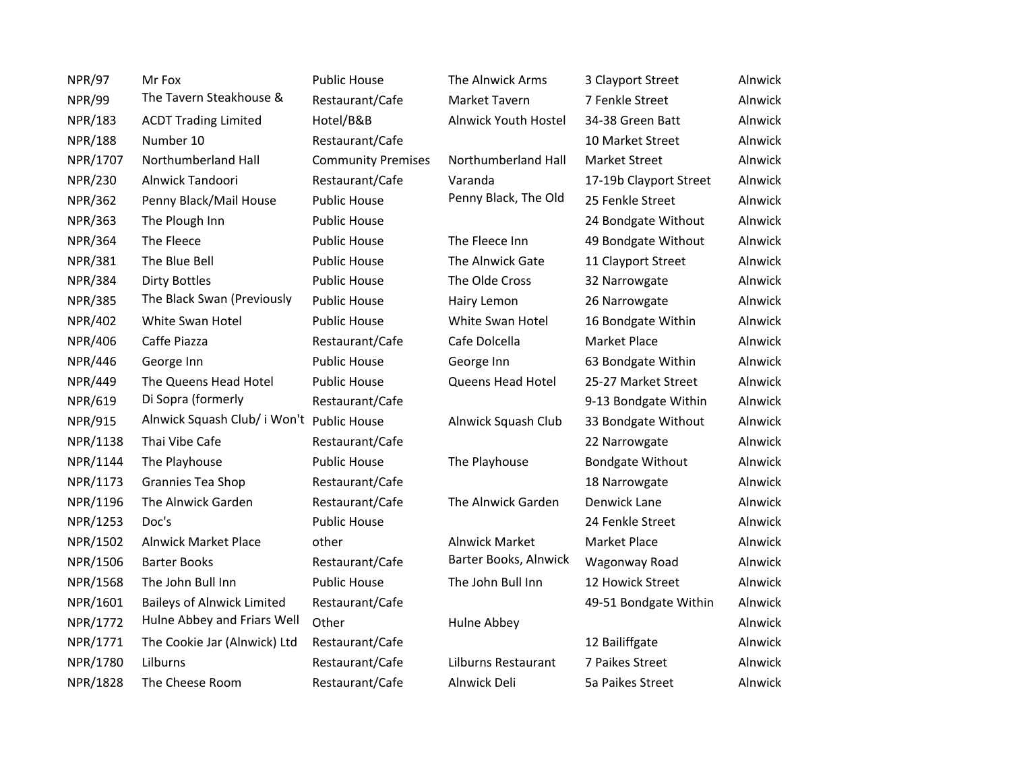| <b>NPR/97</b>  | Mr Fox                                    | Public House              | The Alnwick Arms      | 3 Clayport Street       | Alnwick |
|----------------|-------------------------------------------|---------------------------|-----------------------|-------------------------|---------|
| <b>NPR/99</b>  | The Tavern Steakhouse &                   | Restaurant/Cafe           | Market Tavern         | 7 Fenkle Street         | Alnwick |
| <b>NPR/183</b> | <b>ACDT Trading Limited</b>               | Hotel/B&B                 | Alnwick Youth Hostel  | 34-38 Green Batt        | Alnwick |
| <b>NPR/188</b> | Number 10                                 | Restaurant/Cafe           |                       | 10 Market Street        | Alnwick |
| NPR/1707       | Northumberland Hall                       | <b>Community Premises</b> | Northumberland Hall   | Market Street           | Alnwick |
| NPR/230        | Alnwick Tandoori                          | Restaurant/Cafe           | Varanda               | 17-19b Clayport Street  | Alnwick |
| <b>NPR/362</b> | Penny Black/Mail House                    | <b>Public House</b>       | Penny Black, The Old  | 25 Fenkle Street        | Alnwick |
| <b>NPR/363</b> | The Plough Inn                            | <b>Public House</b>       |                       | 24 Bondgate Without     | Alnwick |
| <b>NPR/364</b> | The Fleece                                | <b>Public House</b>       | The Fleece Inn        | 49 Bondgate Without     | Alnwick |
| <b>NPR/381</b> | The Blue Bell                             | <b>Public House</b>       | The Alnwick Gate      | 11 Clayport Street      | Alnwick |
| <b>NPR/384</b> | <b>Dirty Bottles</b>                      | <b>Public House</b>       | The Olde Cross        | 32 Narrowgate           | Alnwick |
| <b>NPR/385</b> | The Black Swan (Previously                | <b>Public House</b>       | Hairy Lemon           | 26 Narrowgate           | Alnwick |
| <b>NPR/402</b> | White Swan Hotel                          | <b>Public House</b>       | White Swan Hotel      | 16 Bondgate Within      | Alnwick |
| <b>NPR/406</b> | Caffe Piazza                              | Restaurant/Cafe           | Cafe Dolcella         | Market Place            | Alnwick |
| <b>NPR/446</b> | George Inn                                | <b>Public House</b>       | George Inn            | 63 Bondgate Within      | Alnwick |
| <b>NPR/449</b> | The Queens Head Hotel                     | <b>Public House</b>       | Queens Head Hotel     | 25-27 Market Street     | Alnwick |
| <b>NPR/619</b> | Di Sopra (formerly                        | Restaurant/Cafe           |                       | 9-13 Bondgate Within    | Alnwick |
| <b>NPR/915</b> | Alnwick Squash Club/ i Won't Public House |                           | Alnwick Squash Club   | 33 Bondgate Without     | Alnwick |
| NPR/1138       | Thai Vibe Cafe                            | Restaurant/Cafe           |                       | 22 Narrowgate           | Alnwick |
| NPR/1144       | The Playhouse                             | <b>Public House</b>       | The Playhouse         | <b>Bondgate Without</b> | Alnwick |
| NPR/1173       | Grannies Tea Shop                         | Restaurant/Cafe           |                       | 18 Narrowgate           | Alnwick |
| NPR/1196       | The Alnwick Garden                        | Restaurant/Cafe           | The Alnwick Garden    | Denwick Lane            | Alnwick |
| NPR/1253       | Doc's                                     | <b>Public House</b>       |                       | 24 Fenkle Street        | Alnwick |
| NPR/1502       | <b>Alnwick Market Place</b>               | other                     | <b>Alnwick Market</b> | Market Place            | Alnwick |
| NPR/1506       | <b>Barter Books</b>                       | Restaurant/Cafe           | Barter Books, Alnwick | Wagonway Road           | Alnwick |
| NPR/1568       | The John Bull Inn                         | <b>Public House</b>       | The John Bull Inn     | 12 Howick Street        | Alnwick |
| NPR/1601       | <b>Baileys of Alnwick Limited</b>         | Restaurant/Cafe           |                       | 49-51 Bondgate Within   | Alnwick |
| NPR/1772       | Hulne Abbey and Friars Well               | Other                     | Hulne Abbey           |                         | Alnwick |
| NPR/1771       | The Cookie Jar (Alnwick) Ltd              | Restaurant/Cafe           |                       | 12 Bailiffgate          | Alnwick |
| NPR/1780       | Lilburns                                  | Restaurant/Cafe           | Lilburns Restaurant   | 7 Paikes Street         | Alnwick |
| NPR/1828       | The Cheese Room                           | Restaurant/Cafe           | Alnwick Deli          | 5a Paikes Street        | Alnwick |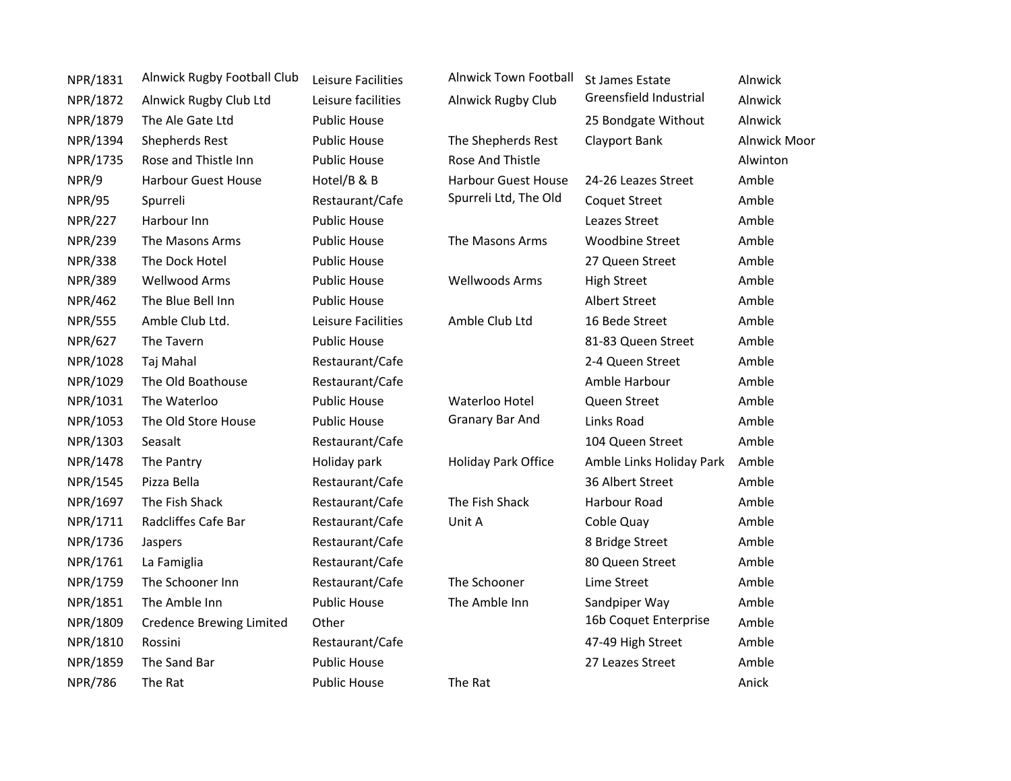| NPR/1831       | Alnwick Rugby Football Club     | Leisure Facilities  | <b>Alnwick Town Football</b> | St James Estate          | Alnwick             |
|----------------|---------------------------------|---------------------|------------------------------|--------------------------|---------------------|
| NPR/1872       | Alnwick Rugby Club Ltd          | Leisure facilities  | Alnwick Rugby Club           | Greensfield Industrial   | Alnwick             |
| NPR/1879       | The Ale Gate Ltd                | <b>Public House</b> |                              | 25 Bondgate Without      | Alnwick             |
| NPR/1394       | <b>Shepherds Rest</b>           | <b>Public House</b> | The Shepherds Rest           | Clayport Bank            | <b>Alnwick Moor</b> |
| NPR/1735       | Rose and Thistle Inn            | <b>Public House</b> | Rose And Thistle             |                          | Alwinton            |
| NPR/9          | <b>Harbour Guest House</b>      | Hotel/B & B         | <b>Harbour Guest House</b>   | 24-26 Leazes Street      | Amble               |
| <b>NPR/95</b>  | Spurreli                        | Restaurant/Cafe     | Spurreli Ltd, The Old        | <b>Coquet Street</b>     | Amble               |
| <b>NPR/227</b> | Harbour Inn                     | <b>Public House</b> |                              | Leazes Street            | Amble               |
| <b>NPR/239</b> | The Masons Arms                 | <b>Public House</b> | The Masons Arms              | <b>Woodbine Street</b>   | Amble               |
| <b>NPR/338</b> | The Dock Hotel                  | <b>Public House</b> |                              | 27 Queen Street          | Amble               |
| <b>NPR/389</b> | Wellwood Arms                   | <b>Public House</b> | <b>Wellwoods Arms</b>        | <b>High Street</b>       | Amble               |
| <b>NPR/462</b> | The Blue Bell Inn               | <b>Public House</b> |                              | <b>Albert Street</b>     | Amble               |
| <b>NPR/555</b> | Amble Club Ltd.                 | Leisure Facilities  | Amble Club Ltd               | 16 Bede Street           | Amble               |
| <b>NPR/627</b> | The Tavern                      | <b>Public House</b> |                              | 81-83 Queen Street       | Amble               |
| NPR/1028       | Taj Mahal                       | Restaurant/Cafe     |                              | 2-4 Queen Street         | Amble               |
| NPR/1029       | The Old Boathouse               | Restaurant/Cafe     |                              | Amble Harbour            | Amble               |
| NPR/1031       | The Waterloo                    | <b>Public House</b> | Waterloo Hotel               | Queen Street             | Amble               |
| NPR/1053       | The Old Store House             | <b>Public House</b> | Granary Bar And              | Links Road               | Amble               |
| NPR/1303       | Seasalt                         | Restaurant/Cafe     |                              | 104 Queen Street         | Amble               |
| NPR/1478       | The Pantry                      | Holiday park        | Holiday Park Office          | Amble Links Holiday Park | Amble               |
| NPR/1545       | Pizza Bella                     | Restaurant/Cafe     |                              | 36 Albert Street         | Amble               |
| NPR/1697       | The Fish Shack                  | Restaurant/Cafe     | The Fish Shack               | Harbour Road             | Amble               |
| NPR/1711       | Radcliffes Cafe Bar             | Restaurant/Cafe     | Unit A                       | Coble Quay               | Amble               |
| NPR/1736       | Jaspers                         | Restaurant/Cafe     |                              | 8 Bridge Street          | Amble               |
| NPR/1761       | La Famiglia                     | Restaurant/Cafe     |                              | 80 Queen Street          | Amble               |
| NPR/1759       | The Schooner Inn                | Restaurant/Cafe     | The Schooner                 | Lime Street              | Amble               |
| NPR/1851       | The Amble Inn                   | <b>Public House</b> | The Amble Inn                | Sandpiper Way            | Amble               |
| NPR/1809       | <b>Credence Brewing Limited</b> | Other               |                              | 16b Coquet Enterprise    | Amble               |
| NPR/1810       | Rossini                         | Restaurant/Cafe     |                              | 47-49 High Street        | Amble               |
| NPR/1859       | The Sand Bar                    | <b>Public House</b> |                              | 27 Leazes Street         | Amble               |
| <b>NPR/786</b> | The Rat                         | <b>Public House</b> | The Rat                      |                          | Anick               |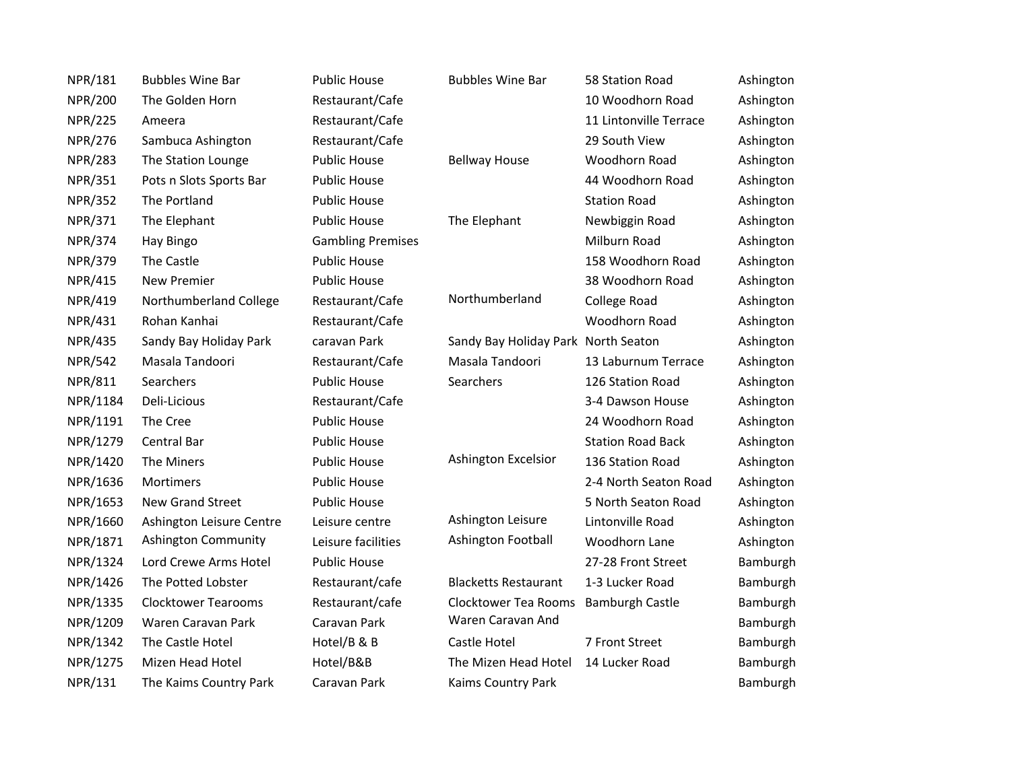| NPR/181        | <b>Bubbles Wine Bar</b>    | <b>Public House</b>      | <b>Bubbles Wine Bar</b>             | 58 Station Road          | Ashington |
|----------------|----------------------------|--------------------------|-------------------------------------|--------------------------|-----------|
| <b>NPR/200</b> | The Golden Horn            | Restaurant/Cafe          |                                     | 10 Woodhorn Road         | Ashington |
| <b>NPR/225</b> | Ameera                     | Restaurant/Cafe          |                                     | 11 Lintonville Terrace   | Ashington |
| <b>NPR/276</b> | Sambuca Ashington          | Restaurant/Cafe          |                                     | 29 South View            | Ashington |
| <b>NPR/283</b> | The Station Lounge         | <b>Public House</b>      | <b>Bellway House</b>                | Woodhorn Road            | Ashington |
| NPR/351        | Pots n Slots Sports Bar    | <b>Public House</b>      |                                     | 44 Woodhorn Road         | Ashington |
| <b>NPR/352</b> | The Portland               | <b>Public House</b>      |                                     | <b>Station Road</b>      | Ashington |
| NPR/371        | The Elephant               | <b>Public House</b>      | The Elephant                        | Newbiggin Road           | Ashington |
| <b>NPR/374</b> | Hay Bingo                  | <b>Gambling Premises</b> |                                     | Milburn Road             | Ashington |
| <b>NPR/379</b> | The Castle                 | <b>Public House</b>      |                                     | 158 Woodhorn Road        | Ashington |
| <b>NPR/415</b> | New Premier                | <b>Public House</b>      |                                     | 38 Woodhorn Road         | Ashington |
| <b>NPR/419</b> | Northumberland College     | Restaurant/Cafe          | Northumberland                      | College Road             | Ashington |
| NPR/431        | Rohan Kanhai               | Restaurant/Cafe          |                                     | Woodhorn Road            | Ashington |
| <b>NPR/435</b> | Sandy Bay Holiday Park     | caravan Park             | Sandy Bay Holiday Park North Seaton |                          | Ashington |
| <b>NPR/542</b> | Masala Tandoori            | Restaurant/Cafe          | Masala Tandoori                     | 13 Laburnum Terrace      | Ashington |
| NPR/811        | Searchers                  | <b>Public House</b>      | Searchers                           | 126 Station Road         | Ashington |
| NPR/1184       | Deli-Licious               | Restaurant/Cafe          |                                     | 3-4 Dawson House         | Ashington |
| NPR/1191       | The Cree                   | <b>Public House</b>      |                                     | 24 Woodhorn Road         | Ashington |
| NPR/1279       | Central Bar                | <b>Public House</b>      |                                     | <b>Station Road Back</b> | Ashington |
| NPR/1420       | The Miners                 | <b>Public House</b>      | Ashington Excelsior                 | 136 Station Road         | Ashington |
| NPR/1636       | Mortimers                  | <b>Public House</b>      |                                     | 2-4 North Seaton Road    | Ashington |
| NPR/1653       | New Grand Street           | <b>Public House</b>      |                                     | 5 North Seaton Road      | Ashington |
| NPR/1660       | Ashington Leisure Centre   | Leisure centre           | Ashington Leisure                   | Lintonville Road         | Ashington |
| NPR/1871       | Ashington Community        | Leisure facilities       | Ashington Football                  | Woodhorn Lane            | Ashington |
| NPR/1324       | Lord Crewe Arms Hotel      | <b>Public House</b>      |                                     | 27-28 Front Street       | Bamburgh  |
| NPR/1426       | The Potted Lobster         | Restaurant/cafe          | <b>Blacketts Restaurant</b>         | 1-3 Lucker Road          | Bamburgh  |
| NPR/1335       | <b>Clocktower Tearooms</b> | Restaurant/cafe          | Clocktower Tea Rooms                | <b>Bamburgh Castle</b>   | Bamburgh  |
| NPR/1209       | Waren Caravan Park         | Caravan Park             | Waren Caravan And                   |                          | Bamburgh  |
| NPR/1342       | The Castle Hotel           | Hotel/B & B              | Castle Hotel                        | 7 Front Street           | Bamburgh  |
| NPR/1275       | Mizen Head Hotel           | Hotel/B&B                | The Mizen Head Hotel                | 14 Lucker Road           | Bamburgh  |
| NPR/131        | The Kaims Country Park     | Caravan Park             | Kaims Country Park                  |                          | Bamburgh  |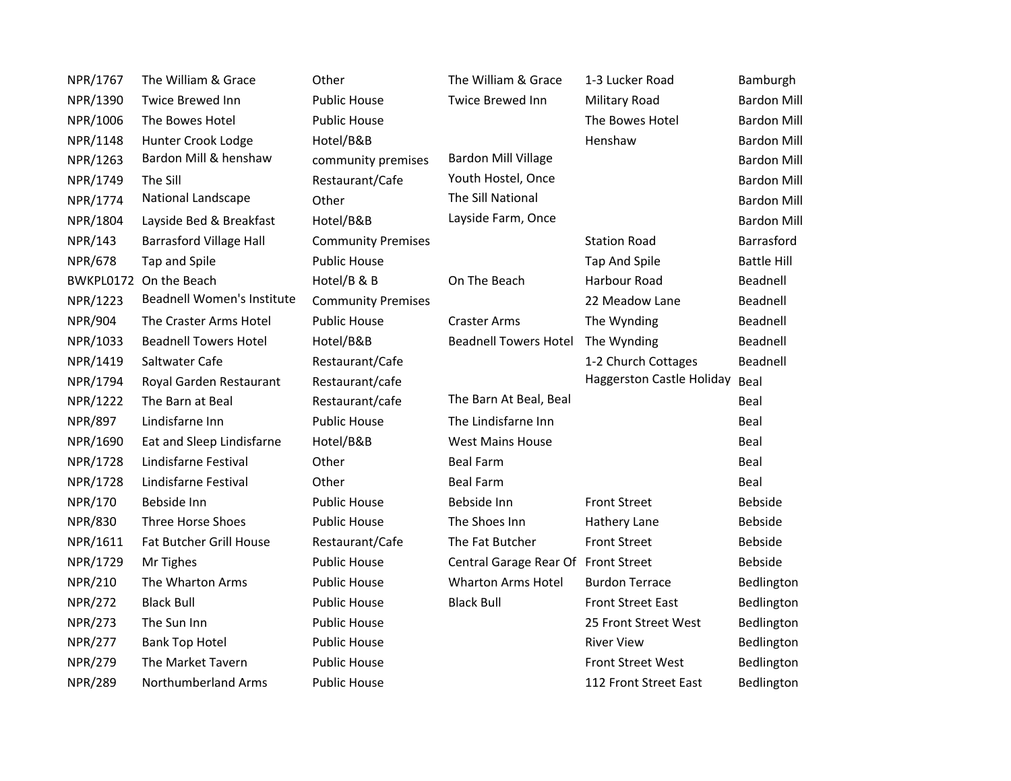| NPR/1767       | The William & Grace            | Other                     | The William & Grace                 | 1-3 Lucker Road                | Bamburgh           |
|----------------|--------------------------------|---------------------------|-------------------------------------|--------------------------------|--------------------|
| NPR/1390       | Twice Brewed Inn               | <b>Public House</b>       | Twice Brewed Inn                    | Military Road                  | <b>Bardon Mill</b> |
| NPR/1006       | The Bowes Hotel                | <b>Public House</b>       |                                     | The Bowes Hotel                | <b>Bardon Mill</b> |
| NPR/1148       | Hunter Crook Lodge             | Hotel/B&B                 |                                     | Henshaw                        | <b>Bardon Mill</b> |
| NPR/1263       | Bardon Mill & henshaw          | community premises        | <b>Bardon Mill Village</b>          |                                | <b>Bardon Mill</b> |
| NPR/1749       | The Sill                       | Restaurant/Cafe           | Youth Hostel, Once                  |                                | <b>Bardon Mill</b> |
| NPR/1774       | National Landscape             | Other                     | The Sill National                   |                                | <b>Bardon Mill</b> |
| NPR/1804       | Layside Bed & Breakfast        | Hotel/B&B                 | Layside Farm, Once                  |                                | <b>Bardon Mill</b> |
| <b>NPR/143</b> | <b>Barrasford Village Hall</b> | <b>Community Premises</b> |                                     | <b>Station Road</b>            | Barrasford         |
| <b>NPR/678</b> | Tap and Spile                  | <b>Public House</b>       |                                     | Tap And Spile                  | <b>Battle Hill</b> |
| BWKPL0172      | On the Beach                   | Hotel/B & B               | On The Beach                        | Harbour Road                   | Beadnell           |
| NPR/1223       | Beadnell Women's Institute     | <b>Community Premises</b> |                                     | 22 Meadow Lane                 | Beadnell           |
| <b>NPR/904</b> | The Craster Arms Hotel         | <b>Public House</b>       | <b>Craster Arms</b>                 | The Wynding                    | Beadnell           |
| NPR/1033       | <b>Beadnell Towers Hotel</b>   | Hotel/B&B                 | <b>Beadnell Towers Hotel</b>        | The Wynding                    | Beadnell           |
| NPR/1419       | Saltwater Cafe                 | Restaurant/Cafe           |                                     | 1-2 Church Cottages            | Beadnell           |
| NPR/1794       | Royal Garden Restaurant        | Restaurant/cafe           |                                     | Haggerston Castle Holiday Beal |                    |
| NPR/1222       | The Barn at Beal               | Restaurant/cafe           | The Barn At Beal, Beal              |                                | Beal               |
| <b>NPR/897</b> | Lindisfarne Inn                | <b>Public House</b>       | The Lindisfarne Inn                 |                                | Beal               |
| NPR/1690       | Eat and Sleep Lindisfarne      | Hotel/B&B                 | <b>West Mains House</b>             |                                | Beal               |
| NPR/1728       | Lindisfarne Festival           | Other                     | <b>Beal Farm</b>                    |                                | Beal               |
| NPR/1728       | Lindisfarne Festival           | Other                     | <b>Beal Farm</b>                    |                                | Beal               |
| NPR/170        | Bebside Inn                    | <b>Public House</b>       | Bebside Inn                         | <b>Front Street</b>            | Bebside            |
| <b>NPR/830</b> | Three Horse Shoes              | <b>Public House</b>       | The Shoes Inn                       | Hathery Lane                   | Bebside            |
| NPR/1611       | Fat Butcher Grill House        | Restaurant/Cafe           | The Fat Butcher                     | <b>Front Street</b>            | <b>Bebside</b>     |
| NPR/1729       | Mr Tighes                      | <b>Public House</b>       | Central Garage Rear Of Front Street |                                | <b>Bebside</b>     |
| <b>NPR/210</b> | The Wharton Arms               | <b>Public House</b>       | <b>Wharton Arms Hotel</b>           | <b>Burdon Terrace</b>          | Bedlington         |
| <b>NPR/272</b> | <b>Black Bull</b>              | <b>Public House</b>       | <b>Black Bull</b>                   | <b>Front Street East</b>       | Bedlington         |
| <b>NPR/273</b> | The Sun Inn                    | <b>Public House</b>       |                                     | 25 Front Street West           | Bedlington         |
| <b>NPR/277</b> | <b>Bank Top Hotel</b>          | <b>Public House</b>       |                                     | <b>River View</b>              | Bedlington         |
| <b>NPR/279</b> | The Market Tavern              | <b>Public House</b>       |                                     | <b>Front Street West</b>       | Bedlington         |
| <b>NPR/289</b> | Northumberland Arms            | <b>Public House</b>       |                                     | 112 Front Street East          | Bedlington         |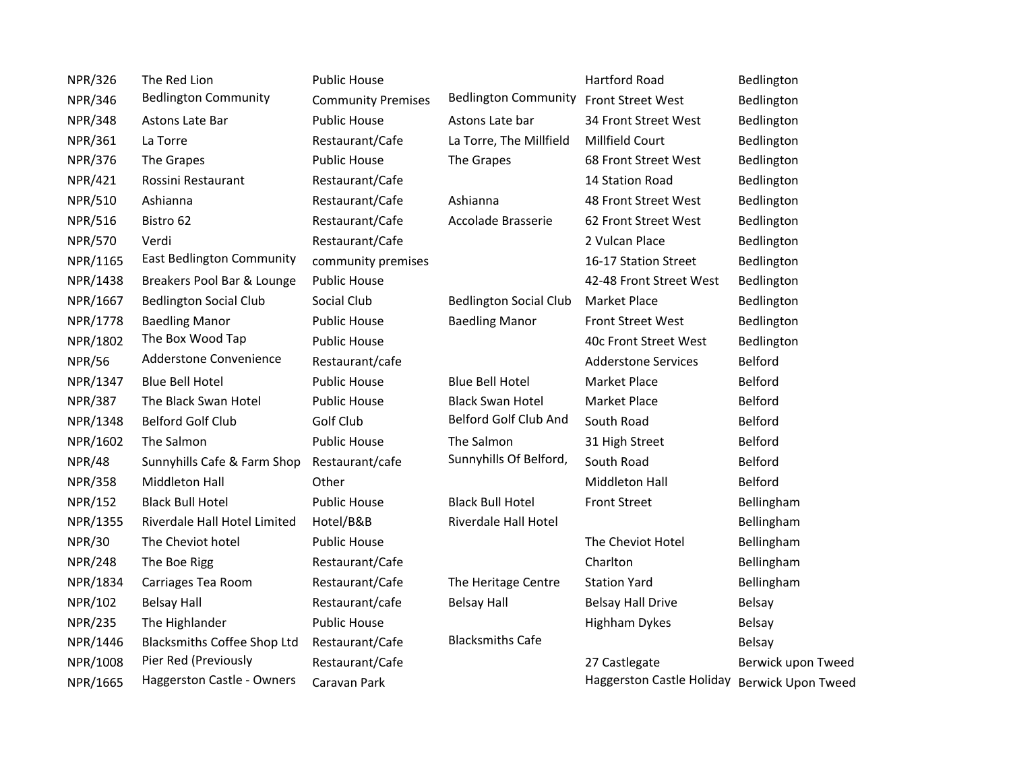| <b>NPR/326</b> | The Red Lion                  | <b>Public House</b>       |                                        | <b>Hartford Road</b>                         | Bedlington         |
|----------------|-------------------------------|---------------------------|----------------------------------------|----------------------------------------------|--------------------|
| <b>NPR/346</b> | <b>Bedlington Community</b>   | <b>Community Premises</b> | Bedlington Community Front Street West |                                              | Bedlington         |
| <b>NPR/348</b> | Astons Late Bar               | <b>Public House</b>       | Astons Late bar                        | 34 Front Street West                         | Bedlington         |
| <b>NPR/361</b> | La Torre                      | Restaurant/Cafe           | La Torre, The Millfield                | Millfield Court                              | Bedlington         |
| <b>NPR/376</b> | The Grapes                    | <b>Public House</b>       | The Grapes                             | 68 Front Street West                         | Bedlington         |
| <b>NPR/421</b> | Rossini Restaurant            | Restaurant/Cafe           |                                        | 14 Station Road                              | Bedlington         |
| <b>NPR/510</b> | Ashianna                      | Restaurant/Cafe           | Ashianna                               | 48 Front Street West                         | Bedlington         |
| <b>NPR/516</b> | Bistro 62                     | Restaurant/Cafe           | Accolade Brasserie                     | 62 Front Street West                         | Bedlington         |
| <b>NPR/570</b> | Verdi                         | Restaurant/Cafe           |                                        | 2 Vulcan Place                               | Bedlington         |
| NPR/1165       | East Bedlington Community     | community premises        |                                        | 16-17 Station Street                         | Bedlington         |
| NPR/1438       | Breakers Pool Bar & Lounge    | <b>Public House</b>       |                                        | 42-48 Front Street West                      | Bedlington         |
| NPR/1667       | <b>Bedlington Social Club</b> | Social Club               | <b>Bedlington Social Club</b>          | <b>Market Place</b>                          | Bedlington         |
| NPR/1778       | <b>Baedling Manor</b>         | <b>Public House</b>       | <b>Baedling Manor</b>                  | <b>Front Street West</b>                     | Bedlington         |
| NPR/1802       | The Box Wood Tap              | <b>Public House</b>       |                                        | 40c Front Street West                        | Bedlington         |
| <b>NPR/56</b>  | Adderstone Convenience        | Restaurant/cafe           |                                        | <b>Adderstone Services</b>                   | Belford            |
| NPR/1347       | <b>Blue Bell Hotel</b>        | <b>Public House</b>       | <b>Blue Bell Hotel</b>                 | <b>Market Place</b>                          | Belford            |
| <b>NPR/387</b> | The Black Swan Hotel          | <b>Public House</b>       | <b>Black Swan Hotel</b>                | Market Place                                 | Belford            |
| NPR/1348       | <b>Belford Golf Club</b>      | Golf Club                 | Belford Golf Club And                  | South Road                                   | Belford            |
| NPR/1602       | The Salmon                    | <b>Public House</b>       | The Salmon                             | 31 High Street                               | Belford            |
| <b>NPR/48</b>  | Sunnyhills Cafe & Farm Shop   | Restaurant/cafe           | Sunnyhills Of Belford,                 | South Road                                   | Belford            |
| <b>NPR/358</b> | Middleton Hall                | Other                     |                                        | Middleton Hall                               | Belford            |
| <b>NPR/152</b> | <b>Black Bull Hotel</b>       | <b>Public House</b>       | <b>Black Bull Hotel</b>                | <b>Front Street</b>                          | Bellingham         |
| NPR/1355       | Riverdale Hall Hotel Limited  | Hotel/B&B                 | Riverdale Hall Hotel                   |                                              | Bellingham         |
| <b>NPR/30</b>  | The Cheviot hotel             | <b>Public House</b>       |                                        | The Cheviot Hotel                            | Bellingham         |
| <b>NPR/248</b> | The Boe Rigg                  | Restaurant/Cafe           |                                        | Charlton                                     | Bellingham         |
| NPR/1834       | Carriages Tea Room            | Restaurant/Cafe           | The Heritage Centre                    | <b>Station Yard</b>                          | Bellingham         |
| NPR/102        | <b>Belsay Hall</b>            | Restaurant/cafe           | <b>Belsay Hall</b>                     | <b>Belsay Hall Drive</b>                     | Belsay             |
| <b>NPR/235</b> | The Highlander                | <b>Public House</b>       |                                        | <b>Highham Dykes</b>                         | Belsay             |
| NPR/1446       | Blacksmiths Coffee Shop Ltd   | Restaurant/Cafe           | <b>Blacksmiths Cafe</b>                |                                              | Belsay             |
| NPR/1008       | Pier Red (Previously          | Restaurant/Cafe           |                                        | 27 Castlegate                                | Berwick upon Tweed |
| NPR/1665       | Haggerston Castle - Owners    | Caravan Park              |                                        | Haggerston Castle Holiday Berwick Upon Tweed |                    |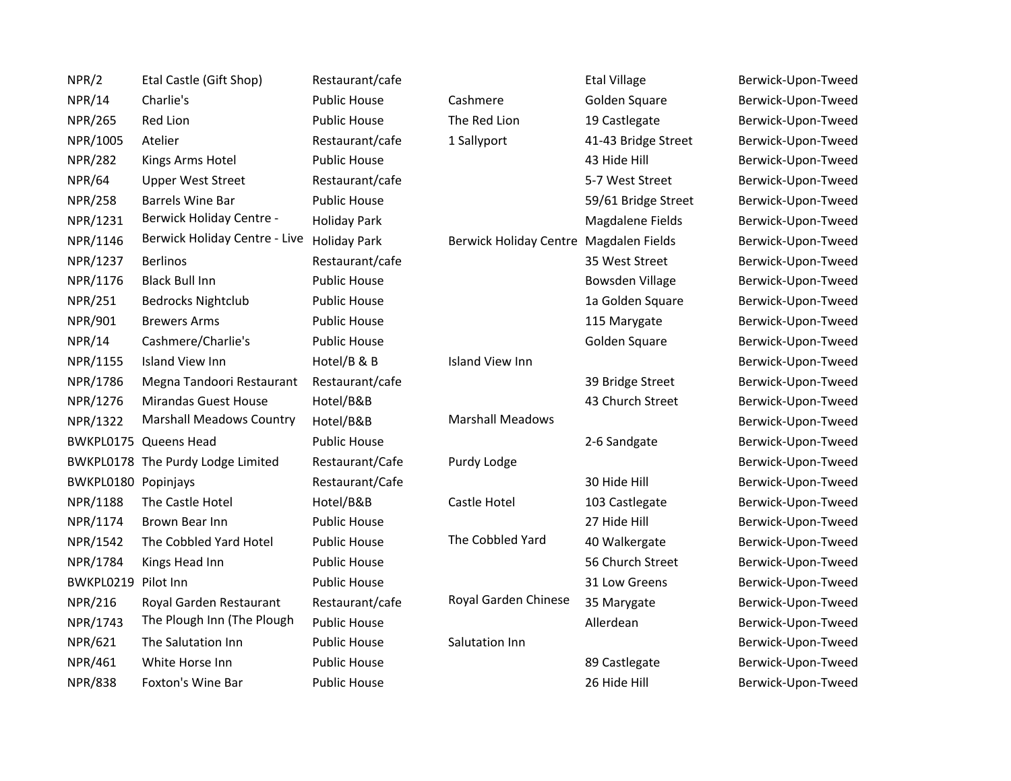| NPR/2               | Etal Castle (Gift Shop)           | Restaurant/cafe     |                                        | <b>Etal Village</b> | Berwick-Upon-Tweed |
|---------------------|-----------------------------------|---------------------|----------------------------------------|---------------------|--------------------|
| <b>NPR/14</b>       | Charlie's                         | <b>Public House</b> | Cashmere                               | Golden Square       | Berwick-Upon-Tweed |
| <b>NPR/265</b>      | Red Lion                          | <b>Public House</b> | The Red Lion                           | 19 Castlegate       | Berwick-Upon-Tweed |
| NPR/1005            | Atelier                           | Restaurant/cafe     | 1 Sallyport                            | 41-43 Bridge Street | Berwick-Upon-Tweed |
| <b>NPR/282</b>      | Kings Arms Hotel                  | <b>Public House</b> |                                        | 43 Hide Hill        | Berwick-Upon-Tweed |
| <b>NPR/64</b>       | <b>Upper West Street</b>          | Restaurant/cafe     |                                        | 5-7 West Street     | Berwick-Upon-Tweed |
| <b>NPR/258</b>      | <b>Barrels Wine Bar</b>           | <b>Public House</b> |                                        | 59/61 Bridge Street | Berwick-Upon-Tweed |
| NPR/1231            | <b>Berwick Holiday Centre -</b>   | <b>Holiday Park</b> |                                        | Magdalene Fields    | Berwick-Upon-Tweed |
| NPR/1146            | Berwick Holiday Centre - Live     | <b>Holiday Park</b> | Berwick Holiday Centre Magdalen Fields |                     | Berwick-Upon-Tweed |
| NPR/1237            | <b>Berlinos</b>                   | Restaurant/cafe     |                                        | 35 West Street      | Berwick-Upon-Tweed |
| NPR/1176            | <b>Black Bull Inn</b>             | <b>Public House</b> |                                        | Bowsden Village     | Berwick-Upon-Tweed |
| <b>NPR/251</b>      | <b>Bedrocks Nightclub</b>         | <b>Public House</b> |                                        | 1a Golden Square    | Berwick-Upon-Tweed |
| NPR/901             | <b>Brewers Arms</b>               | <b>Public House</b> |                                        | 115 Marygate        | Berwick-Upon-Tweed |
| <b>NPR/14</b>       | Cashmere/Charlie's                | <b>Public House</b> |                                        | Golden Square       | Berwick-Upon-Tweed |
| NPR/1155            | <b>Island View Inn</b>            | Hotel/B & B         | Island View Inn                        |                     | Berwick-Upon-Tweed |
| NPR/1786            | Megna Tandoori Restaurant         | Restaurant/cafe     |                                        | 39 Bridge Street    | Berwick-Upon-Tweed |
| NPR/1276            | <b>Mirandas Guest House</b>       | Hotel/B&B           |                                        | 43 Church Street    | Berwick-Upon-Tweed |
| NPR/1322            | <b>Marshall Meadows Country</b>   | Hotel/B&B           | <b>Marshall Meadows</b>                |                     | Berwick-Upon-Tweed |
|                     | BWKPL0175 Queens Head             | <b>Public House</b> |                                        | 2-6 Sandgate        | Berwick-Upon-Tweed |
|                     | BWKPL0178 The Purdy Lodge Limited | Restaurant/Cafe     | Purdy Lodge                            |                     | Berwick-Upon-Tweed |
| BWKPL0180 Popinjays |                                   | Restaurant/Cafe     |                                        | 30 Hide Hill        | Berwick-Upon-Tweed |
| NPR/1188            | The Castle Hotel                  | Hotel/B&B           | Castle Hotel                           | 103 Castlegate      | Berwick-Upon-Tweed |
| NPR/1174            | Brown Bear Inn                    | <b>Public House</b> |                                        | 27 Hide Hill        | Berwick-Upon-Tweed |
| NPR/1542            | The Cobbled Yard Hotel            | <b>Public House</b> | The Cobbled Yard                       | 40 Walkergate       | Berwick-Upon-Tweed |
| NPR/1784            | Kings Head Inn                    | <b>Public House</b> |                                        | 56 Church Street    | Berwick-Upon-Tweed |
| BWKPL0219           | Pilot Inn                         | <b>Public House</b> |                                        | 31 Low Greens       | Berwick-Upon-Tweed |
| <b>NPR/216</b>      | Royal Garden Restaurant           | Restaurant/cafe     | Royal Garden Chinese                   | 35 Marygate         | Berwick-Upon-Tweed |
| NPR/1743            | The Plough Inn (The Plough        | <b>Public House</b> |                                        | Allerdean           | Berwick-Upon-Tweed |
| NPR/621             | The Salutation Inn                | <b>Public House</b> | Salutation Inn                         |                     | Berwick-Upon-Tweed |
| NPR/461             | White Horse Inn                   | <b>Public House</b> |                                        | 89 Castlegate       | Berwick-Upon-Tweed |
| <b>NPR/838</b>      | Foxton's Wine Bar                 | <b>Public House</b> |                                        | 26 Hide Hill        | Berwick-Upon-Tweed |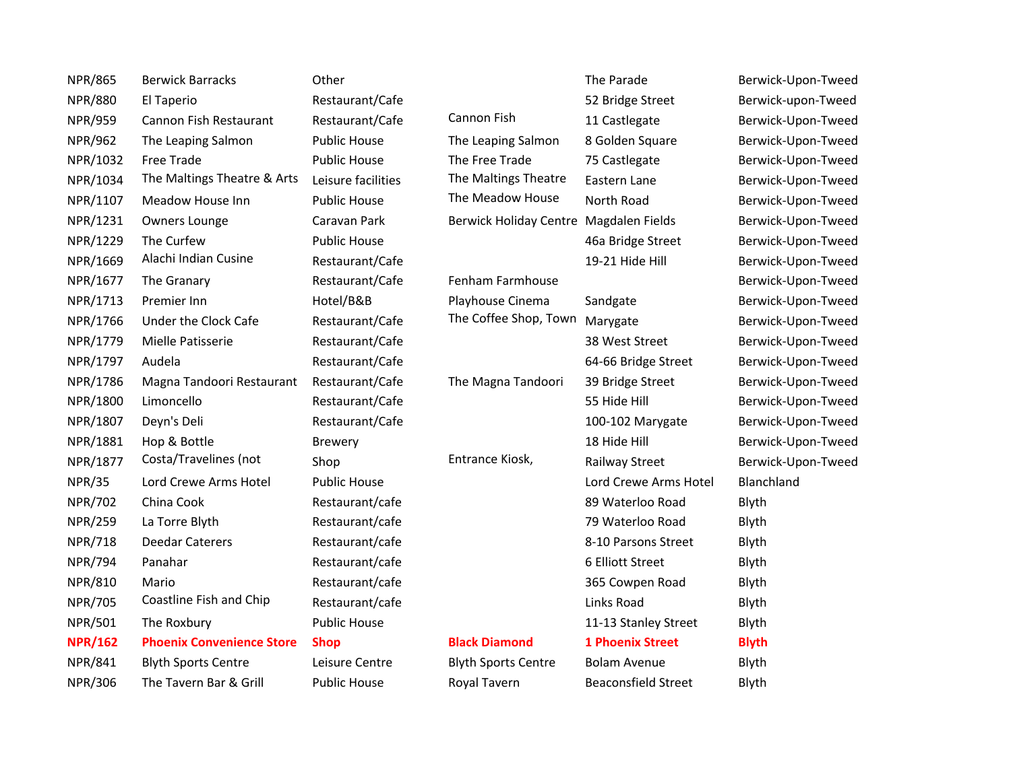| <b>NPR/865</b> | <b>Berwick Barracks</b>          | Other               |                                        | The Parade                 | Berwick-Upon-Tweed |
|----------------|----------------------------------|---------------------|----------------------------------------|----------------------------|--------------------|
| <b>NPR/880</b> | El Taperio                       | Restaurant/Cafe     |                                        | 52 Bridge Street           | Berwick-upon-Tweed |
| <b>NPR/959</b> | Cannon Fish Restaurant           | Restaurant/Cafe     | Cannon Fish                            | 11 Castlegate              | Berwick-Upon-Tweed |
| <b>NPR/962</b> | The Leaping Salmon               | <b>Public House</b> | The Leaping Salmon                     | 8 Golden Square            | Berwick-Upon-Tweed |
| NPR/1032       | Free Trade                       | <b>Public House</b> | The Free Trade                         | 75 Castlegate              | Berwick-Upon-Tweed |
| NPR/1034       | The Maltings Theatre & Arts      | Leisure facilities  | The Maltings Theatre                   | Eastern Lane               | Berwick-Upon-Tweed |
| NPR/1107       | Meadow House Inn                 | <b>Public House</b> | The Meadow House                       | North Road                 | Berwick-Upon-Tweed |
| NPR/1231       | Owners Lounge                    | Caravan Park        | Berwick Holiday Centre Magdalen Fields |                            | Berwick-Upon-Tweed |
| NPR/1229       | The Curfew                       | <b>Public House</b> |                                        | 46a Bridge Street          | Berwick-Upon-Tweed |
| NPR/1669       | Alachi Indian Cusine             | Restaurant/Cafe     |                                        | 19-21 Hide Hill            | Berwick-Upon-Tweed |
| NPR/1677       | The Granary                      | Restaurant/Cafe     | Fenham Farmhouse                       |                            | Berwick-Upon-Tweed |
| NPR/1713       | Premier Inn                      | Hotel/B&B           | Playhouse Cinema                       | Sandgate                   | Berwick-Upon-Tweed |
| NPR/1766       | Under the Clock Cafe             | Restaurant/Cafe     | The Coffee Shop, Town                  | Marygate                   | Berwick-Upon-Tweed |
| NPR/1779       | Mielle Patisserie                | Restaurant/Cafe     |                                        | 38 West Street             | Berwick-Upon-Tweed |
| NPR/1797       | Audela                           | Restaurant/Cafe     |                                        | 64-66 Bridge Street        | Berwick-Upon-Tweed |
| NPR/1786       | Magna Tandoori Restaurant        | Restaurant/Cafe     | The Magna Tandoori                     | 39 Bridge Street           | Berwick-Upon-Tweed |
| NPR/1800       | Limoncello                       | Restaurant/Cafe     |                                        | 55 Hide Hill               | Berwick-Upon-Tweed |
| NPR/1807       | Deyn's Deli                      | Restaurant/Cafe     |                                        | 100-102 Marygate           | Berwick-Upon-Tweed |
| NPR/1881       | Hop & Bottle                     | <b>Brewery</b>      |                                        | 18 Hide Hill               | Berwick-Upon-Tweed |
| NPR/1877       | Costa/Travelines (not            | Shop                | Entrance Kiosk,                        | Railway Street             | Berwick-Upon-Tweed |
| <b>NPR/35</b>  | Lord Crewe Arms Hotel            | <b>Public House</b> |                                        | Lord Crewe Arms Hotel      | Blanchland         |
| <b>NPR/702</b> | China Cook                       | Restaurant/cafe     |                                        | 89 Waterloo Road           | Blyth              |
| <b>NPR/259</b> | La Torre Blyth                   | Restaurant/cafe     |                                        | 79 Waterloo Road           | Blyth              |
| <b>NPR/718</b> | <b>Deedar Caterers</b>           | Restaurant/cafe     |                                        | 8-10 Parsons Street        | Blyth              |
| <b>NPR/794</b> | Panahar                          | Restaurant/cafe     |                                        | 6 Elliott Street           | Blyth              |
| <b>NPR/810</b> | Mario                            | Restaurant/cafe     |                                        | 365 Cowpen Road            | Blyth              |
| <b>NPR/705</b> | Coastline Fish and Chip          | Restaurant/cafe     |                                        | Links Road                 | Blyth              |
| <b>NPR/501</b> | The Roxbury                      | <b>Public House</b> |                                        | 11-13 Stanley Street       | Blyth              |
| <b>NPR/162</b> | <b>Phoenix Convenience Store</b> | <b>Shop</b>         | <b>Black Diamond</b>                   | <b>1 Phoenix Street</b>    | <b>Blyth</b>       |
| <b>NPR/841</b> | <b>Blyth Sports Centre</b>       | Leisure Centre      | <b>Blyth Sports Centre</b>             | <b>Bolam Avenue</b>        | Blyth              |
| <b>NPR/306</b> | The Tavern Bar & Grill           | <b>Public House</b> | Royal Tavern                           | <b>Beaconsfield Street</b> | Blyth              |
|                |                                  |                     |                                        |                            |                    |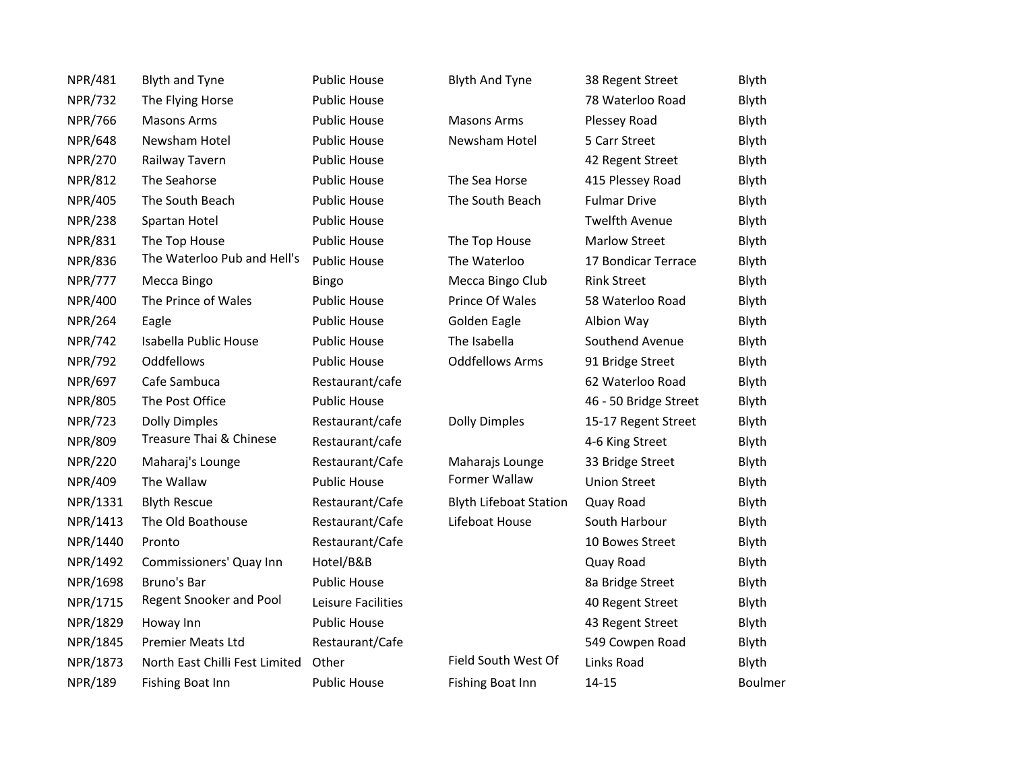| <b>NPR/481</b> | <b>Blyth and Tyne</b>          | <b>Public House</b> | <b>Blyth And Tyne</b>         | 38 Regent Street      | Blyth   |
|----------------|--------------------------------|---------------------|-------------------------------|-----------------------|---------|
| <b>NPR/732</b> | The Flying Horse               | <b>Public House</b> |                               | 78 Waterloo Road      | Blyth   |
| <b>NPR/766</b> | <b>Masons Arms</b>             | <b>Public House</b> | <b>Masons Arms</b>            | Plessey Road          | Blyth   |
| <b>NPR/648</b> | Newsham Hotel                  | <b>Public House</b> | Newsham Hotel                 | 5 Carr Street         | Blyth   |
| <b>NPR/270</b> | Railway Tavern                 | <b>Public House</b> |                               | 42 Regent Street      | Blyth   |
| <b>NPR/812</b> | The Seahorse                   | <b>Public House</b> | The Sea Horse                 | 415 Plessey Road      | Blyth   |
| <b>NPR/405</b> | The South Beach                | <b>Public House</b> | The South Beach               | <b>Fulmar Drive</b>   | Blyth   |
| <b>NPR/238</b> | Spartan Hotel                  | <b>Public House</b> |                               | <b>Twelfth Avenue</b> | Blyth   |
| <b>NPR/831</b> | The Top House                  | Public House        | The Top House                 | <b>Marlow Street</b>  | Blyth   |
| <b>NPR/836</b> | The Waterloo Pub and Hell's    | <b>Public House</b> | The Waterloo                  | 17 Bondicar Terrace   | Blyth   |
| <b>NPR/777</b> | Mecca Bingo                    | Bingo               | Mecca Bingo Club              | <b>Rink Street</b>    | Blyth   |
| NPR/400        | The Prince of Wales            | <b>Public House</b> | Prince Of Wales               | 58 Waterloo Road      | Blyth   |
| NPR/264        | Eagle                          | <b>Public House</b> | Golden Eagle                  | Albion Way            | Blyth   |
| <b>NPR/742</b> | Isabella Public House          | <b>Public House</b> | The Isabella                  | Southend Avenue       | Blyth   |
| <b>NPR/792</b> | Oddfellows                     | <b>Public House</b> | <b>Oddfellows Arms</b>        | 91 Bridge Street      | Blyth   |
| <b>NPR/697</b> | Cafe Sambuca                   | Restaurant/cafe     |                               | 62 Waterloo Road      | Blyth   |
| <b>NPR/805</b> | The Post Office                | <b>Public House</b> |                               | 46 - 50 Bridge Street | Blyth   |
| <b>NPR/723</b> | <b>Dolly Dimples</b>           | Restaurant/cafe     | <b>Dolly Dimples</b>          | 15-17 Regent Street   | Blyth   |
| <b>NPR/809</b> | Treasure Thai & Chinese        | Restaurant/cafe     |                               | 4-6 King Street       | Blyth   |
| <b>NPR/220</b> | Maharaj's Lounge               | Restaurant/Cafe     | Maharajs Lounge               | 33 Bridge Street      | Blyth   |
| NPR/409        | The Wallaw                     | <b>Public House</b> | Former Wallaw                 | <b>Union Street</b>   | Blyth   |
| NPR/1331       | <b>Blyth Rescue</b>            | Restaurant/Cafe     | <b>Blyth Lifeboat Station</b> | Quay Road             | Blyth   |
| NPR/1413       | The Old Boathouse              | Restaurant/Cafe     | Lifeboat House                | South Harbour         | Blyth   |
| NPR/1440       | Pronto                         | Restaurant/Cafe     |                               | 10 Bowes Street       | Blyth   |
| NPR/1492       | Commissioners' Quay Inn        | Hotel/B&B           |                               | Quay Road             | Blyth   |
| NPR/1698       | Bruno's Bar                    | <b>Public House</b> |                               | 8a Bridge Street      | Blyth   |
| NPR/1715       | Regent Snooker and Pool        | Leisure Facilities  |                               | 40 Regent Street      | Blyth   |
| NPR/1829       | Howay Inn                      | <b>Public House</b> |                               | 43 Regent Street      | Blyth   |
| NPR/1845       | <b>Premier Meats Ltd</b>       | Restaurant/Cafe     |                               | 549 Cowpen Road       | Blyth   |
| NPR/1873       | North East Chilli Fest Limited | Other               | Field South West Of           | Links Road            | Blyth   |
| NPR/189        | Fishing Boat Inn               | <b>Public House</b> | Fishing Boat Inn              | $14 - 15$             | Boulmer |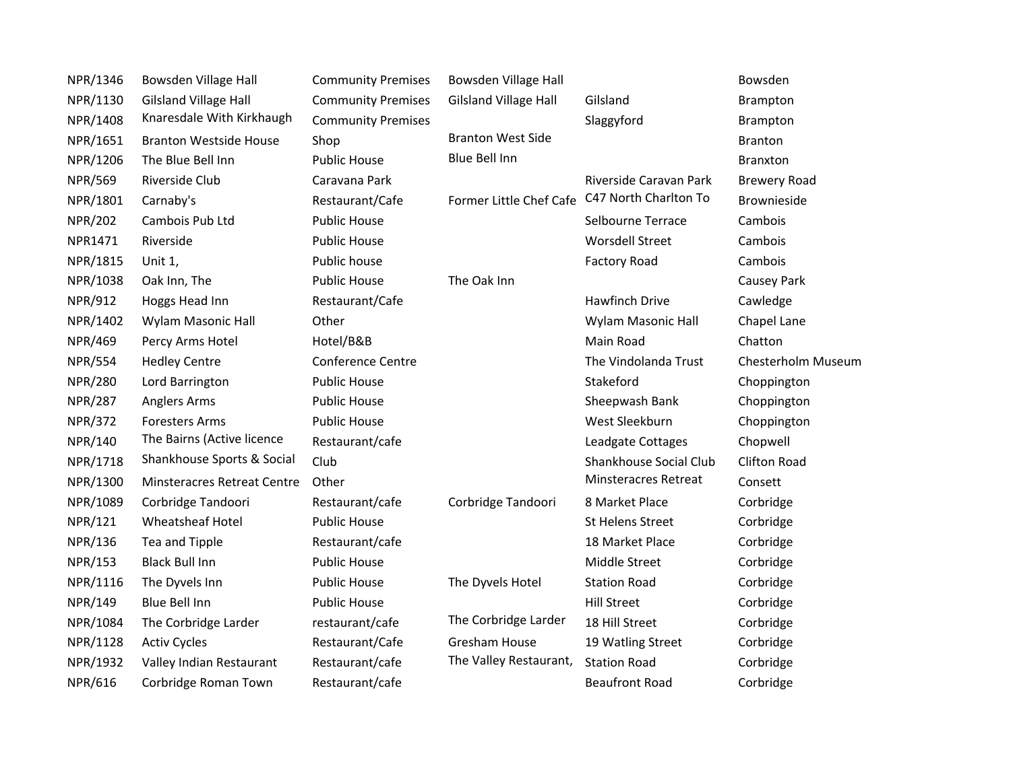| NPR/1346       | Bowsden Village Hall               | <b>Community Premises</b> | Bowsden Village Hall         |                        | Bowsden             |
|----------------|------------------------------------|---------------------------|------------------------------|------------------------|---------------------|
| NPR/1130       | <b>Gilsland Village Hall</b>       | <b>Community Premises</b> | <b>Gilsland Village Hall</b> | Gilsland               | Brampton            |
| NPR/1408       | Knaresdale With Kirkhaugh          | <b>Community Premises</b> |                              | Slaggyford             | <b>Brampton</b>     |
| NPR/1651       | <b>Branton Westside House</b>      | Shop                      | <b>Branton West Side</b>     |                        | <b>Branton</b>      |
| NPR/1206       | The Blue Bell Inn                  | <b>Public House</b>       | <b>Blue Bell Inn</b>         |                        | <b>Branxton</b>     |
| <b>NPR/569</b> | Riverside Club                     | Caravana Park             |                              | Riverside Caravan Park | <b>Brewery Road</b> |
| NPR/1801       | Carnaby's                          | Restaurant/Cafe           | Former Little Chef Cafe      | C47 North Charlton To  | Brownieside         |
| <b>NPR/202</b> | Cambois Pub Ltd                    | <b>Public House</b>       |                              | Selbourne Terrace      | Cambois             |
| NPR1471        | Riverside                          | <b>Public House</b>       |                              | <b>Worsdell Street</b> | Cambois             |
| NPR/1815       | Unit 1,                            | Public house              |                              | <b>Factory Road</b>    | Cambois             |
| NPR/1038       | Oak Inn, The                       | <b>Public House</b>       | The Oak Inn                  |                        | Causey Park         |
| NPR/912        | Hoggs Head Inn                     | Restaurant/Cafe           |                              | Hawfinch Drive         | Cawledge            |
| NPR/1402       | Wylam Masonic Hall                 | Other                     |                              | Wylam Masonic Hall     | Chapel Lane         |
| <b>NPR/469</b> | Percy Arms Hotel                   | Hotel/B&B                 |                              | Main Road              | Chatton             |
| <b>NPR/554</b> | <b>Hedley Centre</b>               | <b>Conference Centre</b>  |                              | The Vindolanda Trust   | Chesterholm Museum  |
| <b>NPR/280</b> | Lord Barrington                    | <b>Public House</b>       |                              | Stakeford              | Choppington         |
| <b>NPR/287</b> | Anglers Arms                       | <b>Public House</b>       |                              | Sheepwash Bank         | Choppington         |
| <b>NPR/372</b> | <b>Foresters Arms</b>              | <b>Public House</b>       |                              | West Sleekburn         | Choppington         |
| NPR/140        | The Bairns (Active licence         | Restaurant/cafe           |                              | Leadgate Cottages      | Chopwell            |
| NPR/1718       | Shankhouse Sports & Social         | Club                      |                              | Shankhouse Social Club | <b>Clifton Road</b> |
| NPR/1300       | <b>Minsteracres Retreat Centre</b> | Other                     |                              | Minsteracres Retreat   | Consett             |
| NPR/1089       | Corbridge Tandoori                 | Restaurant/cafe           | Corbridge Tandoori           | 8 Market Place         | Corbridge           |
| NPR/121        | <b>Wheatsheaf Hotel</b>            | <b>Public House</b>       |                              | St Helens Street       | Corbridge           |
| NPR/136        | Tea and Tipple                     | Restaurant/cafe           |                              | 18 Market Place        | Corbridge           |
| <b>NPR/153</b> | <b>Black Bull Inn</b>              | <b>Public House</b>       |                              | Middle Street          | Corbridge           |
| NPR/1116       | The Dyvels Inn                     | <b>Public House</b>       | The Dyvels Hotel             | <b>Station Road</b>    | Corbridge           |
| NPR/149        | Blue Bell Inn                      | <b>Public House</b>       |                              | <b>Hill Street</b>     | Corbridge           |
| NPR/1084       | The Corbridge Larder               | restaurant/cafe           | The Corbridge Larder         | 18 Hill Street         | Corbridge           |
| NPR/1128       | <b>Activ Cycles</b>                | Restaurant/Cafe           | <b>Gresham House</b>         | 19 Watling Street      | Corbridge           |
| NPR/1932       | Valley Indian Restaurant           | Restaurant/cafe           | The Valley Restaurant,       | <b>Station Road</b>    | Corbridge           |
| <b>NPR/616</b> | Corbridge Roman Town               | Restaurant/cafe           |                              | <b>Beaufront Road</b>  | Corbridge           |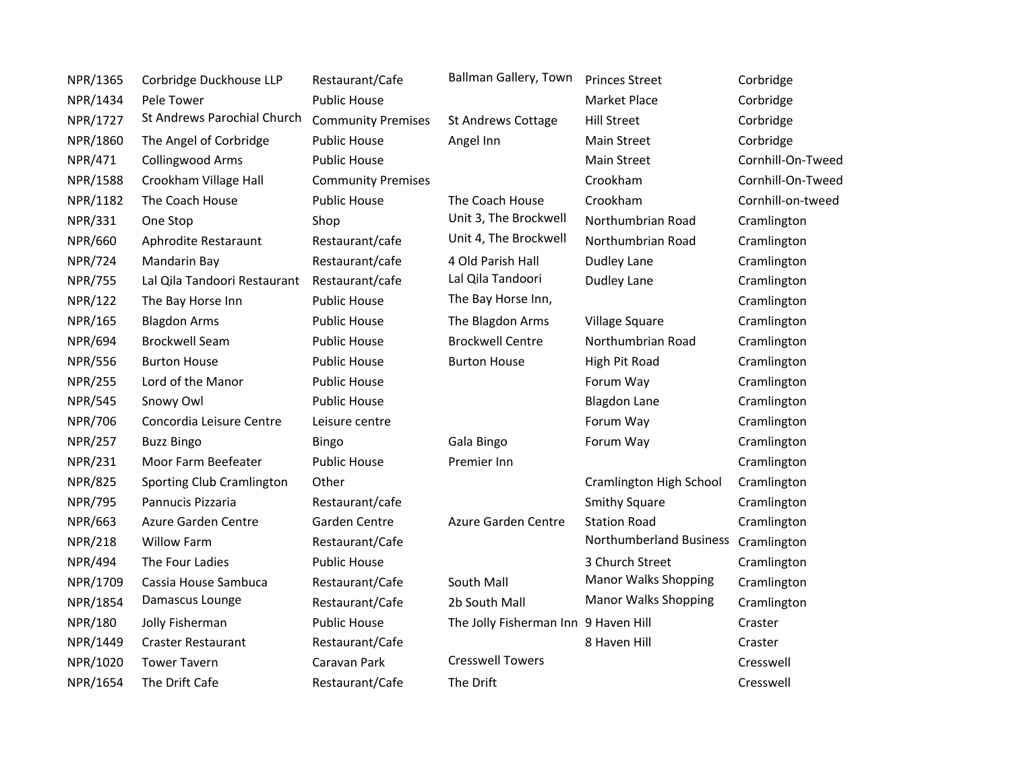| NPR/1365       | Corbridge Duckhouse LLP      | Restaurant/Cafe           | Ballman Gallery, Town                | <b>Princes Street</b>       | Corbridge         |
|----------------|------------------------------|---------------------------|--------------------------------------|-----------------------------|-------------------|
| NPR/1434       | Pele Tower                   | <b>Public House</b>       |                                      | <b>Market Place</b>         | Corbridge         |
| NPR/1727       | St Andrews Parochial Church  | <b>Community Premises</b> | <b>St Andrews Cottage</b>            | <b>Hill Street</b>          | Corbridge         |
| NPR/1860       | The Angel of Corbridge       | <b>Public House</b>       | Angel Inn                            | Main Street                 | Corbridge         |
| NPR/471        | <b>Collingwood Arms</b>      | <b>Public House</b>       |                                      | <b>Main Street</b>          | Cornhill-On-Tweed |
| NPR/1588       | Crookham Village Hall        | <b>Community Premises</b> |                                      | Crookham                    | Cornhill-On-Tweed |
| NPR/1182       | The Coach House              | <b>Public House</b>       | The Coach House                      | Crookham                    | Cornhill-on-tweed |
| NPR/331        | One Stop                     | Shop                      | Unit 3, The Brockwell                | Northumbrian Road           | Cramlington       |
| <b>NPR/660</b> | Aphrodite Restaraunt         | Restaurant/cafe           | Unit 4, The Brockwell                | Northumbrian Road           | Cramlington       |
| <b>NPR/724</b> | Mandarin Bay                 | Restaurant/cafe           | 4 Old Parish Hall                    | Dudley Lane                 | Cramlington       |
| <b>NPR/755</b> | Lal Qila Tandoori Restaurant | Restaurant/cafe           | Lal Qila Tandoori                    | Dudley Lane                 | Cramlington       |
| <b>NPR/122</b> | The Bay Horse Inn            | <b>Public House</b>       | The Bay Horse Inn,                   |                             | Cramlington       |
| NPR/165        | <b>Blagdon Arms</b>          | <b>Public House</b>       | The Blagdon Arms                     | Village Square              | Cramlington       |
| <b>NPR/694</b> | <b>Brockwell Seam</b>        | <b>Public House</b>       | <b>Brockwell Centre</b>              | Northumbrian Road           | Cramlington       |
| <b>NPR/556</b> | <b>Burton House</b>          | <b>Public House</b>       | <b>Burton House</b>                  | High Pit Road               | Cramlington       |
| <b>NPR/255</b> | Lord of the Manor            | <b>Public House</b>       |                                      | Forum Way                   | Cramlington       |
| <b>NPR/545</b> | Snowy Owl                    | <b>Public House</b>       |                                      | <b>Blagdon Lane</b>         | Cramlington       |
| <b>NPR/706</b> | Concordia Leisure Centre     | Leisure centre            |                                      | Forum Way                   | Cramlington       |
| <b>NPR/257</b> | <b>Buzz Bingo</b>            | <b>Bingo</b>              | Gala Bingo                           | Forum Way                   | Cramlington       |
| <b>NPR/231</b> | Moor Farm Beefeater          | <b>Public House</b>       | Premier Inn                          |                             | Cramlington       |
| <b>NPR/825</b> | Sporting Club Cramlington    | Other                     |                                      | Cramlington High School     | Cramlington       |
| <b>NPR/795</b> | Pannucis Pizzaria            | Restaurant/cafe           |                                      | <b>Smithy Square</b>        | Cramlington       |
| <b>NPR/663</b> | Azure Garden Centre          | Garden Centre             | Azure Garden Centre                  | <b>Station Road</b>         | Cramlington       |
| <b>NPR/218</b> | <b>Willow Farm</b>           | Restaurant/Cafe           |                                      | Northumberland Business     | Cramlington       |
| <b>NPR/494</b> | The Four Ladies              | <b>Public House</b>       |                                      | 3 Church Street             | Cramlington       |
| NPR/1709       | Cassia House Sambuca         | Restaurant/Cafe           | South Mall                           | <b>Manor Walks Shopping</b> | Cramlington       |
| NPR/1854       | Damascus Lounge              | Restaurant/Cafe           | 2b South Mall                        | <b>Manor Walks Shopping</b> | Cramlington       |
| <b>NPR/180</b> | Jolly Fisherman              | <b>Public House</b>       | The Jolly Fisherman Inn 9 Haven Hill |                             | Craster           |
| NPR/1449       | <b>Craster Restaurant</b>    | Restaurant/Cafe           |                                      | 8 Haven Hill                | Craster           |
| NPR/1020       | <b>Tower Tavern</b>          | Caravan Park              | <b>Cresswell Towers</b>              |                             | Cresswell         |
| NPR/1654       | The Drift Cafe               | Restaurant/Cafe           | The Drift                            |                             | Cresswell         |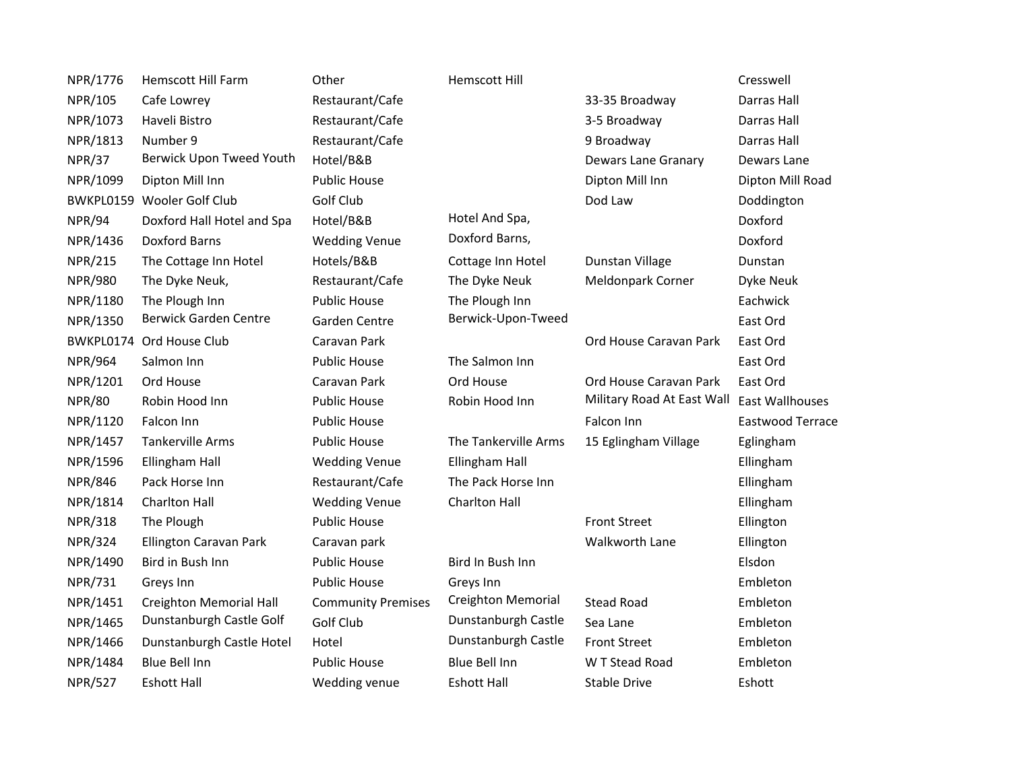| NPR/1776       | <b>Hemscott Hill Farm</b>      | Other                     | <b>Hemscott Hill</b> |                            | Cresswell        |
|----------------|--------------------------------|---------------------------|----------------------|----------------------------|------------------|
| NPR/105        | Cafe Lowrey                    | Restaurant/Cafe           |                      | 33-35 Broadway             | Darras Hall      |
| NPR/1073       | Haveli Bistro                  | Restaurant/Cafe           |                      | 3-5 Broadway               | Darras Hall      |
| NPR/1813       | Number 9                       | Restaurant/Cafe           |                      | 9 Broadway                 | Darras Hall      |
| <b>NPR/37</b>  | Berwick Upon Tweed Youth       | Hotel/B&B                 |                      | <b>Dewars Lane Granary</b> | Dewars Lane      |
| NPR/1099       | Dipton Mill Inn                | <b>Public House</b>       |                      | Dipton Mill Inn            | Dipton Mill Road |
| BWKPL0159      | Wooler Golf Club               | Golf Club                 |                      | Dod Law                    | Doddington       |
| <b>NPR/94</b>  | Doxford Hall Hotel and Spa     | Hotel/B&B                 | Hotel And Spa,       |                            | Doxford          |
| NPR/1436       | <b>Doxford Barns</b>           | <b>Wedding Venue</b>      | Doxford Barns,       |                            | Doxford          |
| <b>NPR/215</b> | The Cottage Inn Hotel          | Hotels/B&B                | Cottage Inn Hotel    | Dunstan Village            | Dunstan          |
| <b>NPR/980</b> | The Dyke Neuk,                 | Restaurant/Cafe           | The Dyke Neuk        | Meldonpark Corner          | Dyke Neuk        |
| NPR/1180       | The Plough Inn                 | <b>Public House</b>       | The Plough Inn       |                            | Eachwick         |
| NPR/1350       | <b>Berwick Garden Centre</b>   | Garden Centre             | Berwick-Upon-Tweed   |                            | East Ord         |
| BWKPL0174      | Ord House Club                 | Caravan Park              |                      | Ord House Caravan Park     | East Ord         |
| <b>NPR/964</b> | Salmon Inn                     | <b>Public House</b>       | The Salmon Inn       |                            | East Ord         |
| NPR/1201       | Ord House                      | Caravan Park              | Ord House            | Ord House Caravan Park     | East Ord         |
| <b>NPR/80</b>  | Robin Hood Inn                 | <b>Public House</b>       | Robin Hood Inn       | Military Road At East Wall | East Wallhouses  |
| NPR/1120       | Falcon Inn                     | <b>Public House</b>       |                      | Falcon Inn                 | Eastwood Terrace |
| NPR/1457       | <b>Tankerville Arms</b>        | <b>Public House</b>       | The Tankerville Arms | 15 Eglingham Village       | Eglingham        |
| NPR/1596       | Ellingham Hall                 | <b>Wedding Venue</b>      | Ellingham Hall       |                            | Ellingham        |
| <b>NPR/846</b> | Pack Horse Inn                 | Restaurant/Cafe           | The Pack Horse Inn   |                            | Ellingham        |
| NPR/1814       | <b>Charlton Hall</b>           | <b>Wedding Venue</b>      | Charlton Hall        |                            | Ellingham        |
| <b>NPR/318</b> | The Plough                     | <b>Public House</b>       |                      | <b>Front Street</b>        | Ellington        |
| <b>NPR/324</b> | Ellington Caravan Park         | Caravan park              |                      | Walkworth Lane             | Ellington        |
| NPR/1490       | Bird in Bush Inn               | <b>Public House</b>       | Bird In Bush Inn     |                            | Elsdon           |
| <b>NPR/731</b> | Greys Inn                      | <b>Public House</b>       | Greys Inn            |                            | Embleton         |
| NPR/1451       | <b>Creighton Memorial Hall</b> | <b>Community Premises</b> | Creighton Memorial   | <b>Stead Road</b>          | Embleton         |
| NPR/1465       | Dunstanburgh Castle Golf       | Golf Club                 | Dunstanburgh Castle  | Sea Lane                   | Embleton         |
| NPR/1466       | Dunstanburgh Castle Hotel      | Hotel                     | Dunstanburgh Castle  | <b>Front Street</b>        | Embleton         |
| NPR/1484       | Blue Bell Inn                  | <b>Public House</b>       | Blue Bell Inn        | W T Stead Road             | Embleton         |
| <b>NPR/527</b> | <b>Eshott Hall</b>             | Wedding venue             | <b>Eshott Hall</b>   | <b>Stable Drive</b>        | Eshott           |
|                |                                |                           |                      |                            |                  |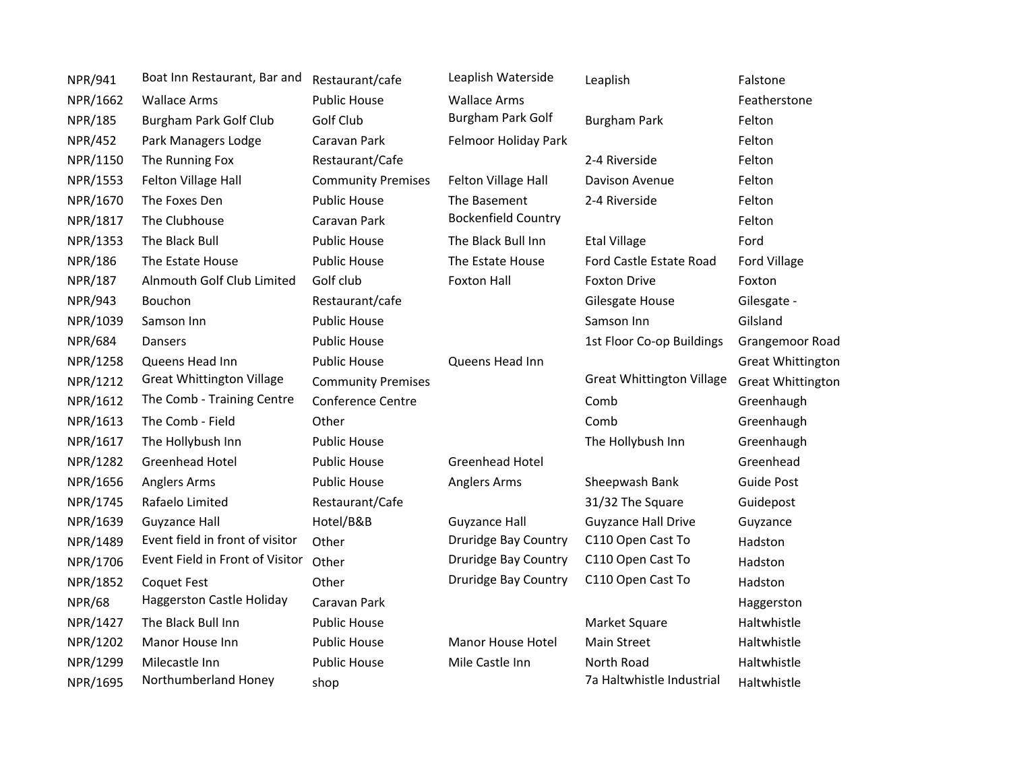| NPR/941        | Boat Inn Restaurant, Bar and     | Restaurant/cafe           | Leaplish Waterside          | Leaplish                         | Falstone                 |
|----------------|----------------------------------|---------------------------|-----------------------------|----------------------------------|--------------------------|
| NPR/1662       | <b>Wallace Arms</b>              | <b>Public House</b>       | <b>Wallace Arms</b>         |                                  | Featherstone             |
| <b>NPR/185</b> | <b>Burgham Park Golf Club</b>    | Golf Club                 | Burgham Park Golf           | <b>Burgham Park</b>              | Felton                   |
| <b>NPR/452</b> | Park Managers Lodge              | Caravan Park              | Felmoor Holiday Park        |                                  | Felton                   |
| NPR/1150       | The Running Fox                  | Restaurant/Cafe           |                             | 2-4 Riverside                    | Felton                   |
| NPR/1553       | Felton Village Hall              | <b>Community Premises</b> | Felton Village Hall         | Davison Avenue                   | Felton                   |
| NPR/1670       | The Foxes Den                    | <b>Public House</b>       | The Basement                | 2-4 Riverside                    | Felton                   |
| NPR/1817       | The Clubhouse                    | Caravan Park              | <b>Bockenfield Country</b>  |                                  | Felton                   |
| NPR/1353       | The Black Bull                   | <b>Public House</b>       | The Black Bull Inn          | <b>Etal Village</b>              | Ford                     |
| <b>NPR/186</b> | The Estate House                 | <b>Public House</b>       | The Estate House            | Ford Castle Estate Road          | Ford Village             |
| NPR/187        | Alnmouth Golf Club Limited       | Golf club                 | <b>Foxton Hall</b>          | <b>Foxton Drive</b>              | Foxton                   |
| <b>NPR/943</b> | Bouchon                          | Restaurant/cafe           |                             | Gilesgate House                  | Gilesgate -              |
| NPR/1039       | Samson Inn                       | <b>Public House</b>       |                             | Samson Inn                       | Gilsland                 |
| <b>NPR/684</b> | Dansers                          | <b>Public House</b>       |                             | 1st Floor Co-op Buildings        | Grangemoor Road          |
| NPR/1258       | Queens Head Inn                  | <b>Public House</b>       | Queens Head Inn             |                                  | <b>Great Whittington</b> |
| NPR/1212       | <b>Great Whittington Village</b> | <b>Community Premises</b> |                             | <b>Great Whittington Village</b> | <b>Great Whittington</b> |
| NPR/1612       | The Comb - Training Centre       | <b>Conference Centre</b>  |                             | Comb                             | Greenhaugh               |
| NPR/1613       | The Comb - Field                 | Other                     |                             | Comb                             | Greenhaugh               |
| NPR/1617       | The Hollybush Inn                | <b>Public House</b>       |                             | The Hollybush Inn                | Greenhaugh               |
| NPR/1282       | <b>Greenhead Hotel</b>           | <b>Public House</b>       | <b>Greenhead Hotel</b>      |                                  | Greenhead                |
| NPR/1656       | <b>Anglers Arms</b>              | <b>Public House</b>       | Anglers Arms                | Sheepwash Bank                   | <b>Guide Post</b>        |
| NPR/1745       | Rafaelo Limited                  | Restaurant/Cafe           |                             | 31/32 The Square                 | Guidepost                |
| NPR/1639       | <b>Guyzance Hall</b>             | Hotel/B&B                 | <b>Guyzance Hall</b>        | <b>Guyzance Hall Drive</b>       | Guyzance                 |
| NPR/1489       | Event field in front of visitor  | Other                     | Druridge Bay Country        | C110 Open Cast To                | Hadston                  |
| NPR/1706       | Event Field in Front of Visitor  | Other                     | <b>Druridge Bay Country</b> | C110 Open Cast To                | Hadston                  |
| NPR/1852       | <b>Coquet Fest</b>               | Other                     | <b>Druridge Bay Country</b> | C110 Open Cast To                | Hadston                  |
| <b>NPR/68</b>  | Haggerston Castle Holiday        | Caravan Park              |                             |                                  | Haggerston               |
| NPR/1427       | The Black Bull Inn               | <b>Public House</b>       |                             | Market Square                    | Haltwhistle              |
| NPR/1202       | Manor House Inn                  | <b>Public House</b>       | Manor House Hotel           | Main Street                      | Haltwhistle              |
| NPR/1299       | Milecastle Inn                   | <b>Public House</b>       | Mile Castle Inn             | North Road                       | Haltwhistle              |
| NPR/1695       | Northumberland Honey             | shop                      |                             | 7a Haltwhistle Industrial        | Haltwhistle              |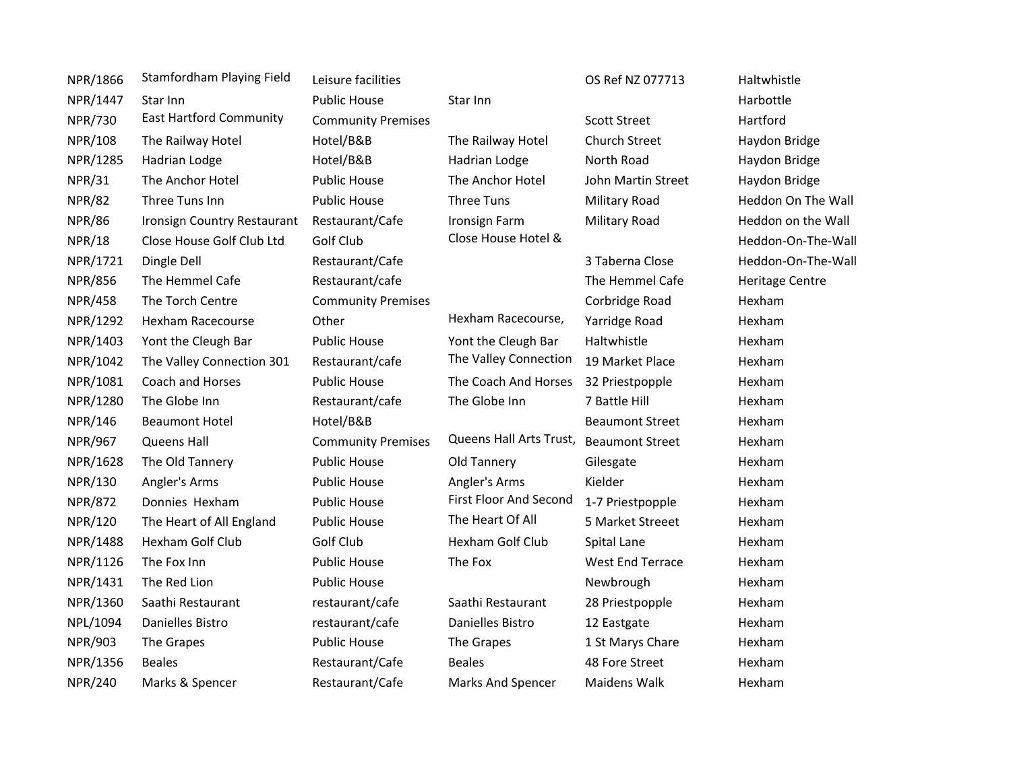| NPR/1866       | Stamfordham Playing Field      | Leisure facilities        |                                         | OS Ref NZ 077713        | Haltwhistle            |
|----------------|--------------------------------|---------------------------|-----------------------------------------|-------------------------|------------------------|
| NPR/1447       | Star Inn                       | <b>Public House</b>       | Star Inn                                |                         | Harbottle              |
| <b>NPR/730</b> | <b>East Hartford Community</b> | <b>Community Premises</b> |                                         | <b>Scott Street</b>     | Hartford               |
| <b>NPR/108</b> | The Railway Hotel              | Hotel/B&B                 | The Railway Hotel                       | Church Street           | Haydon Bridge          |
| NPR/1285       | Hadrian Lodge                  | Hotel/B&B                 | Hadrian Lodge                           | North Road              | Haydon Bridge          |
| <b>NPR/31</b>  | The Anchor Hotel               | <b>Public House</b>       | The Anchor Hotel                        | John Martin Street      | Haydon Bridge          |
| <b>NPR/82</b>  | Three Tuns Inn                 | <b>Public House</b>       | Three Tuns                              | Military Road           | Heddon On The Wall     |
| <b>NPR/86</b>  | Ironsign Country Restaurant    | Restaurant/Cafe           | <b>Ironsign Farm</b>                    | Military Road           | Heddon on the Wall     |
| <b>NPR/18</b>  | Close House Golf Club Ltd      | Golf Club                 | Close House Hotel &                     |                         | Heddon-On-The-Wall     |
| NPR/1721       | Dingle Dell                    | Restaurant/Cafe           |                                         | 3 Taberna Close         | Heddon-On-The-Wall     |
| <b>NPR/856</b> | The Hemmel Cafe                | Restaurant/cafe           |                                         | The Hemmel Cafe         | <b>Heritage Centre</b> |
| <b>NPR/458</b> | The Torch Centre               | <b>Community Premises</b> |                                         | Corbridge Road          | Hexham                 |
| NPR/1292       | Hexham Racecourse              | Other                     | Hexham Racecourse,                      | Yarridge Road           | Hexham                 |
| NPR/1403       | Yont the Cleugh Bar            | <b>Public House</b>       | Yont the Cleugh Bar                     | Haltwhistle             | Hexham                 |
| NPR/1042       | The Valley Connection 301      | Restaurant/cafe           | The Valley Connection                   | 19 Market Place         | Hexham                 |
| NPR/1081       | Coach and Horses               | <b>Public House</b>       | The Coach And Horses                    | 32 Priestpopple         | Hexham                 |
| NPR/1280       | The Globe Inn                  | Restaurant/cafe           | The Globe Inn                           | 7 Battle Hill           | Hexham                 |
| NPR/146        | <b>Beaumont Hotel</b>          | Hotel/B&B                 |                                         | <b>Beaumont Street</b>  | Hexham                 |
| <b>NPR/967</b> | Queens Hall                    | <b>Community Premises</b> | Queens Hall Arts Trust, Beaumont Street |                         | Hexham                 |
| NPR/1628       | The Old Tannery                | <b>Public House</b>       | Old Tannery                             | Gilesgate               | Hexham                 |
| NPR/130        | Angler's Arms                  | <b>Public House</b>       | Angler's Arms                           | Kielder                 | Hexham                 |
| <b>NPR/872</b> | Donnies Hexham                 | <b>Public House</b>       | <b>First Floor And Second</b>           | 1-7 Priestpopple        | Hexham                 |
| NPR/120        | The Heart of All England       | <b>Public House</b>       | The Heart Of All                        | 5 Market Streeet        | Hexham                 |
| NPR/1488       | Hexham Golf Club               | Golf Club                 | <b>Hexham Golf Club</b>                 | Spital Lane             | Hexham                 |
| NPR/1126       | The Fox Inn                    | <b>Public House</b>       | The Fox                                 | <b>West End Terrace</b> | Hexham                 |
| NPR/1431       | The Red Lion                   | <b>Public House</b>       |                                         | Newbrough               | Hexham                 |
| NPR/1360       | Saathi Restaurant              | restaurant/cafe           | Saathi Restaurant                       | 28 Priestpopple         | Hexham                 |
| NPL/1094       | Danielles Bistro               | restaurant/cafe           | Danielles Bistro                        | 12 Eastgate             | Hexham                 |
| <b>NPR/903</b> | The Grapes                     | <b>Public House</b>       | The Grapes                              | 1 St Marys Chare        | Hexham                 |
| NPR/1356       | <b>Beales</b>                  | Restaurant/Cafe           | <b>Beales</b>                           | 48 Fore Street          | Hexham                 |
| <b>NPR/240</b> | Marks & Spencer                | Restaurant/Cafe           | Marks And Spencer                       | Maidens Walk            | Hexham                 |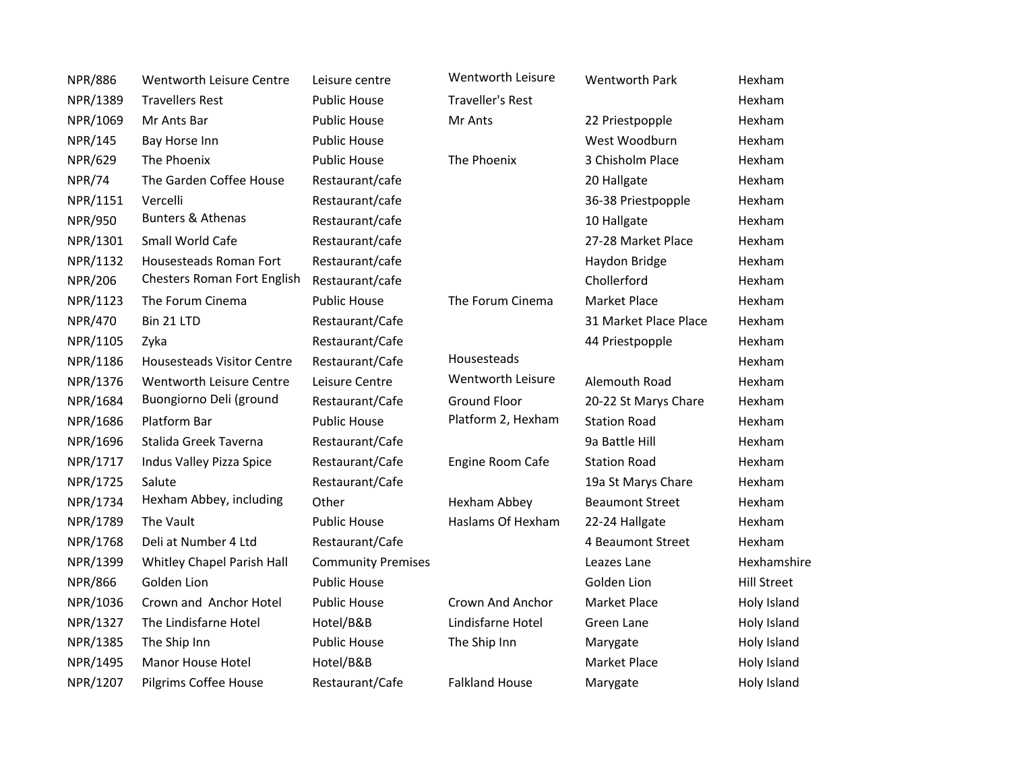| <b>NPR/886</b> | Wentworth Leisure Centre           | Leisure centre            | Wentworth Leisure       | <b>Wentworth Park</b>  | Hexham             |
|----------------|------------------------------------|---------------------------|-------------------------|------------------------|--------------------|
| NPR/1389       | <b>Travellers Rest</b>             | <b>Public House</b>       | <b>Traveller's Rest</b> |                        | Hexham             |
| NPR/1069       | Mr Ants Bar                        | <b>Public House</b>       | Mr Ants                 | 22 Priestpopple        | Hexham             |
| <b>NPR/145</b> | Bay Horse Inn                      | <b>Public House</b>       |                         | West Woodburn          | Hexham             |
| <b>NPR/629</b> | The Phoenix                        | <b>Public House</b>       | The Phoenix             | 3 Chisholm Place       | Hexham             |
| <b>NPR/74</b>  | The Garden Coffee House            | Restaurant/cafe           |                         | 20 Hallgate            | Hexham             |
| NPR/1151       | Vercelli                           | Restaurant/cafe           |                         | 36-38 Priestpopple     | Hexham             |
| <b>NPR/950</b> | <b>Bunters &amp; Athenas</b>       | Restaurant/cafe           |                         | 10 Hallgate            | Hexham             |
| NPR/1301       | Small World Cafe                   | Restaurant/cafe           |                         | 27-28 Market Place     | Hexham             |
| NPR/1132       | Housesteads Roman Fort             | Restaurant/cafe           |                         | Haydon Bridge          | Hexham             |
| <b>NPR/206</b> | <b>Chesters Roman Fort English</b> | Restaurant/cafe           |                         | Chollerford            | Hexham             |
| NPR/1123       | The Forum Cinema                   | <b>Public House</b>       | The Forum Cinema        | <b>Market Place</b>    | Hexham             |
| <b>NPR/470</b> | Bin 21 LTD                         | Restaurant/Cafe           |                         | 31 Market Place Place  | Hexham             |
| NPR/1105       | Zyka                               | Restaurant/Cafe           |                         | 44 Priestpopple        | Hexham             |
| NPR/1186       | <b>Housesteads Visitor Centre</b>  | Restaurant/Cafe           | Housesteads             |                        | Hexham             |
| NPR/1376       | Wentworth Leisure Centre           | Leisure Centre            | Wentworth Leisure       | Alemouth Road          | Hexham             |
| NPR/1684       | Buongiorno Deli (ground            | Restaurant/Cafe           | <b>Ground Floor</b>     | 20-22 St Marys Chare   | Hexham             |
| NPR/1686       | Platform Bar                       | <b>Public House</b>       | Platform 2, Hexham      | <b>Station Road</b>    | Hexham             |
| NPR/1696       | Stalida Greek Taverna              | Restaurant/Cafe           |                         | 9a Battle Hill         | Hexham             |
| NPR/1717       | Indus Valley Pizza Spice           | Restaurant/Cafe           | Engine Room Cafe        | <b>Station Road</b>    | Hexham             |
| NPR/1725       | Salute                             | Restaurant/Cafe           |                         | 19a St Marys Chare     | Hexham             |
| NPR/1734       | Hexham Abbey, including            | Other                     | Hexham Abbey            | <b>Beaumont Street</b> | Hexham             |
| NPR/1789       | The Vault                          | <b>Public House</b>       | Haslams Of Hexham       | 22-24 Hallgate         | Hexham             |
| NPR/1768       | Deli at Number 4 Ltd               | Restaurant/Cafe           |                         | 4 Beaumont Street      | Hexham             |
| NPR/1399       | Whitley Chapel Parish Hall         | <b>Community Premises</b> |                         | Leazes Lane            | Hexhamshire        |
| <b>NPR/866</b> | Golden Lion                        | <b>Public House</b>       |                         | Golden Lion            | <b>Hill Street</b> |
| NPR/1036       | Crown and Anchor Hotel             | <b>Public House</b>       | Crown And Anchor        | <b>Market Place</b>    | Holy Island        |
| NPR/1327       | The Lindisfarne Hotel              | Hotel/B&B                 | Lindisfarne Hotel       | Green Lane             | Holy Island        |
| NPR/1385       | The Ship Inn                       | <b>Public House</b>       | The Ship Inn            | Marygate               | Holy Island        |
| NPR/1495       | <b>Manor House Hotel</b>           | Hotel/B&B                 |                         | <b>Market Place</b>    | Holy Island        |
| NPR/1207       | Pilgrims Coffee House              | Restaurant/Cafe           | <b>Falkland House</b>   | Marygate               | Holy Island        |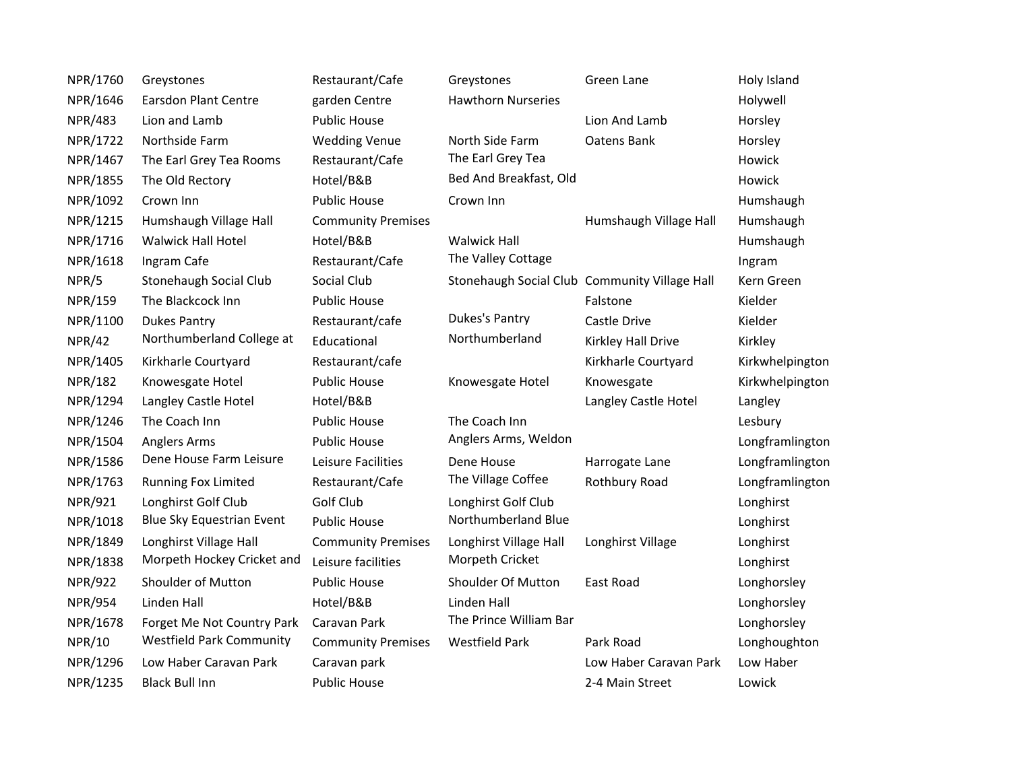| NPR/1760       | Greystones                      | Restaurant/Cafe           | Greystones                | Green Lane                                    | Holy Island     |
|----------------|---------------------------------|---------------------------|---------------------------|-----------------------------------------------|-----------------|
| NPR/1646       | <b>Earsdon Plant Centre</b>     | garden Centre             | <b>Hawthorn Nurseries</b> |                                               | Holywell        |
| <b>NPR/483</b> | Lion and Lamb                   | <b>Public House</b>       |                           | Lion And Lamb                                 | Horsley         |
| NPR/1722       | Northside Farm                  | <b>Wedding Venue</b>      | North Side Farm           | Oatens Bank                                   | Horsley         |
| NPR/1467       | The Earl Grey Tea Rooms         | Restaurant/Cafe           | The Earl Grey Tea         |                                               | Howick          |
| NPR/1855       | The Old Rectory                 | Hotel/B&B                 | Bed And Breakfast, Old    |                                               | Howick          |
| NPR/1092       | Crown Inn                       | <b>Public House</b>       | Crown Inn                 |                                               | Humshaugh       |
| NPR/1215       | Humshaugh Village Hall          | <b>Community Premises</b> |                           | Humshaugh Village Hall                        | Humshaugh       |
| NPR/1716       | <b>Walwick Hall Hotel</b>       | Hotel/B&B                 | <b>Walwick Hall</b>       |                                               | Humshaugh       |
| NPR/1618       | Ingram Cafe                     | Restaurant/Cafe           | The Valley Cottage        |                                               | Ingram          |
| NPR/5          | Stonehaugh Social Club          | Social Club               |                           | Stonehaugh Social Club Community Village Hall | Kern Green      |
| <b>NPR/159</b> | The Blackcock Inn               | <b>Public House</b>       |                           | Falstone                                      | Kielder         |
| NPR/1100       | <b>Dukes Pantry</b>             | Restaurant/cafe           | Dukes's Pantry            | Castle Drive                                  | Kielder         |
| <b>NPR/42</b>  | Northumberland College at       | Educational               | Northumberland            | Kirkley Hall Drive                            | Kirkley         |
| NPR/1405       | Kirkharle Courtyard             | Restaurant/cafe           |                           | Kirkharle Courtyard                           | Kirkwhelpington |
| <b>NPR/182</b> | Knowesgate Hotel                | <b>Public House</b>       | Knowesgate Hotel          | Knowesgate                                    | Kirkwhelpington |
| NPR/1294       | Langley Castle Hotel            | Hotel/B&B                 |                           | Langley Castle Hotel                          | Langley         |
| NPR/1246       | The Coach Inn                   | <b>Public House</b>       | The Coach Inn             |                                               | Lesbury         |
| NPR/1504       | <b>Anglers Arms</b>             | <b>Public House</b>       | Anglers Arms, Weldon      |                                               | Longframlington |
| NPR/1586       | Dene House Farm Leisure         | Leisure Facilities        | Dene House                | Harrogate Lane                                | Longframlington |
| NPR/1763       | Running Fox Limited             | Restaurant/Cafe           | The Village Coffee        | Rothbury Road                                 | Longframlington |
| NPR/921        | Longhirst Golf Club             | Golf Club                 | Longhirst Golf Club       |                                               | Longhirst       |
| NPR/1018       | Blue Sky Equestrian Event       | <b>Public House</b>       | Northumberland Blue       |                                               | Longhirst       |
| NPR/1849       | Longhirst Village Hall          | <b>Community Premises</b> | Longhirst Village Hall    | Longhirst Village                             | Longhirst       |
| NPR/1838       | Morpeth Hockey Cricket and      | Leisure facilities        | Morpeth Cricket           |                                               | Longhirst       |
| <b>NPR/922</b> | Shoulder of Mutton              | <b>Public House</b>       | Shoulder Of Mutton        | East Road                                     | Longhorsley     |
| <b>NPR/954</b> | Linden Hall                     | Hotel/B&B                 | Linden Hall               |                                               | Longhorsley     |
| NPR/1678       | Forget Me Not Country Park      | Caravan Park              | The Prince William Bar    |                                               | Longhorsley     |
| <b>NPR/10</b>  | <b>Westfield Park Community</b> | <b>Community Premises</b> | <b>Westfield Park</b>     | Park Road                                     | Longhoughton    |
| NPR/1296       | Low Haber Caravan Park          | Caravan park              |                           | Low Haber Caravan Park                        | Low Haber       |
| NPR/1235       | <b>Black Bull Inn</b>           | <b>Public House</b>       |                           | 2-4 Main Street                               | Lowick          |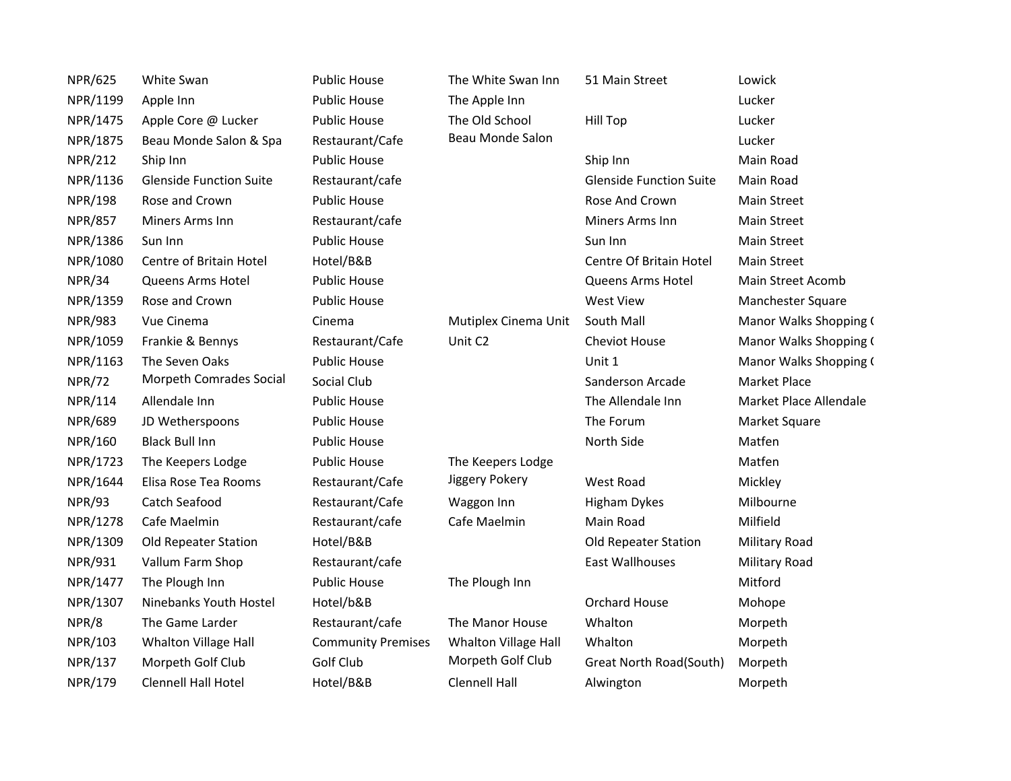| <b>NPR/625</b> | White Swan                     | <b>Public House</b>       | The White Swan Inn   | 51 Main Street                 | Lowick                 |
|----------------|--------------------------------|---------------------------|----------------------|--------------------------------|------------------------|
| NPR/1199       | Apple Inn                      | <b>Public House</b>       | The Apple Inn        |                                | Lucker                 |
| NPR/1475       | Apple Core @ Lucker            | <b>Public House</b>       | The Old School       | <b>Hill Top</b>                | Lucker                 |
| NPR/1875       | Beau Monde Salon & Spa         | Restaurant/Cafe           | Beau Monde Salon     |                                | Lucker                 |
| <b>NPR/212</b> | Ship Inn                       | <b>Public House</b>       |                      | Ship Inn                       | Main Road              |
| NPR/1136       | <b>Glenside Function Suite</b> | Restaurant/cafe           |                      | <b>Glenside Function Suite</b> | Main Road              |
| <b>NPR/198</b> | Rose and Crown                 | <b>Public House</b>       |                      | Rose And Crown                 | Main Street            |
| <b>NPR/857</b> | Miners Arms Inn                | Restaurant/cafe           |                      | Miners Arms Inn                | <b>Main Street</b>     |
| NPR/1386       | Sun Inn                        | <b>Public House</b>       |                      | Sun Inn                        | <b>Main Street</b>     |
| NPR/1080       | Centre of Britain Hotel        | Hotel/B&B                 |                      | Centre Of Britain Hotel        | Main Street            |
| NPR/34         | Queens Arms Hotel              | <b>Public House</b>       |                      | <b>Queens Arms Hotel</b>       | Main Street Acomb      |
| NPR/1359       | Rose and Crown                 | <b>Public House</b>       |                      | West View                      | Manchester Square      |
| <b>NPR/983</b> | Vue Cinema                     | Cinema                    | Mutiplex Cinema Unit | South Mall                     | Manor Walks Shopping ( |
| NPR/1059       | Frankie & Bennys               | Restaurant/Cafe           | Unit C2              | Cheviot House                  | Manor Walks Shopping ( |
| NPR/1163       | The Seven Oaks                 | <b>Public House</b>       |                      | Unit 1                         | Manor Walks Shopping ( |
| <b>NPR/72</b>  | Morpeth Comrades Social        | Social Club               |                      | Sanderson Arcade               | <b>Market Place</b>    |
| NPR/114        | Allendale Inn                  | <b>Public House</b>       |                      | The Allendale Inn              | Market Place Allendale |
| <b>NPR/689</b> | JD Wetherspoons                | <b>Public House</b>       |                      | The Forum                      | Market Square          |
| NPR/160        | <b>Black Bull Inn</b>          | <b>Public House</b>       |                      | North Side                     | Matfen                 |
| NPR/1723       | The Keepers Lodge              | <b>Public House</b>       | The Keepers Lodge    |                                | Matfen                 |
| NPR/1644       | Elisa Rose Tea Rooms           | Restaurant/Cafe           | Jiggery Pokery       | West Road                      | Mickley                |
| <b>NPR/93</b>  | Catch Seafood                  | Restaurant/Cafe           | Waggon Inn           | <b>Higham Dykes</b>            | Milbourne              |
| NPR/1278       | Cafe Maelmin                   | Restaurant/cafe           | Cafe Maelmin         | Main Road                      | Milfield               |
| NPR/1309       | Old Repeater Station           | Hotel/B&B                 |                      | Old Repeater Station           | <b>Military Road</b>   |
| <b>NPR/931</b> | Vallum Farm Shop               | Restaurant/cafe           |                      | <b>East Wallhouses</b>         | <b>Military Road</b>   |
| NPR/1477       | The Plough Inn                 | <b>Public House</b>       | The Plough Inn       |                                | Mitford                |
| NPR/1307       | Ninebanks Youth Hostel         | Hotel/b&B                 |                      | <b>Orchard House</b>           | Mohope                 |
| NPR/8          | The Game Larder                | Restaurant/cafe           | The Manor House      | Whalton                        | Morpeth                |
| NPR/103        | Whalton Village Hall           | <b>Community Premises</b> | Whalton Village Hall | Whalton                        | Morpeth                |
| NPR/137        | Morpeth Golf Club              | Golf Club                 | Morpeth Golf Club    | Great North Road(South)        | Morpeth                |
| NPR/179        | <b>Clennell Hall Hotel</b>     | Hotel/B&B                 | <b>Clennell Hall</b> | Alwington                      | Morpeth                |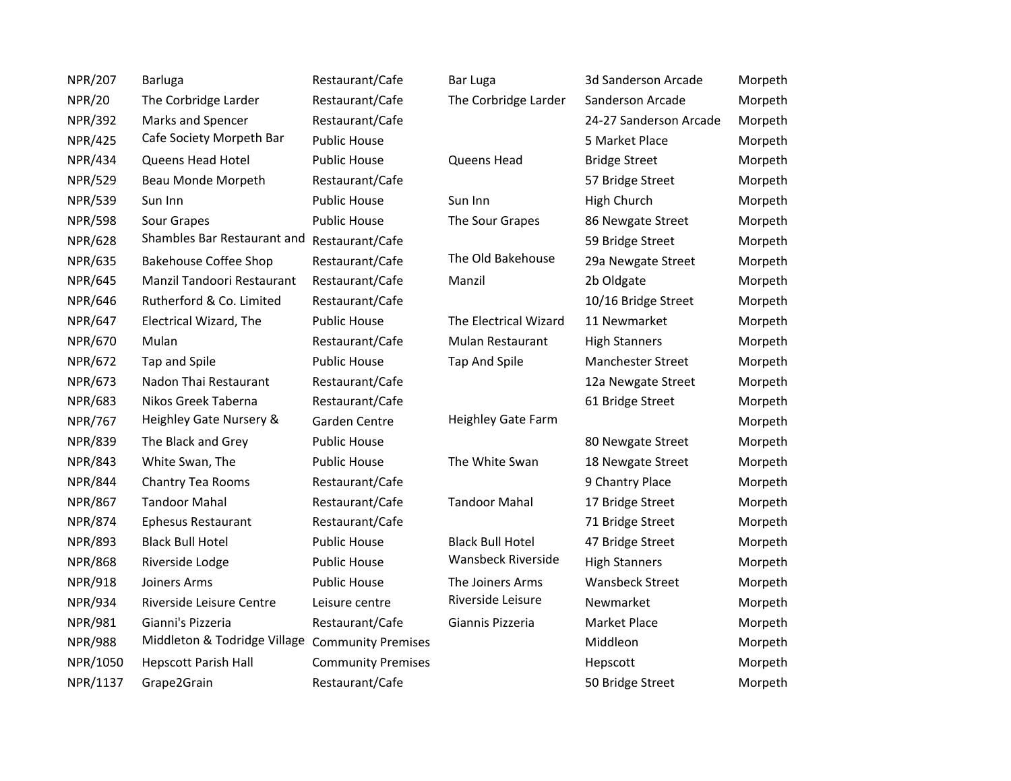| <b>NPR/207</b> | <b>Barluga</b>                                  | Restaurant/Cafe           | Bar Luga                  | 3d Sanderson Arcade      | Morpeth |
|----------------|-------------------------------------------------|---------------------------|---------------------------|--------------------------|---------|
| <b>NPR/20</b>  | The Corbridge Larder                            | Restaurant/Cafe           | The Corbridge Larder      | Sanderson Arcade         | Morpeth |
| <b>NPR/392</b> | Marks and Spencer                               | Restaurant/Cafe           |                           | 24-27 Sanderson Arcade   | Morpeth |
| <b>NPR/425</b> | Cafe Society Morpeth Bar                        | <b>Public House</b>       |                           | 5 Market Place           | Morpeth |
| <b>NPR/434</b> | Queens Head Hotel                               | <b>Public House</b>       | Queens Head               | <b>Bridge Street</b>     | Morpeth |
| <b>NPR/529</b> | Beau Monde Morpeth                              | Restaurant/Cafe           |                           | 57 Bridge Street         | Morpeth |
| <b>NPR/539</b> | Sun Inn                                         | <b>Public House</b>       | Sun Inn                   | High Church              | Morpeth |
| <b>NPR/598</b> | Sour Grapes                                     | <b>Public House</b>       | The Sour Grapes           | 86 Newgate Street        | Morpeth |
| <b>NPR/628</b> | Shambles Bar Restaurant and                     | Restaurant/Cafe           |                           | 59 Bridge Street         | Morpeth |
| NPR/635        | <b>Bakehouse Coffee Shop</b>                    | Restaurant/Cafe           | The Old Bakehouse         | 29a Newgate Street       | Morpeth |
| <b>NPR/645</b> | Manzil Tandoori Restaurant                      | Restaurant/Cafe           | Manzil                    | 2b Oldgate               | Morpeth |
| <b>NPR/646</b> | Rutherford & Co. Limited                        | Restaurant/Cafe           |                           | 10/16 Bridge Street      | Morpeth |
| <b>NPR/647</b> | Electrical Wizard, The                          | <b>Public House</b>       | The Electrical Wizard     | 11 Newmarket             | Morpeth |
| NPR/670        | Mulan                                           | Restaurant/Cafe           | Mulan Restaurant          | <b>High Stanners</b>     | Morpeth |
| <b>NPR/672</b> | Tap and Spile                                   | <b>Public House</b>       | <b>Tap And Spile</b>      | <b>Manchester Street</b> | Morpeth |
| <b>NPR/673</b> | Nadon Thai Restaurant                           | Restaurant/Cafe           |                           | 12a Newgate Street       | Morpeth |
| <b>NPR/683</b> | Nikos Greek Taberna                             | Restaurant/Cafe           |                           | 61 Bridge Street         | Morpeth |
| <b>NPR/767</b> | Heighley Gate Nursery &                         | Garden Centre             | <b>Heighley Gate Farm</b> |                          | Morpeth |
| <b>NPR/839</b> | The Black and Grey                              | <b>Public House</b>       |                           | 80 Newgate Street        | Morpeth |
| <b>NPR/843</b> | White Swan, The                                 | <b>Public House</b>       | The White Swan            | 18 Newgate Street        | Morpeth |
| <b>NPR/844</b> | Chantry Tea Rooms                               | Restaurant/Cafe           |                           | 9 Chantry Place          | Morpeth |
| <b>NPR/867</b> | <b>Tandoor Mahal</b>                            | Restaurant/Cafe           | <b>Tandoor Mahal</b>      | 17 Bridge Street         | Morpeth |
| <b>NPR/874</b> | <b>Ephesus Restaurant</b>                       | Restaurant/Cafe           |                           | 71 Bridge Street         | Morpeth |
| <b>NPR/893</b> | <b>Black Bull Hotel</b>                         | <b>Public House</b>       | <b>Black Bull Hotel</b>   | 47 Bridge Street         | Morpeth |
| <b>NPR/868</b> | Riverside Lodge                                 | <b>Public House</b>       | Wansbeck Riverside        | <b>High Stanners</b>     | Morpeth |
| <b>NPR/918</b> | Joiners Arms                                    | <b>Public House</b>       | The Joiners Arms          | <b>Wansbeck Street</b>   | Morpeth |
| <b>NPR/934</b> | Riverside Leisure Centre                        | Leisure centre            | Riverside Leisure         | Newmarket                | Morpeth |
| <b>NPR/981</b> | Gianni's Pizzeria                               | Restaurant/Cafe           | Giannis Pizzeria          | <b>Market Place</b>      | Morpeth |
| <b>NPR/988</b> | Middleton & Todridge Village Community Premises |                           |                           | Middleon                 | Morpeth |
| NPR/1050       | <b>Hepscott Parish Hall</b>                     | <b>Community Premises</b> |                           | Hepscott                 | Morpeth |
| NPR/1137       | Grape2Grain                                     | Restaurant/Cafe           |                           | 50 Bridge Street         | Morpeth |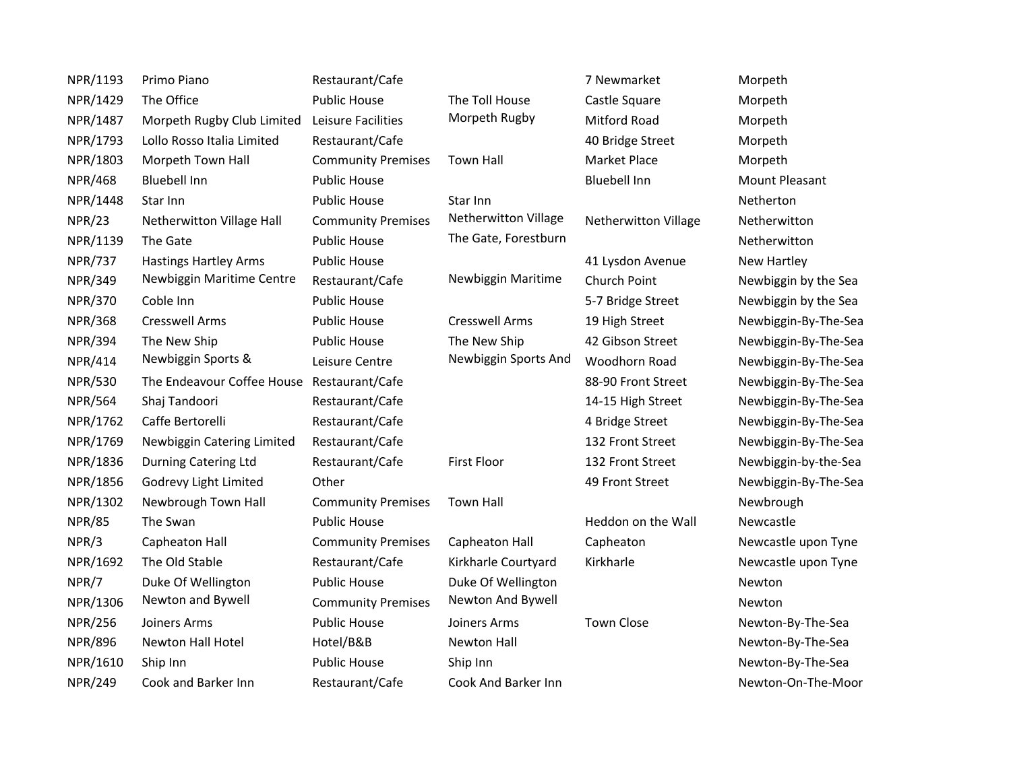| NPR/1193       | Primo Piano                                | Restaurant/Cafe           |                       | 7 Newmarket          | Morpeth              |
|----------------|--------------------------------------------|---------------------------|-----------------------|----------------------|----------------------|
| NPR/1429       | The Office                                 | <b>Public House</b>       | The Toll House        | Castle Square        | Morpeth              |
| NPR/1487       | Morpeth Rugby Club Limited                 | Leisure Facilities        | Morpeth Rugby         | <b>Mitford Road</b>  | Morpeth              |
| NPR/1793       | Lollo Rosso Italia Limited                 | Restaurant/Cafe           |                       | 40 Bridge Street     | Morpeth              |
| NPR/1803       | Morpeth Town Hall                          | <b>Community Premises</b> | <b>Town Hall</b>      | Market Place         | Morpeth              |
| <b>NPR/468</b> | <b>Bluebell Inn</b>                        | <b>Public House</b>       |                       | <b>Bluebell Inn</b>  | Mount Pleasant       |
| NPR/1448       | Star Inn                                   | <b>Public House</b>       | Star Inn              |                      | Netherton            |
| <b>NPR/23</b>  | Netherwitton Village Hall                  | <b>Community Premises</b> | Netherwitton Village  | Netherwitton Village | Netherwitton         |
| NPR/1139       | The Gate                                   | <b>Public House</b>       | The Gate, Forestburn  |                      | Netherwitton         |
| <b>NPR/737</b> | <b>Hastings Hartley Arms</b>               | <b>Public House</b>       |                       | 41 Lysdon Avenue     | New Hartley          |
| <b>NPR/349</b> | Newbiggin Maritime Centre                  | Restaurant/Cafe           | Newbiggin Maritime    | Church Point         | Newbiggin by the Sea |
| <b>NPR/370</b> | Coble Inn                                  | <b>Public House</b>       |                       | 5-7 Bridge Street    | Newbiggin by the Sea |
| <b>NPR/368</b> | <b>Cresswell Arms</b>                      | <b>Public House</b>       | <b>Cresswell Arms</b> | 19 High Street       | Newbiggin-By-The-Sea |
| <b>NPR/394</b> | The New Ship                               | <b>Public House</b>       | The New Ship          | 42 Gibson Street     | Newbiggin-By-The-Sea |
| <b>NPR/414</b> | Newbiggin Sports &                         | Leisure Centre            | Newbiggin Sports And  | Woodhorn Road        | Newbiggin-By-The-Sea |
| <b>NPR/530</b> | The Endeavour Coffee House Restaurant/Cafe |                           |                       | 88-90 Front Street   | Newbiggin-By-The-Sea |
| <b>NPR/564</b> | Shaj Tandoori                              | Restaurant/Cafe           |                       | 14-15 High Street    | Newbiggin-By-The-Sea |
| NPR/1762       | Caffe Bertorelli                           | Restaurant/Cafe           |                       | 4 Bridge Street      | Newbiggin-By-The-Sea |
| NPR/1769       | Newbiggin Catering Limited                 | Restaurant/Cafe           |                       | 132 Front Street     | Newbiggin-By-The-Sea |
| NPR/1836       | Durning Catering Ltd                       | Restaurant/Cafe           | First Floor           | 132 Front Street     | Newbiggin-by-the-Sea |
| NPR/1856       | Godrevy Light Limited                      | Other                     |                       | 49 Front Street      | Newbiggin-By-The-Sea |
| NPR/1302       | Newbrough Town Hall                        | <b>Community Premises</b> | <b>Town Hall</b>      |                      | Newbrough            |
| <b>NPR/85</b>  | The Swan                                   | <b>Public House</b>       |                       | Heddon on the Wall   | Newcastle            |
| NPR/3          | Capheaton Hall                             | <b>Community Premises</b> | Capheaton Hall        | Capheaton            | Newcastle upon Tyne  |
| NPR/1692       | The Old Stable                             | Restaurant/Cafe           | Kirkharle Courtyard   | Kirkharle            | Newcastle upon Tyne  |
| NPR/7          | Duke Of Wellington                         | <b>Public House</b>       | Duke Of Wellington    |                      | Newton               |
| NPR/1306       | Newton and Bywell                          | <b>Community Premises</b> | Newton And Bywell     |                      | Newton               |
| <b>NPR/256</b> | Joiners Arms                               | <b>Public House</b>       | Joiners Arms          | <b>Town Close</b>    | Newton-By-The-Sea    |
| <b>NPR/896</b> | Newton Hall Hotel                          | Hotel/B&B                 | <b>Newton Hall</b>    |                      | Newton-By-The-Sea    |
| NPR/1610       | Ship Inn                                   | <b>Public House</b>       | Ship Inn              |                      | Newton-By-The-Sea    |
| <b>NPR/249</b> | Cook and Barker Inn                        | Restaurant/Cafe           | Cook And Barker Inn   |                      | Newton-On-The-Moor   |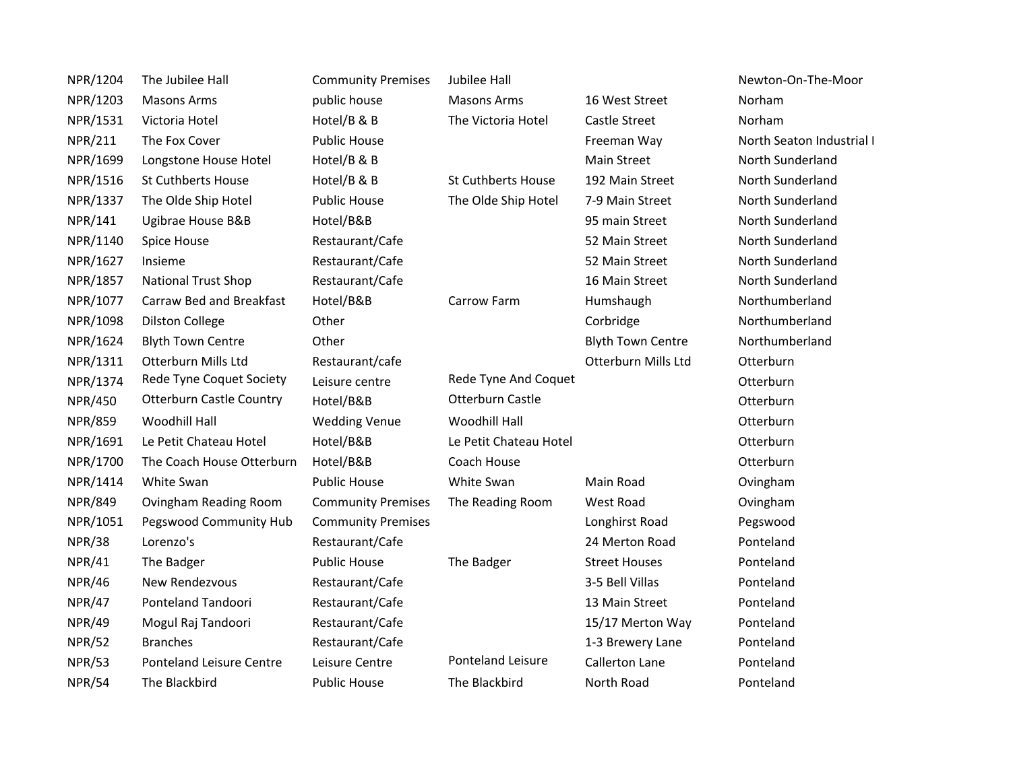| NPR/1204       | The Jubilee Hall                | <b>Community Premises</b> | Jubilee Hall              |                          | Newton-On-The-Moor        |  |
|----------------|---------------------------------|---------------------------|---------------------------|--------------------------|---------------------------|--|
| NPR/1203       | <b>Masons Arms</b>              | public house              | <b>Masons Arms</b>        | 16 West Street           | Norham                    |  |
| NPR/1531       | Victoria Hotel                  | Hotel/B & B               | The Victoria Hotel        | Castle Street            | Norham                    |  |
| <b>NPR/211</b> | The Fox Cover                   | <b>Public House</b>       |                           | Freeman Way              | North Seaton Industrial I |  |
| NPR/1699       | Longstone House Hotel           | Hotel/B & B               |                           | <b>Main Street</b>       | North Sunderland          |  |
| NPR/1516       | <b>St Cuthberts House</b>       | Hotel/B & B               | <b>St Cuthberts House</b> | 192 Main Street          | North Sunderland          |  |
| NPR/1337       | The Olde Ship Hotel             | Public House              | The Olde Ship Hotel       | 7-9 Main Street          | North Sunderland          |  |
| NPR/141        | Ugibrae House B&B               | Hotel/B&B                 |                           | 95 main Street           | North Sunderland          |  |
| NPR/1140       | Spice House                     | Restaurant/Cafe           |                           | 52 Main Street           | North Sunderland          |  |
| NPR/1627       | Insieme                         | Restaurant/Cafe           |                           | 52 Main Street           | North Sunderland          |  |
| NPR/1857       | <b>National Trust Shop</b>      | Restaurant/Cafe           |                           | 16 Main Street           | North Sunderland          |  |
| NPR/1077       | Carraw Bed and Breakfast        | Hotel/B&B                 | Carrow Farm               | Humshaugh                | Northumberland            |  |
| NPR/1098       | <b>Dilston College</b>          | Other                     |                           | Corbridge                | Northumberland            |  |
| NPR/1624       | <b>Blyth Town Centre</b>        | Other                     |                           | <b>Blyth Town Centre</b> | Northumberland            |  |
| NPR/1311       | Otterburn Mills Ltd             | Restaurant/cafe           |                           | Otterburn Mills Ltd      | Otterburn                 |  |
| NPR/1374       | Rede Tyne Coquet Society        | Leisure centre            | Rede Tyne And Coquet      |                          | Otterburn                 |  |
| <b>NPR/450</b> | <b>Otterburn Castle Country</b> | Hotel/B&B                 | Otterburn Castle          |                          | Otterburn                 |  |
| <b>NPR/859</b> | Woodhill Hall                   | <b>Wedding Venue</b>      | Woodhill Hall             |                          | Otterburn                 |  |
| NPR/1691       | Le Petit Chateau Hotel          | Hotel/B&B                 | Le Petit Chateau Hotel    |                          | Otterburn                 |  |
| NPR/1700       | The Coach House Otterburn       | Hotel/B&B                 | Coach House               |                          | Otterburn                 |  |
| NPR/1414       | White Swan                      | <b>Public House</b>       | White Swan                | Main Road                | Ovingham                  |  |
| <b>NPR/849</b> | Ovingham Reading Room           | <b>Community Premises</b> | The Reading Room          | West Road                | Ovingham                  |  |
| NPR/1051       | Pegswood Community Hub          | <b>Community Premises</b> |                           | Longhirst Road           | Pegswood                  |  |
| <b>NPR/38</b>  | Lorenzo's                       | Restaurant/Cafe           |                           | 24 Merton Road           | Ponteland                 |  |
| <b>NPR/41</b>  | The Badger                      | <b>Public House</b>       | The Badger                | <b>Street Houses</b>     | Ponteland                 |  |
| <b>NPR/46</b>  | New Rendezvous                  | Restaurant/Cafe           |                           | 3-5 Bell Villas          | Ponteland                 |  |
| <b>NPR/47</b>  | Ponteland Tandoori              | Restaurant/Cafe           |                           | 13 Main Street           | Ponteland                 |  |
| <b>NPR/49</b>  | Mogul Raj Tandoori              | Restaurant/Cafe           |                           | 15/17 Merton Way         | Ponteland                 |  |
| <b>NPR/52</b>  | <b>Branches</b>                 | Restaurant/Cafe           |                           | 1-3 Brewery Lane         | Ponteland                 |  |
| <b>NPR/53</b>  | <b>Ponteland Leisure Centre</b> | Leisure Centre            | <b>Ponteland Leisure</b>  | <b>Callerton Lane</b>    | Ponteland                 |  |
| <b>NPR/54</b>  | The Blackbird                   | <b>Public House</b>       | The Blackbird             | North Road               | Ponteland                 |  |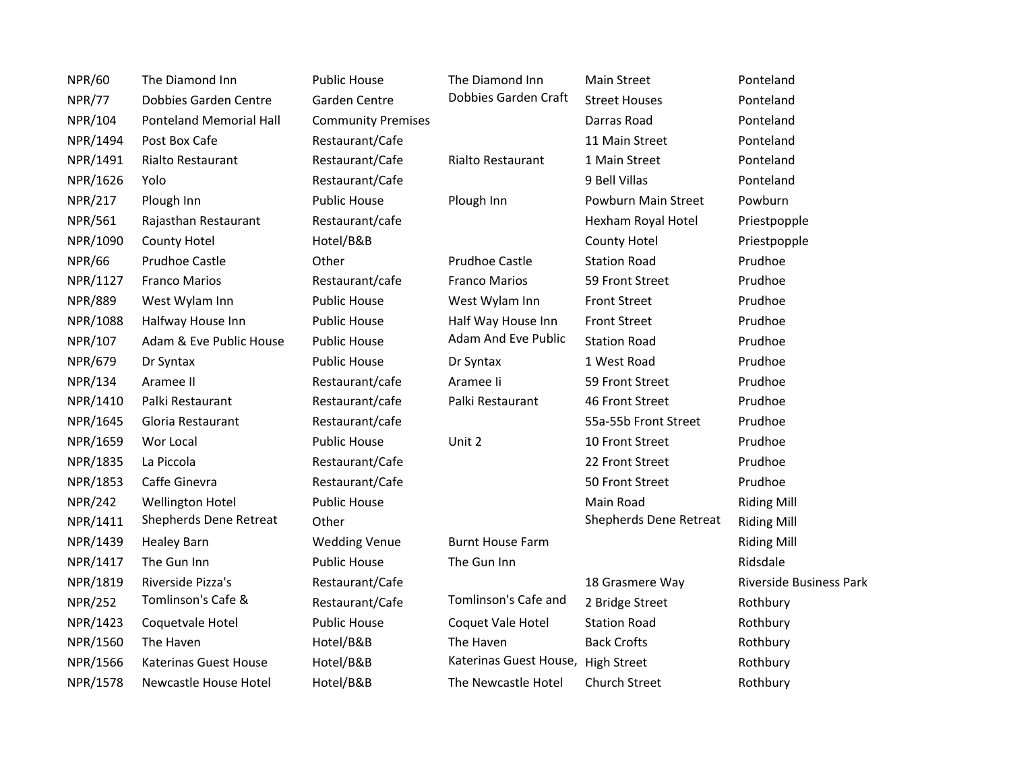| <b>NPR/60</b>  | The Diamond Inn                | <b>Public House</b>       | The Diamond Inn         | <b>Main Street</b>     | Ponteland               |
|----------------|--------------------------------|---------------------------|-------------------------|------------------------|-------------------------|
| <b>NPR/77</b>  | Dobbies Garden Centre          | Garden Centre             | Dobbies Garden Craft    | <b>Street Houses</b>   | Ponteland               |
| NPR/104        | <b>Ponteland Memorial Hall</b> | <b>Community Premises</b> |                         | Darras Road            | Ponteland               |
| NPR/1494       | Post Box Cafe                  | Restaurant/Cafe           |                         | 11 Main Street         | Ponteland               |
| NPR/1491       | Rialto Restaurant              | Restaurant/Cafe           | Rialto Restaurant       | 1 Main Street          | Ponteland               |
| NPR/1626       | Yolo                           | Restaurant/Cafe           |                         | 9 Bell Villas          | Ponteland               |
| <b>NPR/217</b> | Plough Inn                     | <b>Public House</b>       | Plough Inn              | Powburn Main Street    | Powburn                 |
| <b>NPR/561</b> | Rajasthan Restaurant           | Restaurant/cafe           |                         | Hexham Royal Hotel     | Priestpopple            |
| NPR/1090       | <b>County Hotel</b>            | Hotel/B&B                 |                         | County Hotel           | Priestpopple            |
| <b>NPR/66</b>  | <b>Prudhoe Castle</b>          | Other                     | <b>Prudhoe Castle</b>   | <b>Station Road</b>    | Prudhoe                 |
| NPR/1127       | <b>Franco Marios</b>           | Restaurant/cafe           | <b>Franco Marios</b>    | 59 Front Street        | Prudhoe                 |
| <b>NPR/889</b> | West Wylam Inn                 | <b>Public House</b>       | West Wylam Inn          | <b>Front Street</b>    | Prudhoe                 |
| NPR/1088       | Halfway House Inn              | <b>Public House</b>       | Half Way House Inn      | <b>Front Street</b>    | Prudhoe                 |
| NPR/107        | Adam & Eve Public House        | <b>Public House</b>       | Adam And Eve Public     | <b>Station Road</b>    | Prudhoe                 |
| <b>NPR/679</b> | Dr Syntax                      | <b>Public House</b>       | Dr Syntax               | 1 West Road            | Prudhoe                 |
| NPR/134        | Aramee II                      | Restaurant/cafe           | Aramee li               | 59 Front Street        | Prudhoe                 |
| NPR/1410       | Palki Restaurant               | Restaurant/cafe           | Palki Restaurant        | 46 Front Street        | Prudhoe                 |
| NPR/1645       | Gloria Restaurant              | Restaurant/cafe           |                         | 55a-55b Front Street   | Prudhoe                 |
| NPR/1659       | Wor Local                      | <b>Public House</b>       | Unit 2                  | 10 Front Street        | Prudhoe                 |
| NPR/1835       | La Piccola                     | Restaurant/Cafe           |                         | 22 Front Street        | Prudhoe                 |
| NPR/1853       | Caffe Ginevra                  | Restaurant/Cafe           |                         | 50 Front Street        | Prudhoe                 |
| <b>NPR/242</b> | <b>Wellington Hotel</b>        | <b>Public House</b>       |                         | Main Road              | <b>Riding Mill</b>      |
| NPR/1411       | Shepherds Dene Retreat         | Other                     |                         | Shepherds Dene Retreat | <b>Riding Mill</b>      |
| NPR/1439       | <b>Healey Barn</b>             | <b>Wedding Venue</b>      | <b>Burnt House Farm</b> |                        | <b>Riding Mill</b>      |
| NPR/1417       | The Gun Inn                    | <b>Public House</b>       | The Gun Inn             |                        | Ridsdale                |
| NPR/1819       | Riverside Pizza's              | Restaurant/Cafe           |                         | 18 Grasmere Way        | Riverside Business Park |
| <b>NPR/252</b> | Tomlinson's Cafe &             | Restaurant/Cafe           | Tomlinson's Cafe and    | 2 Bridge Street        | Rothbury                |
| NPR/1423       | Coquetvale Hotel               | <b>Public House</b>       | Coquet Vale Hotel       | <b>Station Road</b>    | Rothbury                |
| NPR/1560       | The Haven                      | Hotel/B&B                 | The Haven               | <b>Back Crofts</b>     | Rothbury                |
| NPR/1566       | <b>Katerinas Guest House</b>   | Hotel/B&B                 | Katerinas Guest House,  | <b>High Street</b>     | Rothbury                |
| NPR/1578       | Newcastle House Hotel          | Hotel/B&B                 | The Newcastle Hotel     | Church Street          | Rothbury                |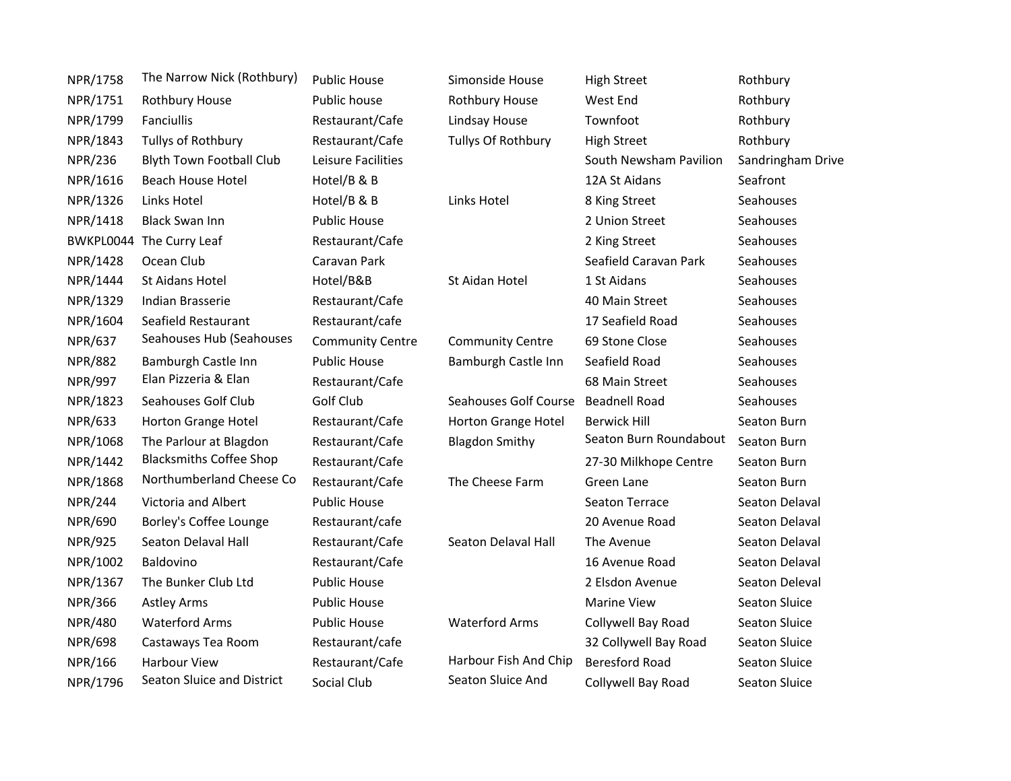| NPR/1758       | The Narrow Nick (Rothbury)      | <b>Public House</b>     | Simonside House         | <b>High Street</b>     | Rothbury             |
|----------------|---------------------------------|-------------------------|-------------------------|------------------------|----------------------|
| NPR/1751       | Rothbury House                  | Public house            | Rothbury House          | West End               | Rothbury             |
| NPR/1799       | Fanciullis                      | Restaurant/Cafe         | Lindsay House           | Townfoot               | Rothbury             |
| NPR/1843       | Tullys of Rothbury              | Restaurant/Cafe         | Tullys Of Rothbury      | <b>High Street</b>     | Rothbury             |
| <b>NPR/236</b> | <b>Blyth Town Football Club</b> | Leisure Facilities      |                         | South Newsham Pavilion | Sandringham Drive    |
| NPR/1616       | <b>Beach House Hotel</b>        | Hotel/B & B             |                         | 12A St Aidans          | Seafront             |
| NPR/1326       | Links Hotel                     | Hotel/B & B             | Links Hotel             | 8 King Street          | Seahouses            |
| NPR/1418       | <b>Black Swan Inn</b>           | <b>Public House</b>     |                         | 2 Union Street         | Seahouses            |
|                | BWKPL0044 The Curry Leaf        | Restaurant/Cafe         |                         | 2 King Street          | Seahouses            |
| NPR/1428       | Ocean Club                      | Caravan Park            |                         | Seafield Caravan Park  | Seahouses            |
| NPR/1444       | St Aidans Hotel                 | Hotel/B&B               | St Aidan Hotel          | 1 St Aidans            | Seahouses            |
| NPR/1329       | Indian Brasserie                | Restaurant/Cafe         |                         | 40 Main Street         | Seahouses            |
| NPR/1604       | Seafield Restaurant             | Restaurant/cafe         |                         | 17 Seafield Road       | Seahouses            |
| <b>NPR/637</b> | Seahouses Hub (Seahouses        | <b>Community Centre</b> | <b>Community Centre</b> | 69 Stone Close         | Seahouses            |
| <b>NPR/882</b> | Bamburgh Castle Inn             | <b>Public House</b>     | Bamburgh Castle Inn     | Seafield Road          | Seahouses            |
| <b>NPR/997</b> | Elan Pizzeria & Elan            | Restaurant/Cafe         |                         | 68 Main Street         | Seahouses            |
| NPR/1823       | Seahouses Golf Club             | Golf Club               | Seahouses Golf Course   | <b>Beadnell Road</b>   | Seahouses            |
| <b>NPR/633</b> | Horton Grange Hotel             | Restaurant/Cafe         | Horton Grange Hotel     | <b>Berwick Hill</b>    | Seaton Burn          |
| NPR/1068       | The Parlour at Blagdon          | Restaurant/Cafe         | <b>Blagdon Smithy</b>   | Seaton Burn Roundabout | Seaton Burn          |
| NPR/1442       | <b>Blacksmiths Coffee Shop</b>  | Restaurant/Cafe         |                         | 27-30 Milkhope Centre  | Seaton Burn          |
| NPR/1868       | Northumberland Cheese Co        | Restaurant/Cafe         | The Cheese Farm         | Green Lane             | Seaton Burn          |
| <b>NPR/244</b> | Victoria and Albert             | <b>Public House</b>     |                         | Seaton Terrace         | Seaton Delaval       |
| <b>NPR/690</b> | Borley's Coffee Lounge          | Restaurant/cafe         |                         | 20 Avenue Road         | Seaton Delaval       |
| <b>NPR/925</b> | Seaton Delaval Hall             | Restaurant/Cafe         | Seaton Delaval Hall     | The Avenue             | Seaton Delaval       |
| NPR/1002       | Baldovino                       | Restaurant/Cafe         |                         | 16 Avenue Road         | Seaton Delaval       |
| NPR/1367       | The Bunker Club Ltd             | <b>Public House</b>     |                         | 2 Elsdon Avenue        | Seaton Deleval       |
| <b>NPR/366</b> | <b>Astley Arms</b>              | <b>Public House</b>     |                         | <b>Marine View</b>     | <b>Seaton Sluice</b> |
| <b>NPR/480</b> | <b>Waterford Arms</b>           | <b>Public House</b>     | <b>Waterford Arms</b>   | Collywell Bay Road     | Seaton Sluice        |
| <b>NPR/698</b> | Castaways Tea Room              | Restaurant/cafe         |                         | 32 Collywell Bay Road  | Seaton Sluice        |
| NPR/166        | Harbour View                    | Restaurant/Cafe         | Harbour Fish And Chip   | <b>Beresford Road</b>  | Seaton Sluice        |
| NPR/1796       | Seaton Sluice and District      | Social Club             | Seaton Sluice And       | Collywell Bay Road     | <b>Seaton Sluice</b> |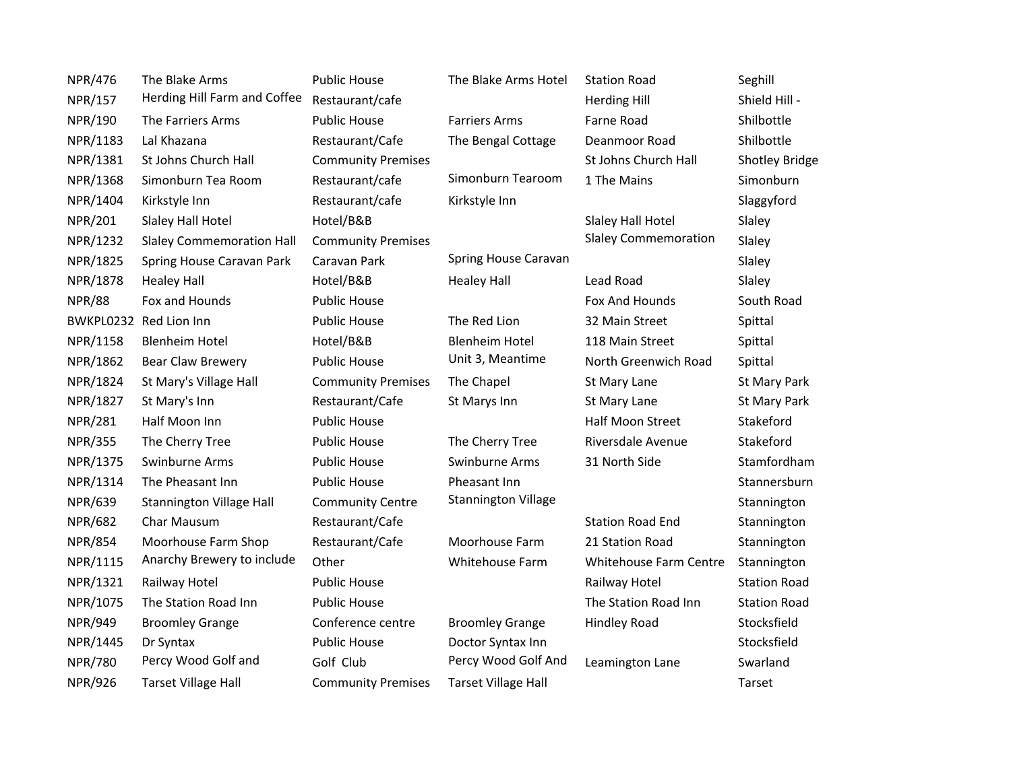| <b>NPR/476</b> | The Blake Arms                   | <b>Public House</b>       | The Blake Arms Hotel       | <b>Station Road</b>           | Seghill               |
|----------------|----------------------------------|---------------------------|----------------------------|-------------------------------|-----------------------|
| <b>NPR/157</b> | Herding Hill Farm and Coffee     | Restaurant/cafe           |                            | <b>Herding Hill</b>           | Shield Hill -         |
| NPR/190        | The Farriers Arms                | <b>Public House</b>       | <b>Farriers Arms</b>       | Farne Road                    | Shilbottle            |
| NPR/1183       | Lal Khazana                      | Restaurant/Cafe           | The Bengal Cottage         | Deanmoor Road                 | Shilbottle            |
| NPR/1381       | St Johns Church Hall             | <b>Community Premises</b> |                            | St Johns Church Hall          | <b>Shotley Bridge</b> |
| NPR/1368       | Simonburn Tea Room               | Restaurant/cafe           | Simonburn Tearoom          | 1 The Mains                   | Simonburn             |
| NPR/1404       | Kirkstyle Inn                    | Restaurant/cafe           | Kirkstyle Inn              |                               | Slaggyford            |
| <b>NPR/201</b> | Slaley Hall Hotel                | Hotel/B&B                 |                            | Slaley Hall Hotel             | Slaley                |
| NPR/1232       | <b>Slaley Commemoration Hall</b> | <b>Community Premises</b> |                            | <b>Slaley Commemoration</b>   | Slaley                |
| NPR/1825       | Spring House Caravan Park        | Caravan Park              | Spring House Caravan       |                               | Slaley                |
| NPR/1878       | <b>Healey Hall</b>               | Hotel/B&B                 | <b>Healey Hall</b>         | Lead Road                     | Slaley                |
| <b>NPR/88</b>  | Fox and Hounds                   | <b>Public House</b>       |                            | Fox And Hounds                | South Road            |
|                | BWKPL0232 Red Lion Inn           | <b>Public House</b>       | The Red Lion               | 32 Main Street                | Spittal               |
| NPR/1158       | <b>Blenheim Hotel</b>            | Hotel/B&B                 | <b>Blenheim Hotel</b>      | 118 Main Street               | Spittal               |
| NPR/1862       | Bear Claw Brewery                | <b>Public House</b>       | Unit 3, Meantime           | North Greenwich Road          | Spittal               |
| NPR/1824       | St Mary's Village Hall           | <b>Community Premises</b> | The Chapel                 | St Mary Lane                  | St Mary Park          |
| NPR/1827       | St Mary's Inn                    | Restaurant/Cafe           | St Marys Inn               | St Mary Lane                  | St Mary Park          |
| <b>NPR/281</b> | Half Moon Inn                    | <b>Public House</b>       |                            | <b>Half Moon Street</b>       | Stakeford             |
| <b>NPR/355</b> | The Cherry Tree                  | <b>Public House</b>       | The Cherry Tree            | Riversdale Avenue             | Stakeford             |
| NPR/1375       | Swinburne Arms                   | <b>Public House</b>       | Swinburne Arms             | 31 North Side                 | Stamfordham           |
| NPR/1314       | The Pheasant Inn                 | <b>Public House</b>       | Pheasant Inn               |                               | Stannersburn          |
| <b>NPR/639</b> | <b>Stannington Village Hall</b>  | <b>Community Centre</b>   | <b>Stannington Village</b> |                               | Stannington           |
| <b>NPR/682</b> | Char Mausum                      | Restaurant/Cafe           |                            | <b>Station Road End</b>       | Stannington           |
| <b>NPR/854</b> | Moorhouse Farm Shop              | Restaurant/Cafe           | Moorhouse Farm             | 21 Station Road               | Stannington           |
| NPR/1115       | Anarchy Brewery to include       | Other                     | Whitehouse Farm            | <b>Whitehouse Farm Centre</b> | Stannington           |
| NPR/1321       | Railway Hotel                    | <b>Public House</b>       |                            | Railway Hotel                 | <b>Station Road</b>   |
| NPR/1075       | The Station Road Inn             | <b>Public House</b>       |                            | The Station Road Inn          | <b>Station Road</b>   |
| <b>NPR/949</b> | <b>Broomley Grange</b>           | Conference centre         | <b>Broomley Grange</b>     | <b>Hindley Road</b>           | Stocksfield           |
| NPR/1445       | Dr Syntax                        | <b>Public House</b>       | Doctor Syntax Inn          |                               | Stocksfield           |
| <b>NPR/780</b> | Percy Wood Golf and              | Golf Club                 | Percy Wood Golf And        | Leamington Lane               | Swarland              |
| <b>NPR/926</b> | <b>Tarset Village Hall</b>       | <b>Community Premises</b> | <b>Tarset Village Hall</b> |                               | Tarset                |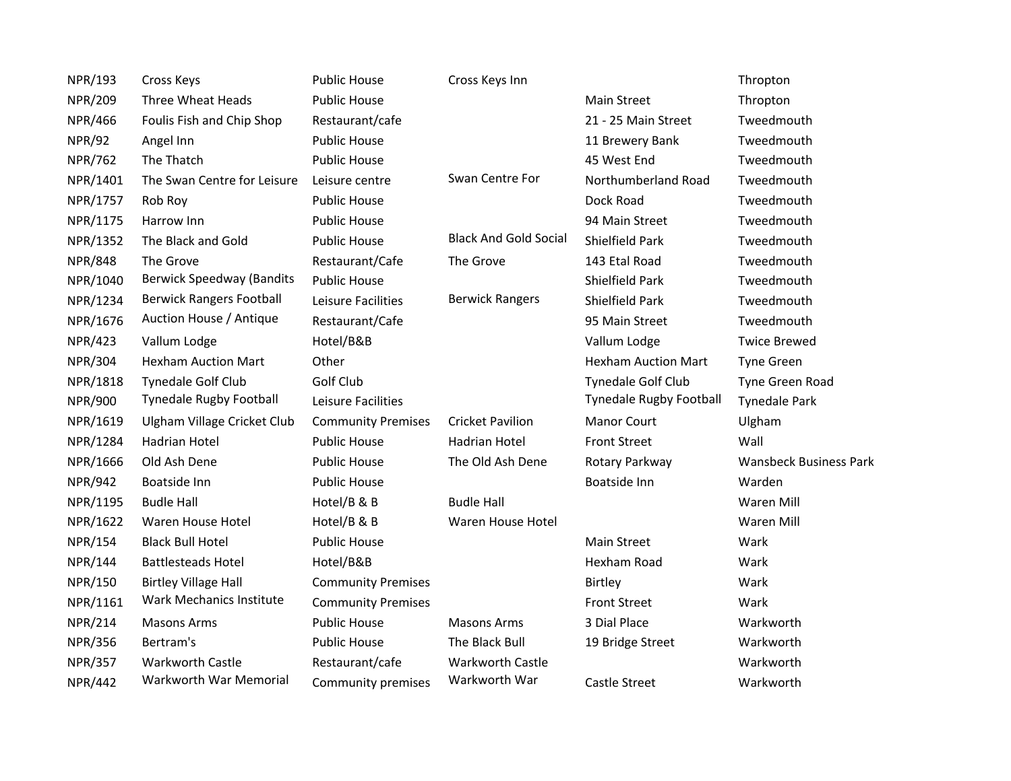| <b>NPR/193</b> | Cross Keys                       | <b>Public House</b>       | Cross Keys Inn               |                                | Thropton                      |
|----------------|----------------------------------|---------------------------|------------------------------|--------------------------------|-------------------------------|
| <b>NPR/209</b> | Three Wheat Heads                | <b>Public House</b>       |                              | <b>Main Street</b>             | Thropton                      |
| <b>NPR/466</b> | Foulis Fish and Chip Shop        | Restaurant/cafe           |                              | 21 - 25 Main Street            | Tweedmouth                    |
| <b>NPR/92</b>  | Angel Inn                        | <b>Public House</b>       |                              | 11 Brewery Bank                | Tweedmouth                    |
| <b>NPR/762</b> | The Thatch                       | <b>Public House</b>       |                              | 45 West End                    | Tweedmouth                    |
| NPR/1401       | The Swan Centre for Leisure      | Leisure centre            | Swan Centre For              | Northumberland Road            | Tweedmouth                    |
| NPR/1757       | Rob Roy                          | <b>Public House</b>       |                              | Dock Road                      | Tweedmouth                    |
| NPR/1175       | Harrow Inn                       | <b>Public House</b>       |                              | 94 Main Street                 | Tweedmouth                    |
| NPR/1352       | The Black and Gold               | <b>Public House</b>       | <b>Black And Gold Social</b> | Shielfield Park                | Tweedmouth                    |
| <b>NPR/848</b> | The Grove                        | Restaurant/Cafe           | The Grove                    | 143 Etal Road                  | Tweedmouth                    |
| NPR/1040       | <b>Berwick Speedway (Bandits</b> | <b>Public House</b>       |                              | Shielfield Park                | Tweedmouth                    |
| NPR/1234       | <b>Berwick Rangers Football</b>  | Leisure Facilities        | <b>Berwick Rangers</b>       | Shielfield Park                | Tweedmouth                    |
| NPR/1676       | Auction House / Antique          | Restaurant/Cafe           |                              | 95 Main Street                 | Tweedmouth                    |
| <b>NPR/423</b> | Vallum Lodge                     | Hotel/B&B                 |                              | Vallum Lodge                   | <b>Twice Brewed</b>           |
| <b>NPR/304</b> | <b>Hexham Auction Mart</b>       | Other                     |                              | <b>Hexham Auction Mart</b>     | <b>Tyne Green</b>             |
| NPR/1818       | <b>Tynedale Golf Club</b>        | Golf Club                 |                              | Tynedale Golf Club             | Tyne Green Road               |
| <b>NPR/900</b> | <b>Tynedale Rugby Football</b>   | Leisure Facilities        |                              | <b>Tynedale Rugby Football</b> | <b>Tynedale Park</b>          |
| NPR/1619       | Ulgham Village Cricket Club      | <b>Community Premises</b> | <b>Cricket Pavilion</b>      | <b>Manor Court</b>             | Ulgham                        |
| NPR/1284       | <b>Hadrian Hotel</b>             | <b>Public House</b>       | <b>Hadrian Hotel</b>         | <b>Front Street</b>            | Wall                          |
| NPR/1666       | Old Ash Dene                     | <b>Public House</b>       | The Old Ash Dene             | Rotary Parkway                 | <b>Wansbeck Business Park</b> |
| <b>NPR/942</b> | Boatside Inn                     | <b>Public House</b>       |                              | <b>Boatside Inn</b>            | Warden                        |
| NPR/1195       | <b>Budle Hall</b>                | Hotel/B & B               | <b>Budle Hall</b>            |                                | Waren Mill                    |
| NPR/1622       | Waren House Hotel                | Hotel/B & B               | Waren House Hotel            |                                | Waren Mill                    |
| <b>NPR/154</b> | <b>Black Bull Hotel</b>          | <b>Public House</b>       |                              | <b>Main Street</b>             | Wark                          |
| <b>NPR/144</b> | <b>Battlesteads Hotel</b>        | Hotel/B&B                 |                              | Hexham Road                    | Wark                          |
| NPR/150        | <b>Birtley Village Hall</b>      | <b>Community Premises</b> |                              | Birtley                        | Wark                          |
| NPR/1161       | Wark Mechanics Institute         | <b>Community Premises</b> |                              | <b>Front Street</b>            | Wark                          |
| <b>NPR/214</b> | <b>Masons Arms</b>               | <b>Public House</b>       | <b>Masons Arms</b>           | 3 Dial Place                   | Warkworth                     |
| <b>NPR/356</b> | Bertram's                        | <b>Public House</b>       | The Black Bull               | 19 Bridge Street               | Warkworth                     |
| <b>NPR/357</b> | Warkworth Castle                 | Restaurant/cafe           | Warkworth Castle             |                                | Warkworth                     |
| <b>NPR/442</b> | Warkworth War Memorial           | Community premises        | Warkworth War                | <b>Castle Street</b>           | Warkworth                     |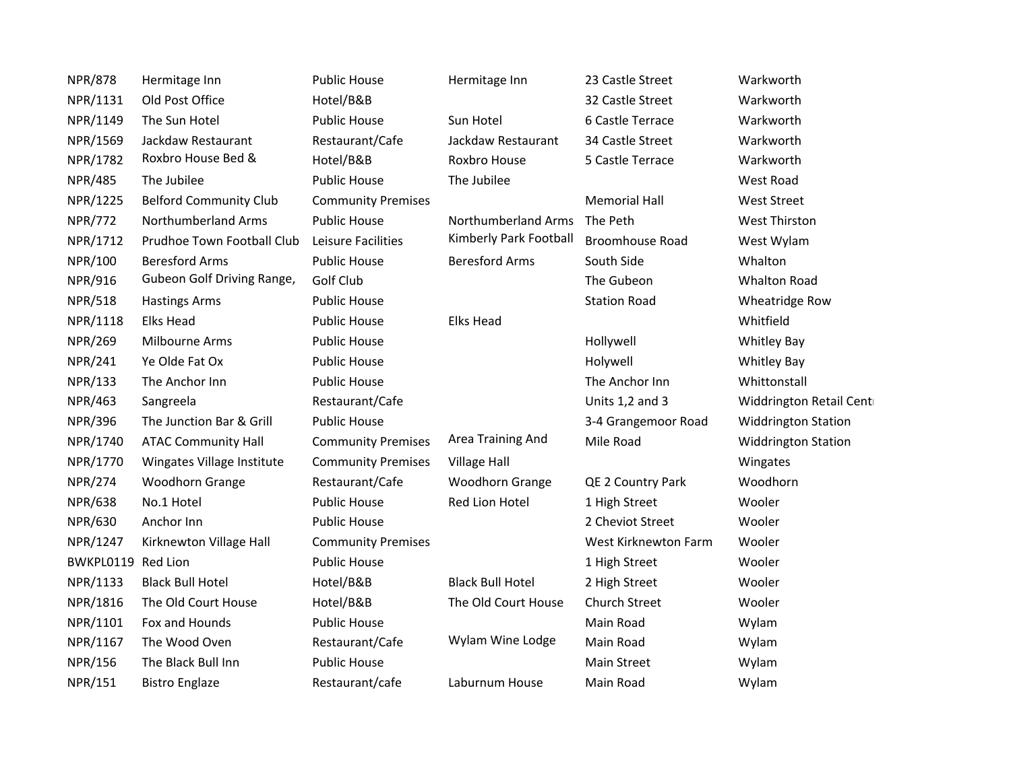| <b>NPR/878</b>     | Hermitage Inn                 | <b>Public House</b>       | Hermitage Inn           | 23 Castle Street     | Warkworth                  |
|--------------------|-------------------------------|---------------------------|-------------------------|----------------------|----------------------------|
| NPR/1131           | Old Post Office               | Hotel/B&B                 |                         | 32 Castle Street     | Warkworth                  |
| NPR/1149           | The Sun Hotel                 | <b>Public House</b>       | Sun Hotel               | 6 Castle Terrace     | Warkworth                  |
| NPR/1569           | Jackdaw Restaurant            | Restaurant/Cafe           | Jackdaw Restaurant      | 34 Castle Street     | Warkworth                  |
| NPR/1782           | Roxbro House Bed &            | Hotel/B&B                 | Roxbro House            | 5 Castle Terrace     | Warkworth                  |
| <b>NPR/485</b>     | The Jubilee                   | <b>Public House</b>       | The Jubilee             |                      | West Road                  |
| NPR/1225           | <b>Belford Community Club</b> | <b>Community Premises</b> |                         | <b>Memorial Hall</b> | <b>West Street</b>         |
| <b>NPR/772</b>     | Northumberland Arms           | <b>Public House</b>       | Northumberland Arms     | The Peth             | <b>West Thirston</b>       |
| NPR/1712           | Prudhoe Town Football Club    | Leisure Facilities        | Kimberly Park Football  | Broomhouse Road      | West Wylam                 |
| NPR/100            | <b>Beresford Arms</b>         | <b>Public House</b>       | <b>Beresford Arms</b>   | South Side           | Whalton                    |
| <b>NPR/916</b>     | Gubeon Golf Driving Range,    | Golf Club                 |                         | The Gubeon           | <b>Whalton Road</b>        |
| <b>NPR/518</b>     | <b>Hastings Arms</b>          | <b>Public House</b>       |                         | <b>Station Road</b>  | Wheatridge Row             |
| NPR/1118           | <b>Elks Head</b>              | <b>Public House</b>       | <b>Elks Head</b>        |                      | Whitfield                  |
| <b>NPR/269</b>     | Milbourne Arms                | <b>Public House</b>       |                         | Hollywell            | <b>Whitley Bay</b>         |
| <b>NPR/241</b>     | Ye Olde Fat Ox                | <b>Public House</b>       |                         | Holywell             | <b>Whitley Bay</b>         |
| <b>NPR/133</b>     | The Anchor Inn                | <b>Public House</b>       |                         | The Anchor Inn       | Whittonstall               |
| <b>NPR/463</b>     | Sangreela                     | Restaurant/Cafe           |                         | Units 1,2 and 3      | Widdrington Retail Cent    |
| <b>NPR/396</b>     | The Junction Bar & Grill      | <b>Public House</b>       |                         | 3-4 Grangemoor Road  | <b>Widdrington Station</b> |
| NPR/1740           | <b>ATAC Community Hall</b>    | <b>Community Premises</b> | Area Training And       | Mile Road            | <b>Widdrington Station</b> |
| NPR/1770           | Wingates Village Institute    | <b>Community Premises</b> | <b>Village Hall</b>     |                      | Wingates                   |
| <b>NPR/274</b>     | Woodhorn Grange               | Restaurant/Cafe           | Woodhorn Grange         | QE 2 Country Park    | Woodhorn                   |
| <b>NPR/638</b>     | No.1 Hotel                    | <b>Public House</b>       | Red Lion Hotel          | 1 High Street        | Wooler                     |
| <b>NPR/630</b>     | Anchor Inn                    | <b>Public House</b>       |                         | 2 Cheviot Street     | Wooler                     |
| NPR/1247           | Kirknewton Village Hall       | <b>Community Premises</b> |                         | West Kirknewton Farm | Wooler                     |
| BWKPL0119 Red Lion |                               | <b>Public House</b>       |                         | 1 High Street        | Wooler                     |
| NPR/1133           | <b>Black Bull Hotel</b>       | Hotel/B&B                 | <b>Black Bull Hotel</b> | 2 High Street        | Wooler                     |
| NPR/1816           | The Old Court House           | Hotel/B&B                 | The Old Court House     | Church Street        | Wooler                     |
| NPR/1101           | Fox and Hounds                | <b>Public House</b>       |                         | Main Road            | Wylam                      |
| NPR/1167           | The Wood Oven                 | Restaurant/Cafe           | Wylam Wine Lodge        | Main Road            | Wylam                      |
| NPR/156            | The Black Bull Inn            | <b>Public House</b>       |                         | <b>Main Street</b>   | Wylam                      |
| NPR/151            | <b>Bistro Englaze</b>         | Restaurant/cafe           | Laburnum House          | Main Road            | Wylam                      |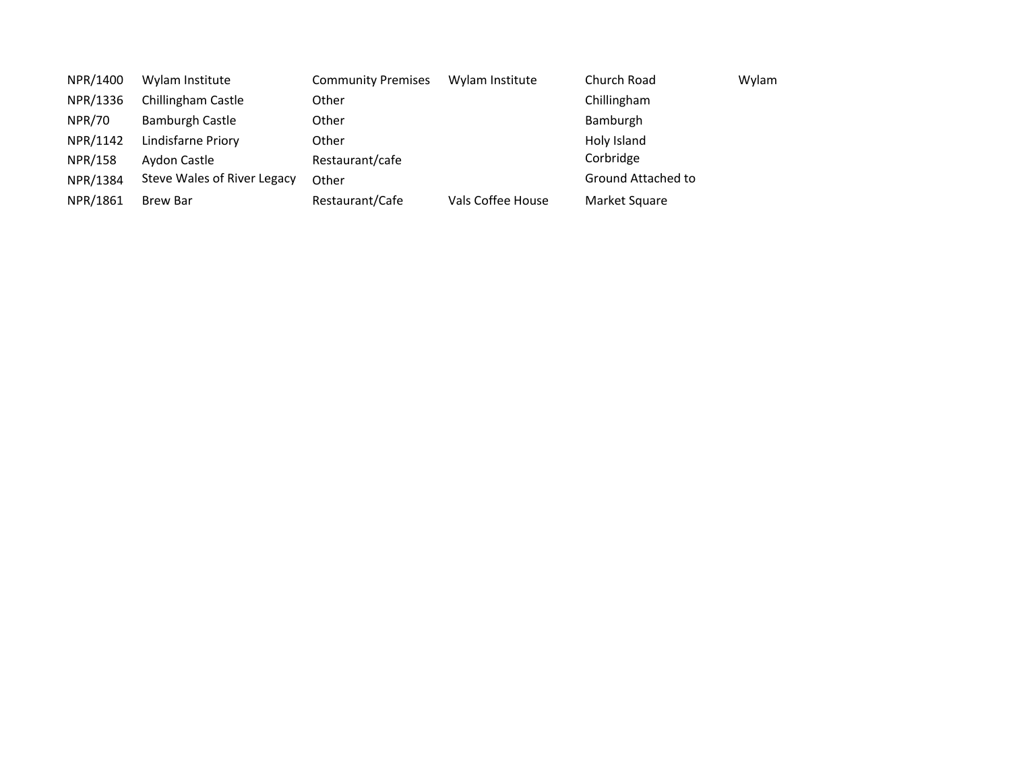| NPR/1400      | Wylam Institute             | <b>Community Premises</b> | Wylam Institute   | Church Road        | Wylam |
|---------------|-----------------------------|---------------------------|-------------------|--------------------|-------|
| NPR/1336      | Chillingham Castle          | Other                     |                   | Chillingham        |       |
| <b>NPR/70</b> | Bamburgh Castle             | Other                     |                   | Bamburgh           |       |
| NPR/1142      | Lindisfarne Priory          | Other                     |                   | Holy Island        |       |
| NPR/158       | Aydon Castle                | Restaurant/cafe           |                   | Corbridge          |       |
| NPR/1384      | Steve Wales of River Legacy | Other                     |                   | Ground Attached to |       |
| NPR/1861      | <b>Brew Bar</b>             | Restaurant/Cafe           | Vals Coffee House | Market Square      |       |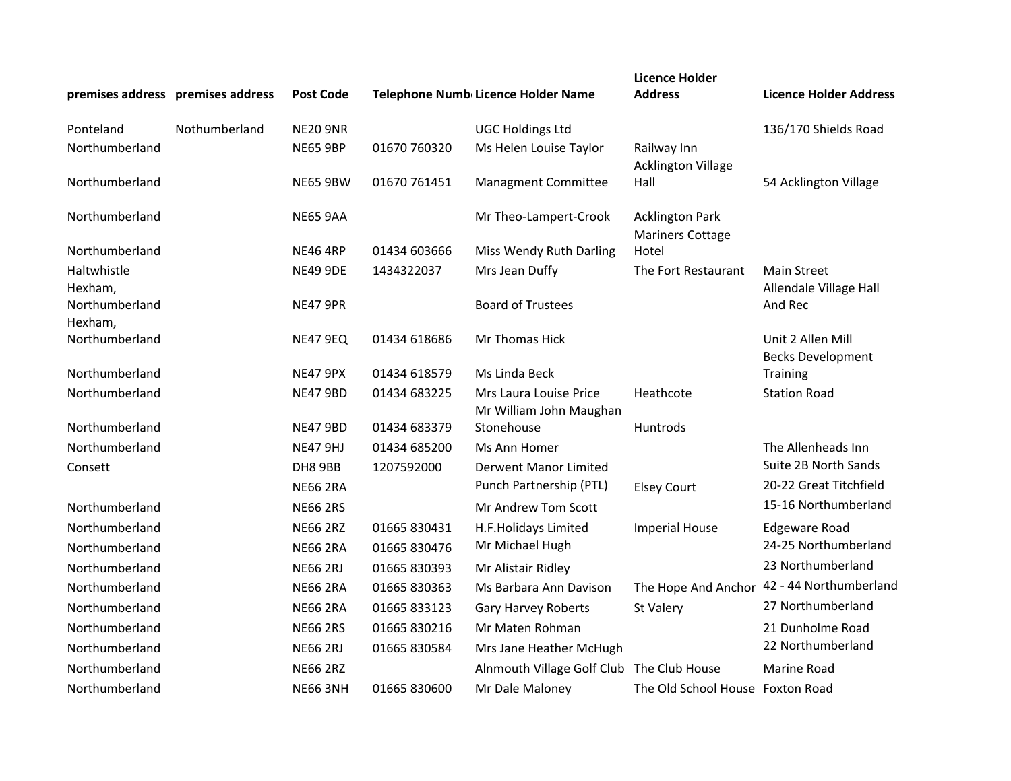|                           | premises address premises address | <b>Post Code</b> |              | Telephone Numb Licence Holder Name                | <b>Licence Holder</b><br><b>Address</b>           | <b>Licence Holder Address</b>                 |
|---------------------------|-----------------------------------|------------------|--------------|---------------------------------------------------|---------------------------------------------------|-----------------------------------------------|
| Ponteland                 | Nothumberland                     | <b>NE20 9NR</b>  |              | <b>UGC Holdings Ltd</b>                           |                                                   | 136/170 Shields Road                          |
| Northumberland            |                                   | <b>NE65 9BP</b>  | 01670 760320 | Ms Helen Louise Taylor                            | Railway Inn                                       |                                               |
| Northumberland            |                                   | <b>NE65 9BW</b>  | 01670 761451 | <b>Managment Committee</b>                        | <b>Acklington Village</b><br>Hall                 | 54 Acklington Village                         |
| Northumberland            |                                   | <b>NE65 9AA</b>  |              | Mr Theo-Lampert-Crook                             | <b>Acklington Park</b><br><b>Mariners Cottage</b> |                                               |
| Northumberland            |                                   | <b>NE46 4RP</b>  | 01434 603666 | Miss Wendy Ruth Darling                           | Hotel                                             |                                               |
| Haltwhistle<br>Hexham,    |                                   | <b>NE49 9DE</b>  | 1434322037   | Mrs Jean Duffy                                    | The Fort Restaurant                               | <b>Main Street</b><br>Allendale Village Hall  |
| Northumberland<br>Hexham, |                                   | <b>NE47 9PR</b>  |              | <b>Board of Trustees</b>                          |                                                   | And Rec                                       |
| Northumberland            |                                   | <b>NE47 9EQ</b>  | 01434 618686 | Mr Thomas Hick                                    |                                                   | Unit 2 Allen Mill<br><b>Becks Development</b> |
| Northumberland            |                                   | <b>NE47 9PX</b>  | 01434 618579 | Ms Linda Beck                                     |                                                   | <b>Training</b>                               |
| Northumberland            |                                   | <b>NE47 9BD</b>  | 01434 683225 | Mrs Laura Louise Price<br>Mr William John Maughan | Heathcote                                         | <b>Station Road</b>                           |
| Northumberland            |                                   | <b>NE47 9BD</b>  | 01434 683379 | Stonehouse                                        | Huntrods                                          |                                               |
| Northumberland            |                                   | <b>NE47 9HJ</b>  | 01434 685200 | Ms Ann Homer                                      |                                                   | The Allenheads Inn                            |
| Consett                   |                                   | DH8 9BB          | 1207592000   | <b>Derwent Manor Limited</b>                      |                                                   | Suite 2B North Sands                          |
|                           |                                   | <b>NE66 2RA</b>  |              | Punch Partnership (PTL)                           | <b>Elsey Court</b>                                | 20-22 Great Titchfield                        |
| Northumberland            |                                   | <b>NE66 2RS</b>  |              | Mr Andrew Tom Scott                               |                                                   | 15-16 Northumberland                          |
| Northumberland            |                                   | <b>NE66 2RZ</b>  | 01665 830431 | H.F.Holidays Limited                              | <b>Imperial House</b>                             | <b>Edgeware Road</b>                          |
| Northumberland            |                                   | <b>NE66 2RA</b>  | 01665 830476 | Mr Michael Hugh                                   |                                                   | 24-25 Northumberland                          |
| Northumberland            |                                   | <b>NE66 2RJ</b>  | 01665 830393 | Mr Alistair Ridley                                |                                                   | 23 Northumberland                             |
| Northumberland            |                                   | <b>NE66 2RA</b>  | 01665 830363 | Ms Barbara Ann Davison                            | The Hope And Anchor                               | 42 - 44 Northumberland                        |
| Northumberland            |                                   | <b>NE66 2RA</b>  | 01665 833123 | Gary Harvey Roberts                               | St Valery                                         | 27 Northumberland                             |
| Northumberland            |                                   | <b>NE66 2RS</b>  | 01665 830216 | Mr Maten Rohman                                   |                                                   | 21 Dunholme Road                              |
| Northumberland            |                                   | <b>NE66 2RJ</b>  | 01665 830584 | Mrs Jane Heather McHugh                           |                                                   | 22 Northumberland                             |
| Northumberland            |                                   | <b>NE66 2RZ</b>  |              | Alnmouth Village Golf Club The Club House         |                                                   | Marine Road                                   |
| Northumberland            |                                   | <b>NE66 3NH</b>  | 01665 830600 | Mr Dale Maloney                                   | The Old School House Foxton Road                  |                                               |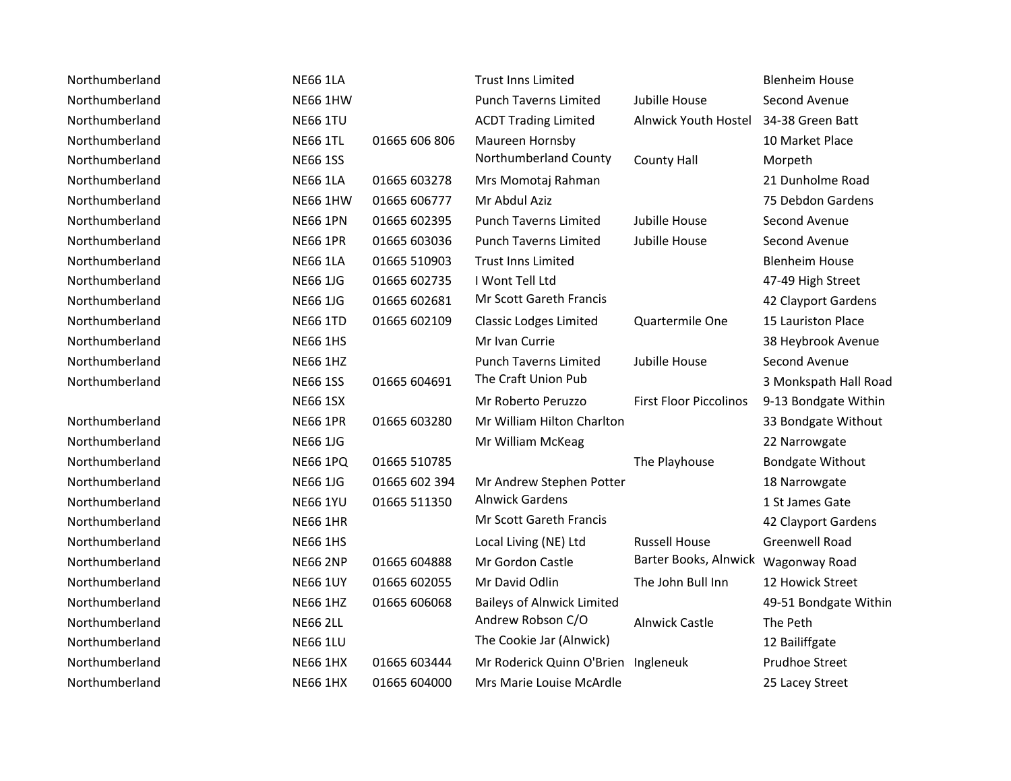| Northumberland | <b>NE66 1LA</b> |               | <b>Trust Inns Limited</b>           |                                     | <b>Blenheim House</b>   |
|----------------|-----------------|---------------|-------------------------------------|-------------------------------------|-------------------------|
| Northumberland | <b>NE66 1HW</b> |               | <b>Punch Taverns Limited</b>        | Jubille House                       | Second Avenue           |
| Northumberland | <b>NE66 1TU</b> |               | <b>ACDT Trading Limited</b>         | Alnwick Youth Hostel                | 34-38 Green Batt        |
| Northumberland | <b>NE66 1TL</b> | 01665 606 806 | Maureen Hornsby                     |                                     | 10 Market Place         |
| Northumberland | <b>NE66 1SS</b> |               | Northumberland County               | <b>County Hall</b>                  | Morpeth                 |
| Northumberland | <b>NE66 1LA</b> | 01665 603278  | Mrs Momotaj Rahman                  |                                     | 21 Dunholme Road        |
| Northumberland | <b>NE66 1HW</b> | 01665 606777  | Mr Abdul Aziz                       |                                     | 75 Debdon Gardens       |
| Northumberland | <b>NE66 1PN</b> | 01665 602395  | <b>Punch Taverns Limited</b>        | Jubille House                       | Second Avenue           |
| Northumberland | <b>NE66 1PR</b> | 01665 603036  | <b>Punch Taverns Limited</b>        | Jubille House                       | Second Avenue           |
| Northumberland | <b>NE66 1LA</b> | 01665 510903  | <b>Trust Inns Limited</b>           |                                     | <b>Blenheim House</b>   |
| Northumberland | <b>NE66 1JG</b> | 01665 602735  | I Wont Tell Ltd                     |                                     | 47-49 High Street       |
| Northumberland | <b>NE66 1JG</b> | 01665 602681  | Mr Scott Gareth Francis             |                                     | 42 Clayport Gardens     |
| Northumberland | <b>NE66 1TD</b> | 01665 602109  | <b>Classic Lodges Limited</b>       | Quartermile One                     | 15 Lauriston Place      |
| Northumberland | <b>NE66 1HS</b> |               | Mr Ivan Currie                      |                                     | 38 Heybrook Avenue      |
| Northumberland | <b>NE66 1HZ</b> |               | <b>Punch Taverns Limited</b>        | Jubille House                       | Second Avenue           |
| Northumberland | <b>NE66 1SS</b> | 01665 604691  | The Craft Union Pub                 |                                     | 3 Monkspath Hall Road   |
|                | <b>NE66 1SX</b> |               | Mr Roberto Peruzzo                  | <b>First Floor Piccolinos</b>       | 9-13 Bondgate Within    |
| Northumberland | <b>NE66 1PR</b> | 01665 603280  | Mr William Hilton Charlton          |                                     | 33 Bondgate Without     |
| Northumberland | <b>NE66 1JG</b> |               | Mr William McKeag                   |                                     | 22 Narrowgate           |
| Northumberland | <b>NE66 1PQ</b> | 01665 510785  |                                     | The Playhouse                       | <b>Bondgate Without</b> |
| Northumberland | <b>NE66 1JG</b> | 01665 602 394 | Mr Andrew Stephen Potter            |                                     | 18 Narrowgate           |
| Northumberland | <b>NE66 1YU</b> | 01665 511350  | <b>Alnwick Gardens</b>              |                                     | 1 St James Gate         |
| Northumberland | <b>NE66 1HR</b> |               | Mr Scott Gareth Francis             |                                     | 42 Clayport Gardens     |
| Northumberland | <b>NE66 1HS</b> |               | Local Living (NE) Ltd               | <b>Russell House</b>                | <b>Greenwell Road</b>   |
| Northumberland | <b>NE66 2NP</b> | 01665 604888  | Mr Gordon Castle                    | Barter Books, Alnwick Wagonway Road |                         |
| Northumberland | <b>NE66 1UY</b> | 01665 602055  | Mr David Odlin                      | The John Bull Inn                   | 12 Howick Street        |
| Northumberland | <b>NE66 1HZ</b> | 01665 606068  | <b>Baileys of Alnwick Limited</b>   |                                     | 49-51 Bondgate Within   |
| Northumberland | <b>NE66 2LL</b> |               | Andrew Robson C/O                   | <b>Alnwick Castle</b>               | The Peth                |
| Northumberland | <b>NE66 1LU</b> |               | The Cookie Jar (Alnwick)            |                                     | 12 Bailiffgate          |
| Northumberland | <b>NE66 1HX</b> | 01665 603444  | Mr Roderick Quinn O'Brien Ingleneuk |                                     | Prudhoe Street          |
| Northumberland | <b>NE66 1HX</b> | 01665 604000  | Mrs Marie Louise McArdle            |                                     | 25 Lacey Street         |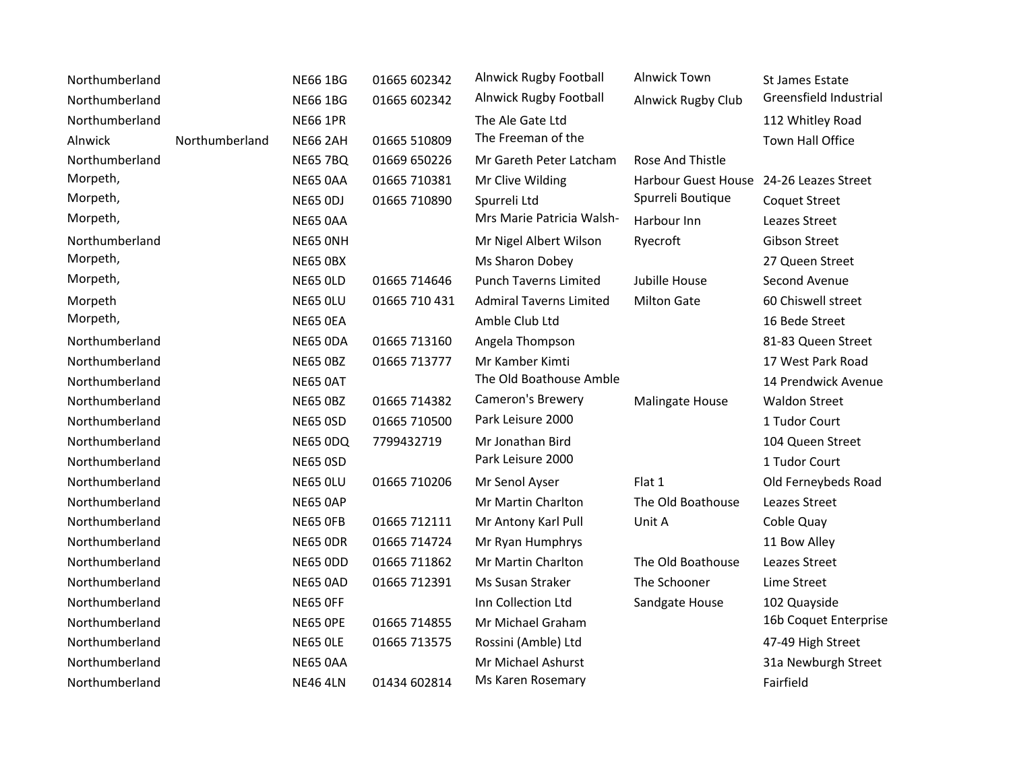| Northumberland |                | <b>NE66 1BG</b> | 01665 602342  | <b>Alnwick Rugby Football</b>  | <b>Alnwick Town</b>                     | <b>St James Estate</b>  |
|----------------|----------------|-----------------|---------------|--------------------------------|-----------------------------------------|-------------------------|
| Northumberland |                | <b>NE66 1BG</b> | 01665 602342  | Alnwick Rugby Football         | Alnwick Rugby Club                      | Greensfield Industrial  |
| Northumberland |                | <b>NE66 1PR</b> |               | The Ale Gate Ltd               |                                         | 112 Whitley Road        |
| Alnwick        | Northumberland | <b>NE66 2AH</b> | 01665 510809  | The Freeman of the             |                                         | <b>Town Hall Office</b> |
| Northumberland |                | <b>NE65 7BQ</b> | 01669 650226  | Mr Gareth Peter Latcham        | Rose And Thistle                        |                         |
| Morpeth,       |                | <b>NE65 0AA</b> | 01665 710381  | Mr Clive Wilding               | Harbour Guest House 24-26 Leazes Street |                         |
| Morpeth,       |                | <b>NE65 ODJ</b> | 01665 710890  | Spurreli Ltd                   | Spurreli Boutique                       | <b>Coquet Street</b>    |
| Morpeth,       |                | <b>NE65 0AA</b> |               | Mrs Marie Patricia Walsh-      | Harbour Inn                             | Leazes Street           |
| Northumberland |                | NE65 ONH        |               | Mr Nigel Albert Wilson         | Ryecroft                                | Gibson Street           |
| Morpeth,       |                | <b>NE65 OBX</b> |               | Ms Sharon Dobey                |                                         | 27 Queen Street         |
| Morpeth,       |                | <b>NE65 OLD</b> | 01665 714646  | <b>Punch Taverns Limited</b>   | Jubille House                           | Second Avenue           |
| Morpeth        |                | NE65 OLU        | 01665 710 431 | <b>Admiral Taverns Limited</b> | <b>Milton Gate</b>                      | 60 Chiswell street      |
| Morpeth,       |                | NE65 OEA        |               | Amble Club Ltd                 |                                         | 16 Bede Street          |
| Northumberland |                | <b>NE65 ODA</b> | 01665 713160  | Angela Thompson                |                                         | 81-83 Queen Street      |
| Northumberland |                | <b>NE65 OBZ</b> | 01665 713777  | Mr Kamber Kimti                |                                         | 17 West Park Road       |
| Northumberland |                | <b>NE65 0AT</b> |               | The Old Boathouse Amble        |                                         | 14 Prendwick Avenue     |
| Northumberland |                | <b>NE65 OBZ</b> | 01665 714382  | Cameron's Brewery              | <b>Malingate House</b>                  | <b>Waldon Street</b>    |
| Northumberland |                | <b>NE65 OSD</b> | 01665 710500  | Park Leisure 2000              |                                         | 1 Tudor Court           |
| Northumberland |                | NE65 ODQ        | 7799432719    | Mr Jonathan Bird               |                                         | 104 Queen Street        |
| Northumberland |                | <b>NE65 OSD</b> |               | Park Leisure 2000              |                                         | 1 Tudor Court           |
| Northumberland |                | <b>NE65 OLU</b> | 01665 710206  | Mr Senol Ayser                 | Flat 1                                  | Old Ferneybeds Road     |
| Northumberland |                | <b>NE65 0AP</b> |               | Mr Martin Charlton             | The Old Boathouse                       | Leazes Street           |
| Northumberland |                | NE65 OFB        | 01665 712111  | Mr Antony Karl Pull            | Unit A                                  | Coble Quay              |
| Northumberland |                | <b>NE65 ODR</b> | 01665 714724  | Mr Ryan Humphrys               |                                         | 11 Bow Alley            |
| Northumberland |                | <b>NE65 ODD</b> | 01665 711862  | Mr Martin Charlton             | The Old Boathouse                       | Leazes Street           |
| Northumberland |                | <b>NE65 0AD</b> | 01665 712391  | Ms Susan Straker               | The Schooner                            | Lime Street             |
| Northumberland |                | NE65 OFF        |               | Inn Collection Ltd             | Sandgate House                          | 102 Quayside            |
| Northumberland |                | <b>NE65 OPE</b> | 01665 714855  | Mr Michael Graham              |                                         | 16b Coquet Enterprise   |
| Northumberland |                | <b>NE65 OLE</b> | 01665 713575  | Rossini (Amble) Ltd            |                                         | 47-49 High Street       |
| Northumberland |                | <b>NE65 0AA</b> |               | Mr Michael Ashurst             |                                         | 31a Newburgh Street     |
| Northumberland |                | <b>NE46 4LN</b> | 01434 602814  | Ms Karen Rosemary              |                                         | Fairfield               |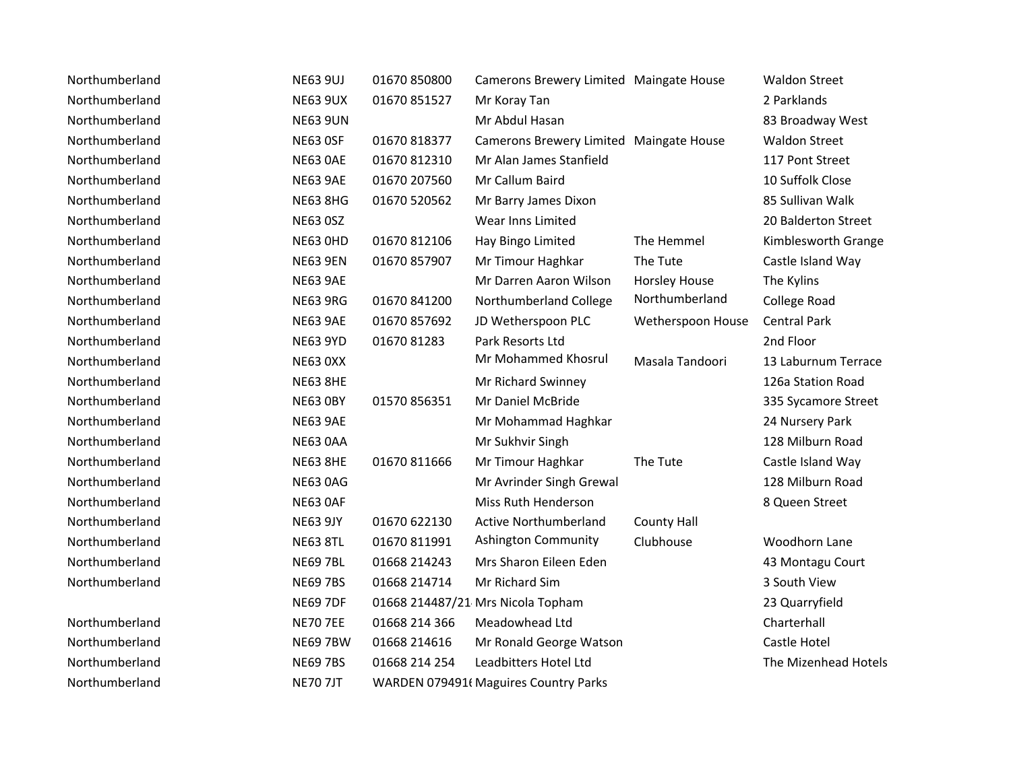| Northumberland | <b>NE63 9UJ</b> | 01670 850800  | Camerons Brewery Limited Maingate House |                      | <b>Waldon Street</b> |
|----------------|-----------------|---------------|-----------------------------------------|----------------------|----------------------|
| Northumberland | <b>NE63 9UX</b> | 01670 851527  | Mr Koray Tan                            |                      | 2 Parklands          |
| Northumberland | <b>NE63 9UN</b> |               | Mr Abdul Hasan                          |                      | 83 Broadway West     |
| Northumberland | <b>NE63 OSF</b> | 01670 818377  | Camerons Brewery Limited Maingate House |                      | <b>Waldon Street</b> |
| Northumberland | <b>NE63 OAE</b> | 01670 812310  | Mr Alan James Stanfield                 |                      | 117 Pont Street      |
| Northumberland | <b>NE63 9AE</b> | 01670 207560  | Mr Callum Baird                         |                      | 10 Suffolk Close     |
| Northumberland | <b>NE63 8HG</b> | 01670 520562  | Mr Barry James Dixon                    |                      | 85 Sullivan Walk     |
| Northumberland | <b>NE63 0SZ</b> |               | Wear Inns Limited                       |                      | 20 Balderton Street  |
| Northumberland | <b>NE63 OHD</b> | 01670 812106  | Hay Bingo Limited                       | The Hemmel           | Kimblesworth Grange  |
| Northumberland | <b>NE63 9EN</b> | 01670 857907  | Mr Timour Haghkar                       | The Tute             | Castle Island Way    |
| Northumberland | <b>NE63 9AE</b> |               | Mr Darren Aaron Wilson                  | <b>Horsley House</b> | The Kylins           |
| Northumberland | <b>NE63 9RG</b> | 01670 841200  | Northumberland College                  | Northumberland       | College Road         |
| Northumberland | <b>NE63 9AE</b> | 01670 857692  | JD Wetherspoon PLC                      | Wetherspoon House    | <b>Central Park</b>  |
| Northumberland | <b>NE63 9YD</b> | 01670 81283   | Park Resorts Ltd                        |                      | 2nd Floor            |
| Northumberland | <b>NE63 0XX</b> |               | Mr Mohammed Khosrul                     | Masala Tandoori      | 13 Laburnum Terrace  |
| Northumberland | <b>NE63 8HE</b> |               | Mr Richard Swinney                      |                      | 126a Station Road    |
| Northumberland | <b>NE63 OBY</b> | 01570 856351  | Mr Daniel McBride                       |                      | 335 Sycamore Street  |
| Northumberland | <b>NE63 9AE</b> |               | Mr Mohammad Haghkar                     |                      | 24 Nursery Park      |
| Northumberland | <b>NE63 0AA</b> |               | Mr Sukhvir Singh                        |                      | 128 Milburn Road     |
| Northumberland | <b>NE63 8HE</b> | 01670 811666  | Mr Timour Haghkar                       | The Tute             | Castle Island Way    |
| Northumberland | <b>NE63 0AG</b> |               | Mr Avrinder Singh Grewal                |                      | 128 Milburn Road     |
| Northumberland | NE63 OAF        |               | Miss Ruth Henderson                     |                      | 8 Queen Street       |
| Northumberland | <b>NE63 9JY</b> | 01670 622130  | Active Northumberland                   | <b>County Hall</b>   |                      |
| Northumberland | <b>NE63 8TL</b> | 01670 811991  | Ashington Community                     | Clubhouse            | Woodhorn Lane        |
| Northumberland | <b>NE69 7BL</b> | 01668 214243  | Mrs Sharon Eileen Eden                  |                      | 43 Montagu Court     |
| Northumberland | <b>NE69 7BS</b> | 01668 214714  | Mr Richard Sim                          |                      | 3 South View         |
|                | <b>NE69 7DF</b> |               | 01668 214487/21 Mrs Nicola Topham       |                      | 23 Quarryfield       |
| Northumberland | <b>NE70 7EE</b> | 01668 214 366 | Meadowhead Ltd                          |                      | Charterhall          |
| Northumberland | <b>NE69 7BW</b> | 01668 214616  | Mr Ronald George Watson                 |                      | Castle Hotel         |
| Northumberland | <b>NE69 7BS</b> | 01668 214 254 | Leadbitters Hotel Ltd                   |                      | The Mizenhead Hotels |
| Northumberland | <b>NE70 7JT</b> |               | WARDEN 079491 Maguires Country Parks    |                      |                      |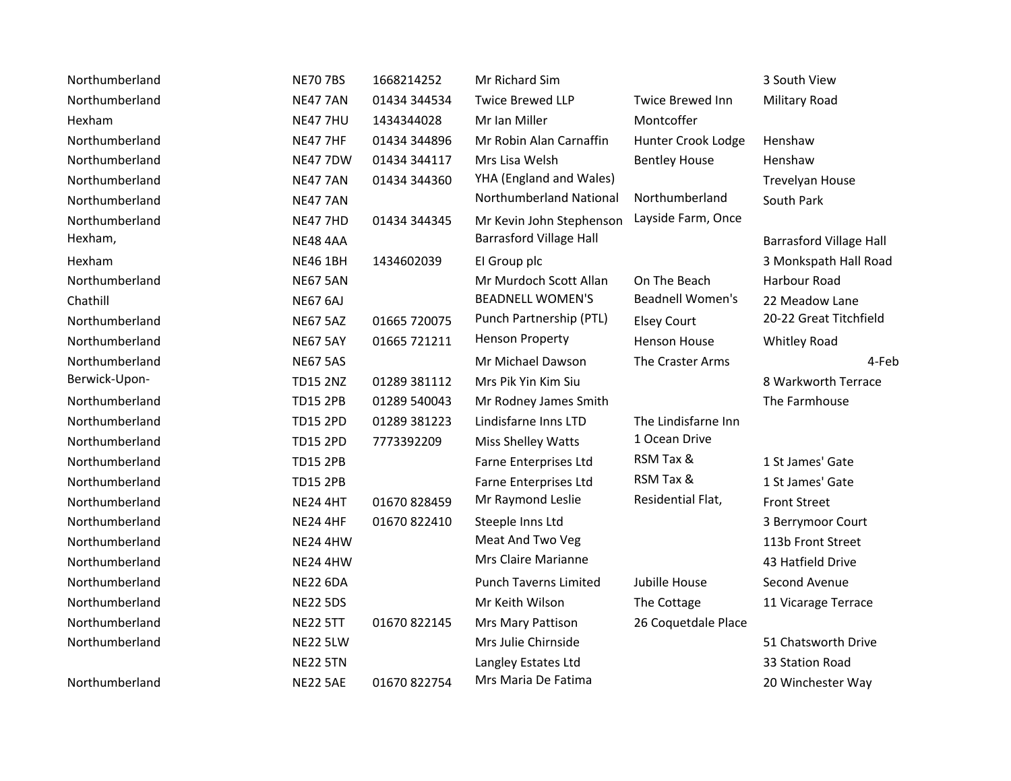| Northumberland | <b>NE70 7BS</b> | 1668214252   | Mr Richard Sim                 |                         | 3 South View                   |
|----------------|-----------------|--------------|--------------------------------|-------------------------|--------------------------------|
| Northumberland | <b>NE47 7AN</b> | 01434 344534 | <b>Twice Brewed LLP</b>        | <b>Twice Brewed Inn</b> | <b>Military Road</b>           |
| Hexham         | <b>NE47 7HU</b> | 1434344028   | Mr Ian Miller                  | Montcoffer              |                                |
| Northumberland | <b>NE47 7HF</b> | 01434 344896 | Mr Robin Alan Carnaffin        | Hunter Crook Lodge      | Henshaw                        |
| Northumberland | <b>NE47 7DW</b> | 01434 344117 | Mrs Lisa Welsh                 | <b>Bentley House</b>    | Henshaw                        |
| Northumberland | <b>NE47 7AN</b> | 01434 344360 | YHA (England and Wales)        |                         | Trevelyan House                |
| Northumberland | <b>NE47 7AN</b> |              | Northumberland National        | Northumberland          | South Park                     |
| Northumberland | <b>NE47 7HD</b> | 01434 344345 | Mr Kevin John Stephenson       | Layside Farm, Once      |                                |
| Hexham,        | <b>NE48 4AA</b> |              | <b>Barrasford Village Hall</b> |                         | <b>Barrasford Village Hall</b> |
| Hexham         | <b>NE46 1BH</b> | 1434602039   | El Group plc                   |                         | 3 Monkspath Hall Road          |
| Northumberland | <b>NE67 5AN</b> |              | Mr Murdoch Scott Allan         | On The Beach            | Harbour Road                   |
| Chathill       | <b>NE67 6AJ</b> |              | <b>BEADNELL WOMEN'S</b>        | <b>Beadnell Women's</b> | 22 Meadow Lane                 |
| Northumberland | <b>NE67 5AZ</b> | 01665 720075 | Punch Partnership (PTL)        | <b>Elsey Court</b>      | 20-22 Great Titchfield         |
| Northumberland | <b>NE67 5AY</b> | 01665 721211 | <b>Henson Property</b>         | <b>Henson House</b>     | Whitley Road                   |
| Northumberland | <b>NE67 5AS</b> |              | Mr Michael Dawson              | The Craster Arms        | 4-Feb                          |
| Berwick-Upon-  | <b>TD15 2NZ</b> | 01289 381112 | Mrs Pik Yin Kim Siu            |                         | 8 Warkworth Terrace            |
| Northumberland | <b>TD15 2PB</b> | 01289 540043 | Mr Rodney James Smith          |                         | The Farmhouse                  |
| Northumberland | <b>TD15 2PD</b> | 01289 381223 | Lindisfarne Inns LTD           | The Lindisfarne Inn     |                                |
| Northumberland | <b>TD15 2PD</b> | 7773392209   | Miss Shelley Watts             | 1 Ocean Drive           |                                |
| Northumberland | <b>TD15 2PB</b> |              | Farne Enterprises Ltd          | RSM Tax &               | 1 St James' Gate               |
| Northumberland | <b>TD15 2PB</b> |              | Farne Enterprises Ltd          | RSM Tax &               | 1 St James' Gate               |
| Northumberland | <b>NE24 4HT</b> | 01670 828459 | Mr Raymond Leslie              | Residential Flat,       | <b>Front Street</b>            |
| Northumberland | <b>NE24 4HF</b> | 01670 822410 | Steeple Inns Ltd               |                         | 3 Berrymoor Court              |
| Northumberland | <b>NE24 4HW</b> |              | Meat And Two Veg               |                         | 113b Front Street              |
| Northumberland | <b>NE24 4HW</b> |              | Mrs Claire Marianne            |                         | 43 Hatfield Drive              |
| Northumberland | <b>NE22 6DA</b> |              | <b>Punch Taverns Limited</b>   | Jubille House           | Second Avenue                  |
| Northumberland | <b>NE22 5DS</b> |              | Mr Keith Wilson                | The Cottage             | 11 Vicarage Terrace            |
| Northumberland | <b>NE22 5TT</b> | 01670 822145 | Mrs Mary Pattison              | 26 Coquetdale Place     |                                |
| Northumberland | <b>NE22 5LW</b> |              | Mrs Julie Chirnside            |                         | 51 Chatsworth Drive            |
|                | <b>NE22 5TN</b> |              | Langley Estates Ltd            |                         | 33 Station Road                |
| Northumberland | <b>NE22 5AE</b> | 01670 822754 | Mrs Maria De Fatima            |                         | 20 Winchester Way              |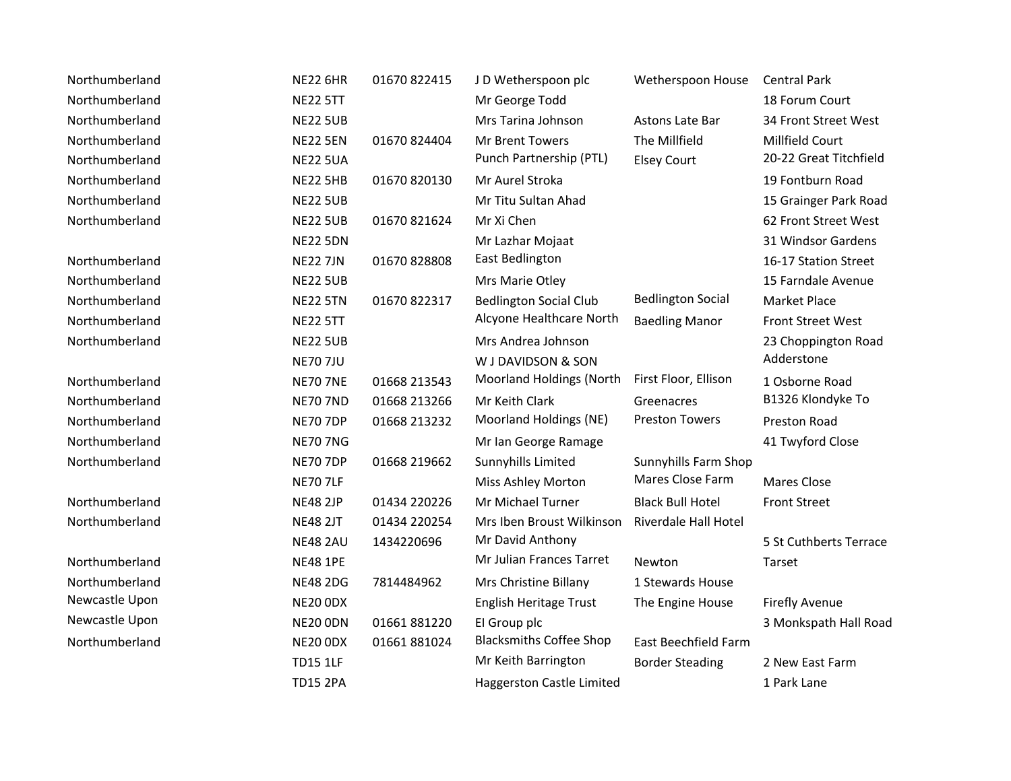| Northumberland | <b>NE22 6HR</b> | 01670 822415 | JD Wetherspoon plc             | Wetherspoon House        | <b>Central Park</b>      |
|----------------|-----------------|--------------|--------------------------------|--------------------------|--------------------------|
| Northumberland | <b>NE22 5TT</b> |              | Mr George Todd                 |                          | 18 Forum Court           |
| Northumberland | <b>NE22 5UB</b> |              | Mrs Tarina Johnson             | Astons Late Bar          | 34 Front Street West     |
| Northumberland | <b>NE22 5EN</b> | 01670 824404 | Mr Brent Towers                | The Millfield            | Millfield Court          |
| Northumberland | <b>NE22 5UA</b> |              | Punch Partnership (PTL)        | <b>Elsey Court</b>       | 20-22 Great Titchfield   |
| Northumberland | <b>NE22 5HB</b> | 01670 820130 | Mr Aurel Stroka                |                          | 19 Fontburn Road         |
| Northumberland | <b>NE22 5UB</b> |              | Mr Titu Sultan Ahad            |                          | 15 Grainger Park Road    |
| Northumberland | <b>NE22 5UB</b> | 01670 821624 | Mr Xi Chen                     |                          | 62 Front Street West     |
|                | <b>NE22 5DN</b> |              | Mr Lazhar Mojaat               |                          | 31 Windsor Gardens       |
| Northumberland | <b>NE22 7JN</b> | 01670 828808 | East Bedlington                |                          | 16-17 Station Street     |
| Northumberland | <b>NE22 5UB</b> |              | Mrs Marie Otley                |                          | 15 Farndale Avenue       |
| Northumberland | <b>NE22 5TN</b> | 01670 822317 | <b>Bedlington Social Club</b>  | <b>Bedlington Social</b> | Market Place             |
| Northumberland | <b>NE22 5TT</b> |              | Alcyone Healthcare North       | <b>Baedling Manor</b>    | <b>Front Street West</b> |
| Northumberland | <b>NE22 5UB</b> |              | Mrs Andrea Johnson             |                          | 23 Choppington Road      |
|                | <b>NE70 7JU</b> |              | W J DAVIDSON & SON             |                          | Adderstone               |
| Northumberland | <b>NE70 7NE</b> | 01668 213543 | Moorland Holdings (North       | First Floor, Ellison     | 1 Osborne Road           |
| Northumberland | <b>NE70 7ND</b> | 01668 213266 | Mr Keith Clark                 | Greenacres               | B1326 Klondyke To        |
| Northumberland | <b>NE70 7DP</b> | 01668 213232 | Moorland Holdings (NE)         | <b>Preston Towers</b>    | <b>Preston Road</b>      |
| Northumberland | <b>NE70 7NG</b> |              | Mr Ian George Ramage           |                          | 41 Twyford Close         |
| Northumberland | <b>NE70 7DP</b> | 01668 219662 | Sunnyhills Limited             | Sunnyhills Farm Shop     |                          |
|                | <b>NE70 7LF</b> |              | Miss Ashley Morton             | Mares Close Farm         | Mares Close              |
| Northumberland | <b>NE48 2JP</b> | 01434 220226 | Mr Michael Turner              | <b>Black Bull Hotel</b>  | <b>Front Street</b>      |
| Northumberland | <b>NE48 2JT</b> | 01434 220254 | Mrs Iben Broust Wilkinson      | Riverdale Hall Hotel     |                          |
|                | <b>NE48 2AU</b> | 1434220696   | Mr David Anthony               |                          | 5 St Cuthberts Terrace   |
| Northumberland | <b>NE48 1PE</b> |              | Mr Julian Frances Tarret       | Newton                   | Tarset                   |
| Northumberland | <b>NE48 2DG</b> | 7814484962   | Mrs Christine Billany          | 1 Stewards House         |                          |
| Newcastle Upon | <b>NE20 ODX</b> |              | English Heritage Trust         | The Engine House         | <b>Firefly Avenue</b>    |
| Newcastle Upon | <b>NE20 ODN</b> | 01661881220  | El Group plc                   |                          | 3 Monkspath Hall Road    |
| Northumberland | NE20 ODX        | 01661 881024 | <b>Blacksmiths Coffee Shop</b> | East Beechfield Farm     |                          |
|                | <b>TD15 1LF</b> |              | Mr Keith Barrington            | <b>Border Steading</b>   | 2 New East Farm          |
|                | <b>TD15 2PA</b> |              | Haggerston Castle Limited      |                          | 1 Park Lane              |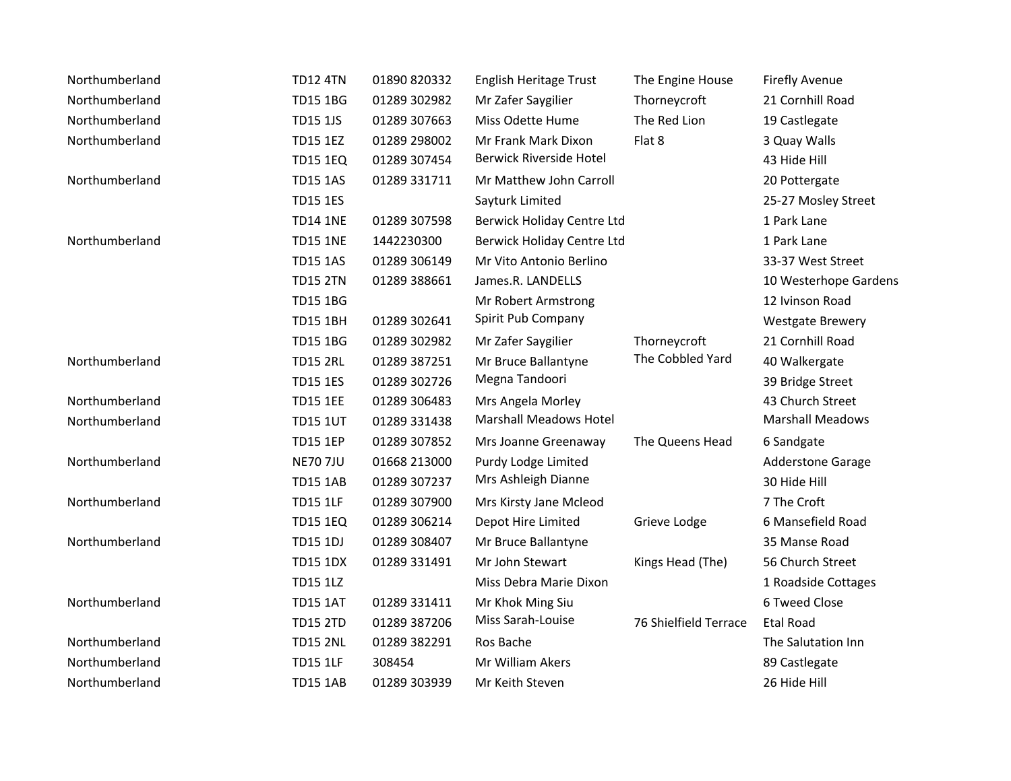| Northumberland | <b>TD12 4TN</b> | 01890 820332 | English Heritage Trust        | The Engine House      | <b>Firefly Avenue</b>    |
|----------------|-----------------|--------------|-------------------------------|-----------------------|--------------------------|
| Northumberland | <b>TD15 1BG</b> | 01289 302982 | Mr Zafer Saygilier            | Thorneycroft          | 21 Cornhill Road         |
| Northumberland | <b>TD15 1JS</b> | 01289 307663 | Miss Odette Hume              | The Red Lion          | 19 Castlegate            |
| Northumberland | <b>TD15 1EZ</b> | 01289 298002 | Mr Frank Mark Dixon           | Flat 8                | 3 Quay Walls             |
|                | <b>TD15 1EQ</b> | 01289 307454 | Berwick Riverside Hotel       |                       | 43 Hide Hill             |
| Northumberland | <b>TD15 1AS</b> | 01289 331711 | Mr Matthew John Carroll       |                       | 20 Pottergate            |
|                | <b>TD15 1ES</b> |              | Sayturk Limited               |                       | 25-27 Mosley Street      |
|                | <b>TD14 1NE</b> | 01289 307598 | Berwick Holiday Centre Ltd    |                       | 1 Park Lane              |
| Northumberland | <b>TD15 1NE</b> | 1442230300   | Berwick Holiday Centre Ltd    |                       | 1 Park Lane              |
|                | <b>TD15 1AS</b> | 01289 306149 | Mr Vito Antonio Berlino       |                       | 33-37 West Street        |
|                | <b>TD15 2TN</b> | 01289 388661 | James.R. LANDELLS             |                       | 10 Westerhope Gardens    |
|                | <b>TD15 1BG</b> |              | Mr Robert Armstrong           |                       | 12 Ivinson Road          |
|                | <b>TD15 1BH</b> | 01289 302641 | Spirit Pub Company            |                       | <b>Westgate Brewery</b>  |
|                | <b>TD15 1BG</b> | 01289 302982 | Mr Zafer Saygilier            | Thorneycroft          | 21 Cornhill Road         |
| Northumberland | <b>TD15 2RL</b> | 01289 387251 | Mr Bruce Ballantyne           | The Cobbled Yard      | 40 Walkergate            |
|                | <b>TD15 1ES</b> | 01289 302726 | Megna Tandoori                |                       | 39 Bridge Street         |
| Northumberland | <b>TD15 1EE</b> | 01289 306483 | Mrs Angela Morley             |                       | 43 Church Street         |
| Northumberland | <b>TD15 1UT</b> | 01289 331438 | <b>Marshall Meadows Hotel</b> |                       | <b>Marshall Meadows</b>  |
|                | <b>TD15 1EP</b> | 01289 307852 | Mrs Joanne Greenaway          | The Queens Head       | 6 Sandgate               |
| Northumberland | <b>NE70 7JU</b> | 01668 213000 | Purdy Lodge Limited           |                       | <b>Adderstone Garage</b> |
|                | <b>TD15 1AB</b> | 01289 307237 | Mrs Ashleigh Dianne           |                       | 30 Hide Hill             |
| Northumberland | <b>TD15 1LF</b> | 01289 307900 | Mrs Kirsty Jane Mcleod        |                       | 7 The Croft              |
|                | <b>TD15 1EQ</b> | 01289 306214 | Depot Hire Limited            | Grieve Lodge          | 6 Mansefield Road        |
| Northumberland | <b>TD15 1DJ</b> | 01289 308407 | Mr Bruce Ballantyne           |                       | 35 Manse Road            |
|                | <b>TD15 1DX</b> | 01289 331491 | Mr John Stewart               | Kings Head (The)      | 56 Church Street         |
|                | <b>TD15 1LZ</b> |              | Miss Debra Marie Dixon        |                       | 1 Roadside Cottages      |
| Northumberland | <b>TD15 1AT</b> | 01289 331411 | Mr Khok Ming Siu              |                       | 6 Tweed Close            |
|                | <b>TD15 2TD</b> | 01289 387206 | Miss Sarah-Louise             | 76 Shielfield Terrace | <b>Etal Road</b>         |
| Northumberland | <b>TD15 2NL</b> | 01289 382291 | Ros Bache                     |                       | The Salutation Inn       |
| Northumberland | <b>TD15 1LF</b> | 308454       | Mr William Akers              |                       | 89 Castlegate            |
| Northumberland | <b>TD15 1AB</b> | 01289 303939 | Mr Keith Steven               |                       | 26 Hide Hill             |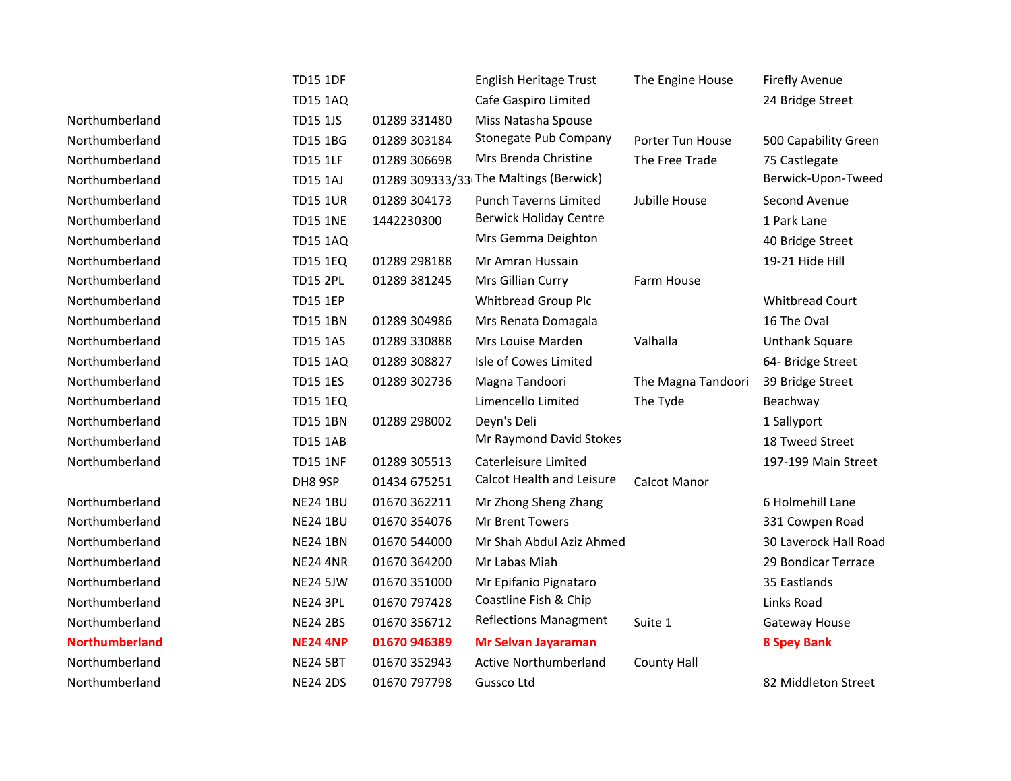|                       | <b>TD15 1DF</b> |              | English Heritage Trust                 | The Engine House    | <b>Firefly Avenue</b>  |
|-----------------------|-----------------|--------------|----------------------------------------|---------------------|------------------------|
|                       | <b>TD15 1AQ</b> |              | Cafe Gaspiro Limited                   |                     | 24 Bridge Street       |
| Northumberland        | <b>TD15 1JS</b> | 01289 331480 | Miss Natasha Spouse                    |                     |                        |
| Northumberland        | <b>TD15 1BG</b> | 01289 303184 | Stonegate Pub Company                  | Porter Tun House    | 500 Capability Green   |
| Northumberland        | <b>TD15 1LF</b> | 01289 306698 | Mrs Brenda Christine                   | The Free Trade      | 75 Castlegate          |
| Northumberland        | <b>TD15 1AJ</b> |              | 01289 309333/33 The Maltings (Berwick) |                     | Berwick-Upon-Tweed     |
| Northumberland        | <b>TD15 1UR</b> | 01289 304173 | <b>Punch Taverns Limited</b>           | Jubille House       | Second Avenue          |
| Northumberland        | <b>TD15 1NE</b> | 1442230300   | <b>Berwick Holiday Centre</b>          |                     | 1 Park Lane            |
| Northumberland        | <b>TD15 1AQ</b> |              | Mrs Gemma Deighton                     |                     | 40 Bridge Street       |
| Northumberland        | <b>TD15 1EQ</b> | 01289 298188 | Mr Amran Hussain                       |                     | 19-21 Hide Hill        |
| Northumberland        | <b>TD15 2PL</b> | 01289 381245 | Mrs Gillian Curry                      | Farm House          |                        |
| Northumberland        | <b>TD15 1EP</b> |              | Whitbread Group Plc                    |                     | <b>Whitbread Court</b> |
| Northumberland        | <b>TD15 1BN</b> | 01289 304986 | Mrs Renata Domagala                    |                     | 16 The Oval            |
| Northumberland        | <b>TD15 1AS</b> | 01289 330888 | Mrs Louise Marden                      | Valhalla            | <b>Unthank Square</b>  |
| Northumberland        | <b>TD15 1AQ</b> | 01289 308827 | Isle of Cowes Limited                  |                     | 64- Bridge Street      |
| Northumberland        | <b>TD15 1ES</b> | 01289 302736 | Magna Tandoori                         | The Magna Tandoori  | 39 Bridge Street       |
| Northumberland        | <b>TD15 1EQ</b> |              | Limencello Limited                     | The Tyde            | Beachway               |
| Northumberland        | <b>TD15 1BN</b> | 01289 298002 | Deyn's Deli                            |                     | 1 Sallyport            |
| Northumberland        | <b>TD15 1AB</b> |              | Mr Raymond David Stokes                |                     | 18 Tweed Street        |
| Northumberland        | <b>TD15 1NF</b> | 01289 305513 | Caterleisure Limited                   |                     | 197-199 Main Street    |
|                       | DH8 9SP         | 01434 675251 | <b>Calcot Health and Leisure</b>       | <b>Calcot Manor</b> |                        |
| Northumberland        | <b>NE24 1BU</b> | 01670 362211 | Mr Zhong Sheng Zhang                   |                     | 6 Holmehill Lane       |
| Northumberland        | <b>NE24 1BU</b> | 01670 354076 | Mr Brent Towers                        |                     | 331 Cowpen Road        |
| Northumberland        | <b>NE24 1BN</b> | 01670 544000 | Mr Shah Abdul Aziz Ahmed               |                     | 30 Laverock Hall Road  |
| Northumberland        | <b>NE24 4NR</b> | 01670 364200 | Mr Labas Miah                          |                     | 29 Bondicar Terrace    |
| Northumberland        | <b>NE24 5JW</b> | 01670 351000 | Mr Epifanio Pignataro                  |                     | 35 Eastlands           |
| Northumberland        | <b>NE24 3PL</b> | 01670 797428 | Coastline Fish & Chip                  |                     | Links Road             |
| Northumberland        | <b>NE24 2BS</b> | 01670 356712 | <b>Reflections Managment</b>           | Suite 1             | Gateway House          |
| <b>Northumberland</b> | <b>NE24 4NP</b> | 01670 946389 | Mr Selvan Jayaraman                    |                     | <b>8 Spey Bank</b>     |
| Northumberland        | <b>NE24 5BT</b> | 01670 352943 | <b>Active Northumberland</b>           | <b>County Hall</b>  |                        |
| Northumberland        | <b>NE24 2DS</b> | 01670 797798 | Gussco Ltd                             |                     | 82 Middleton Street    |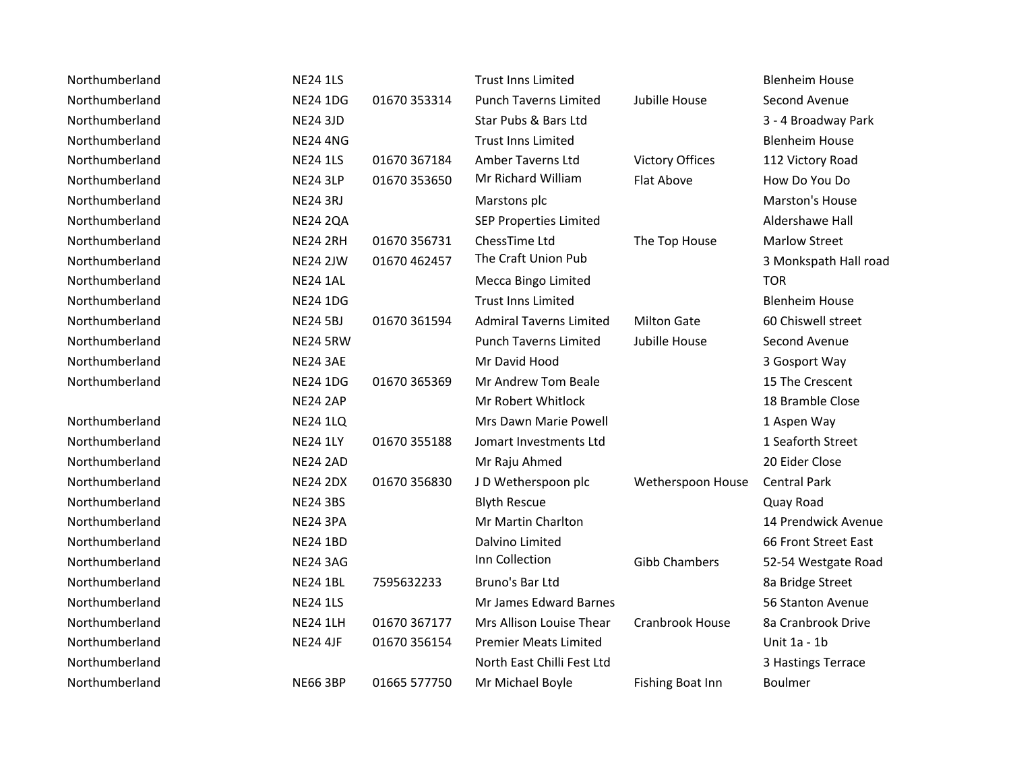| Northumberland | <b>NE24 1LS</b> |              | <b>Trust Inns Limited</b>      |                        | <b>Blenheim House</b> |
|----------------|-----------------|--------------|--------------------------------|------------------------|-----------------------|
| Northumberland | <b>NE24 1DG</b> | 01670 353314 | <b>Punch Taverns Limited</b>   | Jubille House          | Second Avenue         |
| Northumberland | <b>NE24 3JD</b> |              | Star Pubs & Bars Ltd           |                        | 3 - 4 Broadway Park   |
| Northumberland | <b>NE24 4NG</b> |              | <b>Trust Inns Limited</b>      |                        | <b>Blenheim House</b> |
| Northumberland | <b>NE24 1LS</b> | 01670 367184 | Amber Taverns Ltd              | <b>Victory Offices</b> | 112 Victory Road      |
| Northumberland | <b>NE24 3LP</b> | 01670 353650 | Mr Richard William             | Flat Above             | How Do You Do         |
| Northumberland | <b>NE24 3RJ</b> |              | Marstons plc                   |                        | Marston's House       |
| Northumberland | <b>NE24 2QA</b> |              | <b>SEP Properties Limited</b>  |                        | Aldershawe Hall       |
| Northumberland | <b>NE24 2RH</b> | 01670 356731 | ChessTime Ltd                  | The Top House          | <b>Marlow Street</b>  |
| Northumberland | <b>NE24 2JW</b> | 01670 462457 | The Craft Union Pub            |                        | 3 Monkspath Hall road |
| Northumberland | <b>NE24 1AL</b> |              | Mecca Bingo Limited            |                        | <b>TOR</b>            |
| Northumberland | <b>NE24 1DG</b> |              | <b>Trust Inns Limited</b>      |                        | <b>Blenheim House</b> |
| Northumberland | <b>NE24 5BJ</b> | 01670 361594 | <b>Admiral Taverns Limited</b> | <b>Milton Gate</b>     | 60 Chiswell street    |
| Northumberland | <b>NE24 5RW</b> |              | <b>Punch Taverns Limited</b>   | Jubille House          | Second Avenue         |
| Northumberland | <b>NE24 3AE</b> |              | Mr David Hood                  |                        | 3 Gosport Way         |
| Northumberland | <b>NE24 1DG</b> | 01670 365369 | Mr Andrew Tom Beale            |                        | 15 The Crescent       |
|                | <b>NE24 2AP</b> |              | Mr Robert Whitlock             |                        | 18 Bramble Close      |
| Northumberland | <b>NE24 1LQ</b> |              | Mrs Dawn Marie Powell          |                        | 1 Aspen Way           |
| Northumberland | <b>NE24 1LY</b> | 01670 355188 | Jomart Investments Ltd         |                        | 1 Seaforth Street     |
| Northumberland | <b>NE24 2AD</b> |              | Mr Raju Ahmed                  |                        | 20 Eider Close        |
| Northumberland | <b>NE24 2DX</b> | 01670 356830 | JD Wetherspoon plc             | Wetherspoon House      | <b>Central Park</b>   |
| Northumberland | <b>NE24 3BS</b> |              | <b>Blyth Rescue</b>            |                        | Quay Road             |
| Northumberland | <b>NE24 3PA</b> |              | Mr Martin Charlton             |                        | 14 Prendwick Avenue   |
| Northumberland | <b>NE24 1BD</b> |              | Dalvino Limited                |                        | 66 Front Street East  |
| Northumberland | <b>NE24 3AG</b> |              | Inn Collection                 | <b>Gibb Chambers</b>   | 52-54 Westgate Road   |
| Northumberland | <b>NE24 1BL</b> | 7595632233   | Bruno's Bar Ltd                |                        | 8a Bridge Street      |
| Northumberland | <b>NE24 1LS</b> |              | Mr James Edward Barnes         |                        | 56 Stanton Avenue     |
| Northumberland | <b>NE24 1LH</b> | 01670 367177 | Mrs Allison Louise Thear       | Cranbrook House        | 8a Cranbrook Drive    |
| Northumberland | <b>NE24 4JF</b> | 01670 356154 | <b>Premier Meats Limited</b>   |                        | Unit 1a - 1b          |
| Northumberland |                 |              | North East Chilli Fest Ltd     |                        | 3 Hastings Terrace    |
| Northumberland | <b>NE66 3BP</b> | 01665 577750 | Mr Michael Boyle               | Fishing Boat Inn       | Boulmer               |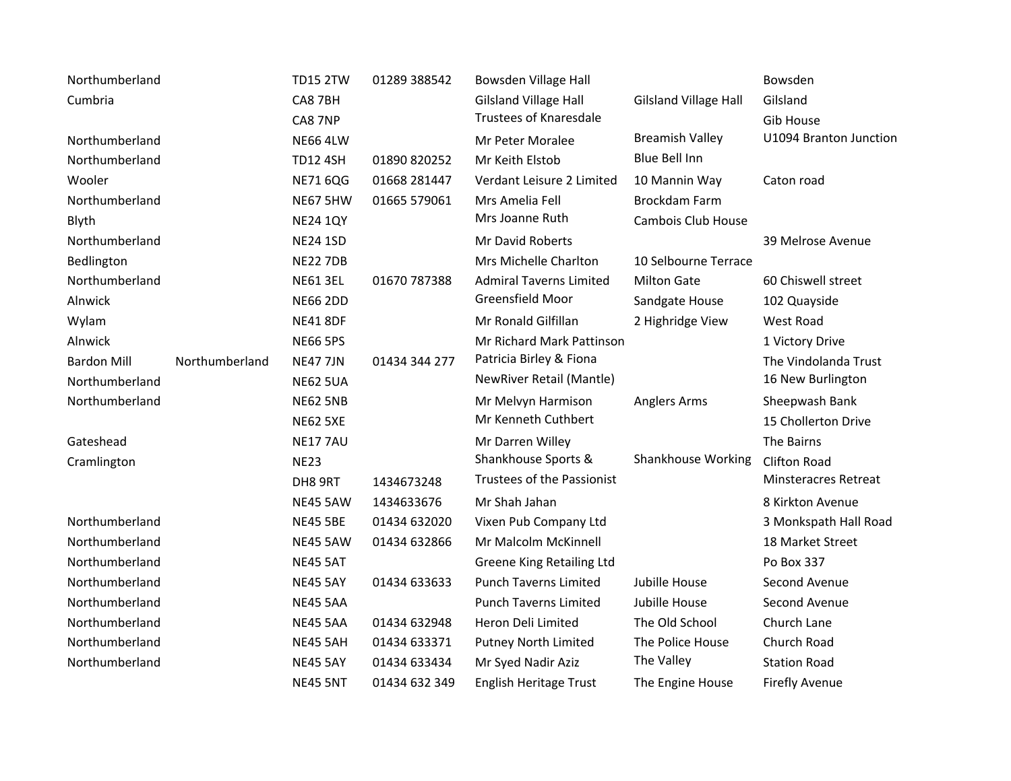| Northumberland     |                | <b>TD15 2TW</b> | 01289 388542  | Bowsden Village Hall           |                              | Bowsden                |
|--------------------|----------------|-----------------|---------------|--------------------------------|------------------------------|------------------------|
| Cumbria            |                | CA8 7BH         |               | <b>Gilsland Village Hall</b>   | <b>Gilsland Village Hall</b> | Gilsland               |
|                    |                | CA8 7NP         |               | <b>Trustees of Knaresdale</b>  |                              | Gib House              |
| Northumberland     |                | <b>NE66 4LW</b> |               | Mr Peter Moralee               | <b>Breamish Valley</b>       | U1094 Branton Junction |
| Northumberland     |                | <b>TD12 4SH</b> | 01890 820252  | Mr Keith Elstob                | <b>Blue Bell Inn</b>         |                        |
| Wooler             |                | <b>NE71 6QG</b> | 01668 281447  | Verdant Leisure 2 Limited      | 10 Mannin Way                | Caton road             |
| Northumberland     |                | <b>NE67 5HW</b> | 01665 579061  | Mrs Amelia Fell                | <b>Brockdam Farm</b>         |                        |
| Blyth              |                | <b>NE24 1QY</b> |               | Mrs Joanne Ruth                | Cambois Club House           |                        |
| Northumberland     |                | <b>NE24 1SD</b> |               | Mr David Roberts               |                              | 39 Melrose Avenue      |
| Bedlington         |                | <b>NE22 7DB</b> |               | Mrs Michelle Charlton          | 10 Selbourne Terrace         |                        |
| Northumberland     |                | <b>NE61 3EL</b> | 01670 787388  | <b>Admiral Taverns Limited</b> | <b>Milton Gate</b>           | 60 Chiswell street     |
| Alnwick            |                | <b>NE66 2DD</b> |               | Greensfield Moor               | Sandgate House               | 102 Quayside           |
| Wylam              |                | <b>NE41 8DF</b> |               | Mr Ronald Gilfillan            | 2 Highridge View             | West Road              |
| Alnwick            |                | <b>NE66 5PS</b> |               | Mr Richard Mark Pattinson      |                              | 1 Victory Drive        |
| <b>Bardon Mill</b> | Northumberland | <b>NE47 7JN</b> | 01434 344 277 | Patricia Birley & Fiona        |                              | The Vindolanda Trust   |
| Northumberland     |                | <b>NE62 5UA</b> |               | NewRiver Retail (Mantle)       |                              | 16 New Burlington      |
| Northumberland     |                | <b>NE62 5NB</b> |               | Mr Melvyn Harmison             | <b>Anglers Arms</b>          | Sheepwash Bank         |
|                    |                | <b>NE62 5XE</b> |               | Mr Kenneth Cuthbert            |                              | 15 Chollerton Drive    |
| Gateshead          |                | <b>NE177AU</b>  |               | Mr Darren Willey               |                              | The Bairns             |
| Cramlington        |                | <b>NE23</b>     |               | Shankhouse Sports &            | Shankhouse Working           | <b>Clifton Road</b>    |
|                    |                | DH8 9RT         | 1434673248    | Trustees of the Passionist     |                              | Minsteracres Retreat   |
|                    |                | <b>NE45 5AW</b> | 1434633676    | Mr Shah Jahan                  |                              | 8 Kirkton Avenue       |
| Northumberland     |                | <b>NE45 5BE</b> | 01434 632020  | Vixen Pub Company Ltd          |                              | 3 Monkspath Hall Road  |
| Northumberland     |                | <b>NE45 5AW</b> | 01434 632866  | Mr Malcolm McKinnell           |                              | 18 Market Street       |
| Northumberland     |                | <b>NE45 5AT</b> |               | Greene King Retailing Ltd      |                              | Po Box 337             |
| Northumberland     |                | <b>NE45 5AY</b> | 01434 633633  | <b>Punch Taverns Limited</b>   | Jubille House                | Second Avenue          |
| Northumberland     |                | <b>NE45 5AA</b> |               | <b>Punch Taverns Limited</b>   | Jubille House                | Second Avenue          |
| Northumberland     |                | <b>NE45 5AA</b> | 01434 632948  | Heron Deli Limited             | The Old School               | Church Lane            |
| Northumberland     |                | <b>NE45 5AH</b> | 01434 633371  | Putney North Limited           | The Police House             | Church Road            |
| Northumberland     |                | <b>NE45 5AY</b> | 01434 633434  | Mr Syed Nadir Aziz             | The Valley                   | <b>Station Road</b>    |
|                    |                | <b>NE45 5NT</b> | 01434 632 349 | English Heritage Trust         | The Engine House             | <b>Firefly Avenue</b>  |
|                    |                |                 |               |                                |                              |                        |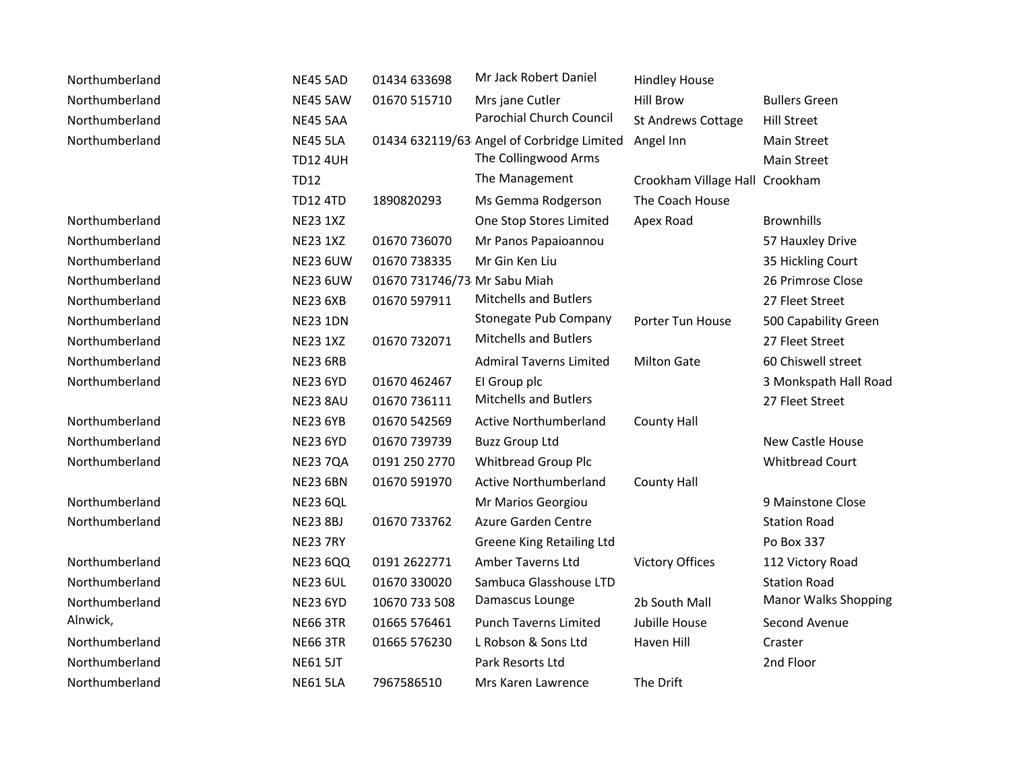| Northumberland | <b>NE45 5AD</b> | 01434 633698                 | Mr Jack Robert Daniel                      | <b>Hindley House</b>           |                             |
|----------------|-----------------|------------------------------|--------------------------------------------|--------------------------------|-----------------------------|
| Northumberland | <b>NE45 5AW</b> | 01670 515710                 | Mrs jane Cutler                            | <b>Hill Brow</b>               | <b>Bullers Green</b>        |
| Northumberland | <b>NE45 5AA</b> |                              | Parochial Church Council                   | <b>St Andrews Cottage</b>      | <b>Hill Street</b>          |
| Northumberland | <b>NE45 5LA</b> |                              | 01434 632119/63 Angel of Corbridge Limited | Angel Inn                      | Main Street                 |
|                | <b>TD12 4UH</b> |                              | The Collingwood Arms                       |                                | <b>Main Street</b>          |
|                | <b>TD12</b>     |                              | The Management                             | Crookham Village Hall Crookham |                             |
|                | <b>TD12 4TD</b> | 1890820293                   | Ms Gemma Rodgerson                         | The Coach House                |                             |
| Northumberland | <b>NE23 1XZ</b> |                              | One Stop Stores Limited                    | Apex Road                      | <b>Brownhills</b>           |
| Northumberland | <b>NE23 1XZ</b> | 01670 736070                 | Mr Panos Papaioannou                       |                                | 57 Hauxley Drive            |
| Northumberland | <b>NE23 6UW</b> | 01670 738335                 | Mr Gin Ken Liu                             |                                | 35 Hickling Court           |
| Northumberland | <b>NE23 6UW</b> | 01670 731746/73 Mr Sabu Miah |                                            |                                | 26 Primrose Close           |
| Northumberland | <b>NE23 6XB</b> | 01670 597911                 | <b>Mitchells and Butlers</b>               |                                | 27 Fleet Street             |
| Northumberland | <b>NE23 1DN</b> |                              | Stonegate Pub Company                      | Porter Tun House               | 500 Capability Green        |
| Northumberland | <b>NE23 1XZ</b> | 01670 732071                 | <b>Mitchells and Butlers</b>               |                                | 27 Fleet Street             |
| Northumberland | <b>NE23 6RB</b> |                              | <b>Admiral Taverns Limited</b>             | <b>Milton Gate</b>             | 60 Chiswell street          |
| Northumberland | <b>NE23 6YD</b> | 01670 462467                 | El Group plc                               |                                | 3 Monkspath Hall Road       |
|                | <b>NE23 8AU</b> | 01670 736111                 | <b>Mitchells and Butlers</b>               |                                | 27 Fleet Street             |
| Northumberland | <b>NE23 6YB</b> | 01670 542569                 | Active Northumberland                      | <b>County Hall</b>             |                             |
| Northumberland | <b>NE23 6YD</b> | 01670 739739                 | <b>Buzz Group Ltd</b>                      |                                | New Castle House            |
| Northumberland | <b>NE23 7QA</b> | 0191 250 2770                | <b>Whitbread Group Plc</b>                 |                                | <b>Whitbread Court</b>      |
|                | <b>NE23 6BN</b> | 01670 591970                 | <b>Active Northumberland</b>               | <b>County Hall</b>             |                             |
| Northumberland | <b>NE23 6QL</b> |                              | Mr Marios Georgiou                         |                                | 9 Mainstone Close           |
| Northumberland | <b>NE23 8BJ</b> | 01670 733762                 | Azure Garden Centre                        |                                | <b>Station Road</b>         |
|                | <b>NE23 7RY</b> |                              | <b>Greene King Retailing Ltd</b>           |                                | Po Box 337                  |
| Northumberland | <b>NE23 6QQ</b> | 0191 2622771                 | <b>Amber Taverns Ltd</b>                   | <b>Victory Offices</b>         | 112 Victory Road            |
| Northumberland | <b>NE23 6UL</b> | 01670 330020                 | Sambuca Glasshouse LTD                     |                                | <b>Station Road</b>         |
| Northumberland | <b>NE23 6YD</b> | 10670 733 508                | Damascus Lounge                            | 2b South Mall                  | <b>Manor Walks Shopping</b> |
| Alnwick,       | <b>NE66 3TR</b> | 01665 576461                 | <b>Punch Taverns Limited</b>               | Jubille House                  | Second Avenue               |
| Northumberland | <b>NE66 3TR</b> | 01665 576230                 | L Robson & Sons Ltd                        | Haven Hill                     | Craster                     |
| Northumberland | <b>NE61 5JT</b> |                              | Park Resorts Ltd                           |                                | 2nd Floor                   |
| Northumberland | <b>NE61 5LA</b> | 7967586510                   | Mrs Karen Lawrence                         | The Drift                      |                             |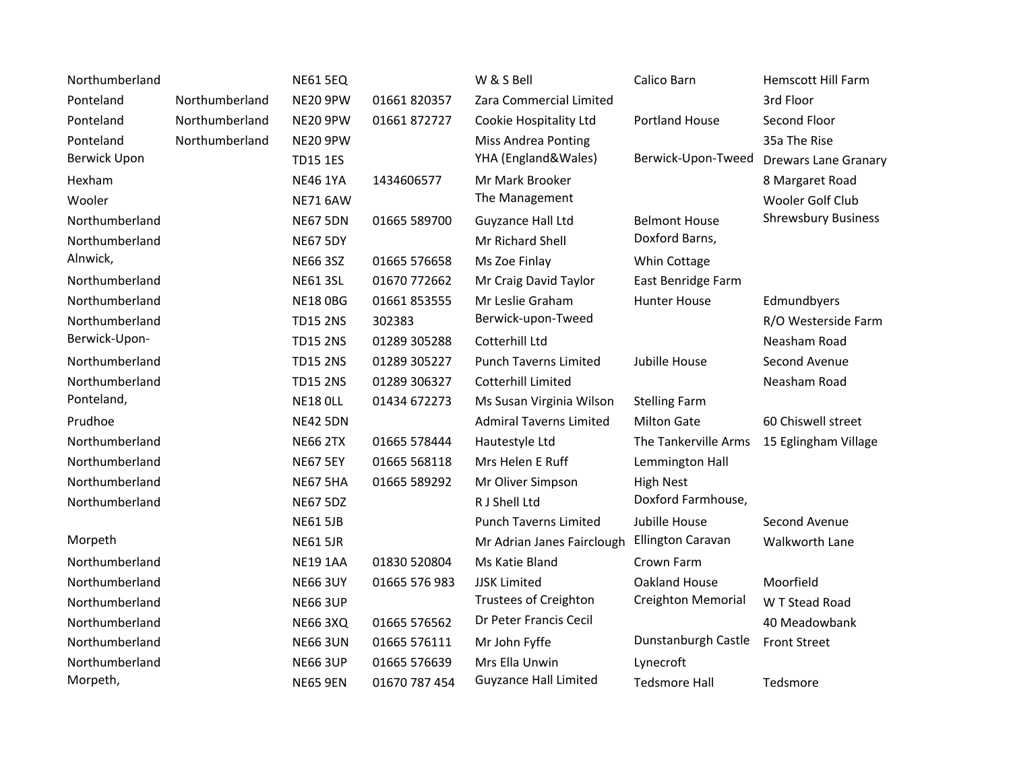| Northumberland      |                | <b>NE61 5EQ</b> |               | W & S Bell                     | Calico Barn               | <b>Hemscott Hill Farm</b>   |
|---------------------|----------------|-----------------|---------------|--------------------------------|---------------------------|-----------------------------|
| Ponteland           | Northumberland | <b>NE20 9PW</b> | 01661 820357  | Zara Commercial Limited        |                           | 3rd Floor                   |
| Ponteland           | Northumberland | NE20 9PW        | 01661872727   | Cookie Hospitality Ltd         | Portland House            | Second Floor                |
| Ponteland           | Northumberland | <b>NE20 9PW</b> |               | <b>Miss Andrea Ponting</b>     |                           | 35a The Rise                |
| <b>Berwick Upon</b> |                | <b>TD15 1ES</b> |               | YHA (England&Wales)            | Berwick-Upon-Tweed        | <b>Drewars Lane Granary</b> |
| Hexham              |                | <b>NE46 1YA</b> | 1434606577    | Mr Mark Brooker                |                           | 8 Margaret Road             |
| Wooler              |                | <b>NE71 6AW</b> |               | The Management                 |                           | Wooler Golf Club            |
| Northumberland      |                | <b>NE67 5DN</b> | 01665 589700  | Guyzance Hall Ltd              | <b>Belmont House</b>      | <b>Shrewsbury Business</b>  |
| Northumberland      |                | <b>NE67 5DY</b> |               | Mr Richard Shell               | Doxford Barns,            |                             |
| Alnwick,            |                | <b>NE66 3SZ</b> | 01665 576658  | Ms Zoe Finlay                  | Whin Cottage              |                             |
| Northumberland      |                | <b>NE61 3SL</b> | 01670 772662  | Mr Craig David Taylor          | East Benridge Farm        |                             |
| Northumberland      |                | <b>NE18 OBG</b> | 01661 853555  | Mr Leslie Graham               | <b>Hunter House</b>       | Edmundbyers                 |
| Northumberland      |                | <b>TD15 2NS</b> | 302383        | Berwick-upon-Tweed             |                           | R/O Westerside Farm         |
| Berwick-Upon-       |                | <b>TD15 2NS</b> | 01289 305288  | Cotterhill Ltd                 |                           | Neasham Road                |
| Northumberland      |                | <b>TD15 2NS</b> | 01289 305227  | <b>Punch Taverns Limited</b>   | Jubille House             | Second Avenue               |
| Northumberland      |                | <b>TD15 2NS</b> | 01289 306327  | Cotterhill Limited             |                           | Neasham Road                |
| Ponteland,          |                | <b>NE18 OLL</b> | 01434 672273  | Ms Susan Virginia Wilson       | <b>Stelling Farm</b>      |                             |
| Prudhoe             |                | <b>NE42 5DN</b> |               | <b>Admiral Taverns Limited</b> | <b>Milton Gate</b>        | 60 Chiswell street          |
| Northumberland      |                | <b>NE66 2TX</b> | 01665 578444  | Hautestyle Ltd                 | The Tankerville Arms      | 15 Eglingham Village        |
| Northumberland      |                | <b>NE67 5EY</b> | 01665 568118  | Mrs Helen E Ruff               | Lemmington Hall           |                             |
| Northumberland      |                | <b>NE67 5HA</b> | 01665 589292  | Mr Oliver Simpson              | <b>High Nest</b>          |                             |
| Northumberland      |                | <b>NE67 5DZ</b> |               | R J Shell Ltd                  | Doxford Farmhouse,        |                             |
|                     |                | <b>NE61 5JB</b> |               | <b>Punch Taverns Limited</b>   | Jubille House             | Second Avenue               |
| Morpeth             |                | <b>NE61 5JR</b> |               | Mr Adrian Janes Fairclough     | <b>Ellington Caravan</b>  | Walkworth Lane              |
| Northumberland      |                | <b>NE19 1AA</b> | 01830 520804  | Ms Katie Bland                 | Crown Farm                |                             |
| Northumberland      |                | <b>NE66 3UY</b> | 01665 576 983 | <b>JJSK Limited</b>            | Oakland House             | Moorfield                   |
| Northumberland      |                | <b>NE66 3UP</b> |               | Trustees of Creighton          | <b>Creighton Memorial</b> | W T Stead Road              |
| Northumberland      |                | <b>NE66 3XQ</b> | 01665 576562  | Dr Peter Francis Cecil         |                           | 40 Meadowbank               |
| Northumberland      |                | <b>NE66 3UN</b> | 01665 576111  | Mr John Fyffe                  | Dunstanburgh Castle       | <b>Front Street</b>         |
| Northumberland      |                | <b>NE66 3UP</b> | 01665 576639  | Mrs Ella Unwin                 | Lynecroft                 |                             |
| Morpeth,            |                | <b>NE65 9EN</b> | 01670 787 454 | <b>Guyzance Hall Limited</b>   | <b>Tedsmore Hall</b>      | Tedsmore                    |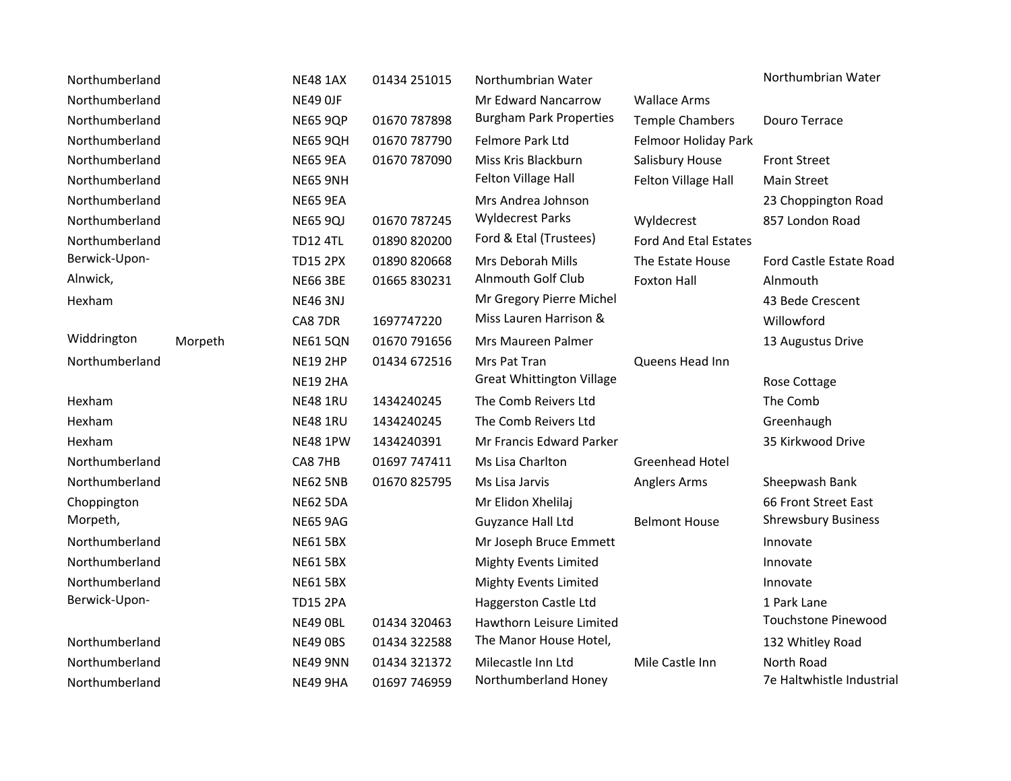| Northumberland |         | <b>NE48 1AX</b> | 01434 251015 | Northumbrian Water               |                        | Northumbrian Water         |
|----------------|---------|-----------------|--------------|----------------------------------|------------------------|----------------------------|
| Northumberland |         | <b>NE49 OJF</b> |              | Mr Edward Nancarrow              | <b>Wallace Arms</b>    |                            |
| Northumberland |         | <b>NE65 9QP</b> | 01670 787898 | <b>Burgham Park Properties</b>   | <b>Temple Chambers</b> | Douro Terrace              |
| Northumberland |         | <b>NE65 9QH</b> | 01670 787790 | Felmore Park Ltd                 | Felmoor Holiday Park   |                            |
| Northumberland |         | <b>NE65 9EA</b> | 01670 787090 | Miss Kris Blackburn              | Salisbury House        | <b>Front Street</b>        |
| Northumberland |         | <b>NE65 9NH</b> |              | Felton Village Hall              | Felton Village Hall    | <b>Main Street</b>         |
| Northumberland |         | <b>NE65 9EA</b> |              | Mrs Andrea Johnson               |                        | 23 Choppington Road        |
| Northumberland |         | <b>NE65 9QJ</b> | 01670 787245 | <b>Wyldecrest Parks</b>          | Wyldecrest             | 857 London Road            |
| Northumberland |         | <b>TD12 4TL</b> | 01890 820200 | Ford & Etal (Trustees)           | Ford And Etal Estates  |                            |
| Berwick-Upon-  |         | <b>TD15 2PX</b> | 01890 820668 | Mrs Deborah Mills                | The Estate House       | Ford Castle Estate Road    |
| Alnwick,       |         | <b>NE66 3BE</b> | 01665 830231 | <b>Alnmouth Golf Club</b>        | <b>Foxton Hall</b>     | Alnmouth                   |
| Hexham         |         | <b>NE46 3NJ</b> |              | Mr Gregory Pierre Michel         |                        | 43 Bede Crescent           |
|                |         | CA8 7DR         | 1697747220   | Miss Lauren Harrison &           |                        | Willowford                 |
| Widdrington    | Morpeth | <b>NE61 5QN</b> | 01670 791656 | Mrs Maureen Palmer               |                        | 13 Augustus Drive          |
| Northumberland |         | <b>NE19 2HP</b> | 01434 672516 | Mrs Pat Tran                     | Queens Head Inn        |                            |
|                |         | <b>NE19 2HA</b> |              | <b>Great Whittington Village</b> |                        | Rose Cottage               |
| Hexham         |         | <b>NE48 1RU</b> | 1434240245   | The Comb Reivers Ltd             |                        | The Comb                   |
| Hexham         |         | <b>NE48 1RU</b> | 1434240245   | The Comb Reivers Ltd             |                        | Greenhaugh                 |
| Hexham         |         | <b>NE48 1PW</b> | 1434240391   | Mr Francis Edward Parker         |                        | 35 Kirkwood Drive          |
| Northumberland |         | CA8 7HB         | 01697 747411 | Ms Lisa Charlton                 | <b>Greenhead Hotel</b> |                            |
| Northumberland |         | <b>NE62 5NB</b> | 01670 825795 | Ms Lisa Jarvis                   | Anglers Arms           | Sheepwash Bank             |
| Choppington    |         | <b>NE62 5DA</b> |              | Mr Elidon Xhelilaj               |                        | 66 Front Street East       |
| Morpeth,       |         | <b>NE65 9AG</b> |              | Guyzance Hall Ltd                | <b>Belmont House</b>   | <b>Shrewsbury Business</b> |
| Northumberland |         | <b>NE61 5BX</b> |              | Mr Joseph Bruce Emmett           |                        | Innovate                   |
| Northumberland |         | <b>NE61 5BX</b> |              | <b>Mighty Events Limited</b>     |                        | Innovate                   |
| Northumberland |         | <b>NE61 5BX</b> |              | <b>Mighty Events Limited</b>     |                        | Innovate                   |
| Berwick-Upon-  |         | <b>TD15 2PA</b> |              | Haggerston Castle Ltd            |                        | 1 Park Lane                |
|                |         | NE49 OBL        | 01434 320463 | Hawthorn Leisure Limited         |                        | Touchstone Pinewood        |
| Northumberland |         | <b>NE49 0BS</b> | 01434 322588 | The Manor House Hotel,           |                        | 132 Whitley Road           |
| Northumberland |         | <b>NE49 9NN</b> | 01434 321372 | Milecastle Inn Ltd               | Mile Castle Inn        | North Road                 |
| Northumberland |         | NE49 9HA        | 01697 746959 | Northumberland Honey             |                        | 7e Haltwhistle Industrial  |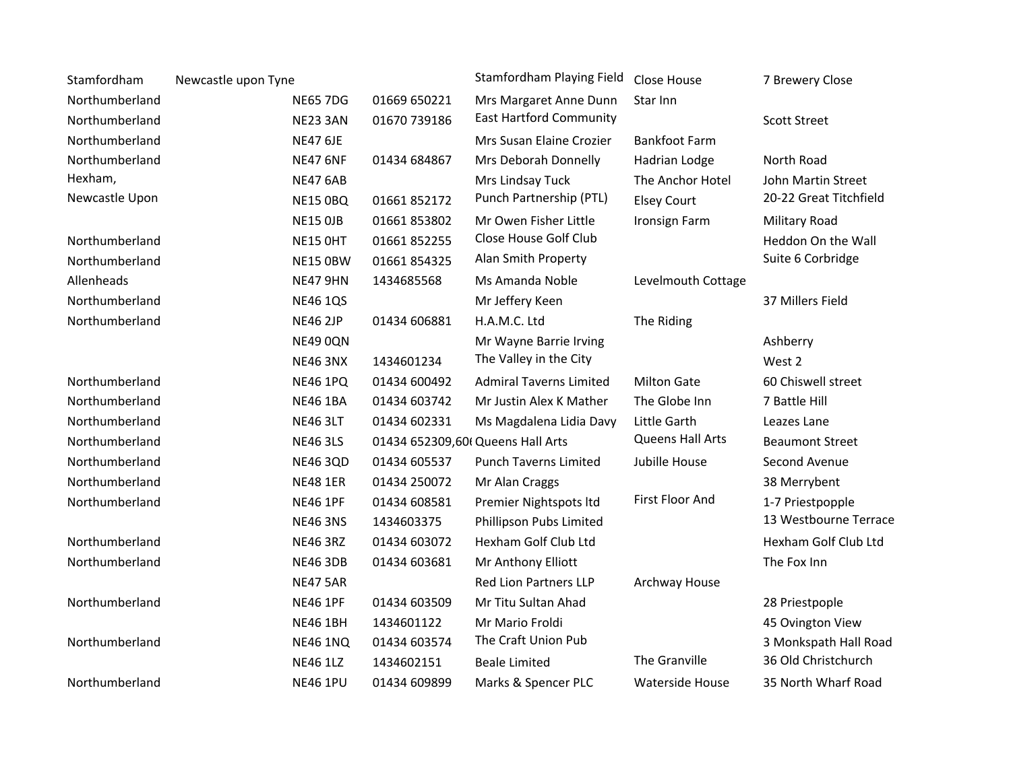| Stamfordham    | Newcastle upon Tyne |                 |                                   | Stamfordham Playing Field      | Close House             | 7 Brewery Close        |
|----------------|---------------------|-----------------|-----------------------------------|--------------------------------|-------------------------|------------------------|
| Northumberland |                     | <b>NE65 7DG</b> | 01669 650221                      | Mrs Margaret Anne Dunn         | Star Inn                |                        |
| Northumberland |                     | <b>NE23 3AN</b> | 01670 739186                      | <b>East Hartford Community</b> |                         | <b>Scott Street</b>    |
| Northumberland |                     | <b>NE47 6JE</b> |                                   | Mrs Susan Elaine Crozier       | <b>Bankfoot Farm</b>    |                        |
| Northumberland |                     | <b>NE47 6NF</b> | 01434 684867                      | Mrs Deborah Donnelly           | Hadrian Lodge           | North Road             |
| Hexham,        |                     | <b>NE47 6AB</b> |                                   | Mrs Lindsay Tuck               | The Anchor Hotel        | John Martin Street     |
| Newcastle Upon |                     | <b>NE15 0BQ</b> | 01661 852172                      | Punch Partnership (PTL)        | <b>Elsey Court</b>      | 20-22 Great Titchfield |
|                |                     | <b>NE15 OJB</b> | 01661853802                       | Mr Owen Fisher Little          | <b>Ironsign Farm</b>    | Military Road          |
| Northumberland |                     | <b>NE15 OHT</b> | 01661 852255                      | Close House Golf Club          |                         | Heddon On the Wall     |
| Northumberland |                     | <b>NE15 OBW</b> | 01661 854325                      | Alan Smith Property            |                         | Suite 6 Corbridge      |
| Allenheads     |                     | <b>NE47 9HN</b> | 1434685568                        | Ms Amanda Noble                | Levelmouth Cottage      |                        |
| Northumberland |                     | <b>NE46 1QS</b> |                                   | Mr Jeffery Keen                |                         | 37 Millers Field       |
| Northumberland |                     | <b>NE46 2JP</b> | 01434 606881                      | H.A.M.C. Ltd                   | The Riding              |                        |
|                |                     | <b>NE49 0QN</b> |                                   | Mr Wayne Barrie Irving         |                         | Ashberry               |
|                |                     | <b>NE46 3NX</b> | 1434601234                        | The Valley in the City         |                         | West 2                 |
| Northumberland |                     | <b>NE46 1PQ</b> | 01434 600492                      | <b>Admiral Taverns Limited</b> | <b>Milton Gate</b>      | 60 Chiswell street     |
| Northumberland |                     | <b>NE46 1BA</b> | 01434 603742                      | Mr Justin Alex K Mather        | The Globe Inn           | 7 Battle Hill          |
| Northumberland |                     | <b>NE46 3LT</b> | 01434 602331                      | Ms Magdalena Lidia Davy        | Little Garth            | Leazes Lane            |
| Northumberland |                     | <b>NE46 3LS</b> | 01434 652309,601 Queens Hall Arts |                                | <b>Queens Hall Arts</b> | <b>Beaumont Street</b> |
| Northumberland |                     | <b>NE46 3QD</b> | 01434 605537                      | <b>Punch Taverns Limited</b>   | Jubille House           | Second Avenue          |
| Northumberland |                     | <b>NE48 1ER</b> | 01434 250072                      | Mr Alan Craggs                 |                         | 38 Merrybent           |
| Northumberland |                     | <b>NE46 1PF</b> | 01434 608581                      | Premier Nightspots Itd         | First Floor And         | 1-7 Priestpopple       |
|                |                     | <b>NE46 3NS</b> | 1434603375                        | Phillipson Pubs Limited        |                         | 13 Westbourne Terrace  |
| Northumberland |                     | <b>NE46 3RZ</b> | 01434 603072                      | Hexham Golf Club Ltd           |                         | Hexham Golf Club Ltd   |
| Northumberland |                     | <b>NE46 3DB</b> | 01434 603681                      | Mr Anthony Elliott             |                         | The Fox Inn            |
|                |                     | <b>NE47 5AR</b> |                                   | Red Lion Partners LLP          | Archway House           |                        |
| Northumberland |                     | <b>NE46 1PF</b> | 01434 603509                      | Mr Titu Sultan Ahad            |                         | 28 Priestpople         |
|                |                     | <b>NE46 1BH</b> | 1434601122                        | Mr Mario Froldi                |                         | 45 Ovington View       |
| Northumberland |                     | <b>NE46 1NQ</b> | 01434 603574                      | The Craft Union Pub            |                         | 3 Monkspath Hall Road  |
|                |                     | <b>NE46 1LZ</b> | 1434602151                        | <b>Beale Limited</b>           | The Granville           | 36 Old Christchurch    |
| Northumberland |                     | <b>NE46 1PU</b> | 01434 609899                      | Marks & Spencer PLC            | Waterside House         | 35 North Wharf Road    |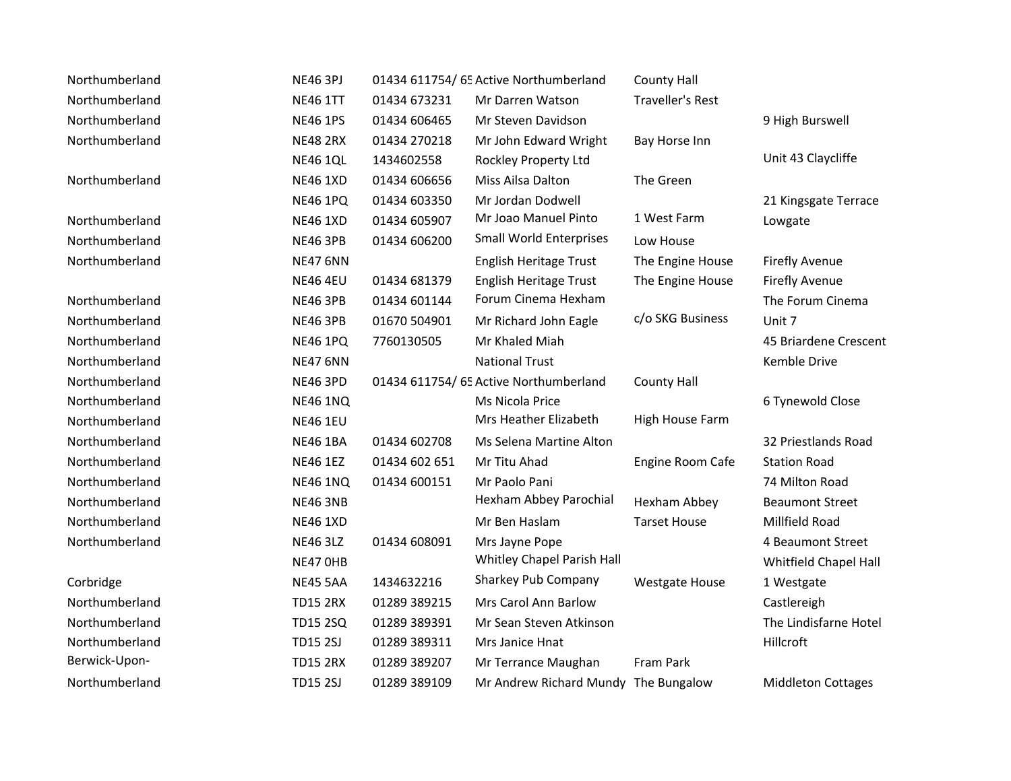| Northumberland | <b>NE46 3PJ</b> |               | 01434 611754/ 65 Active Northumberland | <b>County Hall</b>      |                           |
|----------------|-----------------|---------------|----------------------------------------|-------------------------|---------------------------|
| Northumberland | <b>NE46 1TT</b> | 01434 673231  | Mr Darren Watson                       | <b>Traveller's Rest</b> |                           |
| Northumberland | <b>NE46 1PS</b> | 01434 606465  | Mr Steven Davidson                     |                         | 9 High Burswell           |
| Northumberland | <b>NE48 2RX</b> | 01434 270218  | Mr John Edward Wright                  | Bay Horse Inn           |                           |
|                | <b>NE46 1QL</b> | 1434602558    | Rockley Property Ltd                   |                         | Unit 43 Claycliffe        |
| Northumberland | <b>NE46 1XD</b> | 01434 606656  | Miss Ailsa Dalton                      | The Green               |                           |
|                | <b>NE46 1PQ</b> | 01434 603350  | Mr Jordan Dodwell                      |                         | 21 Kingsgate Terrace      |
| Northumberland | <b>NE46 1XD</b> | 01434 605907  | Mr Joao Manuel Pinto                   | 1 West Farm             | Lowgate                   |
| Northumberland | <b>NE46 3PB</b> | 01434 606200  | <b>Small World Enterprises</b>         | Low House               |                           |
| Northumberland | <b>NE47 6NN</b> |               | English Heritage Trust                 | The Engine House        | <b>Firefly Avenue</b>     |
|                | <b>NE46 4EU</b> | 01434 681379  | English Heritage Trust                 | The Engine House        | <b>Firefly Avenue</b>     |
| Northumberland | <b>NE46 3PB</b> | 01434 601144  | Forum Cinema Hexham                    |                         | The Forum Cinema          |
| Northumberland | <b>NE46 3PB</b> | 01670 504901  | Mr Richard John Eagle                  | c/o SKG Business        | Unit 7                    |
| Northumberland | <b>NE46 1PQ</b> | 7760130505    | Mr Khaled Miah                         |                         | 45 Briardene Crescent     |
| Northumberland | <b>NE47 6NN</b> |               | <b>National Trust</b>                  |                         | Kemble Drive              |
| Northumberland | <b>NE46 3PD</b> |               | 01434 611754/ 65 Active Northumberland | <b>County Hall</b>      |                           |
| Northumberland | <b>NE46 1NQ</b> |               | Ms Nicola Price                        |                         | 6 Tynewold Close          |
| Northumberland | <b>NE46 1EU</b> |               | Mrs Heather Elizabeth                  | High House Farm         |                           |
| Northumberland | <b>NE46 1BA</b> | 01434 602708  | Ms Selena Martine Alton                |                         | 32 Priestlands Road       |
| Northumberland | <b>NE46 1EZ</b> | 01434 602 651 | Mr Titu Ahad                           | Engine Room Cafe        | <b>Station Road</b>       |
| Northumberland | <b>NE46 1NQ</b> | 01434 600151  | Mr Paolo Pani                          |                         | 74 Milton Road            |
| Northumberland | <b>NE46 3NB</b> |               | Hexham Abbey Parochial                 | Hexham Abbey            | <b>Beaumont Street</b>    |
| Northumberland | <b>NE46 1XD</b> |               | Mr Ben Haslam                          | <b>Tarset House</b>     | Millfield Road            |
| Northumberland | <b>NE46 3LZ</b> | 01434 608091  | Mrs Jayne Pope                         |                         | 4 Beaumont Street         |
|                | NE47 OHB        |               | Whitley Chapel Parish Hall             |                         | Whitfield Chapel Hall     |
| Corbridge      | <b>NE45 5AA</b> | 1434632216    | Sharkey Pub Company                    | <b>Westgate House</b>   | 1 Westgate                |
| Northumberland | <b>TD15 2RX</b> | 01289 389215  | Mrs Carol Ann Barlow                   |                         | Castlereigh               |
| Northumberland | <b>TD15 2SQ</b> | 01289 389391  | Mr Sean Steven Atkinson                |                         | The Lindisfarne Hotel     |
| Northumberland | <b>TD15 2SJ</b> | 01289 389311  | Mrs Janice Hnat                        |                         | Hillcroft                 |
| Berwick-Upon-  | <b>TD15 2RX</b> | 01289 389207  | Mr Terrance Maughan                    | Fram Park               |                           |
| Northumberland | <b>TD15 2SJ</b> | 01289 389109  | Mr Andrew Richard Mundy The Bungalow   |                         | <b>Middleton Cottages</b> |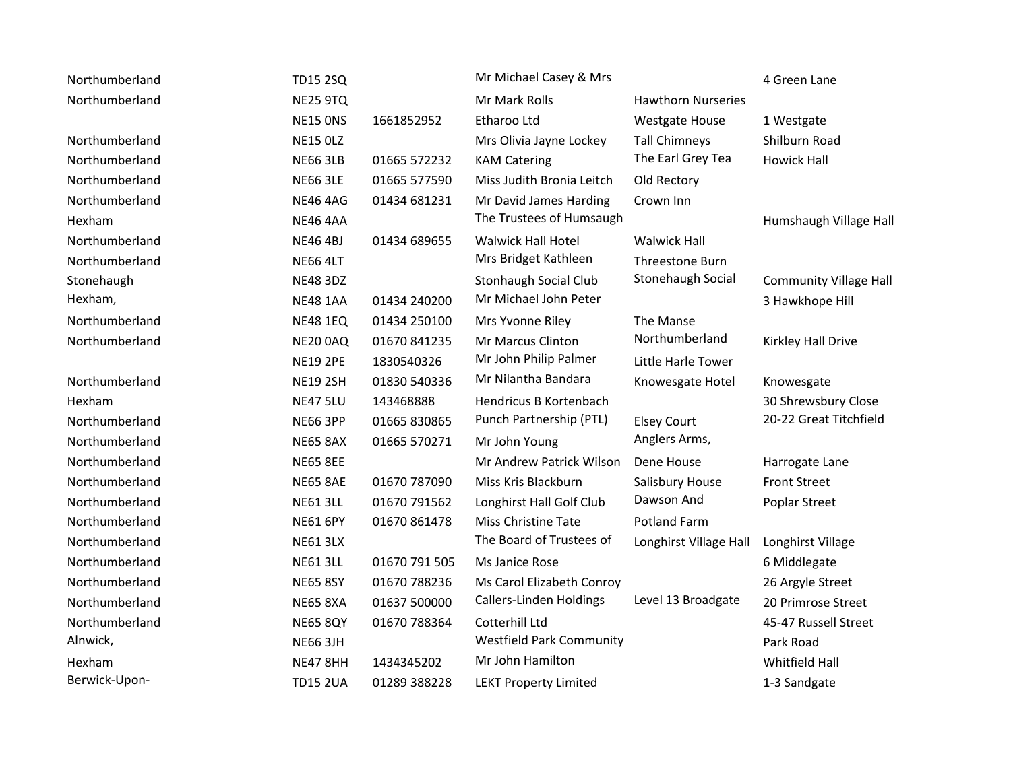| Northumberland | <b>TD15 2SQ</b> |               | Mr Michael Casey & Mrs          |                           | 4 Green Lane                  |
|----------------|-----------------|---------------|---------------------------------|---------------------------|-------------------------------|
| Northumberland | <b>NE25 9TQ</b> |               | Mr Mark Rolls                   | <b>Hawthorn Nurseries</b> |                               |
|                | <b>NE15 ONS</b> | 1661852952    | Etharoo Ltd                     | <b>Westgate House</b>     | 1 Westgate                    |
| Northumberland | <b>NE15 OLZ</b> |               | Mrs Olivia Jayne Lockey         | <b>Tall Chimneys</b>      | Shilburn Road                 |
| Northumberland | <b>NE66 3LB</b> | 01665 572232  | <b>KAM Catering</b>             | The Earl Grey Tea         | <b>Howick Hall</b>            |
| Northumberland | <b>NE66 3LE</b> | 01665 577590  | Miss Judith Bronia Leitch       | Old Rectory               |                               |
| Northumberland | <b>NE46 4AG</b> | 01434 681231  | Mr David James Harding          | Crown Inn                 |                               |
| Hexham         | <b>NE46 4AA</b> |               | The Trustees of Humsaugh        |                           | Humshaugh Village Hall        |
| Northumberland | <b>NE46 4BJ</b> | 01434 689655  | <b>Walwick Hall Hotel</b>       | <b>Walwick Hall</b>       |                               |
| Northumberland | <b>NE66 4LT</b> |               | Mrs Bridget Kathleen            | Threestone Burn           |                               |
| Stonehaugh     | <b>NE48 3DZ</b> |               | Stonhaugh Social Club           | Stonehaugh Social         | <b>Community Village Hall</b> |
| Hexham,        | <b>NE48 1AA</b> | 01434 240200  | Mr Michael John Peter           |                           | 3 Hawkhope Hill               |
| Northumberland | <b>NE48 1EQ</b> | 01434 250100  | Mrs Yvonne Riley                | The Manse                 |                               |
| Northumberland | <b>NE20 0AQ</b> | 01670 841235  | Mr Marcus Clinton               | Northumberland            | Kirkley Hall Drive            |
|                | <b>NE19 2PE</b> | 1830540326    | Mr John Philip Palmer           | Little Harle Tower        |                               |
| Northumberland | <b>NE19 2SH</b> | 01830 540336  | Mr Nilantha Bandara             | Knowesgate Hotel          | Knowesgate                    |
| Hexham         | <b>NE47 5LU</b> | 143468888     | Hendricus B Kortenbach          |                           | 30 Shrewsbury Close           |
| Northumberland | <b>NE66 3PP</b> | 01665 830865  | Punch Partnership (PTL)         | <b>Elsey Court</b>        | 20-22 Great Titchfield        |
| Northumberland | <b>NE65 8AX</b> | 01665 570271  | Mr John Young                   | Anglers Arms,             |                               |
| Northumberland | <b>NE65 8EE</b> |               | Mr Andrew Patrick Wilson        | Dene House                | Harrogate Lane                |
| Northumberland | <b>NE65 8AE</b> | 01670 787090  | Miss Kris Blackburn             | Salisbury House           | <b>Front Street</b>           |
| Northumberland | <b>NE61 3LL</b> | 01670 791562  | Longhirst Hall Golf Club        | Dawson And                | Poplar Street                 |
| Northumberland | <b>NE61 6PY</b> | 01670 861478  | Miss Christine Tate             | <b>Potland Farm</b>       |                               |
| Northumberland | <b>NE61 3LX</b> |               | The Board of Trustees of        | Longhirst Village Hall    | Longhirst Village             |
| Northumberland | <b>NE61 3LL</b> | 01670 791 505 | Ms Janice Rose                  |                           | 6 Middlegate                  |
| Northumberland | <b>NE65 8SY</b> | 01670 788236  | Ms Carol Elizabeth Conroy       |                           | 26 Argyle Street              |
| Northumberland | <b>NE65 8XA</b> | 01637 500000  | Callers-Linden Holdings         | Level 13 Broadgate        | 20 Primrose Street            |
| Northumberland | <b>NE65 8QY</b> | 01670 788364  | Cotterhill Ltd                  |                           | 45-47 Russell Street          |
| Alnwick,       | <b>NE66 3JH</b> |               | <b>Westfield Park Community</b> |                           | Park Road                     |
| Hexham         | <b>NE47 8HH</b> | 1434345202    | Mr John Hamilton                |                           | Whitfield Hall                |
| Berwick-Upon-  | <b>TD15 2UA</b> | 01289 388228  | <b>LEKT Property Limited</b>    |                           | 1-3 Sandgate                  |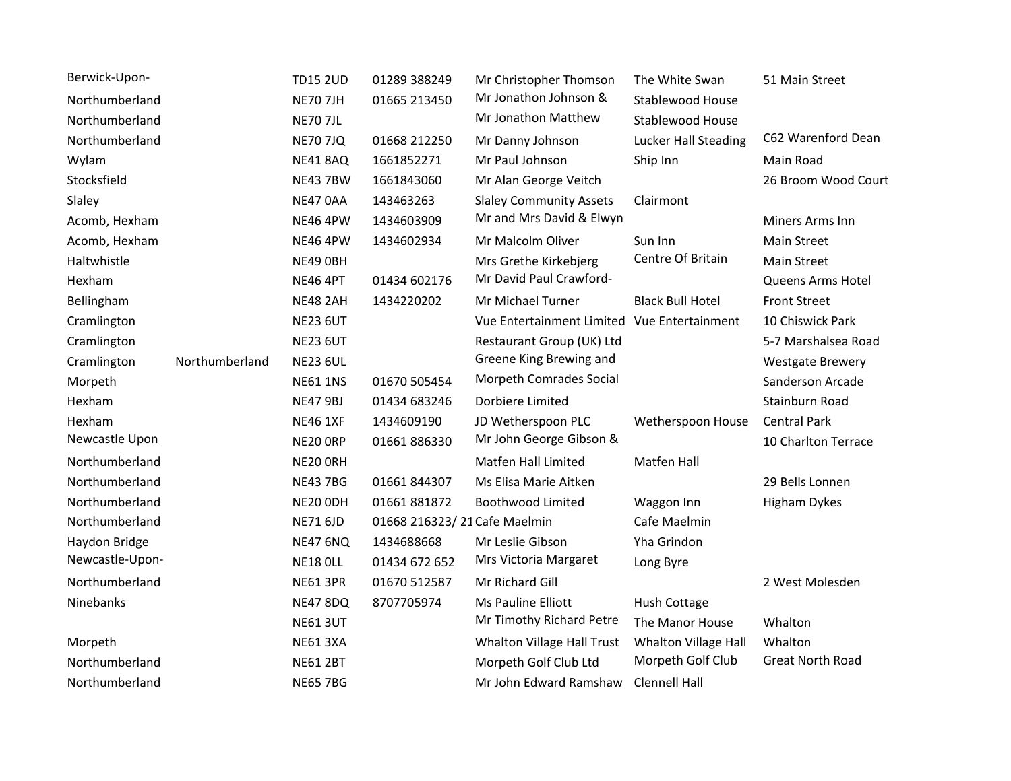| Berwick-Upon-   |                | <b>TD15 2UD</b> | 01289 388249                 | Mr Christopher Thomson                      | The White Swan              | 51 Main Street          |
|-----------------|----------------|-----------------|------------------------------|---------------------------------------------|-----------------------------|-------------------------|
| Northumberland  |                | <b>NE70 7JH</b> | 01665 213450                 | Mr Jonathon Johnson &                       | Stablewood House            |                         |
| Northumberland  |                | <b>NE70 7JL</b> |                              | Mr Jonathon Matthew                         | <b>Stablewood House</b>     |                         |
| Northumberland  |                | <b>NE70 7JQ</b> | 01668 212250                 | Mr Danny Johnson                            | <b>Lucker Hall Steading</b> | C62 Warenford Dean      |
| Wylam           |                | <b>NE41 8AQ</b> | 1661852271                   | Mr Paul Johnson                             | Ship Inn                    | Main Road               |
| Stocksfield     |                | <b>NE43 7BW</b> | 1661843060                   | Mr Alan George Veitch                       |                             | 26 Broom Wood Court     |
| Slaley          |                | NE47 0AA        | 143463263                    | <b>Slaley Community Assets</b>              | Clairmont                   |                         |
| Acomb, Hexham   |                | <b>NE46 4PW</b> | 1434603909                   | Mr and Mrs David & Elwyn                    |                             | Miners Arms Inn         |
| Acomb, Hexham   |                | <b>NE46 4PW</b> | 1434602934                   | Mr Malcolm Oliver                           | Sun Inn                     | <b>Main Street</b>      |
| Haltwhistle     |                | NE49 OBH        |                              | Mrs Grethe Kirkebjerg                       | Centre Of Britain           | <b>Main Street</b>      |
| Hexham          |                | <b>NE46 4PT</b> | 01434 602176                 | Mr David Paul Crawford-                     |                             | Queens Arms Hotel       |
| Bellingham      |                | <b>NE48 2AH</b> | 1434220202                   | Mr Michael Turner                           | <b>Black Bull Hotel</b>     | <b>Front Street</b>     |
| Cramlington     |                | <b>NE23 6UT</b> |                              | Vue Entertainment Limited Vue Entertainment |                             | 10 Chiswick Park        |
| Cramlington     |                | <b>NE23 6UT</b> |                              | Restaurant Group (UK) Ltd                   |                             | 5-7 Marshalsea Road     |
| Cramlington     | Northumberland | <b>NE23 6UL</b> |                              | Greene King Brewing and                     |                             | <b>Westgate Brewery</b> |
| Morpeth         |                | <b>NE61 1NS</b> | 01670 505454                 | Morpeth Comrades Social                     |                             | Sanderson Arcade        |
| Hexham          |                | <b>NE47 9BJ</b> | 01434 683246                 | Dorbiere Limited                            |                             | Stainburn Road          |
| Hexham          |                | <b>NE46 1XF</b> | 1434609190                   | JD Wetherspoon PLC                          | Wetherspoon House           | <b>Central Park</b>     |
| Newcastle Upon  |                | NE20 ORP        | 01661886330                  | Mr John George Gibson &                     |                             | 10 Charlton Terrace     |
| Northumberland  |                | NE20 ORH        |                              | <b>Matfen Hall Limited</b>                  | <b>Matfen Hall</b>          |                         |
| Northumberland  |                | <b>NE43 7BG</b> | 01661844307                  | Ms Elisa Marie Aitken                       |                             | 29 Bells Lonnen         |
| Northumberland  |                | NE20 ODH        | 01661 881872                 | <b>Boothwood Limited</b>                    | Waggon Inn                  | <b>Higham Dykes</b>     |
| Northumberland  |                | <b>NE71 6JD</b> | 01668 216323/21 Cafe Maelmin |                                             | Cafe Maelmin                |                         |
| Haydon Bridge   |                | <b>NE47 6NQ</b> | 1434688668                   | Mr Leslie Gibson                            | Yha Grindon                 |                         |
| Newcastle-Upon- |                | <b>NE18 OLL</b> | 01434 672 652                | Mrs Victoria Margaret                       | Long Byre                   |                         |
| Northumberland  |                | <b>NE61 3PR</b> | 01670 512587                 | Mr Richard Gill                             |                             | 2 West Molesden         |
| Ninebanks       |                | <b>NE47 8DQ</b> | 8707705974                   | Ms Pauline Elliott                          | Hush Cottage                |                         |
|                 |                | <b>NE61 3UT</b> |                              | Mr Timothy Richard Petre                    | The Manor House             | Whalton                 |
| Morpeth         |                | <b>NE61 3XA</b> |                              | Whalton Village Hall Trust                  | Whalton Village Hall        | Whalton                 |
| Northumberland  |                | <b>NE61 2BT</b> |                              | Morpeth Golf Club Ltd                       | Morpeth Golf Club           | <b>Great North Road</b> |
| Northumberland  |                | <b>NE65 7BG</b> |                              | Mr John Edward Ramshaw                      | <b>Clennell Hall</b>        |                         |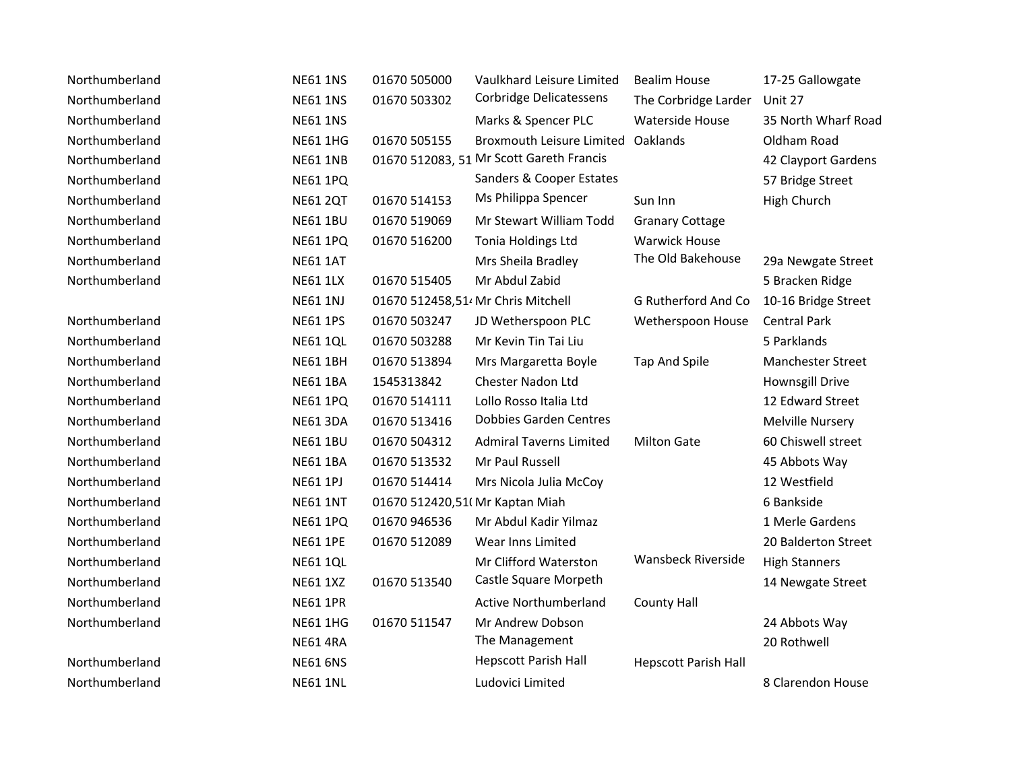| Northumberland | <b>NE61 1NS</b> | 01670 505000                    | Vaulkhard Leisure Limited                      | <b>Bealim House</b>         | 17-25 Gallowgate         |
|----------------|-----------------|---------------------------------|------------------------------------------------|-----------------------------|--------------------------|
| Northumberland | <b>NE61 1NS</b> | 01670 503302                    | Corbridge Delicatessens                        | The Corbridge Larder        | Unit 27                  |
| Northumberland | <b>NE61 1NS</b> |                                 | Marks & Spencer PLC                            | Waterside House             | 35 North Wharf Road      |
| Northumberland | <b>NE61 1HG</b> | 01670 505155                    | <b>Broxmouth Leisure Limited</b>               | Oaklands                    | Oldham Road              |
| Northumberland | <b>NE61 1NB</b> |                                 | 01670 512083, 51 Mr Scott Gareth Francis       |                             | 42 Clayport Gardens      |
| Northumberland | <b>NE61 1PQ</b> |                                 | Sanders & Cooper Estates                       |                             | 57 Bridge Street         |
| Northumberland | <b>NE61 2QT</b> | 01670 514153                    | Ms Philippa Spencer                            | Sun Inn                     | High Church              |
| Northumberland | <b>NE61 1BU</b> | 01670 519069                    | Mr Stewart William Todd                        | <b>Granary Cottage</b>      |                          |
| Northumberland | <b>NE61 1PQ</b> | 01670 516200                    | Tonia Holdings Ltd                             | <b>Warwick House</b>        |                          |
| Northumberland | <b>NE61 1AT</b> |                                 | Mrs Sheila Bradley                             | The Old Bakehouse           | 29a Newgate Street       |
| Northumberland | <b>NE61 1LX</b> | 01670 515405                    | Mr Abdul Zabid                                 |                             | 5 Bracken Ridge          |
|                | <b>NE61 1NJ</b> |                                 | 01670 512458,51 <sup>,</sup> Mr Chris Mitchell | G Rutherford And Co         | 10-16 Bridge Street      |
| Northumberland | <b>NE61 1PS</b> | 01670 503247                    | JD Wetherspoon PLC                             | Wetherspoon House           | <b>Central Park</b>      |
| Northumberland | <b>NE61 1QL</b> | 01670 503288                    | Mr Kevin Tin Tai Liu                           |                             | 5 Parklands              |
| Northumberland | <b>NE61 1BH</b> | 01670 513894                    | Mrs Margaretta Boyle                           | Tap And Spile               | <b>Manchester Street</b> |
| Northumberland | <b>NE61 1BA</b> | 1545313842                      | Chester Nadon Ltd                              |                             | Hownsgill Drive          |
| Northumberland | <b>NE61 1PQ</b> | 01670 514111                    | Lollo Rosso Italia Ltd                         |                             | 12 Edward Street         |
| Northumberland | <b>NE61 3DA</b> | 01670 513416                    | <b>Dobbies Garden Centres</b>                  |                             | Melville Nursery         |
| Northumberland | <b>NE61 1BU</b> | 01670 504312                    | <b>Admiral Taverns Limited</b>                 | <b>Milton Gate</b>          | 60 Chiswell street       |
| Northumberland | <b>NE61 1BA</b> | 01670 513532                    | Mr Paul Russell                                |                             | 45 Abbots Way            |
| Northumberland | <b>NE61 1PJ</b> | 01670 514414                    | Mrs Nicola Julia McCoy                         |                             | 12 Westfield             |
| Northumberland | <b>NE61 1NT</b> | 01670 512420,51( Mr Kaptan Miah |                                                |                             | 6 Bankside               |
| Northumberland | <b>NE61 1PQ</b> | 01670 946536                    | Mr Abdul Kadir Yilmaz                          |                             | 1 Merle Gardens          |
| Northumberland | <b>NE61 1PE</b> | 01670 512089                    | Wear Inns Limited                              |                             | 20 Balderton Street      |
| Northumberland | <b>NE61 1QL</b> |                                 | Mr Clifford Waterston                          | <b>Wansbeck Riverside</b>   | <b>High Stanners</b>     |
| Northumberland | <b>NE61 1XZ</b> | 01670 513540                    | Castle Square Morpeth                          |                             | 14 Newgate Street        |
| Northumberland | <b>NE61 1PR</b> |                                 | <b>Active Northumberland</b>                   | <b>County Hall</b>          |                          |
| Northumberland | <b>NE61 1HG</b> | 01670 511547                    | Mr Andrew Dobson                               |                             | 24 Abbots Way            |
|                | <b>NE61 4RA</b> |                                 | The Management                                 |                             | 20 Rothwell              |
| Northumberland | <b>NE61 6NS</b> |                                 | <b>Hepscott Parish Hall</b>                    | <b>Hepscott Parish Hall</b> |                          |
| Northumberland | <b>NE61 1NL</b> |                                 | Ludovici Limited                               |                             | 8 Clarendon House        |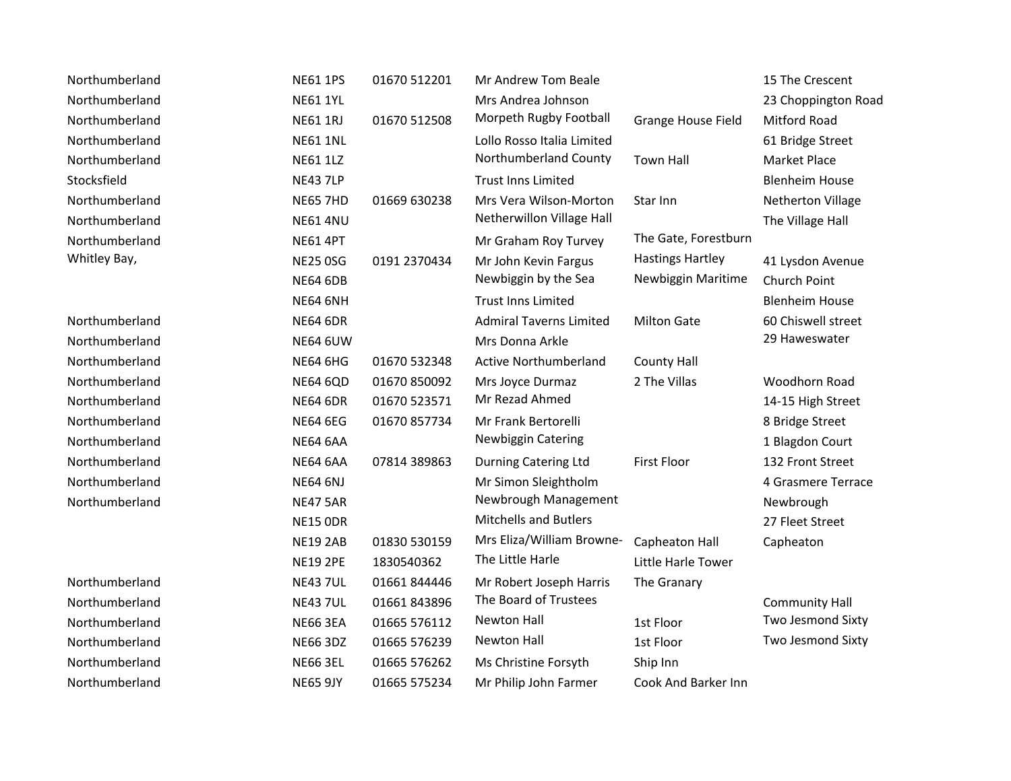| Northumberland | <b>NE61 1PS</b> | 01670 512201 | Mr Andrew Tom Beale            |                           | 15 The Crescent       |
|----------------|-----------------|--------------|--------------------------------|---------------------------|-----------------------|
| Northumberland | <b>NE61 1YL</b> |              | Mrs Andrea Johnson             |                           | 23 Choppington Road   |
| Northumberland | <b>NE61 1RJ</b> | 01670 512508 | Morpeth Rugby Football         | <b>Grange House Field</b> | Mitford Road          |
| Northumberland | <b>NE61 1NL</b> |              | Lollo Rosso Italia Limited     |                           | 61 Bridge Street      |
| Northumberland | <b>NE61 1LZ</b> |              | Northumberland County          | <b>Town Hall</b>          | Market Place          |
| Stocksfield    | <b>NE43 7LP</b> |              | <b>Trust Inns Limited</b>      |                           | <b>Blenheim House</b> |
| Northumberland | <b>NE65 7HD</b> | 01669 630238 | Mrs Vera Wilson-Morton         | Star Inn                  | Netherton Village     |
| Northumberland | <b>NE61 4NU</b> |              | Netherwillon Village Hall      |                           | The Village Hall      |
| Northumberland | <b>NE61 4PT</b> |              | Mr Graham Roy Turvey           | The Gate, Forestburn      |                       |
| Whitley Bay,   | <b>NE25 0SG</b> | 0191 2370434 | Mr John Kevin Fargus           | <b>Hastings Hartley</b>   | 41 Lysdon Avenue      |
|                | <b>NE64 6DB</b> |              | Newbiggin by the Sea           | Newbiggin Maritime        | Church Point          |
|                | <b>NE64 6NH</b> |              | <b>Trust Inns Limited</b>      |                           | <b>Blenheim House</b> |
| Northumberland | <b>NE64 6DR</b> |              | <b>Admiral Taverns Limited</b> | <b>Milton Gate</b>        | 60 Chiswell street    |
| Northumberland | <b>NE64 6UW</b> |              | Mrs Donna Arkle                |                           | 29 Haweswater         |
| Northumberland | <b>NE64 6HG</b> | 01670 532348 | <b>Active Northumberland</b>   | County Hall               |                       |
| Northumberland | <b>NE64 6QD</b> | 01670 850092 | Mrs Joyce Durmaz               | 2 The Villas              | Woodhorn Road         |
| Northumberland | <b>NE64 6DR</b> | 01670 523571 | Mr Rezad Ahmed                 |                           | 14-15 High Street     |
| Northumberland | <b>NE64 6EG</b> | 01670 857734 | Mr Frank Bertorelli            |                           | 8 Bridge Street       |
| Northumberland | <b>NE64 6AA</b> |              | <b>Newbiggin Catering</b>      |                           | 1 Blagdon Court       |
| Northumberland | <b>NE64 6AA</b> | 07814 389863 | <b>Durning Catering Ltd</b>    | <b>First Floor</b>        | 132 Front Street      |
| Northumberland | <b>NE64 6NJ</b> |              | Mr Simon Sleightholm           |                           | 4 Grasmere Terrace    |
| Northumberland | <b>NE47 5AR</b> |              | Newbrough Management           |                           | Newbrough             |
|                | <b>NE15 ODR</b> |              | <b>Mitchells and Butlers</b>   |                           | 27 Fleet Street       |
|                | <b>NE19 2AB</b> | 01830 530159 | Mrs Eliza/William Browne-      | Capheaton Hall            | Capheaton             |
|                | <b>NE19 2PE</b> | 1830540362   | The Little Harle               | Little Harle Tower        |                       |
| Northumberland | <b>NE43 7UL</b> | 01661844446  | Mr Robert Joseph Harris        | The Granary               |                       |
| Northumberland | <b>NE43 7UL</b> | 01661843896  | The Board of Trustees          |                           | <b>Community Hall</b> |
| Northumberland | <b>NE66 3EA</b> | 01665 576112 | Newton Hall                    | 1st Floor                 | Two Jesmond Sixty     |
| Northumberland | <b>NE66 3DZ</b> | 01665 576239 | Newton Hall                    | 1st Floor                 | Two Jesmond Sixty     |
| Northumberland | <b>NE66 3EL</b> | 01665 576262 | Ms Christine Forsyth           | Ship Inn                  |                       |
| Northumberland | <b>NE65 9JY</b> | 01665 575234 | Mr Philip John Farmer          | Cook And Barker Inn       |                       |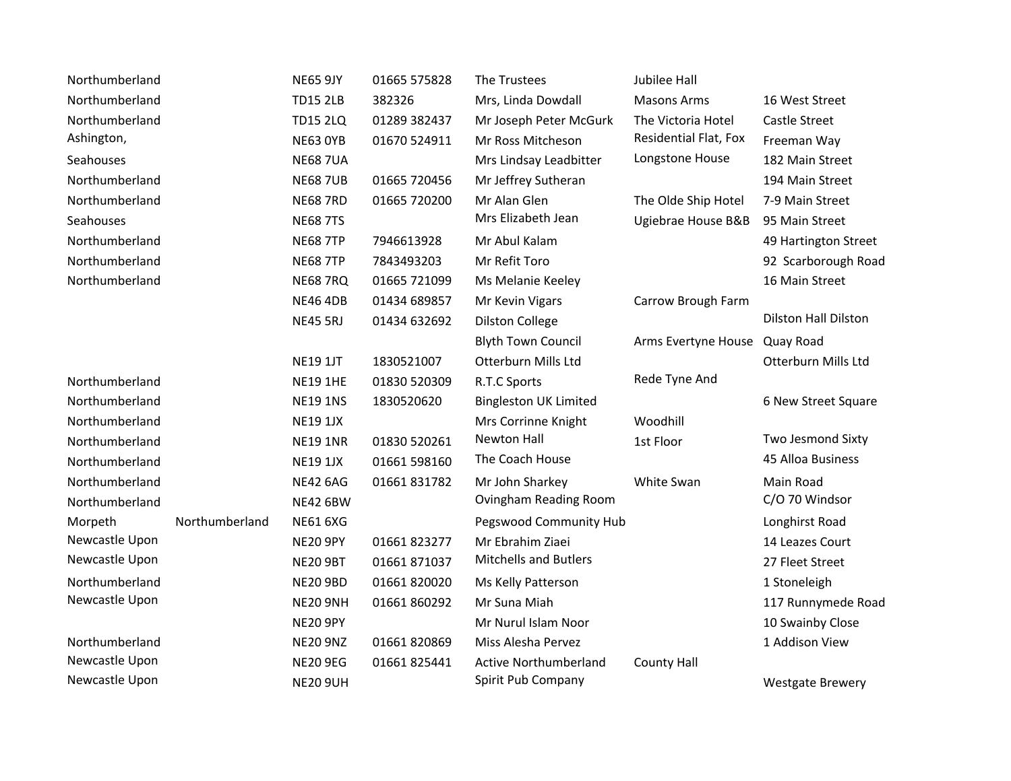| Northumberland |                | <b>NE65 9JY</b> | 01665 575828 | The Trustees                 | <b>Jubilee Hall</b>   |                             |
|----------------|----------------|-----------------|--------------|------------------------------|-----------------------|-----------------------------|
| Northumberland |                | <b>TD15 2LB</b> | 382326       | Mrs, Linda Dowdall           | <b>Masons Arms</b>    | 16 West Street              |
| Northumberland |                | <b>TD15 2LQ</b> | 01289 382437 | Mr Joseph Peter McGurk       | The Victoria Hotel    | <b>Castle Street</b>        |
| Ashington,     |                | <b>NE63 OYB</b> | 01670 524911 | Mr Ross Mitcheson            | Residential Flat, Fox | Freeman Way                 |
| Seahouses      |                | <b>NE68 7UA</b> |              | Mrs Lindsay Leadbitter       | Longstone House       | 182 Main Street             |
| Northumberland |                | <b>NE68 7UB</b> | 01665 720456 | Mr Jeffrey Sutheran          |                       | 194 Main Street             |
| Northumberland |                | <b>NE68 7RD</b> | 01665 720200 | Mr Alan Glen                 | The Olde Ship Hotel   | 7-9 Main Street             |
| Seahouses      |                | <b>NE68 7TS</b> |              | Mrs Elizabeth Jean           | Ugiebrae House B&B    | 95 Main Street              |
| Northumberland |                | <b>NE68 7TP</b> | 7946613928   | Mr Abul Kalam                |                       | 49 Hartington Street        |
| Northumberland |                | <b>NE68 7TP</b> | 7843493203   | Mr Refit Toro                |                       | 92 Scarborough Road         |
| Northumberland |                | <b>NE68 7RQ</b> | 01665 721099 | Ms Melanie Keeley            |                       | 16 Main Street              |
|                |                | <b>NE46 4DB</b> | 01434 689857 | Mr Kevin Vigars              | Carrow Brough Farm    |                             |
|                |                | <b>NE45 5RJ</b> | 01434 632692 | <b>Dilston College</b>       |                       | <b>Dilston Hall Dilston</b> |
|                |                |                 |              | <b>Blyth Town Council</b>    | Arms Evertyne House   | Quay Road                   |
|                |                | <b>NE19 1JT</b> | 1830521007   | Otterburn Mills Ltd          |                       | Otterburn Mills Ltd         |
| Northumberland |                | <b>NE19 1HE</b> | 01830 520309 | R.T.C Sports                 | Rede Tyne And         |                             |
| Northumberland |                | <b>NE19 1NS</b> | 1830520620   | <b>Bingleston UK Limited</b> |                       | 6 New Street Square         |
| Northumberland |                | <b>NE19 1JX</b> |              | Mrs Corrinne Knight          | Woodhill              |                             |
| Northumberland |                | <b>NE19 1NR</b> | 01830 520261 | <b>Newton Hall</b>           | 1st Floor             | Two Jesmond Sixty           |
| Northumberland |                | <b>NE19 1JX</b> | 01661 598160 | The Coach House              |                       | 45 Alloa Business           |
| Northumberland |                | <b>NE42 6AG</b> | 01661 831782 | Mr John Sharkey              | White Swan            | Main Road                   |
| Northumberland |                | <b>NE42 6BW</b> |              | Ovingham Reading Room        |                       | C/O 70 Windsor              |
| Morpeth        | Northumberland | <b>NE61 6XG</b> |              | Pegswood Community Hub       |                       | Longhirst Road              |
| Newcastle Upon |                | <b>NE20 9PY</b> | 01661823277  | Mr Ebrahim Ziaei             |                       | 14 Leazes Court             |
| Newcastle Upon |                | <b>NE20 9BT</b> | 01661871037  | <b>Mitchells and Butlers</b> |                       | 27 Fleet Street             |
| Northumberland |                | <b>NE20 9BD</b> | 01661 820020 | Ms Kelly Patterson           |                       | 1 Stoneleigh                |
| Newcastle Upon |                | <b>NE20 9NH</b> | 01661860292  | Mr Suna Miah                 |                       | 117 Runnymede Road          |
|                |                | <b>NE20 9PY</b> |              | Mr Nurul Islam Noor          |                       | 10 Swainby Close            |
| Northumberland |                | <b>NE20 9NZ</b> | 01661820869  | Miss Alesha Pervez           |                       | 1 Addison View              |
| Newcastle Upon |                | <b>NE20 9EG</b> | 01661 825441 | <b>Active Northumberland</b> | <b>County Hall</b>    |                             |
| Newcastle Upon |                | <b>NE20 9UH</b> |              | Spirit Pub Company           |                       | <b>Westgate Brewery</b>     |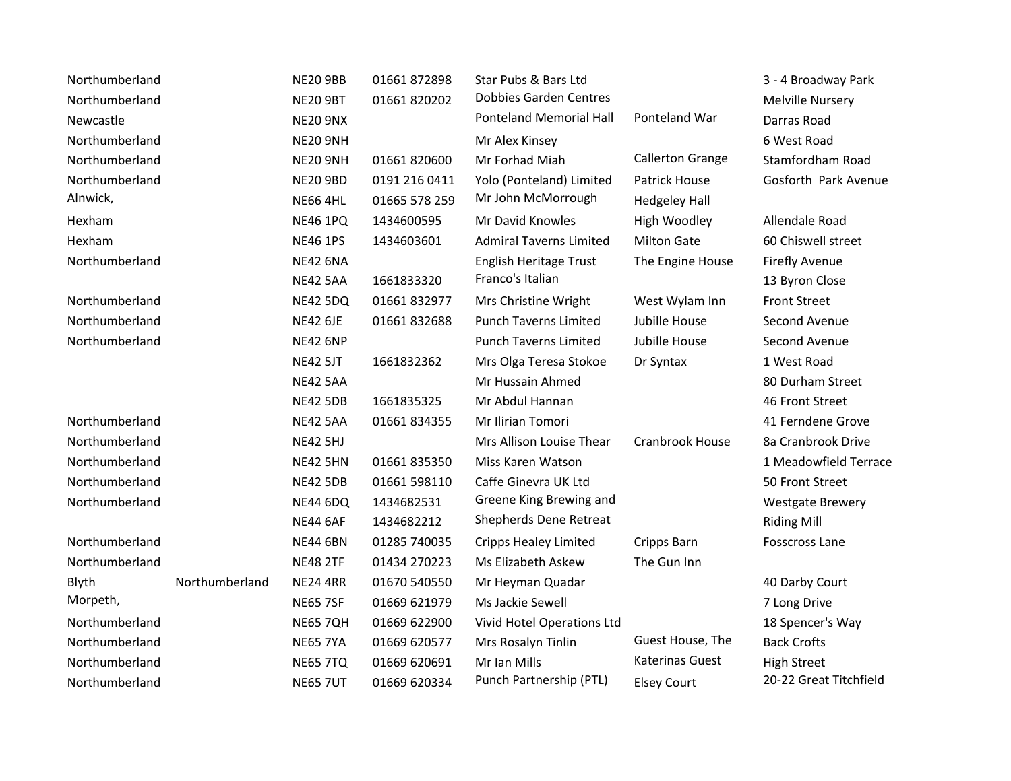| Northumberland |                | <b>NE20 9BB</b> | 01661 872898  | Star Pubs & Bars Ltd           |                         | 3 - 4 Broadway Park     |
|----------------|----------------|-----------------|---------------|--------------------------------|-------------------------|-------------------------|
| Northumberland |                | <b>NE20 9BT</b> | 01661820202   | <b>Dobbies Garden Centres</b>  |                         | Melville Nursery        |
| Newcastle      |                | <b>NE20 9NX</b> |               | <b>Ponteland Memorial Hall</b> | Ponteland War           | Darras Road             |
| Northumberland |                | <b>NE20 9NH</b> |               | Mr Alex Kinsey                 |                         | 6 West Road             |
| Northumberland |                | <b>NE20 9NH</b> | 01661 820600  | Mr Forhad Miah                 | <b>Callerton Grange</b> | Stamfordham Road        |
| Northumberland |                | <b>NE20 9BD</b> | 0191 216 0411 | Yolo (Ponteland) Limited       | <b>Patrick House</b>    | Gosforth Park Avenue    |
| Alnwick,       |                | <b>NE66 4HL</b> | 01665 578 259 | Mr John McMorrough             | <b>Hedgeley Hall</b>    |                         |
| Hexham         |                | <b>NE46 1PQ</b> | 1434600595    | Mr David Knowles               | High Woodley            | Allendale Road          |
| Hexham         |                | <b>NE46 1PS</b> | 1434603601    | <b>Admiral Taverns Limited</b> | <b>Milton Gate</b>      | 60 Chiswell street      |
| Northumberland |                | <b>NE42 6NA</b> |               | English Heritage Trust         | The Engine House        | <b>Firefly Avenue</b>   |
|                |                | <b>NE42 5AA</b> | 1661833320    | Franco's Italian               |                         | 13 Byron Close          |
| Northumberland |                | <b>NE42 5DQ</b> | 01661832977   | Mrs Christine Wright           | West Wylam Inn          | <b>Front Street</b>     |
| Northumberland |                | <b>NE42 6JE</b> | 01661832688   | <b>Punch Taverns Limited</b>   | Jubille House           | Second Avenue           |
| Northumberland |                | <b>NE42 6NP</b> |               | <b>Punch Taverns Limited</b>   | Jubille House           | Second Avenue           |
|                |                | <b>NE42 5JT</b> | 1661832362    | Mrs Olga Teresa Stokoe         | Dr Syntax               | 1 West Road             |
|                |                | <b>NE42 5AA</b> |               | Mr Hussain Ahmed               |                         | 80 Durham Street        |
|                |                | <b>NE42 5DB</b> | 1661835325    | Mr Abdul Hannan                |                         | 46 Front Street         |
| Northumberland |                | <b>NE42 5AA</b> | 01661834355   | Mr Ilirian Tomori              |                         | 41 Ferndene Grove       |
| Northumberland |                | <b>NE42 5HJ</b> |               | Mrs Allison Louise Thear       | Cranbrook House         | 8a Cranbrook Drive      |
| Northumberland |                | <b>NE42 5HN</b> | 01661835350   | Miss Karen Watson              |                         | 1 Meadowfield Terrace   |
| Northumberland |                | <b>NE42 5DB</b> | 01661 598110  | Caffe Ginevra UK Ltd           |                         | 50 Front Street         |
| Northumberland |                | <b>NE44 6DQ</b> | 1434682531    | Greene King Brewing and        |                         | <b>Westgate Brewery</b> |
|                |                | <b>NE44 6AF</b> | 1434682212    | Shepherds Dene Retreat         |                         | <b>Riding Mill</b>      |
| Northumberland |                | <b>NE44 6BN</b> | 01285 740035  | <b>Cripps Healey Limited</b>   | Cripps Barn             | Fosscross Lane          |
| Northumberland |                | <b>NE48 2TF</b> | 01434 270223  | Ms Elizabeth Askew             | The Gun Inn             |                         |
| Blyth          | Northumberland | <b>NE24 4RR</b> | 01670 540550  | Mr Heyman Quadar               |                         | 40 Darby Court          |
| Morpeth,       |                | <b>NE65 7SF</b> | 01669 621979  | Ms Jackie Sewell               |                         | 7 Long Drive            |
| Northumberland |                | <b>NE65 7QH</b> | 01669 622900  | Vivid Hotel Operations Ltd     |                         | 18 Spencer's Way        |
| Northumberland |                | <b>NE65 7YA</b> | 01669 620577  | Mrs Rosalyn Tinlin             | Guest House, The        | <b>Back Crofts</b>      |
| Northumberland |                | <b>NE65 7TQ</b> | 01669 620691  | Mr Ian Mills                   | Katerinas Guest         | <b>High Street</b>      |
| Northumberland |                | <b>NE65 7UT</b> | 01669 620334  | Punch Partnership (PTL)        | <b>Elsey Court</b>      | 20-22 Great Titchfield  |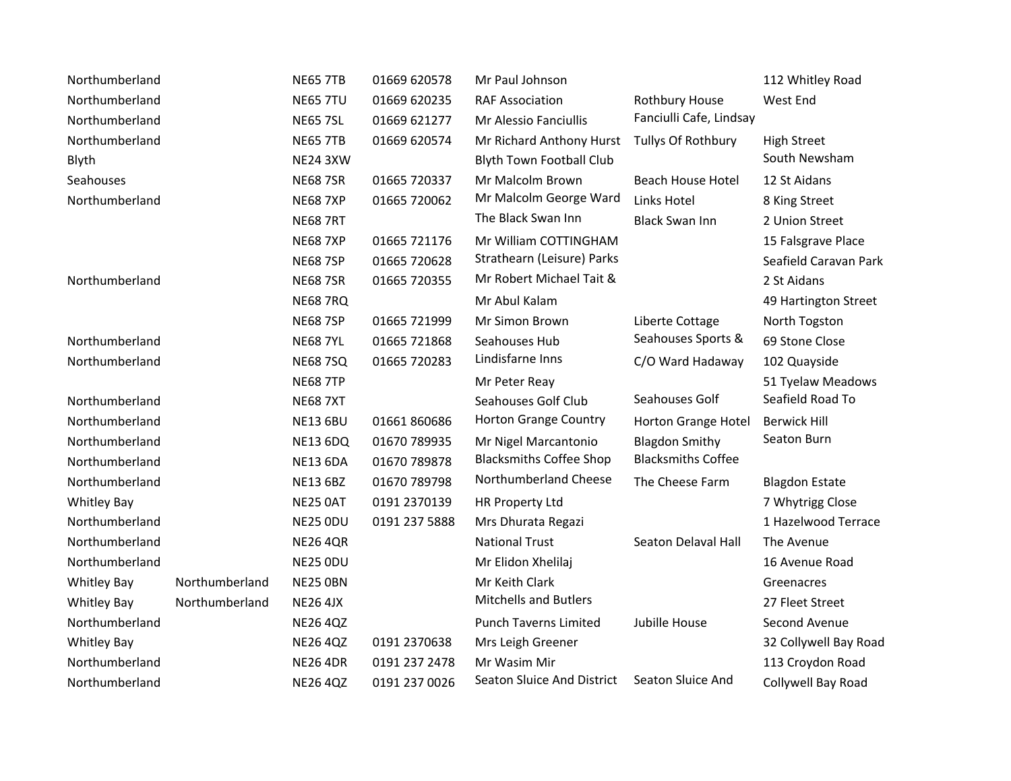| Northumberland     |                | <b>NE65 7TB</b> | 01669 620578  | Mr Paul Johnson                 |                           | 112 Whitley Road      |
|--------------------|----------------|-----------------|---------------|---------------------------------|---------------------------|-----------------------|
| Northumberland     |                | <b>NE65 7TU</b> | 01669 620235  | <b>RAF Association</b>          | Rothbury House            | West End              |
| Northumberland     |                | <b>NE65 7SL</b> | 01669 621277  | Mr Alessio Fanciullis           | Fanciulli Cafe, Lindsay   |                       |
| Northumberland     |                | <b>NE65 7TB</b> | 01669 620574  | Mr Richard Anthony Hurst        | Tullys Of Rothbury        | <b>High Street</b>    |
| Blyth              |                | <b>NE24 3XW</b> |               | <b>Blyth Town Football Club</b> |                           | South Newsham         |
| Seahouses          |                | <b>NE68 7SR</b> | 01665 720337  | Mr Malcolm Brown                | Beach House Hotel         | 12 St Aidans          |
| Northumberland     |                | <b>NE68 7XP</b> | 01665 720062  | Mr Malcolm George Ward          | Links Hotel               | 8 King Street         |
|                    |                | <b>NE68 7RT</b> |               | The Black Swan Inn              | <b>Black Swan Inn</b>     | 2 Union Street        |
|                    |                | <b>NE68 7XP</b> | 01665 721176  | Mr William COTTINGHAM           |                           | 15 Falsgrave Place    |
|                    |                | <b>NE68 7SP</b> | 01665 720628  | Strathearn (Leisure) Parks      |                           | Seafield Caravan Park |
| Northumberland     |                | <b>NE68 7SR</b> | 01665 720355  | Mr Robert Michael Tait &        |                           | 2 St Aidans           |
|                    |                | <b>NE68 7RQ</b> |               | Mr Abul Kalam                   |                           | 49 Hartington Street  |
|                    |                | <b>NE68 7SP</b> | 01665 721999  | Mr Simon Brown                  | Liberte Cottage           | North Togston         |
| Northumberland     |                | <b>NE68 7YL</b> | 01665 721868  | Seahouses Hub                   | Seahouses Sports &        | 69 Stone Close        |
| Northumberland     |                | <b>NE68 7SQ</b> | 01665 720283  | Lindisfarne Inns                | C/O Ward Hadaway          | 102 Quayside          |
|                    |                | <b>NE68 7TP</b> |               | Mr Peter Reay                   |                           | 51 Tyelaw Meadows     |
| Northumberland     |                | <b>NE68 7XT</b> |               | Seahouses Golf Club             | Seahouses Golf            | Seafield Road To      |
| Northumberland     |                | <b>NE13 6BU</b> | 01661860686   | Horton Grange Country           | Horton Grange Hotel       | <b>Berwick Hill</b>   |
| Northumberland     |                | <b>NE13 6DQ</b> | 01670 789935  | Mr Nigel Marcantonio            | <b>Blagdon Smithy</b>     | Seaton Burn           |
| Northumberland     |                | <b>NE13 6DA</b> | 01670 789878  | <b>Blacksmiths Coffee Shop</b>  | <b>Blacksmiths Coffee</b> |                       |
| Northumberland     |                | <b>NE13 6BZ</b> | 01670 789798  | Northumberland Cheese           | The Cheese Farm           | <b>Blagdon Estate</b> |
| <b>Whitley Bay</b> |                | <b>NE25 0AT</b> | 0191 2370139  | HR Property Ltd                 |                           | 7 Whytrigg Close      |
| Northumberland     |                | NE25 ODU        | 0191 237 5888 | Mrs Dhurata Regazi              |                           | 1 Hazelwood Terrace   |
| Northumberland     |                | <b>NE26 4QR</b> |               | <b>National Trust</b>           | Seaton Delaval Hall       | The Avenue            |
| Northumberland     |                | NE25 ODU        |               | Mr Elidon Xhelilaj              |                           | 16 Avenue Road        |
| <b>Whitley Bay</b> | Northumberland | <b>NE25 OBN</b> |               | Mr Keith Clark                  |                           | Greenacres            |
| Whitley Bay        | Northumberland | <b>NE26 4JX</b> |               | <b>Mitchells and Butlers</b>    |                           | 27 Fleet Street       |
| Northumberland     |                | <b>NE26 4QZ</b> |               | <b>Punch Taverns Limited</b>    | Jubille House             | Second Avenue         |
| <b>Whitley Bay</b> |                | <b>NE26 4QZ</b> | 0191 2370638  | Mrs Leigh Greener               |                           | 32 Collywell Bay Road |
| Northumberland     |                | <b>NE26 4DR</b> | 0191 237 2478 | Mr Wasim Mir                    |                           | 113 Croydon Road      |
| Northumberland     |                | <b>NE26 4QZ</b> | 0191 237 0026 | Seaton Sluice And District      | Seaton Sluice And         | Collywell Bay Road    |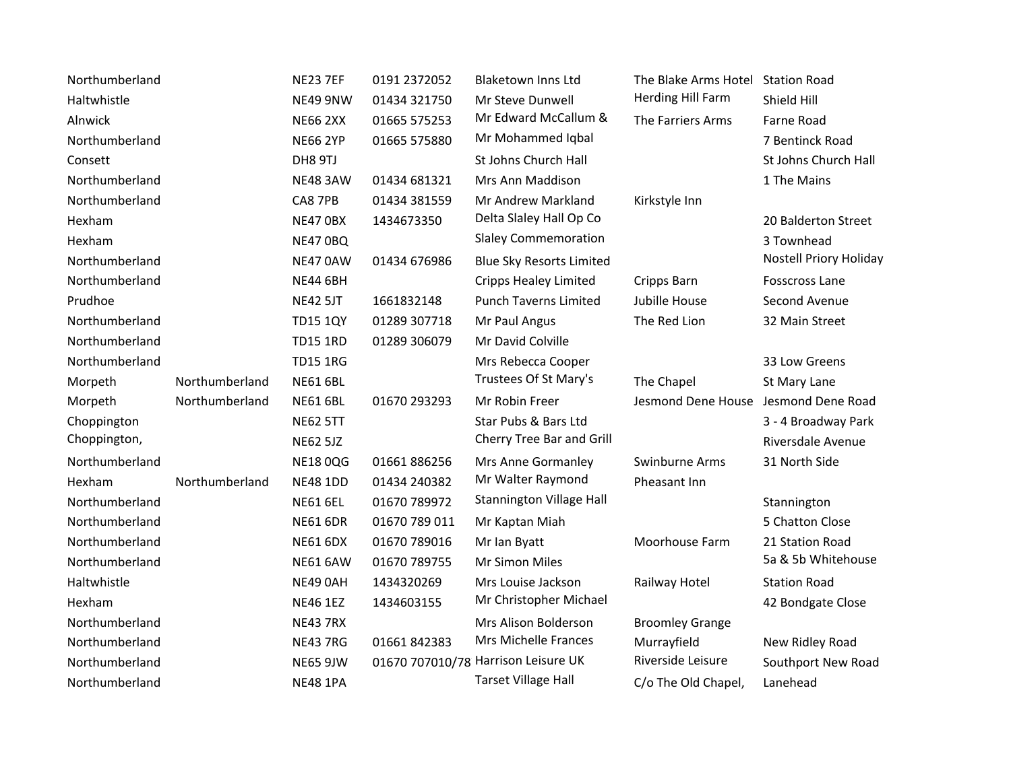| Northumberland |                | <b>NE23 7EF</b> | 0191 2372052  | <b>Blaketown Inns Ltd</b>           | The Blake Arms Hotel Station Road    |                        |
|----------------|----------------|-----------------|---------------|-------------------------------------|--------------------------------------|------------------------|
| Haltwhistle    |                | NE49 9NW        | 01434 321750  | Mr Steve Dunwell                    | Herding Hill Farm                    | Shield Hill            |
| Alnwick        |                | <b>NE66 2XX</b> | 01665 575253  | Mr Edward McCallum &                | The Farriers Arms                    | Farne Road             |
| Northumberland |                | <b>NE66 2YP</b> | 01665 575880  | Mr Mohammed Iqbal                   |                                      | 7 Bentinck Road        |
| Consett        |                | DH8 9TJ         |               | St Johns Church Hall                |                                      | St Johns Church Hall   |
| Northumberland |                | <b>NE48 3AW</b> | 01434 681321  | Mrs Ann Maddison                    |                                      | 1 The Mains            |
| Northumberland |                | CA8 7PB         | 01434 381559  | Mr Andrew Markland                  | Kirkstyle Inn                        |                        |
| Hexham         |                | NE47 OBX        | 1434673350    | Delta Slaley Hall Op Co             |                                      | 20 Balderton Street    |
| Hexham         |                | <b>NE47 0BQ</b> |               | <b>Slaley Commemoration</b>         |                                      | 3 Townhead             |
| Northumberland |                | NE47 0AW        | 01434 676986  | <b>Blue Sky Resorts Limited</b>     |                                      | Nostell Priory Holiday |
| Northumberland |                | <b>NE44 6BH</b> |               | <b>Cripps Healey Limited</b>        | Cripps Barn                          | <b>Fosscross Lane</b>  |
| Prudhoe        |                | <b>NE42 5JT</b> | 1661832148    | <b>Punch Taverns Limited</b>        | Jubille House                        | Second Avenue          |
| Northumberland |                | <b>TD15 1QY</b> | 01289 307718  | Mr Paul Angus                       | The Red Lion                         | 32 Main Street         |
| Northumberland |                | <b>TD15 1RD</b> | 01289 306079  | Mr David Colville                   |                                      |                        |
| Northumberland |                | <b>TD15 1RG</b> |               | Mrs Rebecca Cooper                  |                                      | 33 Low Greens          |
| Morpeth        | Northumberland | <b>NE61 6BL</b> |               | Trustees Of St Mary's               | The Chapel                           | St Mary Lane           |
| Morpeth        | Northumberland | <b>NE61 6BL</b> | 01670 293293  | Mr Robin Freer                      | Jesmond Dene House Jesmond Dene Road |                        |
| Choppington    |                | <b>NE62 5TT</b> |               | Star Pubs & Bars Ltd                |                                      | 3 - 4 Broadway Park    |
| Choppington,   |                | <b>NE62 5JZ</b> |               | Cherry Tree Bar and Grill           |                                      | Riversdale Avenue      |
| Northumberland |                | <b>NE18 0QG</b> | 01661886256   | Mrs Anne Gormanley                  | Swinburne Arms                       | 31 North Side          |
| Hexham         | Northumberland | <b>NE48 1DD</b> | 01434 240382  | Mr Walter Raymond                   | Pheasant Inn                         |                        |
| Northumberland |                | <b>NE61 6EL</b> | 01670 789972  | <b>Stannington Village Hall</b>     |                                      | Stannington            |
| Northumberland |                | <b>NE61 6DR</b> | 01670 789 011 | Mr Kaptan Miah                      |                                      | 5 Chatton Close        |
| Northumberland |                | <b>NE61 6DX</b> | 01670 789016  | Mr Ian Byatt                        | Moorhouse Farm                       | 21 Station Road        |
| Northumberland |                | <b>NE61 6AW</b> | 01670 789755  | Mr Simon Miles                      |                                      | 5a & 5b Whitehouse     |
| Haltwhistle    |                | NE49 0AH        | 1434320269    | Mrs Louise Jackson                  | Railway Hotel                        | <b>Station Road</b>    |
| Hexham         |                | <b>NE46 1EZ</b> | 1434603155    | Mr Christopher Michael              |                                      | 42 Bondgate Close      |
| Northumberland |                | <b>NE43 7RX</b> |               | Mrs Alison Bolderson                | <b>Broomley Grange</b>               |                        |
| Northumberland |                | <b>NE43 7RG</b> | 01661 842383  | Mrs Michelle Frances                | Murrayfield                          | New Ridley Road        |
| Northumberland |                | <b>NE65 9JW</b> |               | 01670 707010/78 Harrison Leisure UK | Riverside Leisure                    | Southport New Road     |
| Northumberland |                | <b>NE48 1PA</b> |               | <b>Tarset Village Hall</b>          | C/o The Old Chapel,                  | Lanehead               |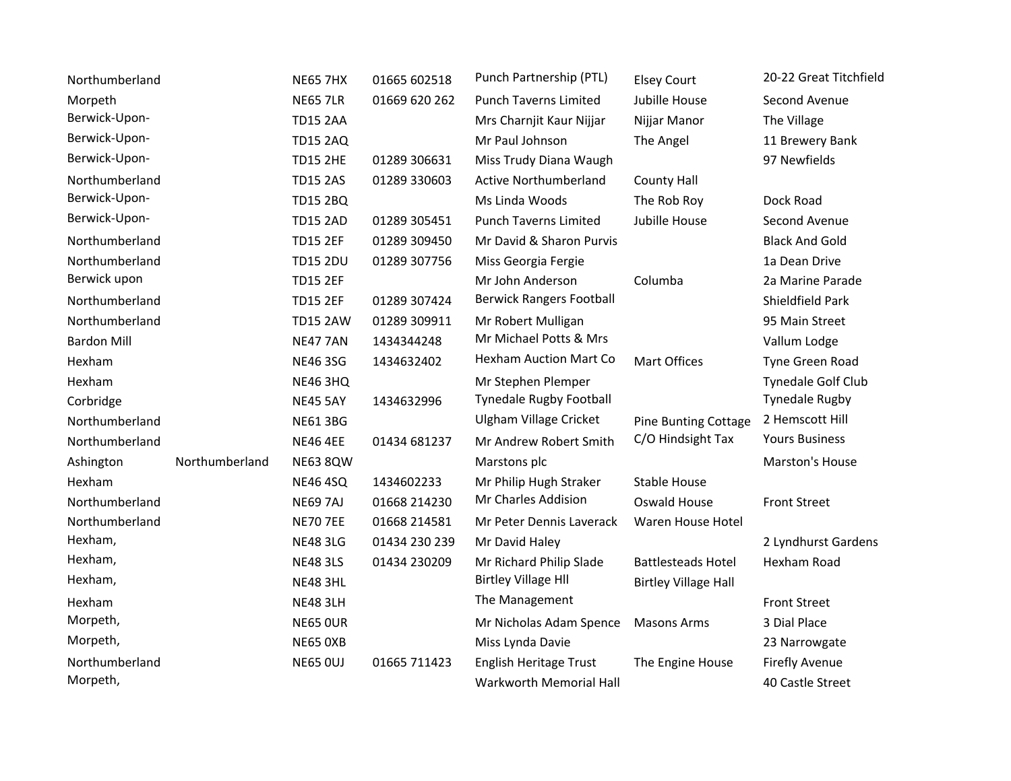| Northumberland     |                | <b>NE65 7HX</b> | 01665 602518  | Punch Partnership (PTL)         | <b>Elsey Court</b>          | 20-22 Great Titchfield |
|--------------------|----------------|-----------------|---------------|---------------------------------|-----------------------------|------------------------|
| Morpeth            |                | <b>NE65 7LR</b> | 01669 620 262 | <b>Punch Taverns Limited</b>    | Jubille House               | Second Avenue          |
| Berwick-Upon-      |                | <b>TD15 2AA</b> |               | Mrs Charnjit Kaur Nijjar        | Nijjar Manor                | The Village            |
| Berwick-Upon-      |                | <b>TD15 2AQ</b> |               | Mr Paul Johnson                 | The Angel                   | 11 Brewery Bank        |
| Berwick-Upon-      |                | <b>TD15 2HE</b> | 01289 306631  | Miss Trudy Diana Waugh          |                             | 97 Newfields           |
| Northumberland     |                | <b>TD15 2AS</b> | 01289 330603  | <b>Active Northumberland</b>    | <b>County Hall</b>          |                        |
| Berwick-Upon-      |                | <b>TD15 2BQ</b> |               | Ms Linda Woods                  | The Rob Roy                 | Dock Road              |
| Berwick-Upon-      |                | <b>TD15 2AD</b> | 01289 305451  | <b>Punch Taverns Limited</b>    | Jubille House               | Second Avenue          |
| Northumberland     |                | <b>TD15 2EF</b> | 01289 309450  | Mr David & Sharon Purvis        |                             | <b>Black And Gold</b>  |
| Northumberland     |                | <b>TD15 2DU</b> | 01289 307756  | Miss Georgia Fergie             |                             | 1a Dean Drive          |
| Berwick upon       |                | <b>TD15 2EF</b> |               | Mr John Anderson                | Columba                     | 2a Marine Parade       |
| Northumberland     |                | <b>TD15 2EF</b> | 01289 307424  | <b>Berwick Rangers Football</b> |                             | Shieldfield Park       |
| Northumberland     |                | <b>TD15 2AW</b> | 01289 309911  | Mr Robert Mulligan              |                             | 95 Main Street         |
| <b>Bardon Mill</b> |                | <b>NE47 7AN</b> | 1434344248    | Mr Michael Potts & Mrs          |                             | Vallum Lodge           |
| Hexham             |                | <b>NE46 3SG</b> | 1434632402    | <b>Hexham Auction Mart Co</b>   | <b>Mart Offices</b>         | Tyne Green Road        |
| Hexham             |                | <b>NE46 3HQ</b> |               | Mr Stephen Plemper              |                             | Tynedale Golf Club     |
| Corbridge          |                | <b>NE45 5AY</b> | 1434632996    | Tynedale Rugby Football         |                             | <b>Tynedale Rugby</b>  |
| Northumberland     |                | <b>NE61 3BG</b> |               | <b>Ulgham Village Cricket</b>   | <b>Pine Bunting Cottage</b> | 2 Hemscott Hill        |
| Northumberland     |                | <b>NE46 4EE</b> | 01434 681237  | Mr Andrew Robert Smith          | C/O Hindsight Tax           | <b>Yours Business</b>  |
| Ashington          | Northumberland | <b>NE63 8QW</b> |               | Marstons plc                    |                             | Marston's House        |
| Hexham             |                | <b>NE46 4SQ</b> | 1434602233    | Mr Philip Hugh Straker          | <b>Stable House</b>         |                        |
| Northumberland     |                | <b>NE69 7AJ</b> | 01668 214230  | Mr Charles Addision             | Oswald House                | <b>Front Street</b>    |
| Northumberland     |                | <b>NE70 7EE</b> | 01668 214581  | Mr Peter Dennis Laverack        | Waren House Hotel           |                        |
| Hexham,            |                | <b>NE48 3LG</b> | 01434 230 239 | Mr David Haley                  |                             | 2 Lyndhurst Gardens    |
| Hexham,            |                | <b>NE48 3LS</b> | 01434 230209  | Mr Richard Philip Slade         | <b>Battlesteads Hotel</b>   | Hexham Road            |
| Hexham,            |                | <b>NE48 3HL</b> |               | <b>Birtley Village HII</b>      | <b>Birtley Village Hall</b> |                        |
| Hexham             |                | <b>NE48 3LH</b> |               | The Management                  |                             | <b>Front Street</b>    |
| Morpeth,           |                | <b>NE65 OUR</b> |               | Mr Nicholas Adam Spence         | <b>Masons Arms</b>          | 3 Dial Place           |
| Morpeth,           |                | <b>NE65 0XB</b> |               | Miss Lynda Davie                |                             | 23 Narrowgate          |
| Northumberland     |                | <b>NE65 OUJ</b> | 01665 711423  | English Heritage Trust          | The Engine House            | <b>Firefly Avenue</b>  |
| Morpeth,           |                |                 |               | Warkworth Memorial Hall         |                             | 40 Castle Street       |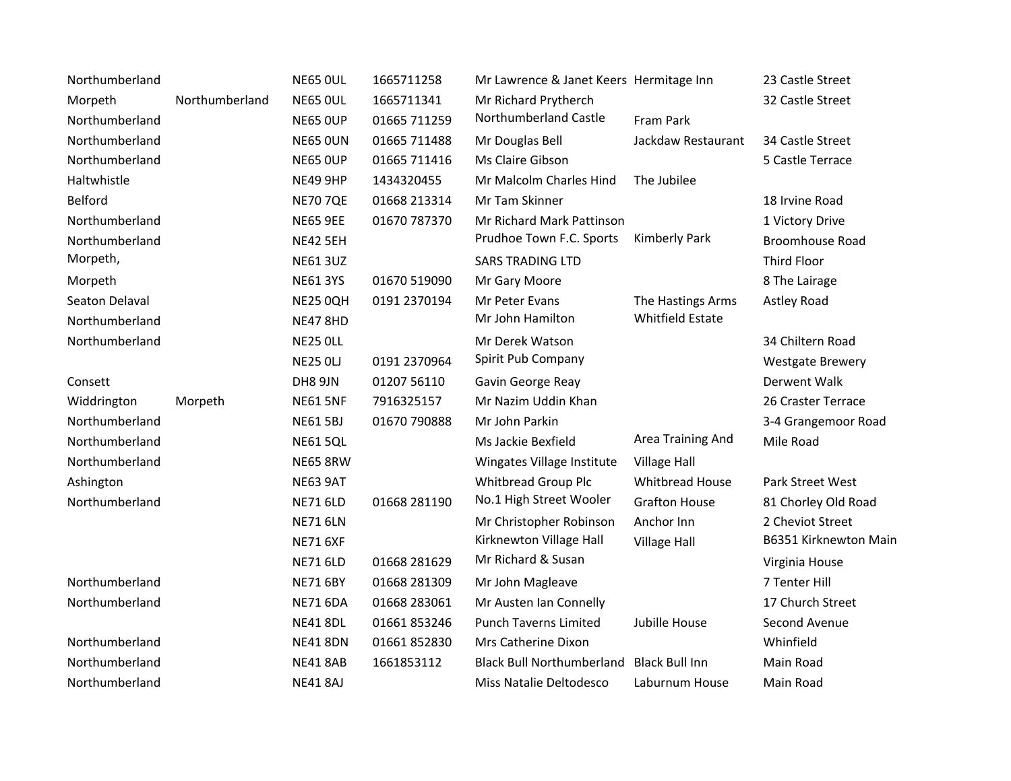| Northumberland |                | <b>NE65 OUL</b> | 1665711258   | Mr Lawrence & Janet Keers Hermitage Inn |                         | 23 Castle Street        |
|----------------|----------------|-----------------|--------------|-----------------------------------------|-------------------------|-------------------------|
| Morpeth        | Northumberland | <b>NE65 OUL</b> | 1665711341   | Mr Richard Prytherch                    |                         | 32 Castle Street        |
| Northumberland |                | <b>NE65 OUP</b> | 01665 711259 | Northumberland Castle                   | Fram Park               |                         |
| Northumberland |                | <b>NE65 OUN</b> | 01665 711488 | Mr Douglas Bell                         | Jackdaw Restaurant      | 34 Castle Street        |
| Northumberland |                | <b>NE65 OUP</b> | 01665 711416 | Ms Claire Gibson                        |                         | 5 Castle Terrace        |
| Haltwhistle    |                | <b>NE49 9HP</b> | 1434320455   | Mr Malcolm Charles Hind                 | The Jubilee             |                         |
| Belford        |                | <b>NE70 7QE</b> | 01668 213314 | Mr Tam Skinner                          |                         | 18 Irvine Road          |
| Northumberland |                | <b>NE65 9EE</b> | 01670 787370 | Mr Richard Mark Pattinson               |                         | 1 Victory Drive         |
| Northumberland |                | <b>NE42 5EH</b> |              | Prudhoe Town F.C. Sports                | <b>Kimberly Park</b>    | <b>Broomhouse Road</b>  |
| Morpeth,       |                | <b>NE61 3UZ</b> |              | <b>SARS TRADING LTD</b>                 |                         | Third Floor             |
| Morpeth        |                | <b>NE61 3YS</b> | 01670 519090 | Mr Gary Moore                           |                         | 8 The Lairage           |
| Seaton Delaval |                | <b>NE25 0QH</b> | 0191 2370194 | Mr Peter Evans                          | The Hastings Arms       | Astley Road             |
| Northumberland |                | <b>NE47 8HD</b> |              | Mr John Hamilton                        | <b>Whitfield Estate</b> |                         |
| Northumberland |                | <b>NE25 OLL</b> |              | Mr Derek Watson                         |                         | 34 Chiltern Road        |
|                |                | <b>NE25 OLJ</b> | 0191 2370964 | Spirit Pub Company                      |                         | <b>Westgate Brewery</b> |
| Consett        |                | DH8 9JN         | 01207 56110  | Gavin George Reay                       |                         | Derwent Walk            |
| Widdrington    | Morpeth        | <b>NE61 5NF</b> | 7916325157   | Mr Nazim Uddin Khan                     |                         | 26 Craster Terrace      |
| Northumberland |                | <b>NE61 5BJ</b> | 01670 790888 | Mr John Parkin                          |                         | 3-4 Grangemoor Road     |
| Northumberland |                | <b>NE61 5QL</b> |              | Ms Jackie Bexfield                      | Area Training And       | Mile Road               |
| Northumberland |                | <b>NE65 8RW</b> |              | Wingates Village Institute              | Village Hall            |                         |
| Ashington      |                | <b>NE63 9AT</b> |              | Whitbread Group Plc                     | Whitbread House         | Park Street West        |
| Northumberland |                | <b>NE71 6LD</b> | 01668 281190 | No.1 High Street Wooler                 | <b>Grafton House</b>    | 81 Chorley Old Road     |
|                |                | <b>NE71 6LN</b> |              | Mr Christopher Robinson                 | Anchor Inn              | 2 Cheviot Street        |
|                |                | <b>NE71 6XF</b> |              | Kirknewton Village Hall                 | <b>Village Hall</b>     | B6351 Kirknewton Main   |
|                |                | <b>NE71 6LD</b> | 01668 281629 | Mr Richard & Susan                      |                         | Virginia House          |
| Northumberland |                | <b>NE71 6BY</b> | 01668 281309 | Mr John Magleave                        |                         | 7 Tenter Hill           |
| Northumberland |                | <b>NE71 6DA</b> | 01668 283061 | Mr Austen Ian Connelly                  |                         | 17 Church Street        |
|                |                | <b>NE41 8DL</b> | 01661853246  | <b>Punch Taverns Limited</b>            | Jubille House           | Second Avenue           |
| Northumberland |                | <b>NE41 8DN</b> | 01661852830  | Mrs Catherine Dixon                     |                         | Whinfield               |
| Northumberland |                | <b>NE41 8AB</b> | 1661853112   | <b>Black Bull Northumberland</b>        | <b>Black Bull Inn</b>   | Main Road               |
| Northumberland |                | <b>NE41 8AJ</b> |              | Miss Natalie Deltodesco                 | Laburnum House          | Main Road               |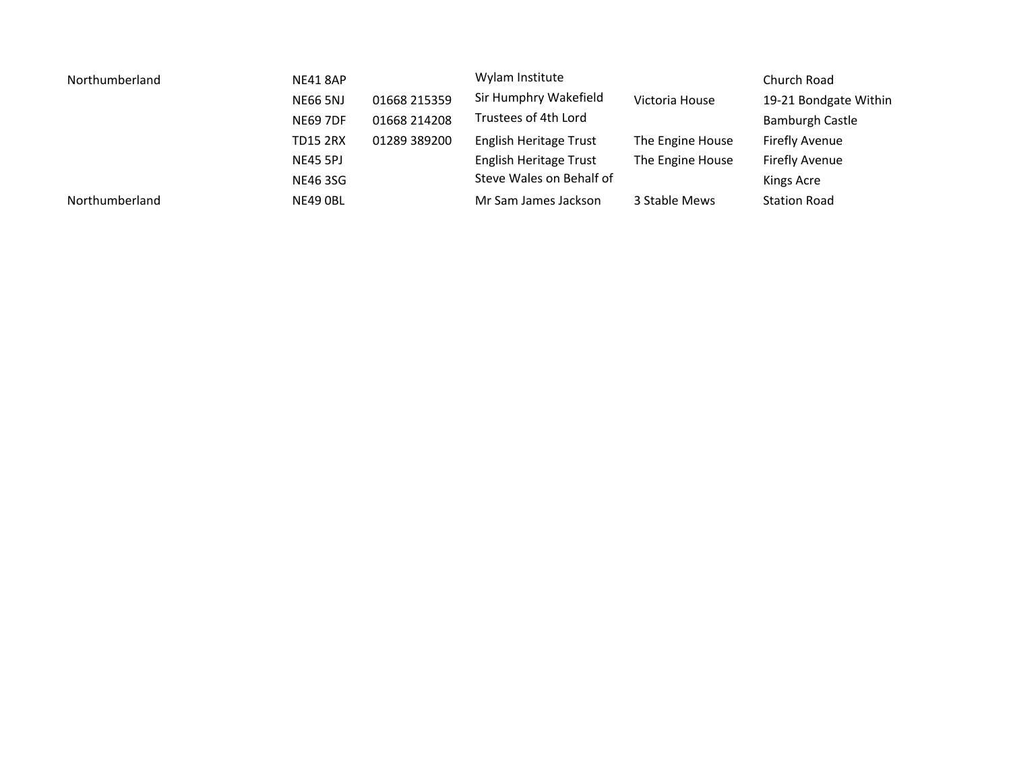| Northumberland | <b>NE41 8AP</b><br>01668 215359<br><b>NE66 5NJ</b> |              | Wylam Institute          | Church Road      |                       |
|----------------|----------------------------------------------------|--------------|--------------------------|------------------|-----------------------|
|                |                                                    |              | Sir Humphry Wakefield    | Victoria House   | 19-21 Bondgate Within |
|                | <b>NE69 7DF</b>                                    | 01668 214208 | Trustees of 4th Lord     |                  | Bamburgh Castle       |
|                | <b>TD15 2RX</b>                                    | 01289 389200 | English Heritage Trust   | The Engine House | Firefly Avenue        |
|                | <b>NE45 5PJ</b>                                    |              | English Heritage Trust   | The Engine House | Firefly Avenue        |
|                | NE46 3SG                                           |              | Steve Wales on Behalf of |                  | Kings Acre            |
| Northumberland | NE49 OBL                                           |              | Mr Sam James Jackson     | 3 Stable Mews    | <b>Station Road</b>   |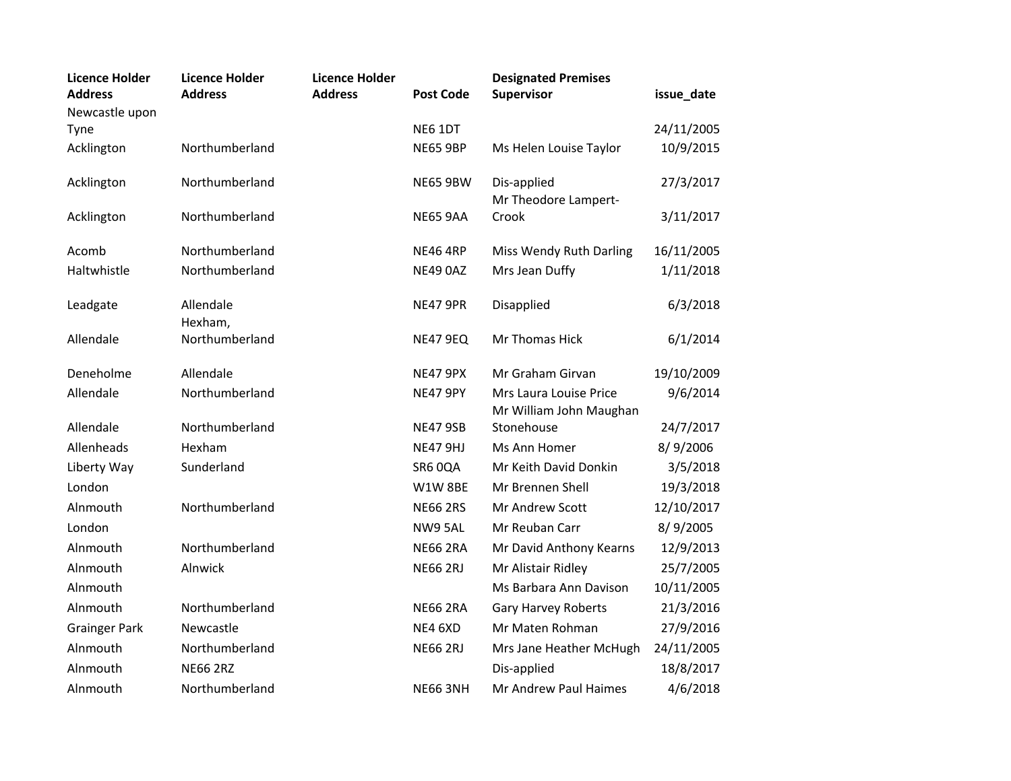| <b>Licence Holder</b><br><b>Address</b> | <b>Licence Holder</b><br><b>Address</b> | <b>Licence Holder</b><br><b>Address</b> | <b>Post Code</b> | <b>Designated Premises</b><br>Supervisor          | issue_date |
|-----------------------------------------|-----------------------------------------|-----------------------------------------|------------------|---------------------------------------------------|------------|
| Newcastle upon<br>Tyne                  |                                         |                                         | NE6 1DT          |                                                   | 24/11/2005 |
| Acklington                              | Northumberland                          |                                         | <b>NE65 9BP</b>  | Ms Helen Louise Taylor                            | 10/9/2015  |
| Acklington                              | Northumberland                          |                                         | <b>NE65 9BW</b>  | Dis-applied<br>Mr Theodore Lampert-               | 27/3/2017  |
| Acklington                              | Northumberland                          |                                         | <b>NE65 9AA</b>  | Crook                                             | 3/11/2017  |
| Acomb                                   | Northumberland                          |                                         | <b>NE46 4RP</b>  | Miss Wendy Ruth Darling                           | 16/11/2005 |
| Haltwhistle                             | Northumberland                          |                                         | NE49 0AZ         | Mrs Jean Duffy                                    | 1/11/2018  |
| Leadgate                                | Allendale<br>Hexham,                    |                                         | <b>NE47 9PR</b>  | Disapplied                                        | 6/3/2018   |
| Allendale                               | Northumberland                          |                                         | <b>NE47 9EQ</b>  | Mr Thomas Hick                                    | 6/1/2014   |
| Deneholme                               | Allendale                               |                                         | <b>NE47 9PX</b>  | Mr Graham Girvan                                  | 19/10/2009 |
| Allendale                               | Northumberland                          |                                         | <b>NE47 9PY</b>  | Mrs Laura Louise Price<br>Mr William John Maughan | 9/6/2014   |
| Allendale                               | Northumberland                          |                                         | <b>NE47 9SB</b>  | Stonehouse                                        | 24/7/2017  |
| Allenheads                              | Hexham                                  |                                         | <b>NE47 9HJ</b>  | Ms Ann Homer                                      | 8/9/2006   |
| Liberty Way                             | Sunderland                              |                                         | SR6 OQA          | Mr Keith David Donkin                             | 3/5/2018   |
| London                                  |                                         |                                         | W1W8BE           | Mr Brennen Shell                                  | 19/3/2018  |
| Alnmouth                                | Northumberland                          |                                         | <b>NE66 2RS</b>  | Mr Andrew Scott                                   | 12/10/2017 |
| London                                  |                                         |                                         | NW9 5AL          | Mr Reuban Carr                                    | 8/9/2005   |
| Alnmouth                                | Northumberland                          |                                         | <b>NE66 2RA</b>  | Mr David Anthony Kearns                           | 12/9/2013  |
| Alnmouth                                | Alnwick                                 |                                         | <b>NE66 2RJ</b>  | Mr Alistair Ridley                                | 25/7/2005  |
| Alnmouth                                |                                         |                                         |                  | Ms Barbara Ann Davison                            | 10/11/2005 |
| Alnmouth                                | Northumberland                          |                                         | <b>NE66 2RA</b>  | Gary Harvey Roberts                               | 21/3/2016  |
| <b>Grainger Park</b>                    | Newcastle                               |                                         | NE4 6XD          | Mr Maten Rohman                                   | 27/9/2016  |
| Alnmouth                                | Northumberland                          |                                         | <b>NE66 2RJ</b>  | Mrs Jane Heather McHugh                           | 24/11/2005 |
| Alnmouth                                | <b>NE66 2RZ</b>                         |                                         |                  | Dis-applied                                       | 18/8/2017  |
| Alnmouth                                | Northumberland                          |                                         | <b>NE66 3NH</b>  | Mr Andrew Paul Haimes                             | 4/6/2018   |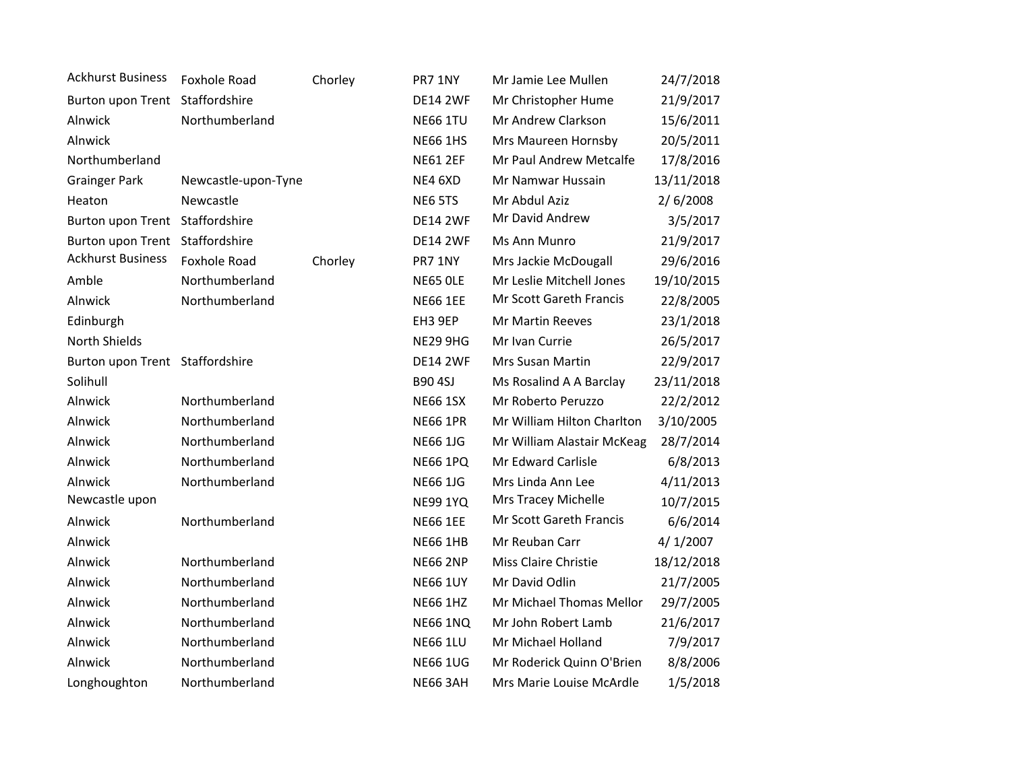| <b>Ackhurst Business</b>        | Foxhole Road        | Chorley | PR7 1NY         | Mr Jamie Lee Mullen        | 24/7/2018  |
|---------------------------------|---------------------|---------|-----------------|----------------------------|------------|
| Burton upon Trent Staffordshire |                     |         | <b>DE14 2WF</b> | Mr Christopher Hume        | 21/9/2017  |
| Alnwick                         | Northumberland      |         | <b>NE66 1TU</b> | Mr Andrew Clarkson         | 15/6/2011  |
| Alnwick                         |                     |         | <b>NE66 1HS</b> | Mrs Maureen Hornsby        | 20/5/2011  |
| Northumberland                  |                     |         | <b>NE61 2EF</b> | Mr Paul Andrew Metcalfe    | 17/8/2016  |
| <b>Grainger Park</b>            | Newcastle-upon-Tyne |         | NE4 6XD         | Mr Namwar Hussain          | 13/11/2018 |
| Heaton                          | Newcastle           |         | NE6 5TS         | Mr Abdul Aziz              | 2/6/2008   |
| Burton upon Trent Staffordshire |                     |         | <b>DE14 2WF</b> | Mr David Andrew            | 3/5/2017   |
| Burton upon Trent Staffordshire |                     |         | <b>DE14 2WF</b> | Ms Ann Munro               | 21/9/2017  |
| <b>Ackhurst Business</b>        | Foxhole Road        | Chorley | PR7 1NY         | Mrs Jackie McDougall       | 29/6/2016  |
| Amble                           | Northumberland      |         | <b>NE65 OLE</b> | Mr Leslie Mitchell Jones   | 19/10/2015 |
| Alnwick                         | Northumberland      |         | <b>NE66 1EE</b> | Mr Scott Gareth Francis    | 22/8/2005  |
| Edinburgh                       |                     |         | EH3 9EP         | Mr Martin Reeves           | 23/1/2018  |
| North Shields                   |                     |         | <b>NE29 9HG</b> | Mr Ivan Currie             | 26/5/2017  |
| Burton upon Trent Staffordshire |                     |         | <b>DE14 2WF</b> | Mrs Susan Martin           | 22/9/2017  |
| Solihull                        |                     |         | <b>B90 4SJ</b>  | Ms Rosalind A A Barclay    | 23/11/2018 |
| Alnwick                         | Northumberland      |         | <b>NE66 1SX</b> | Mr Roberto Peruzzo         | 22/2/2012  |
| Alnwick                         | Northumberland      |         | <b>NE66 1PR</b> | Mr William Hilton Charlton | 3/10/2005  |
| Alnwick                         | Northumberland      |         | <b>NE66 1JG</b> | Mr William Alastair McKeag | 28/7/2014  |
| Alnwick                         | Northumberland      |         | <b>NE66 1PQ</b> | Mr Edward Carlisle         | 6/8/2013   |
| Alnwick                         | Northumberland      |         | <b>NE66 1JG</b> | Mrs Linda Ann Lee          | 4/11/2013  |
| Newcastle upon                  |                     |         | <b>NE99 1YQ</b> | Mrs Tracey Michelle        | 10/7/2015  |
| Alnwick                         | Northumberland      |         | <b>NE66 1EE</b> | Mr Scott Gareth Francis    | 6/6/2014   |
| Alnwick                         |                     |         | <b>NE66 1HB</b> | Mr Reuban Carr             | 4/1/2007   |
| Alnwick                         | Northumberland      |         | <b>NE66 2NP</b> | Miss Claire Christie       | 18/12/2018 |
| Alnwick                         | Northumberland      |         | <b>NE66 1UY</b> | Mr David Odlin             | 21/7/2005  |
| Alnwick                         | Northumberland      |         | <b>NE66 1HZ</b> | Mr Michael Thomas Mellor   | 29/7/2005  |
| Alnwick                         | Northumberland      |         | <b>NE66 1NQ</b> | Mr John Robert Lamb        | 21/6/2017  |
| Alnwick                         | Northumberland      |         | <b>NE66 1LU</b> | Mr Michael Holland         | 7/9/2017   |
| Alnwick                         | Northumberland      |         | <b>NE66 1UG</b> | Mr Roderick Quinn O'Brien  | 8/8/2006   |
| Longhoughton                    | Northumberland      |         | <b>NE66 3AH</b> | Mrs Marie Louise McArdle   | 1/5/2018   |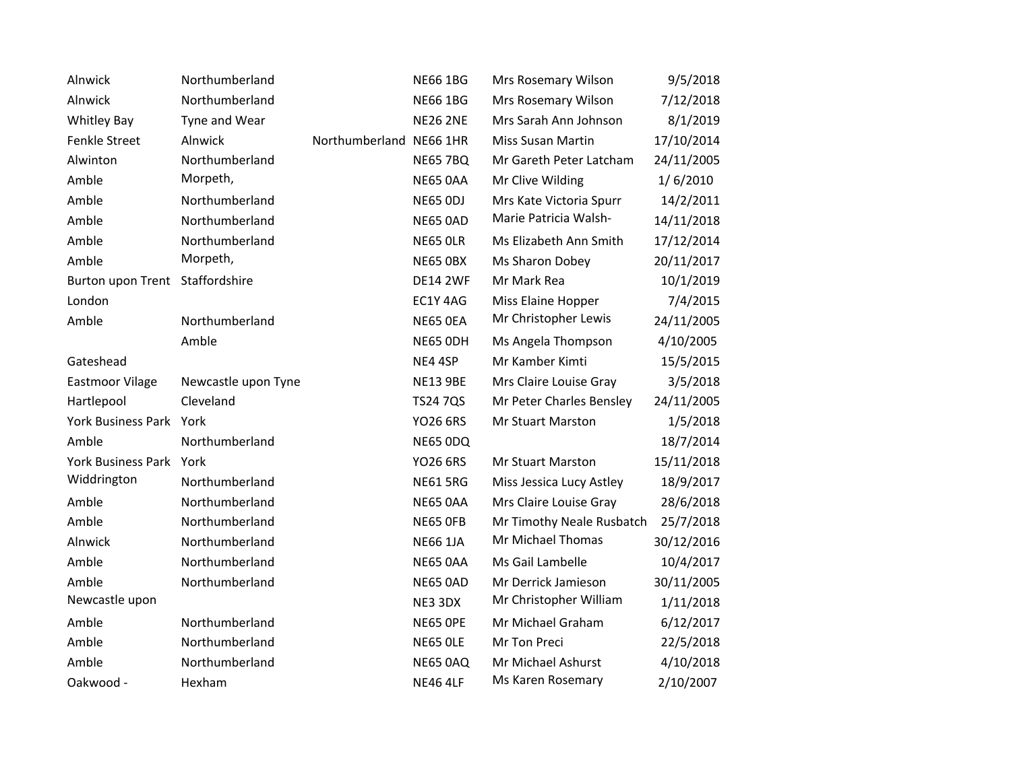| Alnwick                         | Northumberland      |                         | <b>NE66 1BG</b> | Mrs Rosemary Wilson       | 9/5/2018   |
|---------------------------------|---------------------|-------------------------|-----------------|---------------------------|------------|
| Alnwick                         | Northumberland      |                         | <b>NE66 1BG</b> | Mrs Rosemary Wilson       | 7/12/2018  |
| <b>Whitley Bay</b>              | Tyne and Wear       |                         | <b>NE26 2NE</b> | Mrs Sarah Ann Johnson     | 8/1/2019   |
| Fenkle Street                   | Alnwick             | Northumberland NE66 1HR |                 | <b>Miss Susan Martin</b>  | 17/10/2014 |
| Alwinton                        | Northumberland      |                         | <b>NE65 7BQ</b> | Mr Gareth Peter Latcham   | 24/11/2005 |
| Amble                           | Morpeth,            |                         | <b>NE65 0AA</b> | Mr Clive Wilding          | 1/6/2010   |
| Amble                           | Northumberland      |                         | <b>NE65 ODJ</b> | Mrs Kate Victoria Spurr   | 14/2/2011  |
| Amble                           | Northumberland      |                         | <b>NE65 0AD</b> | Marie Patricia Walsh-     | 14/11/2018 |
| Amble                           | Northumberland      |                         | <b>NE65 OLR</b> | Ms Elizabeth Ann Smith    | 17/12/2014 |
| Amble                           | Morpeth,            |                         | <b>NE65 OBX</b> | Ms Sharon Dobey           | 20/11/2017 |
| Burton upon Trent Staffordshire |                     |                         | <b>DE14 2WF</b> | Mr Mark Rea               | 10/1/2019  |
| London                          |                     |                         | EC1Y 4AG        | Miss Elaine Hopper        | 7/4/2015   |
| Amble                           | Northumberland      |                         | <b>NE65 OEA</b> | Mr Christopher Lewis      | 24/11/2005 |
|                                 | Amble               |                         | NE65 ODH        | Ms Angela Thompson        | 4/10/2005  |
| Gateshead                       |                     |                         | NE4 4SP         | Mr Kamber Kimti           | 15/5/2015  |
| <b>Eastmoor Vilage</b>          | Newcastle upon Tyne |                         | <b>NE13 9BE</b> | Mrs Claire Louise Gray    | 3/5/2018   |
| Hartlepool                      | Cleveland           |                         | <b>TS24 7QS</b> | Mr Peter Charles Bensley  | 24/11/2005 |
| York Business Park              | York                |                         | <b>YO26 6RS</b> | Mr Stuart Marston         | 1/5/2018   |
| Amble                           | Northumberland      |                         | NE65 ODQ        |                           | 18/7/2014  |
| York Business Park York         |                     |                         | <b>YO26 6RS</b> | <b>Mr Stuart Marston</b>  | 15/11/2018 |
| Widdrington                     | Northumberland      |                         | <b>NE61 5RG</b> | Miss Jessica Lucy Astley  | 18/9/2017  |
| Amble                           | Northumberland      |                         | <b>NE65 0AA</b> | Mrs Claire Louise Gray    | 28/6/2018  |
| Amble                           | Northumberland      |                         | NE65 OFB        | Mr Timothy Neale Rusbatch | 25/7/2018  |
| Alnwick                         | Northumberland      |                         | <b>NE66 1JA</b> | Mr Michael Thomas         | 30/12/2016 |
| Amble                           | Northumberland      |                         | <b>NE65 0AA</b> | Ms Gail Lambelle          | 10/4/2017  |
| Amble                           | Northumberland      |                         | <b>NE65 0AD</b> | Mr Derrick Jamieson       | 30/11/2005 |
| Newcastle upon                  |                     |                         | NE3 3DX         | Mr Christopher William    | 1/11/2018  |
| Amble                           | Northumberland      |                         | <b>NE65 OPE</b> | Mr Michael Graham         | 6/12/2017  |
| Amble                           | Northumberland      |                         | <b>NE65 OLE</b> | Mr Ton Preci              | 22/5/2018  |
| Amble                           | Northumberland      |                         | <b>NE65 0AQ</b> | Mr Michael Ashurst        | 4/10/2018  |
| Oakwood -                       | Hexham              |                         | <b>NE46 4LF</b> | Ms Karen Rosemary         | 2/10/2007  |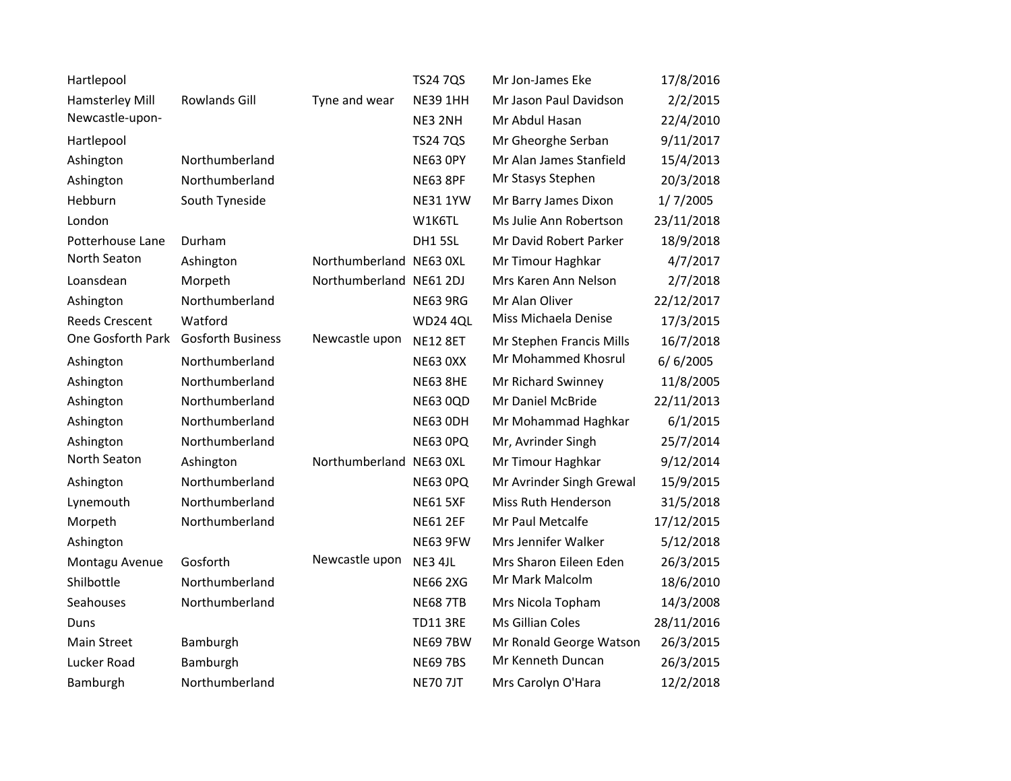| Hartlepool            |                          |                         | <b>TS24 7QS</b> | Mr Jon-James Eke         | 17/8/2016  |
|-----------------------|--------------------------|-------------------------|-----------------|--------------------------|------------|
| Hamsterley Mill       | Rowlands Gill            | Tyne and wear           | <b>NE39 1HH</b> | Mr Jason Paul Davidson   | 2/2/2015   |
| Newcastle-upon-       |                          |                         | NE3 2NH         | Mr Abdul Hasan           | 22/4/2010  |
| Hartlepool            |                          |                         | <b>TS24 7QS</b> | Mr Gheorghe Serban       | 9/11/2017  |
| Ashington             | Northumberland           |                         | <b>NE63 OPY</b> | Mr Alan James Stanfield  | 15/4/2013  |
| Ashington             | Northumberland           |                         | <b>NE63 8PF</b> | Mr Stasys Stephen        | 20/3/2018  |
| Hebburn               | South Tyneside           |                         | <b>NE31 1YW</b> | Mr Barry James Dixon     | 1/7/2005   |
| London                |                          |                         | W1K6TL          | Ms Julie Ann Robertson   | 23/11/2018 |
| Potterhouse Lane      | Durham                   |                         | DH15SL          | Mr David Robert Parker   | 18/9/2018  |
| North Seaton          | Ashington                | Northumberland NE63 0XL |                 | Mr Timour Haghkar        | 4/7/2017   |
| Loansdean             | Morpeth                  | Northumberland NE61 2DJ |                 | Mrs Karen Ann Nelson     | 2/7/2018   |
| Ashington             | Northumberland           |                         | <b>NE63 9RG</b> | Mr Alan Oliver           | 22/12/2017 |
| <b>Reeds Crescent</b> | Watford                  |                         | <b>WD24 4QL</b> | Miss Michaela Denise     | 17/3/2015  |
| One Gosforth Park     | <b>Gosforth Business</b> | Newcastle upon          | <b>NE12 8ET</b> | Mr Stephen Francis Mills | 16/7/2018  |
| Ashington             | Northumberland           |                         | <b>NE63 0XX</b> | Mr Mohammed Khosrul      | 6/6/2005   |
| Ashington             | Northumberland           |                         | <b>NE63 8HE</b> | Mr Richard Swinney       | 11/8/2005  |
| Ashington             | Northumberland           |                         | <b>NE63 0QD</b> | Mr Daniel McBride        | 22/11/2013 |
| Ashington             | Northumberland           |                         | NE63 ODH        | Mr Mohammad Haghkar      | 6/1/2015   |
| Ashington             | Northumberland           |                         | NE63 OPQ        | Mr, Avrinder Singh       | 25/7/2014  |
| North Seaton          | Ashington                | Northumberland NE63 0XL |                 | Mr Timour Haghkar        | 9/12/2014  |
| Ashington             | Northumberland           |                         | NE63 OPQ        | Mr Avrinder Singh Grewal | 15/9/2015  |
| Lynemouth             | Northumberland           |                         | <b>NE61 5XF</b> | Miss Ruth Henderson      | 31/5/2018  |
| Morpeth               | Northumberland           |                         | <b>NE61 2EF</b> | Mr Paul Metcalfe         | 17/12/2015 |
| Ashington             |                          |                         | <b>NE63 9FW</b> | Mrs Jennifer Walker      | 5/12/2018  |
| Montagu Avenue        | Gosforth                 | Newcastle upon          | NE3 4JL         | Mrs Sharon Eileen Eden   | 26/3/2015  |
| Shilbottle            | Northumberland           |                         | <b>NE66 2XG</b> | Mr Mark Malcolm          | 18/6/2010  |
| Seahouses             | Northumberland           |                         | <b>NE68 7TB</b> | Mrs Nicola Topham        | 14/3/2008  |
| Duns                  |                          |                         | <b>TD11 3RE</b> | Ms Gillian Coles         | 28/11/2016 |
| Main Street           | Bamburgh                 |                         | <b>NE69 7BW</b> | Mr Ronald George Watson  | 26/3/2015  |
| Lucker Road           | Bamburgh                 |                         | <b>NE69 7BS</b> | Mr Kenneth Duncan        | 26/3/2015  |
| Bamburgh              | Northumberland           |                         | <b>NE70 7JT</b> | Mrs Carolyn O'Hara       | 12/2/2018  |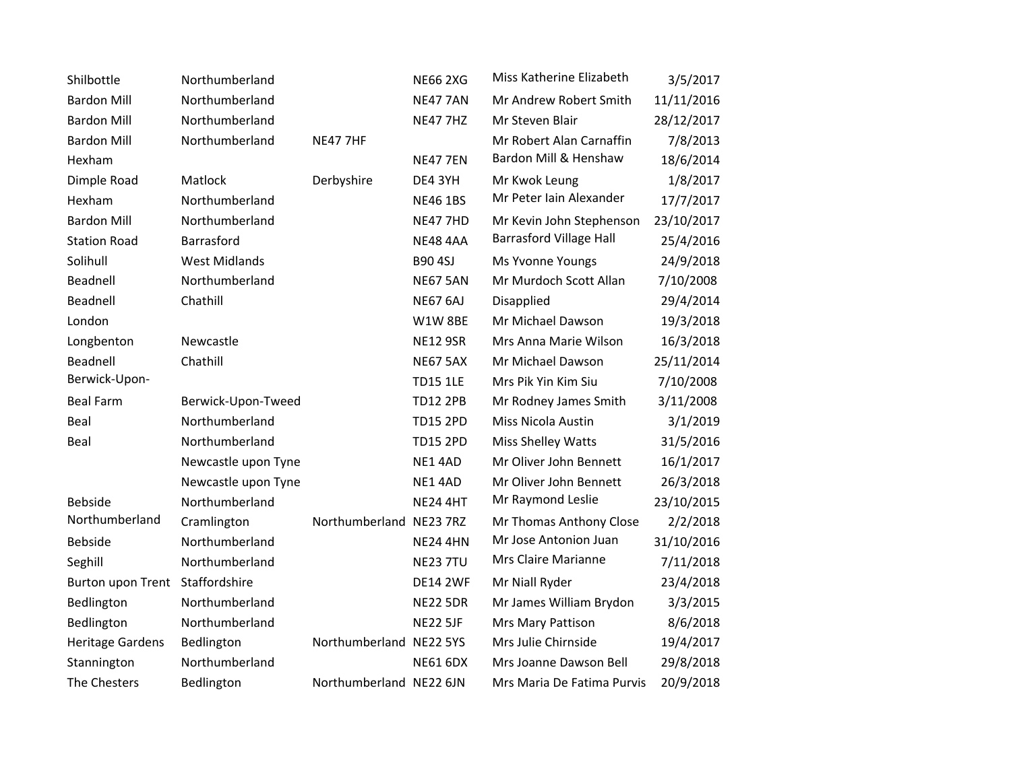| Shilbottle              | Northumberland       |                         | <b>NE66 2XG</b> | Miss Katherine Elizabeth       | 3/5/2017   |
|-------------------------|----------------------|-------------------------|-----------------|--------------------------------|------------|
| <b>Bardon Mill</b>      | Northumberland       |                         | <b>NE47 7AN</b> | Mr Andrew Robert Smith         | 11/11/2016 |
| <b>Bardon Mill</b>      | Northumberland       |                         | <b>NE47 7HZ</b> | Mr Steven Blair                | 28/12/2017 |
| <b>Bardon Mill</b>      | Northumberland       | <b>NE47 7HF</b>         |                 | Mr Robert Alan Carnaffin       | 7/8/2013   |
| Hexham                  |                      |                         | <b>NE47 7EN</b> | Bardon Mill & Henshaw          | 18/6/2014  |
| Dimple Road             | Matlock              | Derbyshire              | DE4 3YH         | Mr Kwok Leung                  | 1/8/2017   |
| Hexham                  | Northumberland       |                         | <b>NE46 1BS</b> | Mr Peter Iain Alexander        | 17/7/2017  |
| <b>Bardon Mill</b>      | Northumberland       |                         | <b>NE47 7HD</b> | Mr Kevin John Stephenson       | 23/10/2017 |
| <b>Station Road</b>     | Barrasford           |                         | <b>NE48 4AA</b> | <b>Barrasford Village Hall</b> | 25/4/2016  |
| Solihull                | <b>West Midlands</b> |                         | <b>B90 4SJ</b>  | Ms Yvonne Youngs               | 24/9/2018  |
| Beadnell                | Northumberland       |                         | <b>NE67 5AN</b> | Mr Murdoch Scott Allan         | 7/10/2008  |
| Beadnell                | Chathill             |                         | <b>NE67 6AJ</b> | Disapplied                     | 29/4/2014  |
| London                  |                      |                         | W1W8BE          | Mr Michael Dawson              | 19/3/2018  |
| Longbenton              | Newcastle            |                         | <b>NE12 9SR</b> | Mrs Anna Marie Wilson          | 16/3/2018  |
| Beadnell                | Chathill             |                         | <b>NE67 5AX</b> | Mr Michael Dawson              | 25/11/2014 |
| Berwick-Upon-           |                      |                         | <b>TD15 1LE</b> | Mrs Pik Yin Kim Siu            | 7/10/2008  |
| <b>Beal Farm</b>        | Berwick-Upon-Tweed   |                         | <b>TD12 2PB</b> | Mr Rodney James Smith          | 3/11/2008  |
| Beal                    | Northumberland       |                         | <b>TD15 2PD</b> | Miss Nicola Austin             | 3/1/2019   |
| Beal                    | Northumberland       |                         | <b>TD15 2PD</b> | Miss Shelley Watts             | 31/5/2016  |
|                         | Newcastle upon Tyne  |                         | NE14AD          | Mr Oliver John Bennett         | 16/1/2017  |
|                         | Newcastle upon Tyne  |                         | NE14AD          | Mr Oliver John Bennett         | 26/3/2018  |
| Bebside                 | Northumberland       |                         | <b>NE24 4HT</b> | Mr Raymond Leslie              | 23/10/2015 |
| Northumberland          | Cramlington          | Northumberland NE23 7RZ |                 | Mr Thomas Anthony Close        | 2/2/2018   |
| Bebside                 | Northumberland       |                         | <b>NE24 4HN</b> | Mr Jose Antonion Juan          | 31/10/2016 |
| Seghill                 | Northumberland       |                         | <b>NE23 7TU</b> | Mrs Claire Marianne            | 7/11/2018  |
| Burton upon Trent       | Staffordshire        |                         | <b>DE14 2WF</b> | Mr Niall Ryder                 | 23/4/2018  |
| Bedlington              | Northumberland       |                         | <b>NE22 5DR</b> | Mr James William Brydon        | 3/3/2015   |
| Bedlington              | Northumberland       |                         | <b>NE22 5JF</b> | Mrs Mary Pattison              | 8/6/2018   |
| <b>Heritage Gardens</b> | Bedlington           | Northumberland NE22 5YS |                 | Mrs Julie Chirnside            | 19/4/2017  |
| Stannington             | Northumberland       |                         | <b>NE61 6DX</b> | Mrs Joanne Dawson Bell         | 29/8/2018  |
| The Chesters            | Bedlington           | Northumberland NE22 6JN |                 | Mrs Maria De Fatima Purvis     | 20/9/2018  |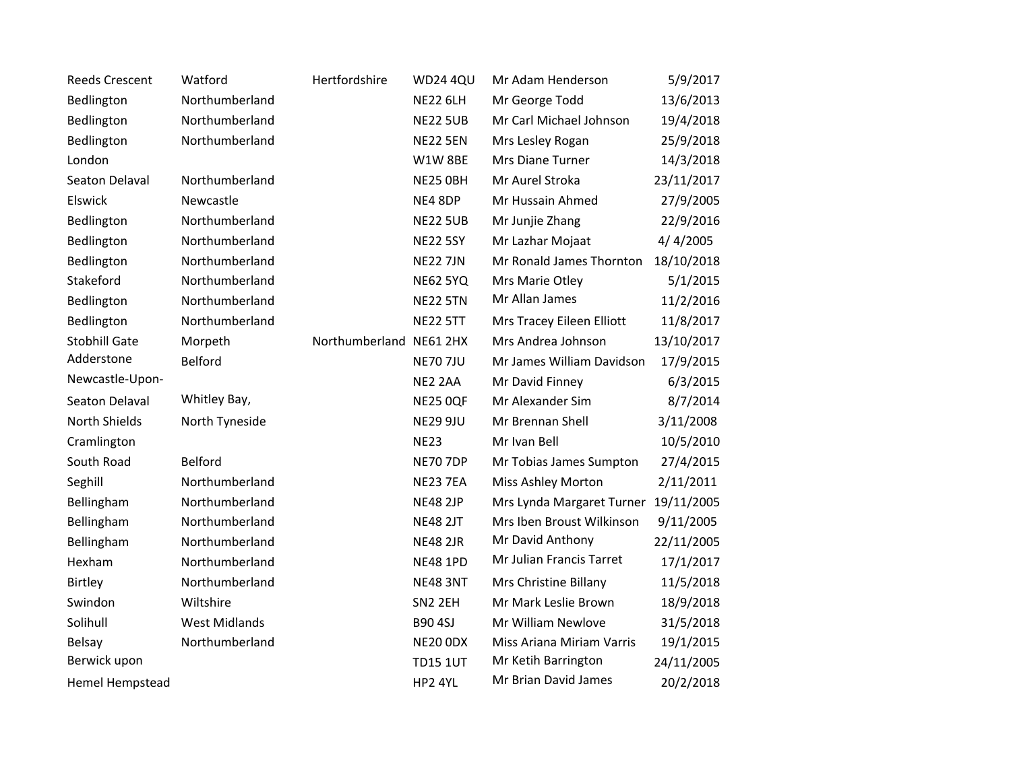| <b>Reeds Crescent</b>  | Watford              | Hertfordshire  | <b>WD24 4QU</b> | Mr Adam Henderson         | 5/9/2017   |
|------------------------|----------------------|----------------|-----------------|---------------------------|------------|
| Bedlington             | Northumberland       |                | <b>NE22 6LH</b> | Mr George Todd            | 13/6/2013  |
| Bedlington             | Northumberland       |                | <b>NE22 5UB</b> | Mr Carl Michael Johnson   | 19/4/2018  |
| Bedlington             | Northumberland       |                | <b>NE22 5EN</b> | Mrs Lesley Rogan          | 25/9/2018  |
| London                 |                      |                | W1W8BE          | Mrs Diane Turner          | 14/3/2018  |
| Seaton Delaval         | Northumberland       |                | NE25 OBH        | Mr Aurel Stroka           | 23/11/2017 |
| Elswick                | Newcastle            |                | NE4 8DP         | Mr Hussain Ahmed          | 27/9/2005  |
| Bedlington             | Northumberland       |                | <b>NE22 5UB</b> | Mr Junjie Zhang           | 22/9/2016  |
| Bedlington             | Northumberland       |                | <b>NE22 5SY</b> | Mr Lazhar Mojaat          | 4/4/2005   |
| Bedlington             | Northumberland       |                | <b>NE22 7JN</b> | Mr Ronald James Thornton  | 18/10/2018 |
| Stakeford              | Northumberland       |                | <b>NE62 5YQ</b> | Mrs Marie Otley           | 5/1/2015   |
| Bedlington             | Northumberland       |                | <b>NE22 5TN</b> | Mr Allan James            | 11/2/2016  |
| Bedlington             | Northumberland       |                | <b>NE22 5TT</b> | Mrs Tracey Eileen Elliott | 11/8/2017  |
| <b>Stobhill Gate</b>   | Morpeth              | Northumberland | <b>NE61 2HX</b> | Mrs Andrea Johnson        | 13/10/2017 |
| Adderstone             | Belford              |                | <b>NE70 7JU</b> | Mr James William Davidson | 17/9/2015  |
| Newcastle-Upon-        |                      |                | NE2 2AA         | Mr David Finney           | 6/3/2015   |
| Seaton Delaval         | Whitley Bay,         |                | <b>NE25 0QF</b> | Mr Alexander Sim          | 8/7/2014   |
| North Shields          | North Tyneside       |                | <b>NE29 9JU</b> | Mr Brennan Shell          | 3/11/2008  |
| Cramlington            |                      |                | <b>NE23</b>     | Mr Ivan Bell              | 10/5/2010  |
| South Road             | Belford              |                | <b>NE70 7DP</b> | Mr Tobias James Sumpton   | 27/4/2015  |
| Seghill                | Northumberland       |                | <b>NE23 7EA</b> | Miss Ashley Morton        | 2/11/2011  |
| Bellingham             | Northumberland       |                | <b>NE48 2JP</b> | Mrs Lynda Margaret Turner | 19/11/2005 |
| Bellingham             | Northumberland       |                | <b>NE48 2JT</b> | Mrs Iben Broust Wilkinson | 9/11/2005  |
| Bellingham             | Northumberland       |                | <b>NE48 2JR</b> | Mr David Anthony          | 22/11/2005 |
| Hexham                 | Northumberland       |                | <b>NE48 1PD</b> | Mr Julian Francis Tarret  | 17/1/2017  |
| Birtley                | Northumberland       |                | <b>NE48 3NT</b> | Mrs Christine Billany     | 11/5/2018  |
| Swindon                | Wiltshire            |                | SN2 2EH         | Mr Mark Leslie Brown      | 18/9/2018  |
| Solihull               | <b>West Midlands</b> |                | <b>B90 4SJ</b>  | Mr William Newlove        | 31/5/2018  |
| Belsay                 | Northumberland       |                | <b>NE20 ODX</b> | Miss Ariana Miriam Varris | 19/1/2015  |
| Berwick upon           |                      |                | <b>TD15 1UT</b> | Mr Ketih Barrington       | 24/11/2005 |
| <b>Hemel Hempstead</b> |                      |                | HP2 4YL         | Mr Brian David James      | 20/2/2018  |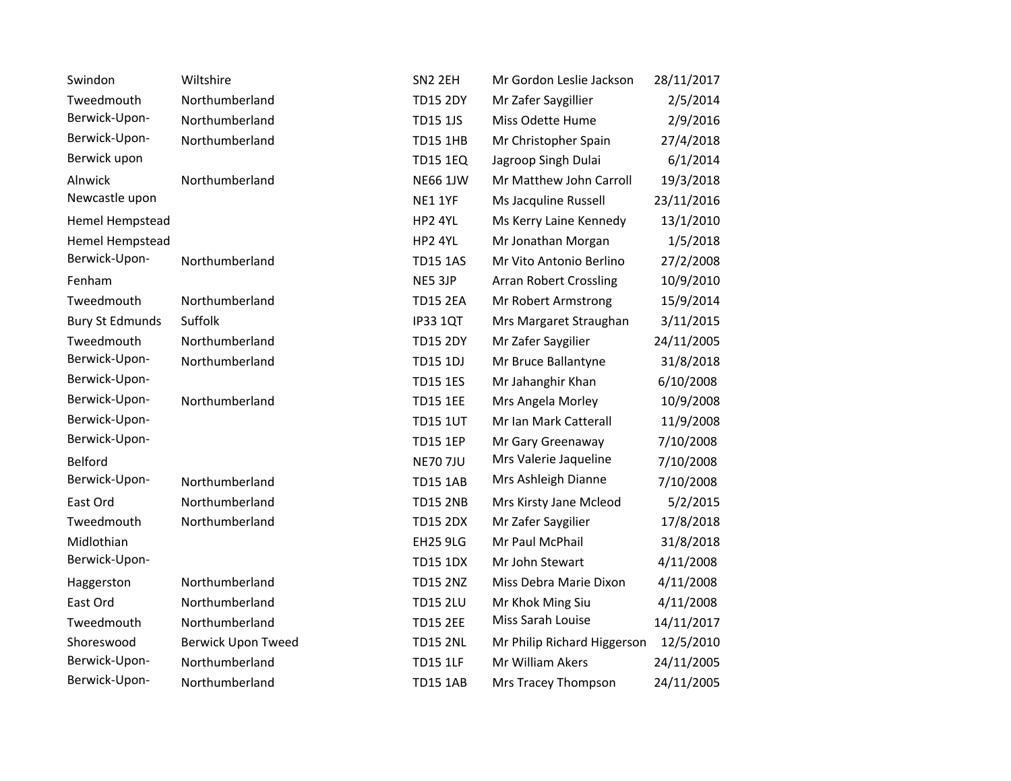| Swindon                | Wiltshire                 | SN2 2EH         | Mr Gordon Leslie Jackson    | 28/11/2017 |
|------------------------|---------------------------|-----------------|-----------------------------|------------|
| Tweedmouth             | Northumberland            | <b>TD15 2DY</b> | Mr Zafer Saygillier         | 2/5/2014   |
| Berwick-Upon-          | Northumberland            | <b>TD15 1JS</b> | Miss Odette Hume            | 2/9/2016   |
| Berwick-Upon-          | Northumberland            | <b>TD15 1HB</b> | Mr Christopher Spain        | 27/4/2018  |
| Berwick upon           |                           | <b>TD15 1EQ</b> | Jagroop Singh Dulai         | 6/1/2014   |
| Alnwick                | Northumberland            | <b>NE66 1JW</b> | Mr Matthew John Carroll     | 19/3/2018  |
| Newcastle upon         |                           | <b>NE1 1YF</b>  | Ms Jacquline Russell        | 23/11/2016 |
| Hemel Hempstead        |                           | HP2 4YL         | Ms Kerry Laine Kennedy      | 13/1/2010  |
| Hemel Hempstead        |                           | HP2 4YL         | Mr Jonathan Morgan          | 1/5/2018   |
| Berwick-Upon-          | Northumberland            | <b>TD15 1AS</b> | Mr Vito Antonio Berlino     | 27/2/2008  |
| Fenham                 |                           | NE5 3JP         | Arran Robert Crossling      | 10/9/2010  |
| Tweedmouth             | Northumberland            | <b>TD15 2EA</b> | Mr Robert Armstrong         | 15/9/2014  |
| <b>Bury St Edmunds</b> | Suffolk                   | <b>IP33 1QT</b> | Mrs Margaret Straughan      | 3/11/2015  |
| Tweedmouth             | Northumberland            | <b>TD15 2DY</b> | Mr Zafer Saygilier          | 24/11/2005 |
| Berwick-Upon-          | Northumberland            | <b>TD15 1DJ</b> | Mr Bruce Ballantyne         | 31/8/2018  |
| Berwick-Upon-          |                           | <b>TD15 1ES</b> | Mr Jahanghir Khan           | 6/10/2008  |
| Berwick-Upon-          | Northumberland            | <b>TD15 1EE</b> | Mrs Angela Morley           | 10/9/2008  |
| Berwick-Upon-          |                           | <b>TD15 1UT</b> | Mr Ian Mark Catterall       | 11/9/2008  |
| Berwick-Upon-          |                           | <b>TD15 1EP</b> | Mr Gary Greenaway           | 7/10/2008  |
| <b>Belford</b>         |                           | <b>NE70 7JU</b> | Mrs Valerie Jaqueline       | 7/10/2008  |
| Berwick-Upon-          | Northumberland            | <b>TD15 1AB</b> | Mrs Ashleigh Dianne         | 7/10/2008  |
| East Ord               | Northumberland            | <b>TD15 2NB</b> | Mrs Kirsty Jane Mcleod      | 5/2/2015   |
| Tweedmouth             | Northumberland            | <b>TD15 2DX</b> | Mr Zafer Saygilier          | 17/8/2018  |
| Midlothian             |                           | <b>EH25 9LG</b> | Mr Paul McPhail             | 31/8/2018  |
| Berwick-Upon-          |                           | <b>TD15 1DX</b> | Mr John Stewart             | 4/11/2008  |
| Haggerston             | Northumberland            | <b>TD15 2NZ</b> | Miss Debra Marie Dixon      | 4/11/2008  |
| East Ord               | Northumberland            | <b>TD15 2LU</b> | Mr Khok Ming Siu            | 4/11/2008  |
| Tweedmouth             | Northumberland            | <b>TD15 2EE</b> | Miss Sarah Louise           | 14/11/2017 |
| Shoreswood             | <b>Berwick Upon Tweed</b> | <b>TD15 2NL</b> | Mr Philip Richard Higgerson | 12/5/2010  |
| Berwick-Upon-          | Northumberland            | <b>TD15 1LF</b> | Mr William Akers            | 24/11/2005 |
| Berwick-Upon-          | Northumberland            | <b>TD15 1AB</b> | Mrs Tracey Thompson         | 24/11/2005 |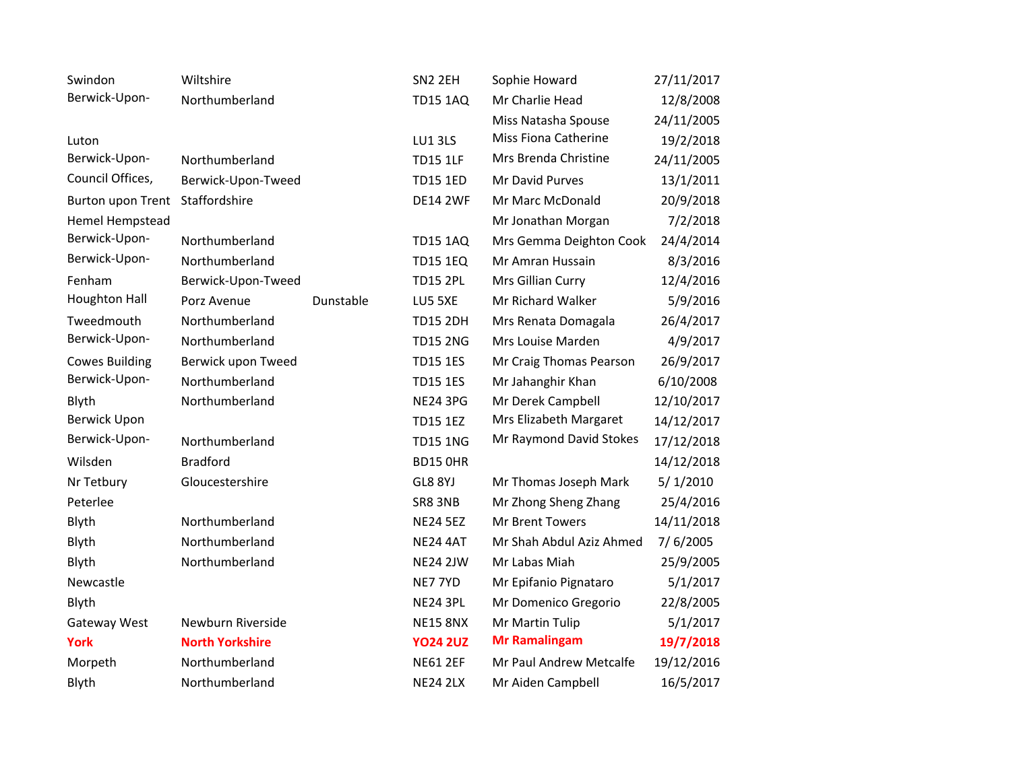| Swindon               | Wiltshire              |           | SN <sub>2</sub> 2EH | Sophie Howard            | 27/11/2017 |
|-----------------------|------------------------|-----------|---------------------|--------------------------|------------|
| Berwick-Upon-         | Northumberland         |           | <b>TD15 1AQ</b>     | Mr Charlie Head          | 12/8/2008  |
|                       |                        |           |                     | Miss Natasha Spouse      | 24/11/2005 |
| Luton                 |                        |           | LU13LS              | Miss Fiona Catherine     | 19/2/2018  |
| Berwick-Upon-         | Northumberland         |           | <b>TD15 1LF</b>     | Mrs Brenda Christine     | 24/11/2005 |
| Council Offices,      | Berwick-Upon-Tweed     |           | <b>TD15 1ED</b>     | Mr David Purves          | 13/1/2011  |
| Burton upon Trent     | Staffordshire          |           | <b>DE14 2WF</b>     | Mr Marc McDonald         | 20/9/2018  |
| Hemel Hempstead       |                        |           |                     | Mr Jonathan Morgan       | 7/2/2018   |
| Berwick-Upon-         | Northumberland         |           | <b>TD15 1AQ</b>     | Mrs Gemma Deighton Cook  | 24/4/2014  |
| Berwick-Upon-         | Northumberland         |           | <b>TD15 1EQ</b>     | Mr Amran Hussain         | 8/3/2016   |
| Fenham                | Berwick-Upon-Tweed     |           | <b>TD15 2PL</b>     | Mrs Gillian Curry        | 12/4/2016  |
| <b>Houghton Hall</b>  | Porz Avenue            | Dunstable | LU5 5XE             | Mr Richard Walker        | 5/9/2016   |
| Tweedmouth            | Northumberland         |           | <b>TD15 2DH</b>     | Mrs Renata Domagala      | 26/4/2017  |
| Berwick-Upon-         | Northumberland         |           | <b>TD15 2NG</b>     | Mrs Louise Marden        | 4/9/2017   |
| <b>Cowes Building</b> | Berwick upon Tweed     |           | <b>TD15 1ES</b>     | Mr Craig Thomas Pearson  | 26/9/2017  |
| Berwick-Upon-         | Northumberland         |           | <b>TD15 1ES</b>     | Mr Jahanghir Khan        | 6/10/2008  |
| Blyth                 | Northumberland         |           | <b>NE24 3PG</b>     | Mr Derek Campbell        | 12/10/2017 |
| <b>Berwick Upon</b>   |                        |           | <b>TD15 1EZ</b>     | Mrs Elizabeth Margaret   | 14/12/2017 |
| Berwick-Upon-         | Northumberland         |           | <b>TD15 1NG</b>     | Mr Raymond David Stokes  | 17/12/2018 |
| Wilsden               | <b>Bradford</b>        |           | <b>BD15 OHR</b>     |                          | 14/12/2018 |
| Nr Tetbury            | Gloucestershire        |           | GL8 8YJ             | Mr Thomas Joseph Mark    | 5/1/2010   |
| Peterlee              |                        |           | SR8 3NB             | Mr Zhong Sheng Zhang     | 25/4/2016  |
| Blyth                 | Northumberland         |           | <b>NE24 5EZ</b>     | Mr Brent Towers          | 14/11/2018 |
| Blyth                 | Northumberland         |           | <b>NE24 4AT</b>     | Mr Shah Abdul Aziz Ahmed | 7/6/2005   |
| Blyth                 | Northumberland         |           | <b>NE24 2JW</b>     | Mr Labas Miah            | 25/9/2005  |
| Newcastle             |                        |           | NE7 7YD             | Mr Epifanio Pignataro    | 5/1/2017   |
| Blyth                 |                        |           | <b>NE24 3PL</b>     | Mr Domenico Gregorio     | 22/8/2005  |
| Gateway West          | Newburn Riverside      |           | <b>NE15 8NX</b>     | Mr Martin Tulip          | 5/1/2017   |
| <b>York</b>           | <b>North Yorkshire</b> |           | <b>YO24 2UZ</b>     | <b>Mr Ramalingam</b>     | 19/7/2018  |
| Morpeth               | Northumberland         |           | <b>NE61 2EF</b>     | Mr Paul Andrew Metcalfe  | 19/12/2016 |
| Blyth                 | Northumberland         |           | <b>NE24 2LX</b>     | Mr Aiden Campbell        | 16/5/2017  |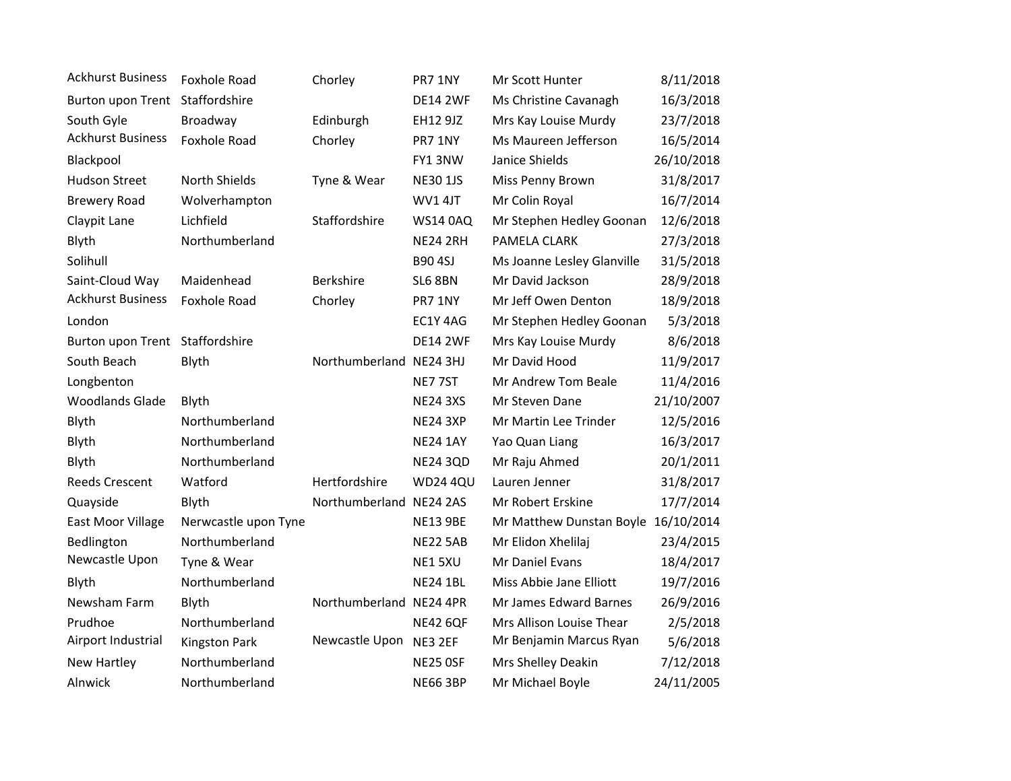| <b>Ackhurst Business</b>        | <b>Foxhole Road</b>  | Chorley                 | PR7 1NY         | Mr Scott Hunter                     | 8/11/2018  |
|---------------------------------|----------------------|-------------------------|-----------------|-------------------------------------|------------|
| Burton upon Trent               | Staffordshire        |                         | <b>DE14 2WF</b> | Ms Christine Cavanagh               | 16/3/2018  |
| South Gyle                      | Broadway             | Edinburgh               | EH12 9JZ        | Mrs Kay Louise Murdy                | 23/7/2018  |
| <b>Ackhurst Business</b>        | Foxhole Road         | Chorley                 | PR7 1NY         | Ms Maureen Jefferson                | 16/5/2014  |
| Blackpool                       |                      |                         | FY13NW          | Janice Shields                      | 26/10/2018 |
| <b>Hudson Street</b>            | North Shields        | Tyne & Wear             | <b>NE30 1JS</b> | Miss Penny Brown                    | 31/8/2017  |
| <b>Brewery Road</b>             | Wolverhampton        |                         | WV1 4JT         | Mr Colin Royal                      | 16/7/2014  |
| Claypit Lane                    | Lichfield            | Staffordshire           | <b>WS14 0AQ</b> | Mr Stephen Hedley Goonan            | 12/6/2018  |
| Blyth                           | Northumberland       |                         | <b>NE24 2RH</b> | PAMELA CLARK                        | 27/3/2018  |
| Solihull                        |                      |                         | <b>B90 4SJ</b>  | Ms Joanne Lesley Glanville          | 31/5/2018  |
| Saint-Cloud Way                 | Maidenhead           | <b>Berkshire</b>        | <b>SL6 8BN</b>  | Mr David Jackson                    | 28/9/2018  |
| <b>Ackhurst Business</b>        | <b>Foxhole Road</b>  | Chorley                 | PR7 1NY         | Mr Jeff Owen Denton                 | 18/9/2018  |
| London                          |                      |                         | EC1Y 4AG        | Mr Stephen Hedley Goonan            | 5/3/2018   |
| Burton upon Trent Staffordshire |                      |                         | <b>DE14 2WF</b> | Mrs Kay Louise Murdy                | 8/6/2018   |
| South Beach                     | Blyth                | Northumberland NE24 3HJ |                 | Mr David Hood                       | 11/9/2017  |
| Longbenton                      |                      |                         | NE775T          | Mr Andrew Tom Beale                 | 11/4/2016  |
| <b>Woodlands Glade</b>          | Blyth                |                         | <b>NE24 3XS</b> | Mr Steven Dane                      | 21/10/2007 |
| Blyth                           | Northumberland       |                         | <b>NE24 3XP</b> | Mr Martin Lee Trinder               | 12/5/2016  |
| Blyth                           | Northumberland       |                         | <b>NE24 1AY</b> | Yao Quan Liang                      | 16/3/2017  |
| Blyth                           | Northumberland       |                         | <b>NE24 3QD</b> | Mr Raju Ahmed                       | 20/1/2011  |
| <b>Reeds Crescent</b>           | Watford              | Hertfordshire           | <b>WD24 4QU</b> | Lauren Jenner                       | 31/8/2017  |
| Quayside                        | Blyth                | Northumberland NE24 2AS |                 | Mr Robert Erskine                   | 17/7/2014  |
| East Moor Village               | Nerwcastle upon Tyne |                         | <b>NE13 9BE</b> | Mr Matthew Dunstan Boyle 16/10/2014 |            |
| Bedlington                      | Northumberland       |                         | <b>NE22 5AB</b> | Mr Elidon Xhelilaj                  | 23/4/2015  |
| Newcastle Upon                  | Tyne & Wear          |                         | NE15XU          | Mr Daniel Evans                     | 18/4/2017  |
| Blyth                           | Northumberland       |                         | <b>NE24 1BL</b> | Miss Abbie Jane Elliott             | 19/7/2016  |
| Newsham Farm                    | Blyth                | Northumberland NE24 4PR |                 | Mr James Edward Barnes              | 26/9/2016  |
| Prudhoe                         | Northumberland       |                         | <b>NE42 6QF</b> | Mrs Allison Louise Thear            | 2/5/2018   |
| Airport Industrial              | <b>Kingston Park</b> | Newcastle Upon          | NE3 2EF         | Mr Benjamin Marcus Ryan             | 5/6/2018   |
| New Hartley                     | Northumberland       |                         | NE25 OSF        | Mrs Shelley Deakin                  | 7/12/2018  |
| Alnwick                         | Northumberland       |                         | <b>NE66 3BP</b> | Mr Michael Boyle                    | 24/11/2005 |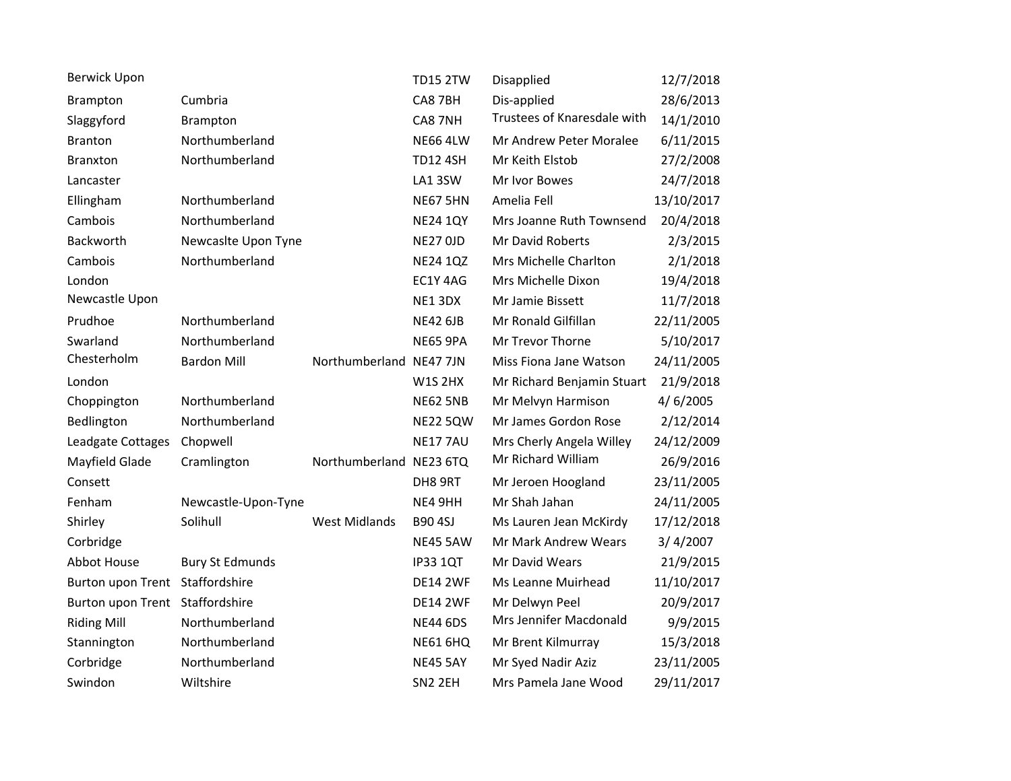| <b>Berwick Upon</b>             |                        |                         | <b>TD15 2TW</b> | Disapplied                  | 12/7/2018  |
|---------------------------------|------------------------|-------------------------|-----------------|-----------------------------|------------|
| Brampton                        | Cumbria                |                         | CA8 7BH         | Dis-applied                 | 28/6/2013  |
| Slaggyford                      | Brampton               |                         | CA8 7NH         | Trustees of Knaresdale with | 14/1/2010  |
| <b>Branton</b>                  | Northumberland         |                         | <b>NE66 4LW</b> | Mr Andrew Peter Moralee     | 6/11/2015  |
| Branxton                        | Northumberland         |                         | <b>TD12 4SH</b> | Mr Keith Elstob             | 27/2/2008  |
| Lancaster                       |                        |                         | LA1 3SW         | Mr Ivor Bowes               | 24/7/2018  |
| Ellingham                       | Northumberland         |                         | <b>NE67 5HN</b> | Amelia Fell                 | 13/10/2017 |
| Cambois                         | Northumberland         |                         | <b>NE24 1QY</b> | Mrs Joanne Ruth Townsend    | 20/4/2018  |
| Backworth                       | Newcaslte Upon Tyne    |                         | <b>NE27 OJD</b> | Mr David Roberts            | 2/3/2015   |
| Cambois                         | Northumberland         |                         | <b>NE24 1QZ</b> | Mrs Michelle Charlton       | 2/1/2018   |
| London                          |                        |                         | EC1Y 4AG        | Mrs Michelle Dixon          | 19/4/2018  |
| Newcastle Upon                  |                        |                         | NE13DX          | Mr Jamie Bissett            | 11/7/2018  |
| Prudhoe                         | Northumberland         |                         | <b>NE42 6JB</b> | Mr Ronald Gilfillan         | 22/11/2005 |
| Swarland                        | Northumberland         |                         | <b>NE65 9PA</b> | Mr Trevor Thorne            | 5/10/2017  |
| Chesterholm                     | <b>Bardon Mill</b>     | Northumberland NE47 7JN |                 | Miss Fiona Jane Watson      | 24/11/2005 |
| London                          |                        |                         | <b>W1S 2HX</b>  | Mr Richard Benjamin Stuart  | 21/9/2018  |
| Choppington                     | Northumberland         |                         | <b>NE62 5NB</b> | Mr Melvyn Harmison          | 4/6/2005   |
| Bedlington                      | Northumberland         |                         | <b>NE22 5QW</b> | Mr James Gordon Rose        | 2/12/2014  |
| Leadgate Cottages               | Chopwell               |                         | <b>NE177AU</b>  | Mrs Cherly Angela Willey    | 24/12/2009 |
| Mayfield Glade                  | Cramlington            | Northumberland NE23 6TQ |                 | Mr Richard William          | 26/9/2016  |
| Consett                         |                        |                         | DH8 9RT         | Mr Jeroen Hoogland          | 23/11/2005 |
| Fenham                          | Newcastle-Upon-Tyne    |                         | NE4 9HH         | Mr Shah Jahan               | 24/11/2005 |
| Shirley                         | Solihull               | <b>West Midlands</b>    | <b>B90 4SJ</b>  | Ms Lauren Jean McKirdy      | 17/12/2018 |
| Corbridge                       |                        |                         | <b>NE45 5AW</b> | Mr Mark Andrew Wears        | 3/4/2007   |
| <b>Abbot House</b>              | <b>Bury St Edmunds</b> |                         | <b>IP33 1QT</b> | Mr David Wears              | 21/9/2015  |
| Burton upon Trent Staffordshire |                        |                         | <b>DE14 2WF</b> | Ms Leanne Muirhead          | 11/10/2017 |
| Burton upon Trent Staffordshire |                        |                         | <b>DE14 2WF</b> | Mr Delwyn Peel              | 20/9/2017  |
| <b>Riding Mill</b>              | Northumberland         |                         | <b>NE44 6DS</b> | Mrs Jennifer Macdonald      | 9/9/2015   |
| Stannington                     | Northumberland         |                         | <b>NE61 6HQ</b> | Mr Brent Kilmurray          | 15/3/2018  |
| Corbridge                       | Northumberland         |                         | <b>NE45 5AY</b> | Mr Syed Nadir Aziz          | 23/11/2005 |
| Swindon                         | Wiltshire              |                         | SN2 2EH         | Mrs Pamela Jane Wood        | 29/11/2017 |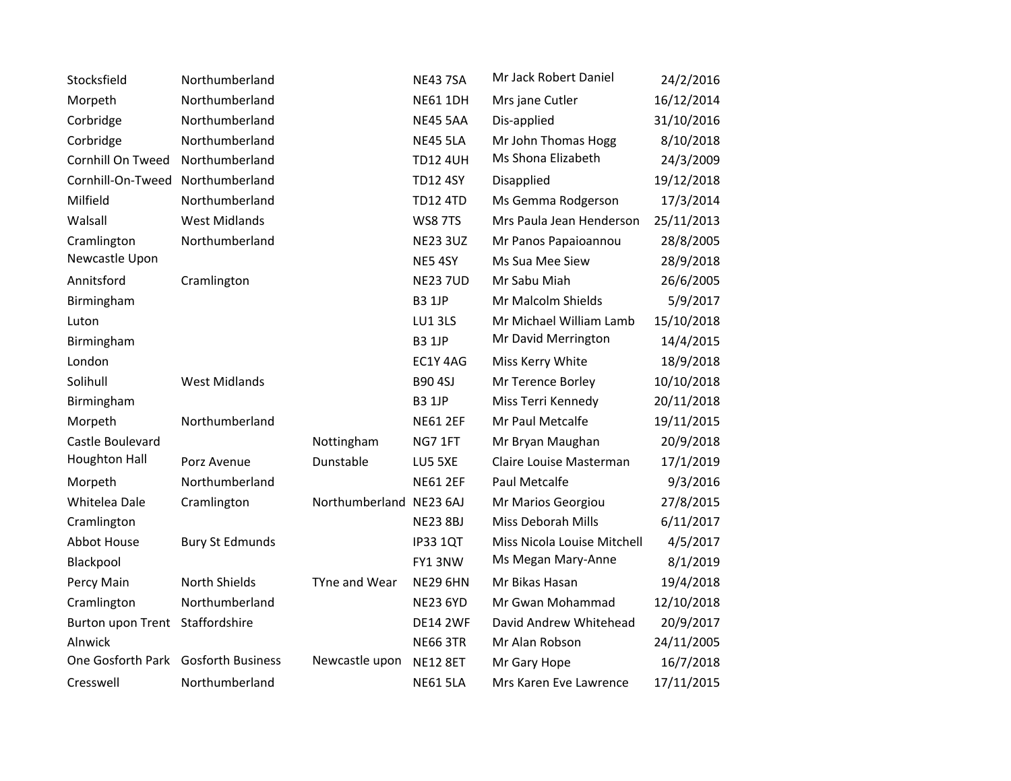| Stocksfield                         | Northumberland         |                         | <b>NE43 7SA</b> | Mr Jack Robert Daniel       | 24/2/2016  |
|-------------------------------------|------------------------|-------------------------|-----------------|-----------------------------|------------|
| Morpeth                             | Northumberland         |                         | <b>NE61 1DH</b> | Mrs jane Cutler             | 16/12/2014 |
| Corbridge                           | Northumberland         |                         | <b>NE45 5AA</b> | Dis-applied                 | 31/10/2016 |
| Corbridge                           | Northumberland         |                         | <b>NE45 5LA</b> | Mr John Thomas Hogg         | 8/10/2018  |
| Cornhill On Tweed                   | Northumberland         |                         | <b>TD12 4UH</b> | Ms Shona Elizabeth          | 24/3/2009  |
| Cornhill-On-Tweed                   | Northumberland         |                         | <b>TD12 4SY</b> | Disapplied                  | 19/12/2018 |
| Milfield                            | Northumberland         |                         | <b>TD12 4TD</b> | Ms Gemma Rodgerson          | 17/3/2014  |
| Walsall                             | <b>West Midlands</b>   |                         | <b>WS8 7TS</b>  | Mrs Paula Jean Henderson    | 25/11/2013 |
| Cramlington                         | Northumberland         |                         | <b>NE23 3UZ</b> | Mr Panos Papaioannou        | 28/8/2005  |
| Newcastle Upon                      |                        |                         | NE5 4SY         | Ms Sua Mee Siew             | 28/9/2018  |
| Annitsford                          | Cramlington            |                         | <b>NE23 7UD</b> | Mr Sabu Miah                | 26/6/2005  |
| Birmingham                          |                        |                         | <b>B3 1JP</b>   | Mr Malcolm Shields          | 5/9/2017   |
| Luton                               |                        |                         | LU13LS          | Mr Michael William Lamb     | 15/10/2018 |
| Birmingham                          |                        |                         | <b>B3 1JP</b>   | Mr David Merrington         | 14/4/2015  |
| London                              |                        |                         | EC1Y 4AG        | Miss Kerry White            | 18/9/2018  |
| Solihull                            | <b>West Midlands</b>   |                         | <b>B90 4SJ</b>  | Mr Terence Borley           | 10/10/2018 |
| Birmingham                          |                        |                         | <b>B3 1JP</b>   | Miss Terri Kennedy          | 20/11/2018 |
| Morpeth                             | Northumberland         |                         | <b>NE61 2EF</b> | Mr Paul Metcalfe            | 19/11/2015 |
| Castle Boulevard                    |                        | Nottingham              | NG7 1FT         | Mr Bryan Maughan            | 20/9/2018  |
| <b>Houghton Hall</b>                | Porz Avenue            | Dunstable               | LU5 5XE         | Claire Louise Masterman     | 17/1/2019  |
| Morpeth                             | Northumberland         |                         | <b>NE61 2EF</b> | Paul Metcalfe               | 9/3/2016   |
| Whitelea Dale                       | Cramlington            | Northumberland NE23 6AJ |                 | Mr Marios Georgiou          | 27/8/2015  |
| Cramlington                         |                        |                         | <b>NE23 8BJ</b> | Miss Deborah Mills          | 6/11/2017  |
| Abbot House                         | <b>Bury St Edmunds</b> |                         | <b>IP33 1QT</b> | Miss Nicola Louise Mitchell | 4/5/2017   |
| Blackpool                           |                        |                         | FY13NW          | Ms Megan Mary-Anne          | 8/1/2019   |
| Percy Main                          | North Shields          | TYne and Wear           | <b>NE29 6HN</b> | Mr Bikas Hasan              | 19/4/2018  |
| Cramlington                         | Northumberland         |                         | <b>NE23 6YD</b> | Mr Gwan Mohammad            | 12/10/2018 |
| Burton upon Trent Staffordshire     |                        |                         | <b>DE14 2WF</b> | David Andrew Whitehead      | 20/9/2017  |
| Alnwick                             |                        |                         | <b>NE66 3TR</b> | Mr Alan Robson              | 24/11/2005 |
| One Gosforth Park Gosforth Business |                        | Newcastle upon          | <b>NE12 8ET</b> | Mr Gary Hope                | 16/7/2018  |
| Cresswell                           | Northumberland         |                         | <b>NE61 5LA</b> | Mrs Karen Eve Lawrence      | 17/11/2015 |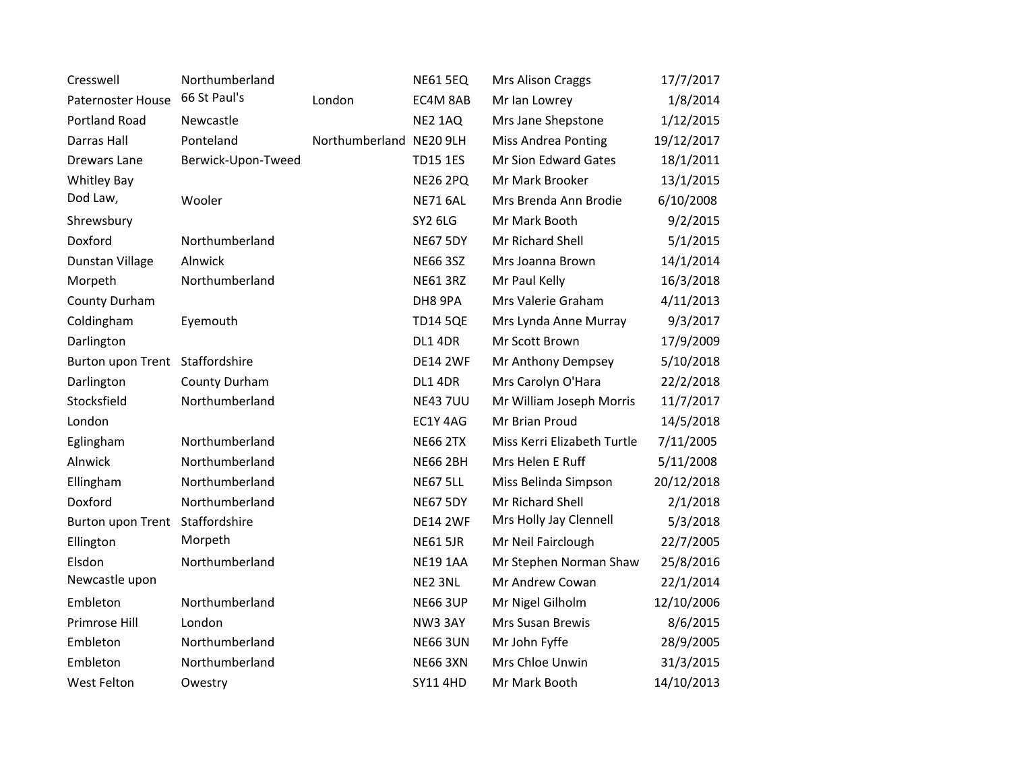| Cresswell                       | Northumberland     |                         | <b>NE61 5EQ</b> | Mrs Alison Craggs           | 17/7/2017  |
|---------------------------------|--------------------|-------------------------|-----------------|-----------------------------|------------|
| Paternoster House               | 66 St Paul's       | London                  | EC4M 8AB        | Mr Ian Lowrey               | 1/8/2014   |
| Portland Road                   | Newcastle          |                         | NE2 1AQ         | Mrs Jane Shepstone          | 1/12/2015  |
| Darras Hall                     | Ponteland          | Northumberland NE20 9LH |                 | <b>Miss Andrea Ponting</b>  | 19/12/2017 |
| Drewars Lane                    | Berwick-Upon-Tweed |                         | <b>TD15 1ES</b> | Mr Sion Edward Gates        | 18/1/2011  |
| <b>Whitley Bay</b>              |                    |                         | <b>NE26 2PQ</b> | Mr Mark Brooker             | 13/1/2015  |
| Dod Law,                        | Wooler             |                         | <b>NE71 6AL</b> | Mrs Brenda Ann Brodie       | 6/10/2008  |
| Shrewsbury                      |                    |                         | SY2 6LG         | Mr Mark Booth               | 9/2/2015   |
| Doxford                         | Northumberland     |                         | <b>NE67 5DY</b> | Mr Richard Shell            | 5/1/2015   |
| Dunstan Village                 | Alnwick            |                         | <b>NE66 3SZ</b> | Mrs Joanna Brown            | 14/1/2014  |
| Morpeth                         | Northumberland     |                         | <b>NE61 3RZ</b> | Mr Paul Kelly               | 16/3/2018  |
| County Durham                   |                    |                         | DH8 9PA         | Mrs Valerie Graham          | 4/11/2013  |
| Coldingham                      | Eyemouth           |                         | <b>TD14 5QE</b> | Mrs Lynda Anne Murray       | 9/3/2017   |
| Darlington                      |                    |                         | <b>DL1 4DR</b>  | Mr Scott Brown              | 17/9/2009  |
| Burton upon Trent Staffordshire |                    |                         | <b>DE14 2WF</b> | Mr Anthony Dempsey          | 5/10/2018  |
| Darlington                      | County Durham      |                         | <b>DL1 4DR</b>  | Mrs Carolyn O'Hara          | 22/2/2018  |
| Stocksfield                     | Northumberland     |                         | <b>NE43 7UU</b> | Mr William Joseph Morris    | 11/7/2017  |
| London                          |                    |                         | EC1Y 4AG        | Mr Brian Proud              | 14/5/2018  |
| Eglingham                       | Northumberland     |                         | <b>NE66 2TX</b> | Miss Kerri Elizabeth Turtle | 7/11/2005  |
| Alnwick                         | Northumberland     |                         | <b>NE66 2BH</b> | Mrs Helen E Ruff            | 5/11/2008  |
| Ellingham                       | Northumberland     |                         | <b>NE67 5LL</b> | Miss Belinda Simpson        | 20/12/2018 |
| Doxford                         | Northumberland     |                         | <b>NE67 5DY</b> | Mr Richard Shell            | 2/1/2018   |
| Burton upon Trent               | Staffordshire      |                         | <b>DE14 2WF</b> | Mrs Holly Jay Clennell      | 5/3/2018   |
| Ellington                       | Morpeth            |                         | <b>NE61 5JR</b> | Mr Neil Fairclough          | 22/7/2005  |
| Elsdon                          | Northumberland     |                         | <b>NE19 1AA</b> | Mr Stephen Norman Shaw      | 25/8/2016  |
| Newcastle upon                  |                    |                         | NE2 3NL         | Mr Andrew Cowan             | 22/1/2014  |
| Embleton                        | Northumberland     |                         | <b>NE66 3UP</b> | Mr Nigel Gilholm            | 12/10/2006 |
| Primrose Hill                   | London             |                         | NW3 3AY         | Mrs Susan Brewis            | 8/6/2015   |
| Embleton                        | Northumberland     |                         | <b>NE66 3UN</b> | Mr John Fyffe               | 28/9/2005  |
| Embleton                        | Northumberland     |                         | <b>NE66 3XN</b> | Mrs Chloe Unwin             | 31/3/2015  |
| West Felton                     | Owestry            |                         | <b>SY11 4HD</b> | Mr Mark Booth               | 14/10/2013 |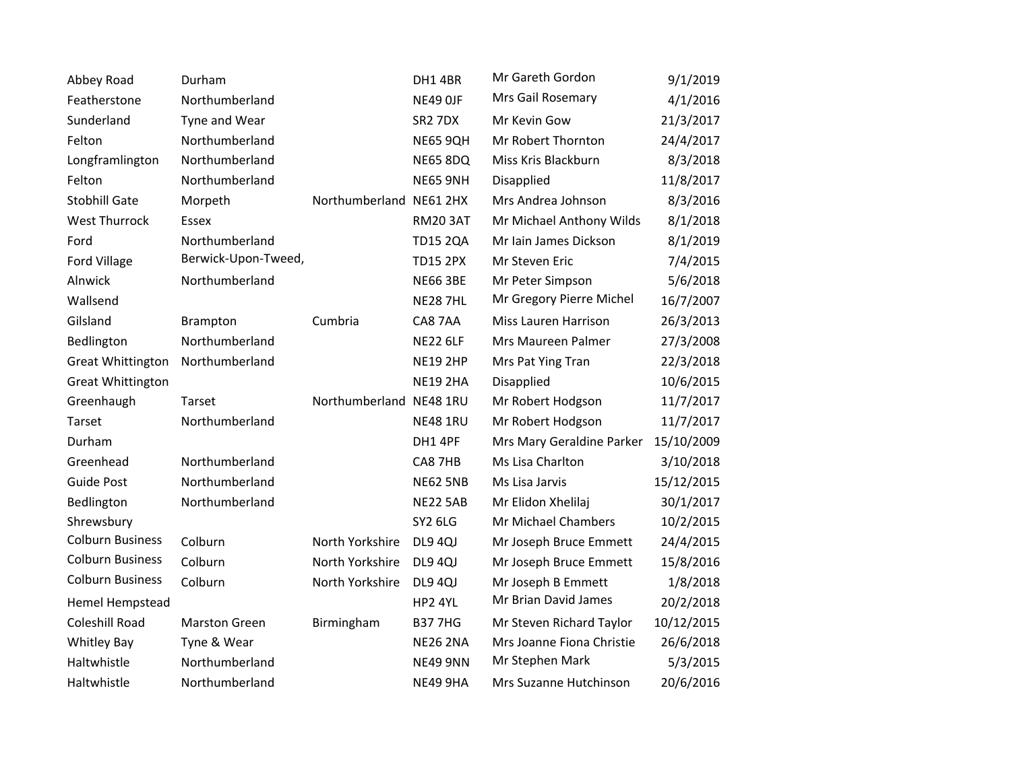| Abbey Road               | Durham               |                         | DH1 4BR             | Mr Gareth Gordon          | 9/1/2019   |
|--------------------------|----------------------|-------------------------|---------------------|---------------------------|------------|
| Featherstone             | Northumberland       |                         | NE49 OJF            | Mrs Gail Rosemary         | 4/1/2016   |
| Sunderland               | Tyne and Wear        |                         | SR <sub>2</sub> 7DX | Mr Kevin Gow              | 21/3/2017  |
| Felton                   | Northumberland       |                         | <b>NE65 9QH</b>     | Mr Robert Thornton        | 24/4/2017  |
| Longframlington          | Northumberland       |                         | <b>NE65 8DQ</b>     | Miss Kris Blackburn       | 8/3/2018   |
| Felton                   | Northumberland       |                         | <b>NE65 9NH</b>     | Disapplied                | 11/8/2017  |
| <b>Stobhill Gate</b>     | Morpeth              | Northumberland          | <b>NE61 2HX</b>     | Mrs Andrea Johnson        | 8/3/2016   |
| <b>West Thurrock</b>     | Essex                |                         | <b>RM20 3AT</b>     | Mr Michael Anthony Wilds  | 8/1/2018   |
| Ford                     | Northumberland       |                         | <b>TD15 2QA</b>     | Mr Iain James Dickson     | 8/1/2019   |
| Ford Village             | Berwick-Upon-Tweed,  |                         | <b>TD15 2PX</b>     | Mr Steven Eric            | 7/4/2015   |
| Alnwick                  | Northumberland       |                         | <b>NE66 3BE</b>     | Mr Peter Simpson          | 5/6/2018   |
| Wallsend                 |                      |                         | <b>NE28 7HL</b>     | Mr Gregory Pierre Michel  | 16/7/2007  |
| Gilsland                 | Brampton             | Cumbria                 | CA8 7AA             | Miss Lauren Harrison      | 26/3/2013  |
| Bedlington               | Northumberland       |                         | <b>NE22 6LF</b>     | Mrs Maureen Palmer        | 27/3/2008  |
| <b>Great Whittington</b> | Northumberland       |                         | <b>NE19 2HP</b>     | Mrs Pat Ying Tran         | 22/3/2018  |
| <b>Great Whittington</b> |                      |                         | <b>NE19 2HA</b>     | Disapplied                | 10/6/2015  |
| Greenhaugh               | Tarset               | Northumberland NE48 1RU |                     | Mr Robert Hodgson         | 11/7/2017  |
| Tarset                   | Northumberland       |                         | <b>NE48 1RU</b>     | Mr Robert Hodgson         | 11/7/2017  |
| Durham                   |                      |                         | DH1 4PF             | Mrs Mary Geraldine Parker | 15/10/2009 |
| Greenhead                | Northumberland       |                         | CA8 7HB             | Ms Lisa Charlton          | 3/10/2018  |
| <b>Guide Post</b>        | Northumberland       |                         | <b>NE62 5NB</b>     | Ms Lisa Jarvis            | 15/12/2015 |
| Bedlington               | Northumberland       |                         | <b>NE22 5AB</b>     | Mr Elidon Xhelilaj        | 30/1/2017  |
| Shrewsbury               |                      |                         | <b>SY2 6LG</b>      | Mr Michael Chambers       | 10/2/2015  |
| <b>Colburn Business</b>  | Colburn              | North Yorkshire         | <b>DL9 4QJ</b>      | Mr Joseph Bruce Emmett    | 24/4/2015  |
| <b>Colburn Business</b>  | Colburn              | North Yorkshire         | DL9 4QJ             | Mr Joseph Bruce Emmett    | 15/8/2016  |
| <b>Colburn Business</b>  | Colburn              | North Yorkshire         | DL9 4QJ             | Mr Joseph B Emmett        | 1/8/2018   |
| Hemel Hempstead          |                      |                         | HP2 4YL             | Mr Brian David James      | 20/2/2018  |
| Coleshill Road           | <b>Marston Green</b> | Birmingham              | <b>B377HG</b>       | Mr Steven Richard Taylor  | 10/12/2015 |
| <b>Whitley Bay</b>       | Tyne & Wear          |                         | <b>NE26 2NA</b>     | Mrs Joanne Fiona Christie | 26/6/2018  |
| Haltwhistle              | Northumberland       |                         | <b>NE49 9NN</b>     | Mr Stephen Mark           | 5/3/2015   |
| Haltwhistle              | Northumberland       |                         | <b>NE49 9HA</b>     | Mrs Suzanne Hutchinson    | 20/6/2016  |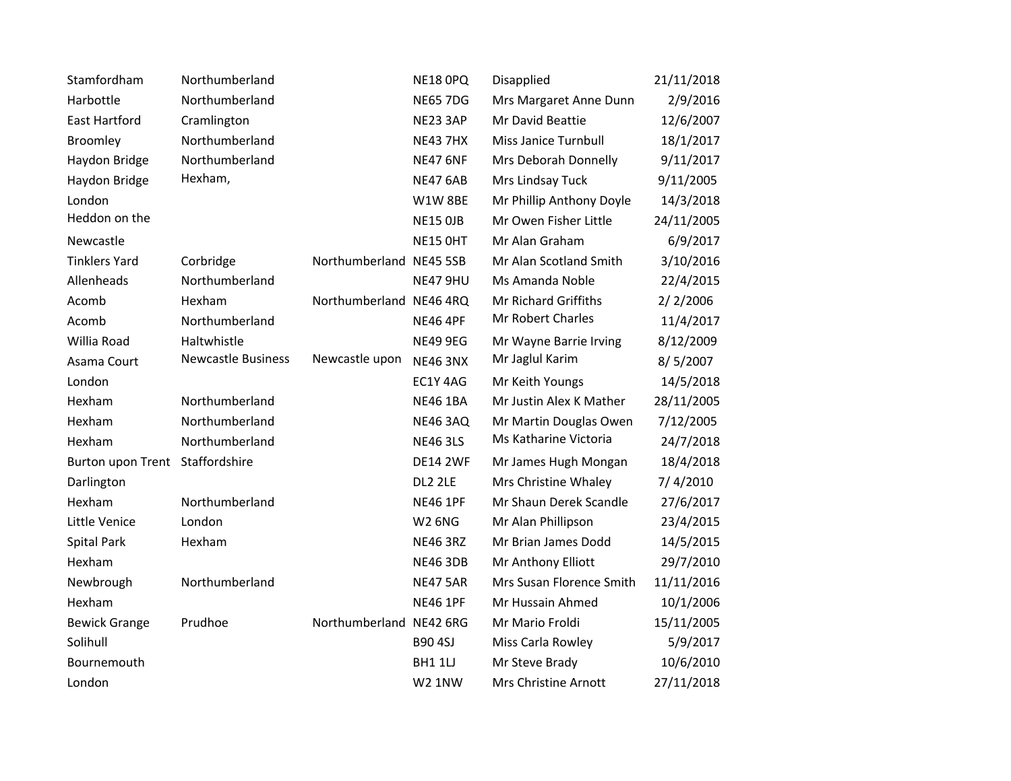| Stamfordham                     | Northumberland            |                         | <b>NE18 OPQ</b> | Disapplied               | 21/11/2018 |
|---------------------------------|---------------------------|-------------------------|-----------------|--------------------------|------------|
| Harbottle                       | Northumberland            |                         | <b>NE65 7DG</b> | Mrs Margaret Anne Dunn   | 2/9/2016   |
| <b>East Hartford</b>            | Cramlington               |                         | NE23 3AP        | Mr David Beattie         | 12/6/2007  |
| Broomley                        | Northumberland            |                         | <b>NE43 7HX</b> | Miss Janice Turnbull     | 18/1/2017  |
| Haydon Bridge                   | Northumberland            |                         | <b>NE47 6NF</b> | Mrs Deborah Donnelly     | 9/11/2017  |
| Haydon Bridge                   | Hexham,                   |                         | <b>NE47 6AB</b> | Mrs Lindsay Tuck         | 9/11/2005  |
| London                          |                           |                         | <b>W1W 8BE</b>  | Mr Phillip Anthony Doyle | 14/3/2018  |
| Heddon on the                   |                           |                         | <b>NE15 OJB</b> | Mr Owen Fisher Little    | 24/11/2005 |
| Newcastle                       |                           |                         | <b>NE15 OHT</b> | Mr Alan Graham           | 6/9/2017   |
| <b>Tinklers Yard</b>            | Corbridge                 | Northumberland NE45 5SB |                 | Mr Alan Scotland Smith   | 3/10/2016  |
| Allenheads                      | Northumberland            |                         | NE47 9HU        | Ms Amanda Noble          | 22/4/2015  |
| Acomb                           | Hexham                    | Northumberland NE46 4RQ |                 | Mr Richard Griffiths     | 2/2/2006   |
| Acomb                           | Northumberland            |                         | <b>NE46 4PF</b> | Mr Robert Charles        | 11/4/2017  |
| Willia Road                     | Haltwhistle               |                         | <b>NE49 9EG</b> | Mr Wayne Barrie Irving   | 8/12/2009  |
| Asama Court                     | <b>Newcastle Business</b> | Newcastle upon          | <b>NE46 3NX</b> | Mr Jaglul Karim          | 8/5/2007   |
| London                          |                           |                         | EC1Y 4AG        | Mr Keith Youngs          | 14/5/2018  |
| Hexham                          | Northumberland            |                         | <b>NE46 1BA</b> | Mr Justin Alex K Mather  | 28/11/2005 |
| Hexham                          | Northumberland            |                         | <b>NE46 3AQ</b> | Mr Martin Douglas Owen   | 7/12/2005  |
| Hexham                          | Northumberland            |                         | <b>NE46 3LS</b> | Ms Katharine Victoria    | 24/7/2018  |
| Burton upon Trent Staffordshire |                           |                         | <b>DE14 2WF</b> | Mr James Hugh Mongan     | 18/4/2018  |
| Darlington                      |                           |                         | DL2 2LE         | Mrs Christine Whaley     | 7/4/2010   |
| Hexham                          | Northumberland            |                         | <b>NE46 1PF</b> | Mr Shaun Derek Scandle   | 27/6/2017  |
| Little Venice                   | London                    |                         | <b>W2 6NG</b>   | Mr Alan Phillipson       | 23/4/2015  |
| Spital Park                     | Hexham                    |                         | <b>NE46 3RZ</b> | Mr Brian James Dodd      | 14/5/2015  |
| Hexham                          |                           |                         | <b>NE46 3DB</b> | Mr Anthony Elliott       | 29/7/2010  |
| Newbrough                       | Northumberland            |                         | <b>NE47 5AR</b> | Mrs Susan Florence Smith | 11/11/2016 |
| Hexham                          |                           |                         | <b>NE46 1PF</b> | Mr Hussain Ahmed         | 10/1/2006  |
| <b>Bewick Grange</b>            | Prudhoe                   | Northumberland NE42 6RG |                 | Mr Mario Froldi          | 15/11/2005 |
| Solihull                        |                           |                         | <b>B90 4SJ</b>  | Miss Carla Rowley        | 5/9/2017   |
| Bournemouth                     |                           |                         | <b>BH1 1U</b>   | Mr Steve Brady           | 10/6/2010  |
| London                          |                           |                         | <b>W2 1NW</b>   | Mrs Christine Arnott     | 27/11/2018 |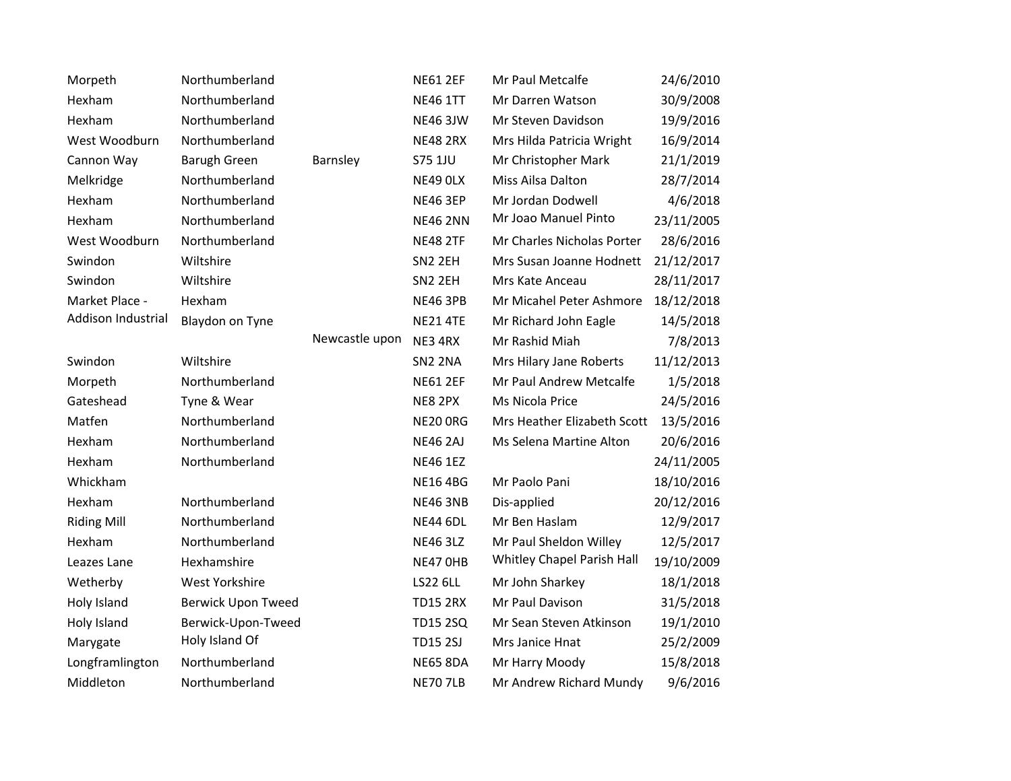| Morpeth            | Northumberland            |                | <b>NE61 2EF</b>     | Mr Paul Metcalfe            | 24/6/2010  |
|--------------------|---------------------------|----------------|---------------------|-----------------------------|------------|
| Hexham             | Northumberland            |                | <b>NE46 1TT</b>     | Mr Darren Watson            | 30/9/2008  |
| Hexham             | Northumberland            |                | <b>NE46 3JW</b>     | Mr Steven Davidson          | 19/9/2016  |
| West Woodburn      | Northumberland            |                | <b>NE48 2RX</b>     | Mrs Hilda Patricia Wright   | 16/9/2014  |
| Cannon Way         | <b>Barugh Green</b>       | Barnsley       | S75 1JU             | Mr Christopher Mark         | 21/1/2019  |
| Melkridge          | Northumberland            |                | NE49 OLX            | Miss Ailsa Dalton           | 28/7/2014  |
| Hexham             | Northumberland            |                | <b>NE46 3EP</b>     | Mr Jordan Dodwell           | 4/6/2018   |
| Hexham             | Northumberland            |                | <b>NE46 2NN</b>     | Mr Joao Manuel Pinto        | 23/11/2005 |
| West Woodburn      | Northumberland            |                | <b>NE48 2TF</b>     | Mr Charles Nicholas Porter  | 28/6/2016  |
| Swindon            | Wiltshire                 |                | SN <sub>2</sub> 2EH | Mrs Susan Joanne Hodnett    | 21/12/2017 |
| Swindon            | Wiltshire                 |                | SN <sub>2</sub> 2EH | Mrs Kate Anceau             | 28/11/2017 |
| Market Place -     | Hexham                    |                | <b>NE46 3PB</b>     | Mr Micahel Peter Ashmore    | 18/12/2018 |
| Addison Industrial | Blaydon on Tyne           |                | <b>NE21 4TE</b>     | Mr Richard John Eagle       | 14/5/2018  |
|                    |                           | Newcastle upon | NE3 4RX             | Mr Rashid Miah              | 7/8/2013   |
| Swindon            | Wiltshire                 |                | SN <sub>2</sub> 2NA | Mrs Hilary Jane Roberts     | 11/12/2013 |
| Morpeth            | Northumberland            |                | <b>NE61 2EF</b>     | Mr Paul Andrew Metcalfe     | 1/5/2018   |
| Gateshead          | Tyne & Wear               |                | NE8 2PX             | Ms Nicola Price             | 24/5/2016  |
| Matfen             | Northumberland            |                | <b>NE20 ORG</b>     | Mrs Heather Elizabeth Scott | 13/5/2016  |
| Hexham             | Northumberland            |                | <b>NE46 2AJ</b>     | Ms Selena Martine Alton     | 20/6/2016  |
| Hexham             | Northumberland            |                | <b>NE46 1EZ</b>     |                             | 24/11/2005 |
| Whickham           |                           |                | <b>NE16 4BG</b>     | Mr Paolo Pani               | 18/10/2016 |
| Hexham             | Northumberland            |                | <b>NE46 3NB</b>     | Dis-applied                 | 20/12/2016 |
| <b>Riding Mill</b> | Northumberland            |                | <b>NE44 6DL</b>     | Mr Ben Haslam               | 12/9/2017  |
| Hexham             | Northumberland            |                | <b>NE46 3LZ</b>     | Mr Paul Sheldon Willey      | 12/5/2017  |
| Leazes Lane        | Hexhamshire               |                | NE47 OHB            | Whitley Chapel Parish Hall  | 19/10/2009 |
| Wetherby           | West Yorkshire            |                | <b>LS22 6LL</b>     | Mr John Sharkey             | 18/1/2018  |
| Holy Island        | <b>Berwick Upon Tweed</b> |                | <b>TD15 2RX</b>     | Mr Paul Davison             | 31/5/2018  |
| Holy Island        | Berwick-Upon-Tweed        |                | <b>TD15 2SQ</b>     | Mr Sean Steven Atkinson     | 19/1/2010  |
| Marygate           | Holy Island Of            |                | <b>TD15 2SJ</b>     | Mrs Janice Hnat             | 25/2/2009  |
| Longframlington    | Northumberland            |                | <b>NE65 8DA</b>     | Mr Harry Moody              | 15/8/2018  |
| Middleton          | Northumberland            |                | <b>NE70 7LB</b>     | Mr Andrew Richard Mundy     | 9/6/2016   |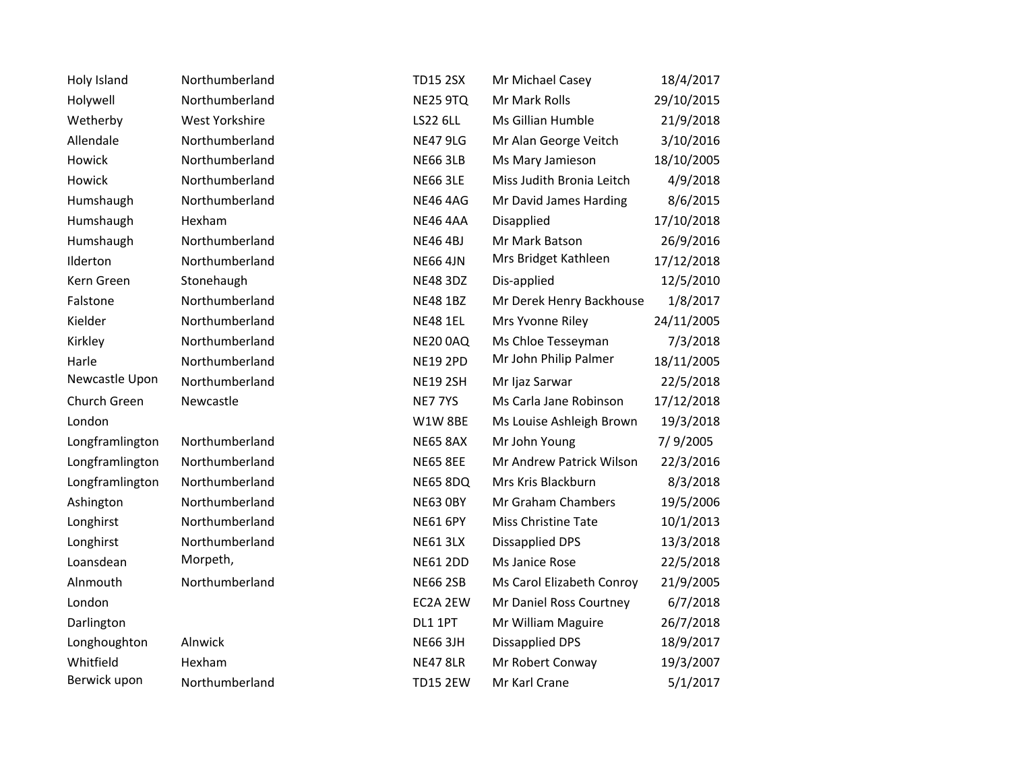| Holy Island     | Northumberland        | <b>TD15 2SX</b> | Mr Michael Casey          | 18/4/2017  |
|-----------------|-----------------------|-----------------|---------------------------|------------|
| Holywell        | Northumberland        | <b>NE25 9TQ</b> | Mr Mark Rolls             | 29/10/2015 |
| Wetherby        | <b>West Yorkshire</b> | <b>LS22 6LL</b> | Ms Gillian Humble         | 21/9/2018  |
| Allendale       | Northumberland        | <b>NE47 9LG</b> | Mr Alan George Veitch     | 3/10/2016  |
| Howick          | Northumberland        | <b>NE66 3LB</b> | Ms Mary Jamieson          | 18/10/2005 |
| Howick          | Northumberland        | <b>NE66 3LE</b> | Miss Judith Bronia Leitch | 4/9/2018   |
| Humshaugh       | Northumberland        | <b>NE46 4AG</b> | Mr David James Harding    | 8/6/2015   |
| Humshaugh       | Hexham                | <b>NE46 4AA</b> | Disapplied                | 17/10/2018 |
| Humshaugh       | Northumberland        | <b>NE46 4BJ</b> | Mr Mark Batson            | 26/9/2016  |
| Ilderton        | Northumberland        | <b>NE66 4JN</b> | Mrs Bridget Kathleen      | 17/12/2018 |
| Kern Green      | Stonehaugh            | <b>NE48 3DZ</b> | Dis-applied               | 12/5/2010  |
| Falstone        | Northumberland        | <b>NE48 1BZ</b> | Mr Derek Henry Backhouse  | 1/8/2017   |
| Kielder         | Northumberland        | <b>NE48 1EL</b> | Mrs Yvonne Riley          | 24/11/2005 |
| Kirkley         | Northumberland        | <b>NE20 0AQ</b> | Ms Chloe Tesseyman        | 7/3/2018   |
| Harle           | Northumberland        | <b>NE19 2PD</b> | Mr John Philip Palmer     | 18/11/2005 |
| Newcastle Upon  | Northumberland        | <b>NE19 2SH</b> | Mr Ijaz Sarwar            | 22/5/2018  |
| Church Green    | Newcastle             | NE777YS         | Ms Carla Jane Robinson    | 17/12/2018 |
| London          |                       | W1W8BE          | Ms Louise Ashleigh Brown  | 19/3/2018  |
| Longframlington | Northumberland        | <b>NE65 8AX</b> | Mr John Young             | 7/9/2005   |
| Longframlington | Northumberland        | <b>NE65 8EE</b> | Mr Andrew Patrick Wilson  | 22/3/2016  |
| Longframlington | Northumberland        | <b>NE65 8DQ</b> | Mrs Kris Blackburn        | 8/3/2018   |
| Ashington       | Northumberland        | <b>NE63 OBY</b> | Mr Graham Chambers        | 19/5/2006  |
| Longhirst       | Northumberland        | <b>NE61 6PY</b> | Miss Christine Tate       | 10/1/2013  |
| Longhirst       | Northumberland        | <b>NE61 3LX</b> | <b>Dissapplied DPS</b>    | 13/3/2018  |
| Loansdean       | Morpeth,              | <b>NE61 2DD</b> | Ms Janice Rose            | 22/5/2018  |
| Alnmouth        | Northumberland        | <b>NE66 2SB</b> | Ms Carol Elizabeth Conroy | 21/9/2005  |
| London          |                       | EC2A 2EW        | Mr Daniel Ross Courtney   | 6/7/2018   |
| Darlington      |                       | DL1 1PT         | Mr William Maguire        | 26/7/2018  |
| Longhoughton    | Alnwick               | <b>NE66 3JH</b> | <b>Dissapplied DPS</b>    | 18/9/2017  |
| Whitfield       | Hexham                | <b>NE47 8LR</b> | Mr Robert Conway          | 19/3/2007  |
| Berwick upon    | Northumberland        | <b>TD15 2EW</b> | Mr Karl Crane             | 5/1/2017   |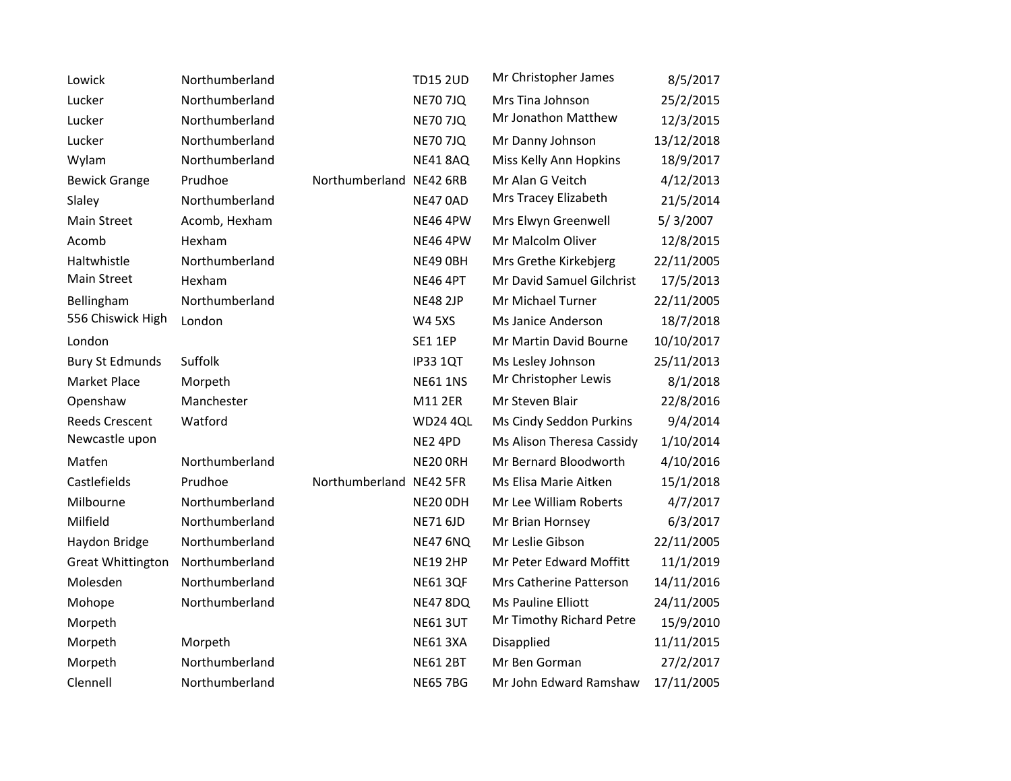| Lowick                   | Northumberland |                         | <b>TD15 2UD</b> | Mr Christopher James      | 8/5/2017   |
|--------------------------|----------------|-------------------------|-----------------|---------------------------|------------|
| Lucker                   | Northumberland |                         | <b>NE70 7JQ</b> | Mrs Tina Johnson          | 25/2/2015  |
| Lucker                   | Northumberland |                         | <b>NE70 7JQ</b> | Mr Jonathon Matthew       | 12/3/2015  |
| Lucker                   | Northumberland |                         | <b>NE70 7JQ</b> | Mr Danny Johnson          | 13/12/2018 |
| Wylam                    | Northumberland |                         | <b>NE41 8AQ</b> | Miss Kelly Ann Hopkins    | 18/9/2017  |
| <b>Bewick Grange</b>     | Prudhoe        | Northumberland NE42 6RB |                 | Mr Alan G Veitch          | 4/12/2013  |
| Slaley                   | Northumberland |                         | <b>NE47 0AD</b> | Mrs Tracey Elizabeth      | 21/5/2014  |
| Main Street              | Acomb, Hexham  |                         | <b>NE46 4PW</b> | Mrs Elwyn Greenwell       | 5/3/2007   |
| Acomb                    | Hexham         |                         | <b>NE46 4PW</b> | Mr Malcolm Oliver         | 12/8/2015  |
| Haltwhistle              | Northumberland |                         | NE49 OBH        | Mrs Grethe Kirkebjerg     | 22/11/2005 |
| Main Street              | Hexham         |                         | <b>NE46 4PT</b> | Mr David Samuel Gilchrist | 17/5/2013  |
| Bellingham               | Northumberland |                         | <b>NE48 2JP</b> | Mr Michael Turner         | 22/11/2005 |
| 556 Chiswick High        | London         |                         | <b>W4 5XS</b>   | Ms Janice Anderson        | 18/7/2018  |
| London                   |                |                         | <b>SE1 1EP</b>  | Mr Martin David Bourne    | 10/10/2017 |
| <b>Bury St Edmunds</b>   | Suffolk        |                         | <b>IP33 1QT</b> | Ms Lesley Johnson         | 25/11/2013 |
| <b>Market Place</b>      | Morpeth        |                         | <b>NE61 1NS</b> | Mr Christopher Lewis      | 8/1/2018   |
| Openshaw                 | Manchester     |                         | M11 2ER         | Mr Steven Blair           | 22/8/2016  |
| <b>Reeds Crescent</b>    | Watford        |                         | <b>WD24 4QL</b> | Ms Cindy Seddon Purkins   | 9/4/2014   |
| Newcastle upon           |                |                         | NE2 4PD         | Ms Alison Theresa Cassidy | 1/10/2014  |
| Matfen                   | Northumberland |                         | NE20 ORH        | Mr Bernard Bloodworth     | 4/10/2016  |
| Castlefields             | Prudhoe        | Northumberland NE42 5FR |                 | Ms Elisa Marie Aitken     | 15/1/2018  |
| Milbourne                | Northumberland |                         | NE20 ODH        | Mr Lee William Roberts    | 4/7/2017   |
| Milfield                 | Northumberland |                         | <b>NE71 6JD</b> | Mr Brian Hornsey          | 6/3/2017   |
| Haydon Bridge            | Northumberland |                         | <b>NE47 6NQ</b> | Mr Leslie Gibson          | 22/11/2005 |
| <b>Great Whittington</b> | Northumberland |                         | <b>NE19 2HP</b> | Mr Peter Edward Moffitt   | 11/1/2019  |
| Molesden                 | Northumberland |                         | <b>NE61 3QF</b> | Mrs Catherine Patterson   | 14/11/2016 |
| Mohope                   | Northumberland |                         | <b>NE47 8DQ</b> | Ms Pauline Elliott        | 24/11/2005 |
| Morpeth                  |                |                         | <b>NE61 3UT</b> | Mr Timothy Richard Petre  | 15/9/2010  |
| Morpeth                  | Morpeth        |                         | <b>NE61 3XA</b> | Disapplied                | 11/11/2015 |
| Morpeth                  | Northumberland |                         | <b>NE61 2BT</b> | Mr Ben Gorman             | 27/2/2017  |
| Clennell                 | Northumberland |                         | <b>NE65 7BG</b> | Mr John Edward Ramshaw    | 17/11/2005 |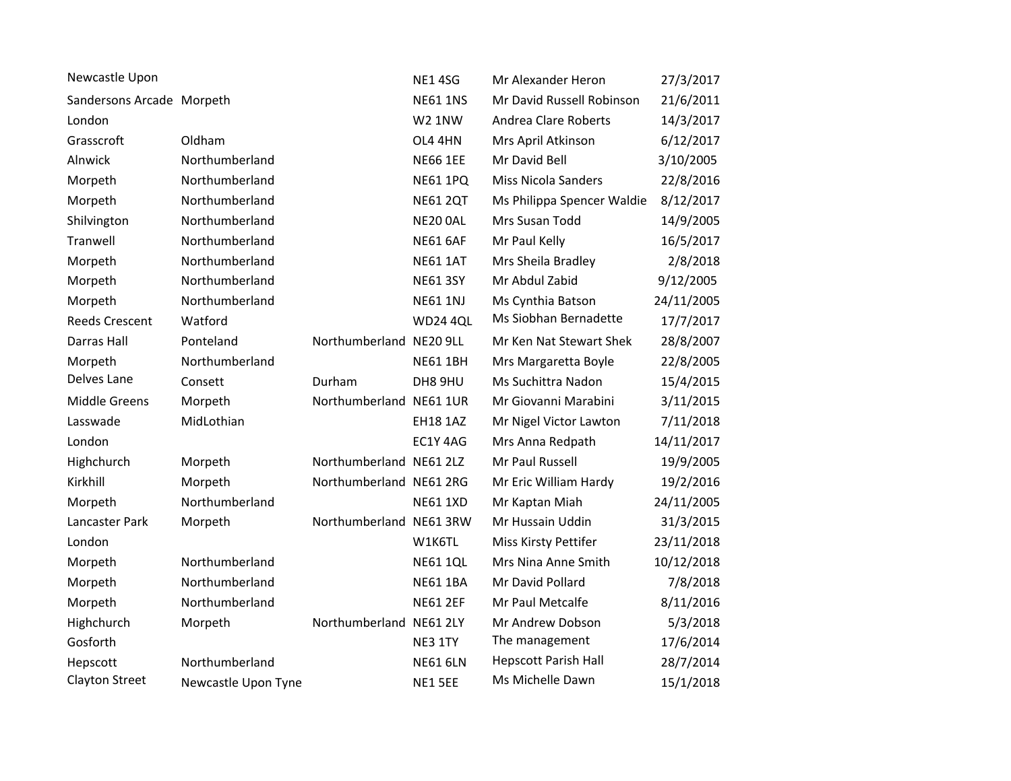| Newcastle Upon            |                     |                         | <b>NE1 4SG</b>  | Mr Alexander Heron          | 27/3/2017  |
|---------------------------|---------------------|-------------------------|-----------------|-----------------------------|------------|
| Sandersons Arcade Morpeth |                     |                         | <b>NE61 1NS</b> | Mr David Russell Robinson   | 21/6/2011  |
| London                    |                     |                         | <b>W2 1NW</b>   | Andrea Clare Roberts        | 14/3/2017  |
| Grasscroft                | Oldham              |                         | OL4 4HN         | Mrs April Atkinson          | 6/12/2017  |
| Alnwick                   | Northumberland      |                         | <b>NE66 1EE</b> | Mr David Bell               | 3/10/2005  |
| Morpeth                   | Northumberland      |                         | <b>NE61 1PQ</b> | <b>Miss Nicola Sanders</b>  | 22/8/2016  |
| Morpeth                   | Northumberland      |                         | <b>NE61 2QT</b> | Ms Philippa Spencer Waldie  | 8/12/2017  |
| Shilvington               | Northumberland      |                         | NE20 0AL        | Mrs Susan Todd              | 14/9/2005  |
| Tranwell                  | Northumberland      |                         | <b>NE61 6AF</b> | Mr Paul Kelly               | 16/5/2017  |
| Morpeth                   | Northumberland      |                         | <b>NE61 1AT</b> | Mrs Sheila Bradley          | 2/8/2018   |
| Morpeth                   | Northumberland      |                         | <b>NE61 3SY</b> | Mr Abdul Zabid              | 9/12/2005  |
| Morpeth                   | Northumberland      |                         | <b>NE61 1NJ</b> | Ms Cynthia Batson           | 24/11/2005 |
| <b>Reeds Crescent</b>     | Watford             |                         | <b>WD24 4QL</b> | Ms Siobhan Bernadette       | 17/7/2017  |
| Darras Hall               | Ponteland           | Northumberland NE20 9LL |                 | Mr Ken Nat Stewart Shek     | 28/8/2007  |
| Morpeth                   | Northumberland      |                         | <b>NE61 1BH</b> | Mrs Margaretta Boyle        | 22/8/2005  |
| Delves Lane               | Consett             | Durham                  | DH8 9HU         | Ms Suchittra Nadon          | 15/4/2015  |
| Middle Greens             | Morpeth             | Northumberland NE61 1UR |                 | Mr Giovanni Marabini        | 3/11/2015  |
| Lasswade                  | MidLothian          |                         | <b>EH18 1AZ</b> | Mr Nigel Victor Lawton      | 7/11/2018  |
| London                    |                     |                         | EC1Y 4AG        | Mrs Anna Redpath            | 14/11/2017 |
| Highchurch                | Morpeth             | Northumberland NE61 2LZ |                 | Mr Paul Russell             | 19/9/2005  |
| Kirkhill                  | Morpeth             | Northumberland NE61 2RG |                 | Mr Eric William Hardy       | 19/2/2016  |
| Morpeth                   | Northumberland      |                         | <b>NE61 1XD</b> | Mr Kaptan Miah              | 24/11/2005 |
| Lancaster Park            | Morpeth             | Northumberland NE61 3RW |                 | Mr Hussain Uddin            | 31/3/2015  |
| London                    |                     |                         | W1K6TL          | Miss Kirsty Pettifer        | 23/11/2018 |
| Morpeth                   | Northumberland      |                         | <b>NE61 1QL</b> | Mrs Nina Anne Smith         | 10/12/2018 |
| Morpeth                   | Northumberland      |                         | <b>NE61 1BA</b> | Mr David Pollard            | 7/8/2018   |
| Morpeth                   | Northumberland      |                         | <b>NE61 2EF</b> | Mr Paul Metcalfe            | 8/11/2016  |
| Highchurch                | Morpeth             | Northumberland NE61 2LY |                 | Mr Andrew Dobson            | 5/3/2018   |
| Gosforth                  |                     |                         | NE3 1TY         | The management              | 17/6/2014  |
| Hepscott                  | Northumberland      |                         | <b>NE61 6LN</b> | <b>Hepscott Parish Hall</b> | 28/7/2014  |
| <b>Clayton Street</b>     | Newcastle Upon Tyne |                         | NE1 5EE         | Ms Michelle Dawn            | 15/1/2018  |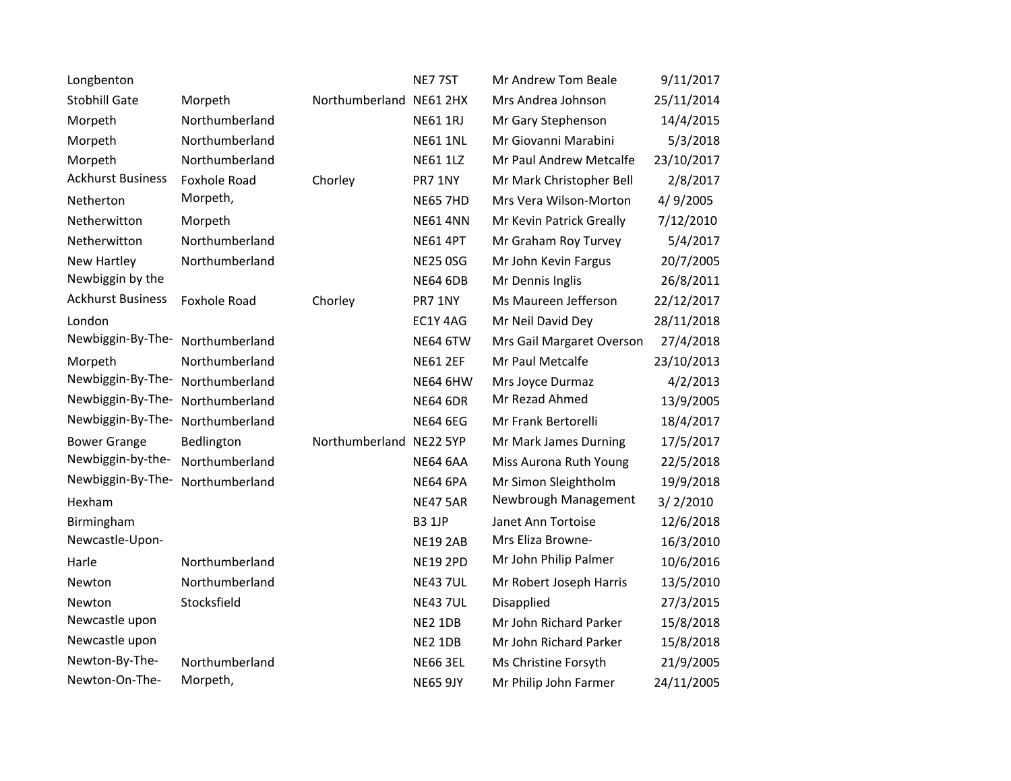| Longbenton               |                |                         | NE775T          | Mr Andrew Tom Beale       | 9/11/2017  |
|--------------------------|----------------|-------------------------|-----------------|---------------------------|------------|
| <b>Stobhill Gate</b>     | Morpeth        | Northumberland NE61 2HX |                 | Mrs Andrea Johnson        | 25/11/2014 |
| Morpeth                  | Northumberland |                         | <b>NE61 1RJ</b> | Mr Gary Stephenson        | 14/4/2015  |
| Morpeth                  | Northumberland |                         | <b>NE61 1NL</b> | Mr Giovanni Marabini      | 5/3/2018   |
| Morpeth                  | Northumberland |                         | <b>NE61 1LZ</b> | Mr Paul Andrew Metcalfe   | 23/10/2017 |
| <b>Ackhurst Business</b> | Foxhole Road   | Chorley                 | PR7 1NY         | Mr Mark Christopher Bell  | 2/8/2017   |
| Netherton                | Morpeth,       |                         | <b>NE65 7HD</b> | Mrs Vera Wilson-Morton    | 4/9/2005   |
| Netherwitton             | Morpeth        |                         | <b>NE61 4NN</b> | Mr Kevin Patrick Greally  | 7/12/2010  |
| Netherwitton             | Northumberland |                         | <b>NE61 4PT</b> | Mr Graham Roy Turvey      | 5/4/2017   |
| New Hartley              | Northumberland |                         | <b>NE25 0SG</b> | Mr John Kevin Fargus      | 20/7/2005  |
| Newbiggin by the         |                |                         | <b>NE64 6DB</b> | Mr Dennis Inglis          | 26/8/2011  |
| <b>Ackhurst Business</b> | Foxhole Road   | Chorley                 | PR7 1NY         | Ms Maureen Jefferson      | 22/12/2017 |
| London                   |                |                         | EC1Y 4AG        | Mr Neil David Dey         | 28/11/2018 |
| Newbiggin-By-The-        | Northumberland |                         | <b>NE64 6TW</b> | Mrs Gail Margaret Overson | 27/4/2018  |
| Morpeth                  | Northumberland |                         | <b>NE61 2EF</b> | Mr Paul Metcalfe          | 23/10/2013 |
| Newbiggin-By-The-        | Northumberland |                         | <b>NE64 6HW</b> | Mrs Joyce Durmaz          | 4/2/2013   |
| Newbiggin-By-The-        | Northumberland |                         | <b>NE64 6DR</b> | Mr Rezad Ahmed            | 13/9/2005  |
| Newbiggin-By-The-        | Northumberland |                         | <b>NE64 6EG</b> | Mr Frank Bertorelli       | 18/4/2017  |
| <b>Bower Grange</b>      | Bedlington     | Northumberland NE22 5YP |                 | Mr Mark James Durning     | 17/5/2017  |
| Newbiggin-by-the-        | Northumberland |                         | <b>NE64 6AA</b> | Miss Aurona Ruth Young    | 22/5/2018  |
| Newbiggin-By-The-        | Northumberland |                         | <b>NE64 6PA</b> | Mr Simon Sleightholm      | 19/9/2018  |
| Hexham                   |                |                         | <b>NE47 5AR</b> | Newbrough Management      | 3/2/2010   |
| Birmingham               |                |                         | <b>B3 1JP</b>   | Janet Ann Tortoise        | 12/6/2018  |
| Newcastle-Upon-          |                |                         | <b>NE19 2AB</b> | Mrs Eliza Browne-         | 16/3/2010  |
| Harle                    | Northumberland |                         | <b>NE19 2PD</b> | Mr John Philip Palmer     | 10/6/2016  |
| Newton                   | Northumberland |                         | <b>NE43 7UL</b> | Mr Robert Joseph Harris   | 13/5/2010  |
| Newton                   | Stocksfield    |                         | <b>NE43 7UL</b> | Disapplied                | 27/3/2015  |
| Newcastle upon           |                |                         | NE2 1DB         | Mr John Richard Parker    | 15/8/2018  |
| Newcastle upon           |                |                         | NE2 1DB         | Mr John Richard Parker    | 15/8/2018  |
| Newton-By-The-           | Northumberland |                         | <b>NE66 3EL</b> | Ms Christine Forsyth      | 21/9/2005  |
| Newton-On-The-           | Morpeth,       |                         | <b>NE65 9JY</b> | Mr Philip John Farmer     | 24/11/2005 |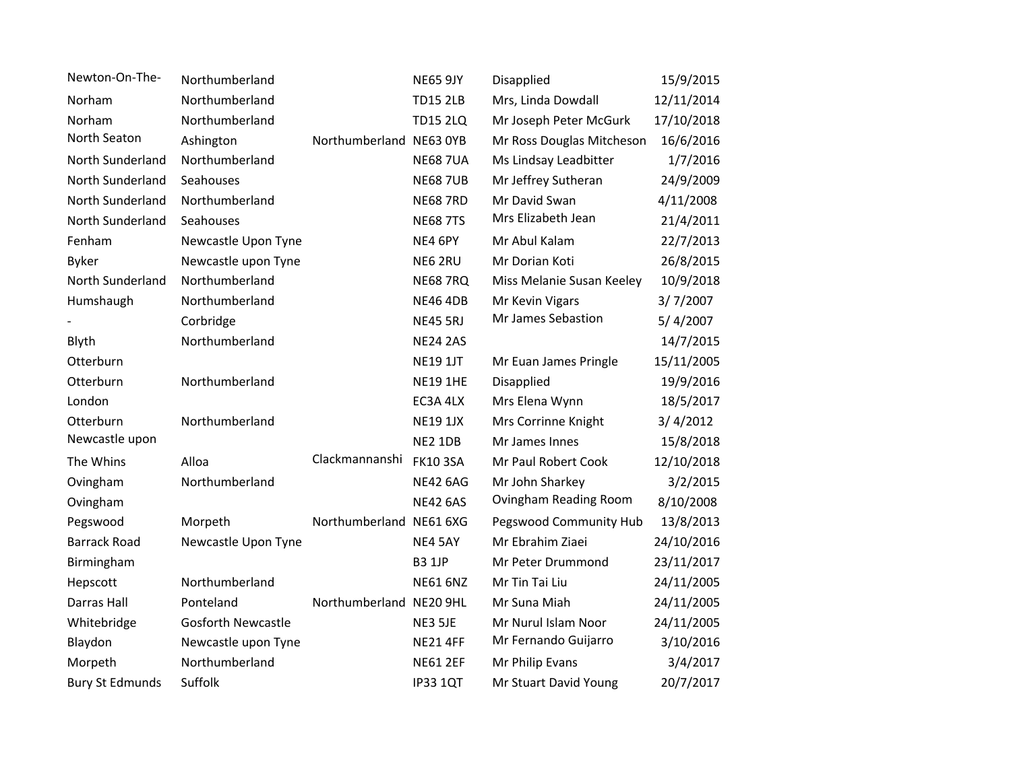| Newton-On-The-         | Northumberland            |                         | <b>NE65 9JY</b> | Disapplied                | 15/9/2015  |
|------------------------|---------------------------|-------------------------|-----------------|---------------------------|------------|
| Norham                 | Northumberland            |                         | <b>TD15 2LB</b> | Mrs, Linda Dowdall        | 12/11/2014 |
| Norham                 | Northumberland            |                         | <b>TD15 2LQ</b> | Mr Joseph Peter McGurk    | 17/10/2018 |
| North Seaton           | Ashington                 | Northumberland NE63 0YB |                 | Mr Ross Douglas Mitcheson | 16/6/2016  |
| North Sunderland       | Northumberland            |                         | <b>NE68 7UA</b> | Ms Lindsay Leadbitter     | 1/7/2016   |
| North Sunderland       | Seahouses                 |                         | <b>NE68 7UB</b> | Mr Jeffrey Sutheran       | 24/9/2009  |
| North Sunderland       | Northumberland            |                         | <b>NE68 7RD</b> | Mr David Swan             | 4/11/2008  |
| North Sunderland       | Seahouses                 |                         | <b>NE68 7TS</b> | Mrs Elizabeth Jean        | 21/4/2011  |
| Fenham                 | Newcastle Upon Tyne       |                         | NE4 6PY         | Mr Abul Kalam             | 22/7/2013  |
| <b>Byker</b>           | Newcastle upon Tyne       |                         | NE6 2RU         | Mr Dorian Koti            | 26/8/2015  |
| North Sunderland       | Northumberland            |                         | <b>NE68 7RQ</b> | Miss Melanie Susan Keeley | 10/9/2018  |
| Humshaugh              | Northumberland            |                         | <b>NE46 4DB</b> | Mr Kevin Vigars           | 3/7/2007   |
|                        | Corbridge                 |                         | <b>NE45 5RJ</b> | Mr James Sebastion        | 5/4/2007   |
| Blyth                  | Northumberland            |                         | <b>NE24 2AS</b> |                           | 14/7/2015  |
| Otterburn              |                           |                         | <b>NE19 1JT</b> | Mr Euan James Pringle     | 15/11/2005 |
| Otterburn              | Northumberland            |                         | <b>NE19 1HE</b> | Disapplied                | 19/9/2016  |
| London                 |                           |                         | EC3A 4LX        | Mrs Elena Wynn            | 18/5/2017  |
| Otterburn              | Northumberland            |                         | <b>NE19 1JX</b> | Mrs Corrinne Knight       | 3/4/2012   |
| Newcastle upon         |                           |                         | NE2 1DB         | Mr James Innes            | 15/8/2018  |
| The Whins              | Alloa                     | Clackmannanshi          | <b>FK10 3SA</b> | Mr Paul Robert Cook       | 12/10/2018 |
| Ovingham               | Northumberland            |                         | <b>NE42 6AG</b> | Mr John Sharkey           | 3/2/2015   |
| Ovingham               |                           |                         | <b>NE42 6AS</b> | Ovingham Reading Room     | 8/10/2008  |
| Pegswood               | Morpeth                   | Northumberland NE61 6XG |                 | Pegswood Community Hub    | 13/8/2013  |
| <b>Barrack Road</b>    | Newcastle Upon Tyne       |                         | NE4 5AY         | Mr Ebrahim Ziaei          | 24/10/2016 |
| Birmingham             |                           |                         | <b>B3 1JP</b>   | Mr Peter Drummond         | 23/11/2017 |
| Hepscott               | Northumberland            |                         | <b>NE61 6NZ</b> | Mr Tin Tai Liu            | 24/11/2005 |
| Darras Hall            | Ponteland                 | Northumberland NE20 9HL |                 | Mr Suna Miah              | 24/11/2005 |
| Whitebridge            | <b>Gosforth Newcastle</b> |                         | NE3 5JE         | Mr Nurul Islam Noor       | 24/11/2005 |
| Blaydon                | Newcastle upon Tyne       |                         | <b>NE21 4FF</b> | Mr Fernando Guijarro      | 3/10/2016  |
| Morpeth                | Northumberland            |                         | <b>NE61 2EF</b> | Mr Philip Evans           | 3/4/2017   |
| <b>Bury St Edmunds</b> | Suffolk                   |                         | <b>IP33 1QT</b> | Mr Stuart David Young     | 20/7/2017  |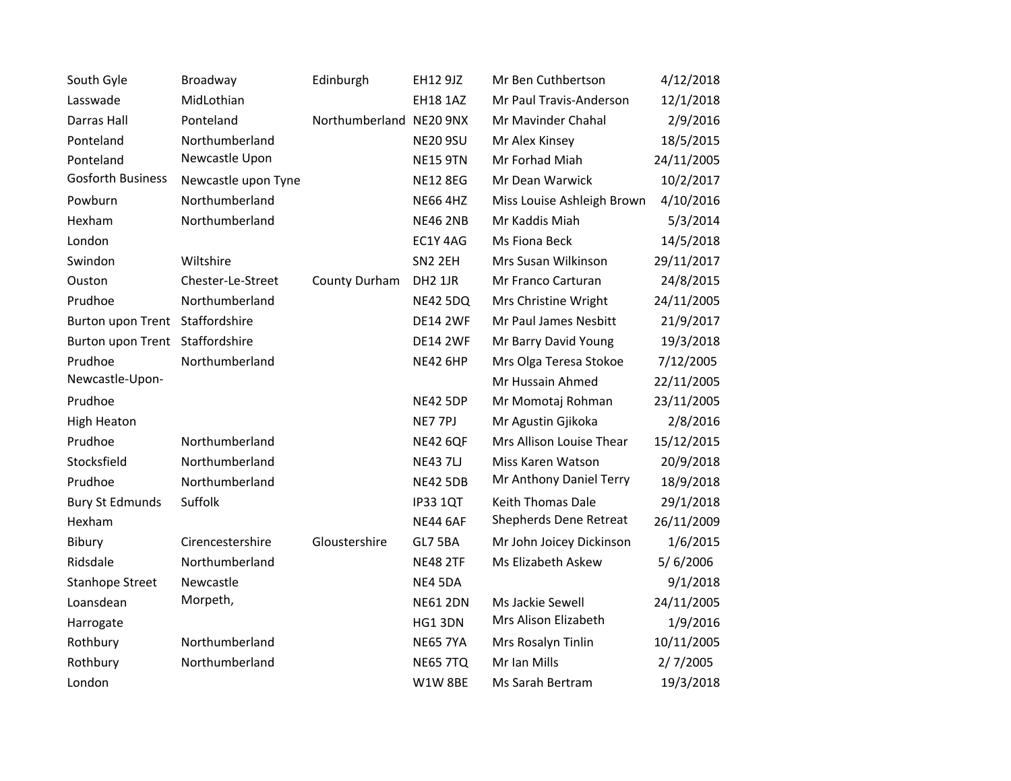| South Gyle                      | Broadway            | Edinburgh               | EH12 9JZ            | Mr Ben Cuthbertson         | 4/12/2018  |
|---------------------------------|---------------------|-------------------------|---------------------|----------------------------|------------|
| Lasswade                        | MidLothian          |                         | <b>EH18 1AZ</b>     | Mr Paul Travis-Anderson    | 12/1/2018  |
| Darras Hall                     | Ponteland           | Northumberland NE20 9NX |                     | Mr Mavinder Chahal         | 2/9/2016   |
| Ponteland                       | Northumberland      |                         | <b>NE20 9SU</b>     | Mr Alex Kinsey             | 18/5/2015  |
| Ponteland                       | Newcastle Upon      |                         | <b>NE15 9TN</b>     | Mr Forhad Miah             | 24/11/2005 |
| <b>Gosforth Business</b>        | Newcastle upon Tyne |                         | <b>NE12 8EG</b>     | Mr Dean Warwick            | 10/2/2017  |
| Powburn                         | Northumberland      |                         | <b>NE66 4HZ</b>     | Miss Louise Ashleigh Brown | 4/10/2016  |
| Hexham                          | Northumberland      |                         | <b>NE46 2NB</b>     | Mr Kaddis Miah             | 5/3/2014   |
| London                          |                     |                         | EC1Y 4AG            | Ms Fiona Beck              | 14/5/2018  |
| Swindon                         | Wiltshire           |                         | SN2 2EH             | Mrs Susan Wilkinson        | 29/11/2017 |
| Ouston                          | Chester-Le-Street   | County Durham           | DH <sub>2</sub> 1JR | Mr Franco Carturan         | 24/8/2015  |
| Prudhoe                         | Northumberland      |                         | <b>NE42 5DQ</b>     | Mrs Christine Wright       | 24/11/2005 |
| Burton upon Trent Staffordshire |                     |                         | <b>DE14 2WF</b>     | Mr Paul James Nesbitt      | 21/9/2017  |
| Burton upon Trent Staffordshire |                     |                         | <b>DE14 2WF</b>     | Mr Barry David Young       | 19/3/2018  |
| Prudhoe                         | Northumberland      |                         | <b>NE42 6HP</b>     | Mrs Olga Teresa Stokoe     | 7/12/2005  |
| Newcastle-Upon-                 |                     |                         |                     | Mr Hussain Ahmed           | 22/11/2005 |
| Prudhoe                         |                     |                         | <b>NE42 5DP</b>     | Mr Momotaj Rohman          | 23/11/2005 |
| <b>High Heaton</b>              |                     |                         | NE7 7PJ             | Mr Agustin Gjikoka         | 2/8/2016   |
| Prudhoe                         | Northumberland      |                         | <b>NE42 6QF</b>     | Mrs Allison Louise Thear   | 15/12/2015 |
| Stocksfield                     | Northumberland      |                         | <b>NE43 7LJ</b>     | Miss Karen Watson          | 20/9/2018  |
| Prudhoe                         | Northumberland      |                         | <b>NE42 5DB</b>     | Mr Anthony Daniel Terry    | 18/9/2018  |
| <b>Bury St Edmunds</b>          | Suffolk             |                         | <b>IP33 1QT</b>     | Keith Thomas Dale          | 29/1/2018  |
| Hexham                          |                     |                         | <b>NE44 6AF</b>     | Shepherds Dene Retreat     | 26/11/2009 |
| Bibury                          | Cirencestershire    | Gloustershire           | GL7 5BA             | Mr John Joicey Dickinson   | 1/6/2015   |
| Ridsdale                        | Northumberland      |                         | <b>NE48 2TF</b>     | Ms Elizabeth Askew         | 5/6/2006   |
| <b>Stanhope Street</b>          | Newcastle           |                         | NE4 5DA             |                            | 9/1/2018   |
| Loansdean                       | Morpeth,            |                         | <b>NE61 2DN</b>     | Ms Jackie Sewell           | 24/11/2005 |
| Harrogate                       |                     |                         | HG1 3DN             | Mrs Alison Elizabeth       | 1/9/2016   |
| Rothbury                        | Northumberland      |                         | <b>NE65 7YA</b>     | Mrs Rosalyn Tinlin         | 10/11/2005 |
| Rothbury                        | Northumberland      |                         | <b>NE65 7TQ</b>     | Mr Ian Mills               | 2/7/2005   |
| London                          |                     |                         | W1W8BE              | Ms Sarah Bertram           | 19/3/2018  |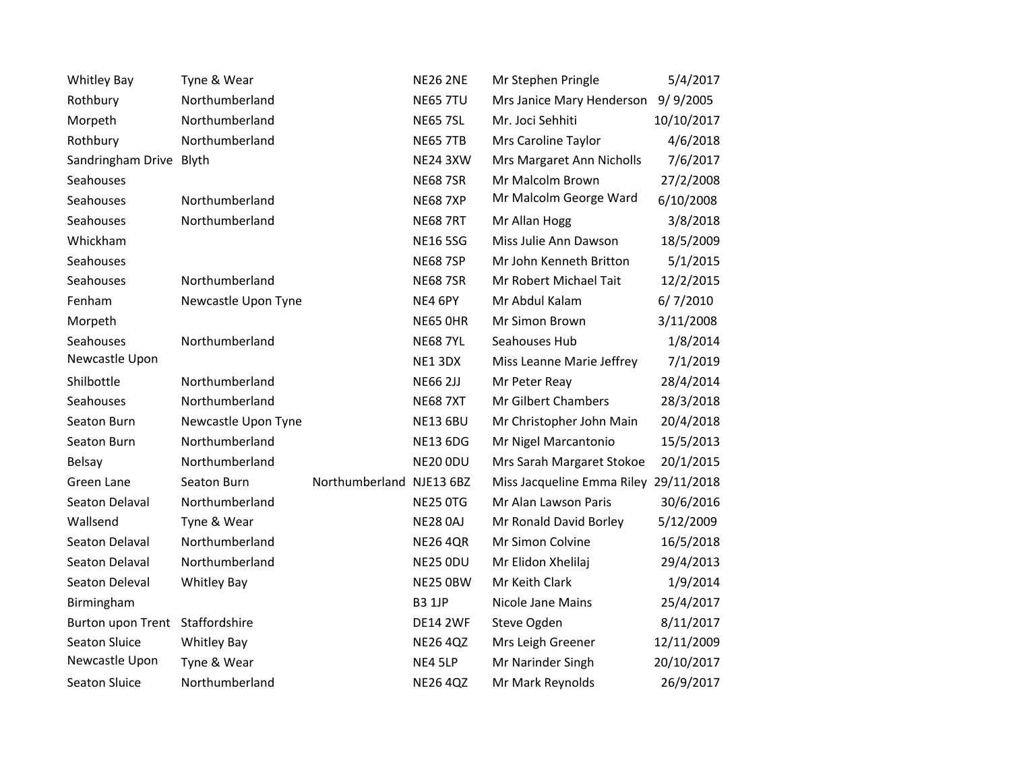| <b>Whitley Bay</b>              | Tyne & Wear         |                | <b>NE26 2NE</b>  | Mr Stephen Pringle                    | 5/4/2017   |
|---------------------------------|---------------------|----------------|------------------|---------------------------------------|------------|
| Rothbury                        | Northumberland      |                | <b>NE65 7TU</b>  | Mrs Janice Mary Henderson             | 9/9/2005   |
| Morpeth                         | Northumberland      |                | <b>NE65 7SL</b>  | Mr. Joci Sehhiti                      | 10/10/2017 |
| Rothbury                        | Northumberland      |                | <b>NE65 7TB</b>  | Mrs Caroline Taylor                   | 4/6/2018   |
| Sandringham Drive Blyth         |                     |                | <b>NE24 3XW</b>  | Mrs Margaret Ann Nicholls             | 7/6/2017   |
| Seahouses                       |                     |                | <b>NE68 7SR</b>  | Mr Malcolm Brown                      | 27/2/2008  |
| Seahouses                       | Northumberland      |                | <b>NE68 7XP</b>  | Mr Malcolm George Ward                | 6/10/2008  |
| Seahouses                       | Northumberland      |                | <b>NE68 7RT</b>  | Mr Allan Hogg                         | 3/8/2018   |
| Whickham                        |                     |                | <b>NE16 5SG</b>  | Miss Julie Ann Dawson                 | 18/5/2009  |
| <b>Seahouses</b>                |                     |                | <b>NE68 7SP</b>  | Mr John Kenneth Britton               | 5/1/2015   |
| Seahouses                       | Northumberland      |                | <b>NE68 7SR</b>  | Mr Robert Michael Tait                | 12/2/2015  |
| Fenham                          | Newcastle Upon Tyne |                | NE4 6PY          | Mr Abdul Kalam                        | 6/7/2010   |
| Morpeth                         |                     |                | <b>NE65 OHR</b>  | Mr Simon Brown                        | 3/11/2008  |
| Seahouses                       | Northumberland      |                | <b>NE68 7YL</b>  | Seahouses Hub                         | 1/8/2014   |
| Newcastle Upon                  |                     |                | NE13DX           | Miss Leanne Marie Jeffrey             | 7/1/2019   |
| Shilbottle                      | Northumberland      |                | <b>NE66 2JJ</b>  | Mr Peter Reay                         | 28/4/2014  |
| Seahouses                       | Northumberland      |                | <b>NE68 7XT</b>  | Mr Gilbert Chambers                   | 28/3/2018  |
| Seaton Burn                     | Newcastle Upon Tyne |                | <b>NE13 6BU</b>  | Mr Christopher John Main              | 20/4/2018  |
| Seaton Burn                     | Northumberland      |                | <b>NE13 6DG</b>  | Mr Nigel Marcantonio                  | 15/5/2013  |
| Belsay                          | Northumberland      |                | NE20 ODU         | Mrs Sarah Margaret Stokoe             | 20/1/2015  |
| Green Lane                      | Seaton Burn         | Northumberland | <b>NJE13 6BZ</b> | Miss Jacqueline Emma Riley 29/11/2018 |            |
| Seaton Delaval                  | Northumberland      |                | <b>NE25 0TG</b>  | Mr Alan Lawson Paris                  | 30/6/2016  |
| Wallsend                        | Tyne & Wear         |                | <b>NE28 0AJ</b>  | Mr Ronald David Borley                | 5/12/2009  |
| Seaton Delaval                  | Northumberland      |                | <b>NE26 4QR</b>  | Mr Simon Colvine                      | 16/5/2018  |
| Seaton Delaval                  | Northumberland      |                | <b>NE25 ODU</b>  | Mr Elidon Xhelilaj                    | 29/4/2013  |
| Seaton Deleval                  | <b>Whitley Bay</b>  |                | NE25 OBW         | Mr Keith Clark                        | 1/9/2014   |
| Birmingham                      |                     |                | <b>B3 1JP</b>    | Nicole Jane Mains                     | 25/4/2017  |
| Burton upon Trent Staffordshire |                     |                | <b>DE14 2WF</b>  | Steve Ogden                           | 8/11/2017  |
| <b>Seaton Sluice</b>            | <b>Whitley Bay</b>  |                | <b>NE26 4QZ</b>  | Mrs Leigh Greener                     | 12/11/2009 |
| Newcastle Upon                  | Tyne & Wear         |                | NE4 5LP          | Mr Narinder Singh                     | 20/10/2017 |
| <b>Seaton Sluice</b>            | Northumberland      |                | <b>NE26 4QZ</b>  | Mr Mark Reynolds                      | 26/9/2017  |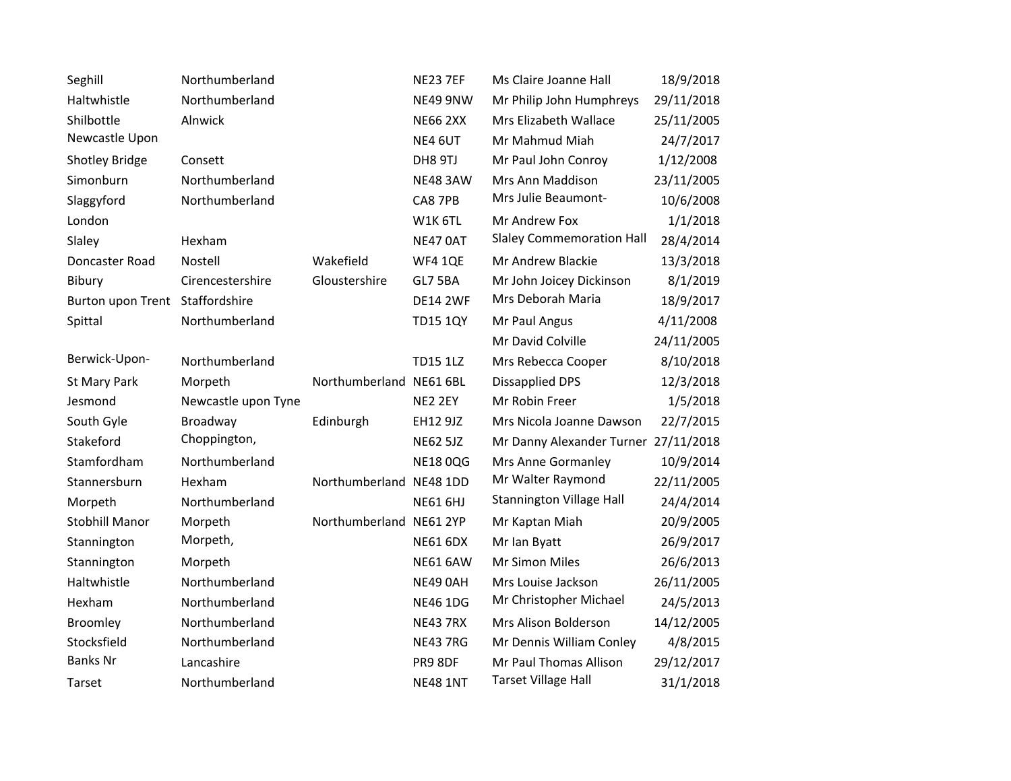| Seghill                         | Northumberland      |                         | <b>NE23 7EF</b> | Ms Claire Joanne Hall                | 18/9/2018  |
|---------------------------------|---------------------|-------------------------|-----------------|--------------------------------------|------------|
| Haltwhistle                     | Northumberland      |                         | NE49 9NW        | Mr Philip John Humphreys             | 29/11/2018 |
| Shilbottle                      | Alnwick             |                         | <b>NE66 2XX</b> | Mrs Elizabeth Wallace                | 25/11/2005 |
| Newcastle Upon                  |                     |                         | NE4 6UT         | Mr Mahmud Miah                       | 24/7/2017  |
| Shotley Bridge                  | Consett             |                         | DH8 9TJ         | Mr Paul John Conroy                  | 1/12/2008  |
| Simonburn                       | Northumberland      |                         | <b>NE48 3AW</b> | Mrs Ann Maddison                     | 23/11/2005 |
| Slaggyford                      | Northumberland      |                         | CA8 7PB         | Mrs Julie Beaumont-                  | 10/6/2008  |
| London                          |                     |                         | W1K 6TL         | Mr Andrew Fox                        | 1/1/2018   |
| Slaley                          | Hexham              |                         | <b>NE47 0AT</b> | <b>Slaley Commemoration Hall</b>     | 28/4/2014  |
| Doncaster Road                  | Nostell             | Wakefield               | <b>WF4 1QE</b>  | Mr Andrew Blackie                    | 13/3/2018  |
| Bibury                          | Cirencestershire    | Gloustershire           | GL7 5BA         | Mr John Joicey Dickinson             | 8/1/2019   |
| Burton upon Trent Staffordshire |                     |                         | <b>DE14 2WF</b> | Mrs Deborah Maria                    | 18/9/2017  |
| Spittal                         | Northumberland      |                         | <b>TD15 1QY</b> | Mr Paul Angus                        | 4/11/2008  |
|                                 |                     |                         |                 | Mr David Colville                    | 24/11/2005 |
| Berwick-Upon-                   | Northumberland      |                         | <b>TD15 1LZ</b> | Mrs Rebecca Cooper                   | 8/10/2018  |
| St Mary Park                    | Morpeth             | Northumberland NE61 6BL |                 | <b>Dissapplied DPS</b>               | 12/3/2018  |
| Jesmond                         | Newcastle upon Tyne |                         | NE2 2EY         | Mr Robin Freer                       | 1/5/2018   |
| South Gyle                      | Broadway            | Edinburgh               | <b>EH12 9JZ</b> | Mrs Nicola Joanne Dawson             | 22/7/2015  |
| Stakeford                       | Choppington,        |                         | <b>NE62 5JZ</b> | Mr Danny Alexander Turner 27/11/2018 |            |
| Stamfordham                     | Northumberland      |                         | <b>NE18 0QG</b> | Mrs Anne Gormanley                   | 10/9/2014  |
| Stannersburn                    | Hexham              | Northumberland NE48 1DD |                 | Mr Walter Raymond                    | 22/11/2005 |
| Morpeth                         | Northumberland      |                         | <b>NE61 6HJ</b> | <b>Stannington Village Hall</b>      | 24/4/2014  |
| <b>Stobhill Manor</b>           | Morpeth             | Northumberland NE61 2YP |                 | Mr Kaptan Miah                       | 20/9/2005  |
| Stannington                     | Morpeth,            |                         | <b>NE61 6DX</b> | Mr Ian Byatt                         | 26/9/2017  |
| Stannington                     | Morpeth             |                         | <b>NE61 6AW</b> | Mr Simon Miles                       | 26/6/2013  |
| Haltwhistle                     | Northumberland      |                         | NE49 0AH        | Mrs Louise Jackson                   | 26/11/2005 |
| Hexham                          | Northumberland      |                         | <b>NE46 1DG</b> | Mr Christopher Michael               | 24/5/2013  |
| Broomley                        | Northumberland      |                         | <b>NE43 7RX</b> | Mrs Alison Bolderson                 | 14/12/2005 |
| Stocksfield                     | Northumberland      |                         | <b>NE43 7RG</b> | Mr Dennis William Conley             | 4/8/2015   |
| <b>Banks Nr</b>                 | Lancashire          |                         | PR9 8DF         | Mr Paul Thomas Allison               | 29/12/2017 |
| Tarset                          | Northumberland      |                         | <b>NE48 1NT</b> | <b>Tarset Village Hall</b>           | 31/1/2018  |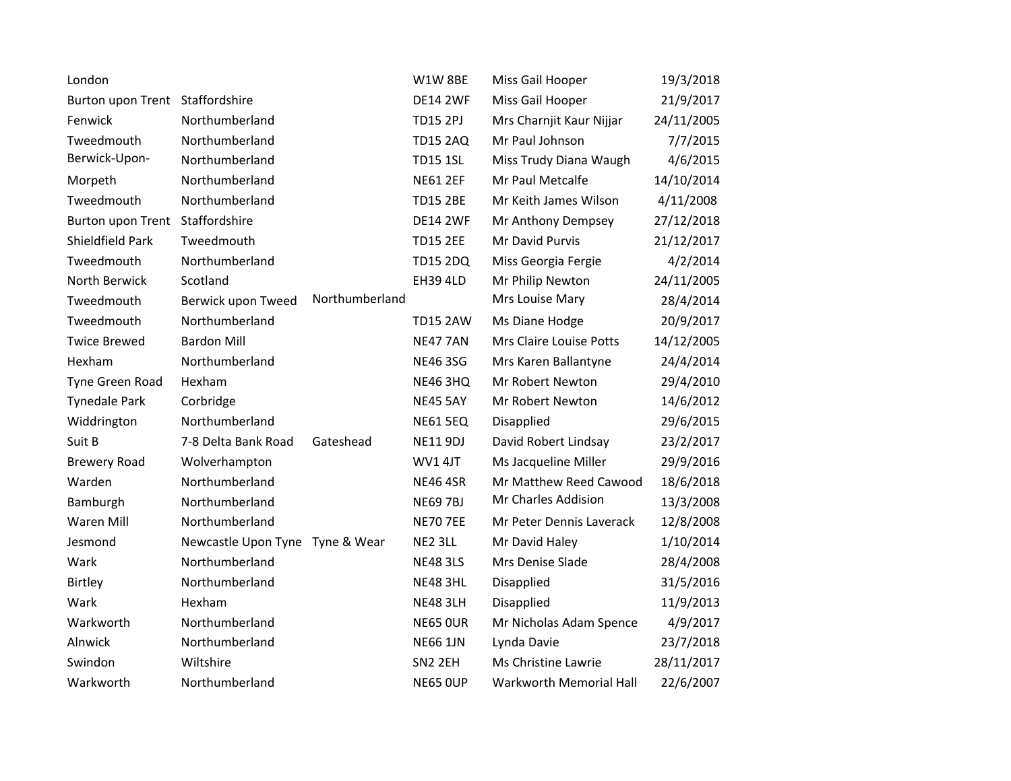| London                          |                                 |                | W1W8BE          | Miss Gail Hooper         | 19/3/2018  |
|---------------------------------|---------------------------------|----------------|-----------------|--------------------------|------------|
| Burton upon Trent Staffordshire |                                 |                | <b>DE14 2WF</b> | Miss Gail Hooper         | 21/9/2017  |
| Fenwick                         | Northumberland                  |                | <b>TD15 2PJ</b> | Mrs Charnjit Kaur Nijjar | 24/11/2005 |
| Tweedmouth                      | Northumberland                  |                | <b>TD15 2AQ</b> | Mr Paul Johnson          | 7/7/2015   |
| Berwick-Upon-                   | Northumberland                  |                | <b>TD15 1SL</b> | Miss Trudy Diana Waugh   | 4/6/2015   |
| Morpeth                         | Northumberland                  |                | <b>NE61 2EF</b> | Mr Paul Metcalfe         | 14/10/2014 |
| Tweedmouth                      | Northumberland                  |                | <b>TD15 2BE</b> | Mr Keith James Wilson    | 4/11/2008  |
| Burton upon Trent               | Staffordshire                   |                | <b>DE14 2WF</b> | Mr Anthony Dempsey       | 27/12/2018 |
| Shieldfield Park                | Tweedmouth                      |                | <b>TD15 2EE</b> | Mr David Purvis          | 21/12/2017 |
| Tweedmouth                      | Northumberland                  |                | <b>TD15 2DQ</b> | Miss Georgia Fergie      | 4/2/2014   |
| North Berwick                   | Scotland                        |                | <b>EH39 4LD</b> | Mr Philip Newton         | 24/11/2005 |
| Tweedmouth                      | Berwick upon Tweed              | Northumberland |                 | Mrs Louise Mary          | 28/4/2014  |
| Tweedmouth                      | Northumberland                  |                | <b>TD15 2AW</b> | Ms Diane Hodge           | 20/9/2017  |
| <b>Twice Brewed</b>             | <b>Bardon Mill</b>              |                | <b>NE47 7AN</b> | Mrs Claire Louise Potts  | 14/12/2005 |
| Hexham                          | Northumberland                  |                | <b>NE46 3SG</b> | Mrs Karen Ballantyne     | 24/4/2014  |
| Tyne Green Road                 | Hexham                          |                | <b>NE46 3HQ</b> | Mr Robert Newton         | 29/4/2010  |
| <b>Tynedale Park</b>            | Corbridge                       |                | <b>NE45 5AY</b> | Mr Robert Newton         | 14/6/2012  |
| Widdrington                     | Northumberland                  |                | <b>NE61 5EQ</b> | Disapplied               | 29/6/2015  |
| Suit B                          | 7-8 Delta Bank Road             | Gateshead      | <b>NE11 9DJ</b> | David Robert Lindsay     | 23/2/2017  |
| <b>Brewery Road</b>             | Wolverhampton                   |                | <b>WV14JT</b>   | Ms Jacqueline Miller     | 29/9/2016  |
| Warden                          | Northumberland                  |                | <b>NE46 4SR</b> | Mr Matthew Reed Cawood   | 18/6/2018  |
| Bamburgh                        | Northumberland                  |                | <b>NE69 7BJ</b> | Mr Charles Addision      | 13/3/2008  |
| Waren Mill                      | Northumberland                  |                | <b>NE70 7EE</b> | Mr Peter Dennis Laverack | 12/8/2008  |
| Jesmond                         | Newcastle Upon Tyne Tyne & Wear |                | NE2 3LL         | Mr David Haley           | 1/10/2014  |
| Wark                            | Northumberland                  |                | <b>NE48 3LS</b> | Mrs Denise Slade         | 28/4/2008  |
| Birtley                         | Northumberland                  |                | <b>NE48 3HL</b> | Disapplied               | 31/5/2016  |
| Wark                            | Hexham                          |                | <b>NE48 3LH</b> | Disapplied               | 11/9/2013  |
| Warkworth                       | Northumberland                  |                | <b>NE65 OUR</b> | Mr Nicholas Adam Spence  | 4/9/2017   |
| Alnwick                         | Northumberland                  |                | <b>NE66 1JN</b> | Lynda Davie              | 23/7/2018  |
| Swindon                         | Wiltshire                       |                | SN2 2EH         | Ms Christine Lawrie      | 28/11/2017 |
| Warkworth                       | Northumberland                  |                | <b>NE65 OUP</b> | Warkworth Memorial Hall  | 22/6/2007  |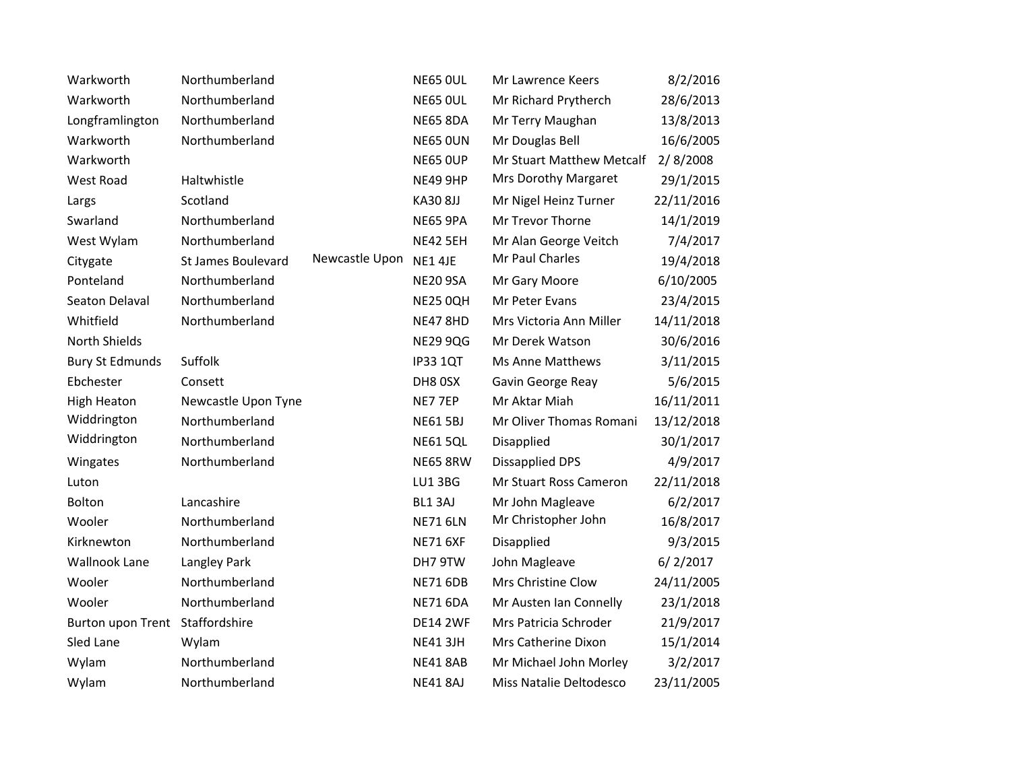| Warkworth              | Northumberland      |                | <b>NE65 OUL</b> | Mr Lawrence Keers         | 8/2/2016   |
|------------------------|---------------------|----------------|-----------------|---------------------------|------------|
| Warkworth              | Northumberland      |                | <b>NE65 OUL</b> | Mr Richard Prytherch      | 28/6/2013  |
| Longframlington        | Northumberland      |                | <b>NE65 8DA</b> | Mr Terry Maughan          | 13/8/2013  |
| Warkworth              | Northumberland      |                | <b>NE65 OUN</b> | Mr Douglas Bell           | 16/6/2005  |
| Warkworth              |                     |                | <b>NE65 OUP</b> | Mr Stuart Matthew Metcalf | 2/8/2008   |
| West Road              | Haltwhistle         |                | <b>NE49 9HP</b> | Mrs Dorothy Margaret      | 29/1/2015  |
| Largs                  | Scotland            |                | <b>KA30 8JJ</b> | Mr Nigel Heinz Turner     | 22/11/2016 |
| Swarland               | Northumberland      |                | <b>NE65 9PA</b> | Mr Trevor Thorne          | 14/1/2019  |
| West Wylam             | Northumberland      |                | <b>NE42 5EH</b> | Mr Alan George Veitch     | 7/4/2017   |
| Citygate               | St James Boulevard  | Newcastle Upon | NE1 4JE         | Mr Paul Charles           | 19/4/2018  |
| Ponteland              | Northumberland      |                | <b>NE20 9SA</b> | Mr Gary Moore             | 6/10/2005  |
| Seaton Delaval         | Northumberland      |                | <b>NE25 0QH</b> | Mr Peter Evans            | 23/4/2015  |
| Whitfield              | Northumberland      |                | <b>NE47 8HD</b> | Mrs Victoria Ann Miller   | 14/11/2018 |
| North Shields          |                     |                | <b>NE29 9QG</b> | Mr Derek Watson           | 30/6/2016  |
| <b>Bury St Edmunds</b> | Suffolk             |                | <b>IP33 1QT</b> | Ms Anne Matthews          | 3/11/2015  |
| Ebchester              | Consett             |                | DH8 0SX         | Gavin George Reay         | 5/6/2015   |
| <b>High Heaton</b>     | Newcastle Upon Tyne |                | NE7 7EP         | Mr Aktar Miah             | 16/11/2011 |
| Widdrington            | Northumberland      |                | <b>NE61 5BJ</b> | Mr Oliver Thomas Romani   | 13/12/2018 |
| Widdrington            | Northumberland      |                | <b>NE61 5QL</b> | Disapplied                | 30/1/2017  |
| Wingates               | Northumberland      |                | <b>NE65 8RW</b> | <b>Dissapplied DPS</b>    | 4/9/2017   |
| Luton                  |                     |                | <b>LU1 3BG</b>  | Mr Stuart Ross Cameron    | 22/11/2018 |
| Bolton                 | Lancashire          |                | BL1 3AJ         | Mr John Magleave          | 6/2/2017   |
| Wooler                 | Northumberland      |                | <b>NE71 6LN</b> | Mr Christopher John       | 16/8/2017  |
| Kirknewton             | Northumberland      |                | <b>NE71 6XF</b> | Disapplied                | 9/3/2015   |
| Wallnook Lane          | Langley Park        |                | DH7 9TW         | John Magleave             | 6/2/2017   |
| Wooler                 | Northumberland      |                | <b>NE71 6DB</b> | Mrs Christine Clow        | 24/11/2005 |
| Wooler                 | Northumberland      |                | <b>NE71 6DA</b> | Mr Austen Ian Connelly    | 23/1/2018  |
| Burton upon Trent      | Staffordshire       |                | <b>DE14 2WF</b> | Mrs Patricia Schroder     | 21/9/2017  |
| Sled Lane              | Wylam               |                | <b>NE41 3JH</b> | Mrs Catherine Dixon       | 15/1/2014  |
| Wylam                  | Northumberland      |                | <b>NE41 8AB</b> | Mr Michael John Morley    | 3/2/2017   |
| Wylam                  | Northumberland      |                | <b>NE41 8AJ</b> | Miss Natalie Deltodesco   | 23/11/2005 |